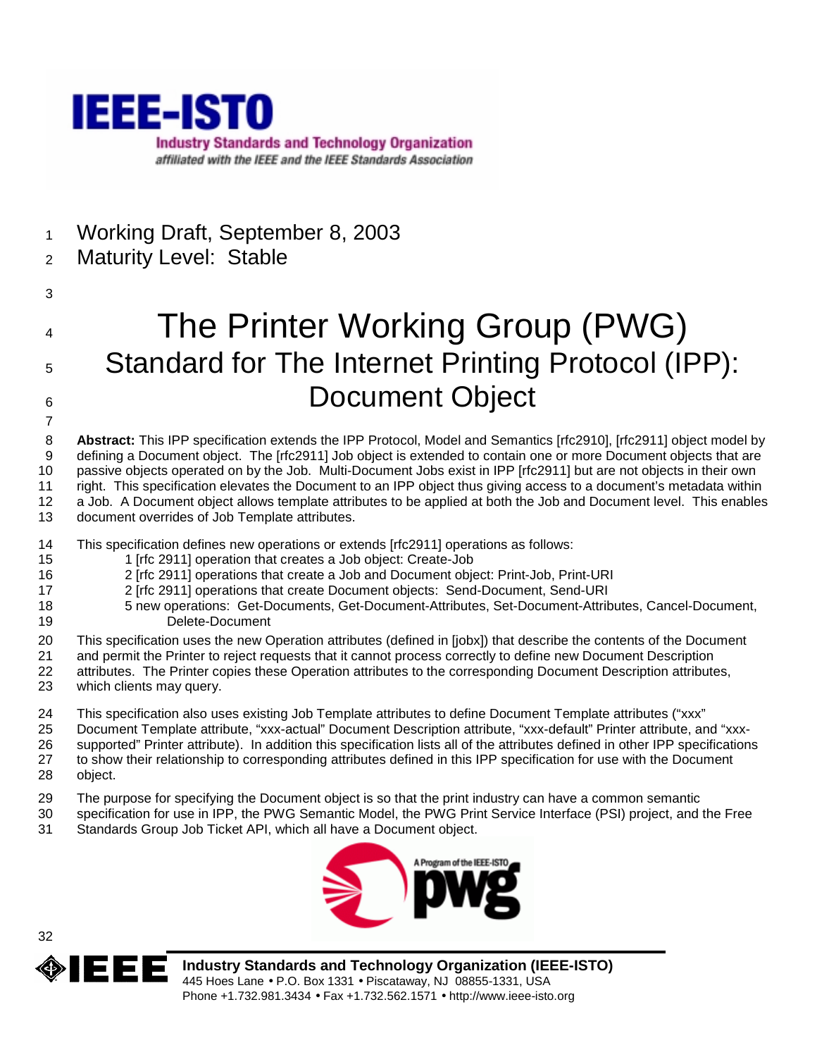

- 1 Working Draft, September 8, 2003
- 2 Maturity Level: Stable
- 3

7

# 4 The Printer Working Group (PWG) 5 Standard for The Internet Printing Protocol (IPP): 6 Document Object

8 **Abstract:** This IPP specification extends the IPP Protocol, Model and Semantics [rfc2910], [rfc2911] object model by 9 defining a Document object. The [rfc2911] Job object is extended to contain one or more Document objects that are 10 passive objects operated on by the Job. Multi-Document Jobs exist in IPP [rfc2911] but are not objects in their own 11 right. This specification elevates the Document to an IPP object thus giving access to a document's metadata within 12 a Job. A Document object allows template attributes to be applied at both the Job and Document level. This enables 13 document overrides of Job Template attributes.

- 14 This specification defines new operations or extends [rfc2911] operations as follows:
- 15 1 [rfc 2911] operation that creates a Job object: Create-Job
- 16 2 [rfc 2911] operations that create a Job and Document object: Print-Job, Print-URI
- 17 2 [rfc 2911] operations that create Document objects: Send-Document, Send-URI
- 18 5 new operations: Get-Documents, Get-Document-Attributes, Set-Document-Attributes, Cancel-Document, 19 Delete-Document
- 20 This specification uses the new Operation attributes (defined in [jobx]) that describe the contents of the Document
- 21 and permit the Printer to reject requests that it cannot process correctly to define new Document Description
- 22 attributes. The Printer copies these Operation attributes to the corresponding Document Description attributes, 23 which clients may query.
- 24 This specification also uses existing Job Template attributes to define Document Template attributes ("xxx"
- 25 Document Template attribute, "xxx-actual" Document Description attribute, "xxx-default" Printer attribute, and "xxx-
- 26 supported" Printer attribute). In addition this specification lists all of the attributes defined in other IPP specifications 27 to show their relationship to corresponding attributes defined in this IPP specification for use with the Document
- 28 object.
- 29 The purpose for specifying the Document object is so that the print industry can have a common semantic
- 30 specification for use in IPP, the PWG Semantic Model, the PWG Print Service Interface (PSI) project, and the Free 31 Standards Group Job Ticket API, which all have a Document object.





**Industry Standards and Technology Organization (IEEE-ISTO)**  445 Hoes Lane • P.O. Box 1331 • Piscataway, NJ 08855-1331, USA Phone +1.732.981.3434 • Fax +1.732.562.1571 • http://www.ieee-isto.org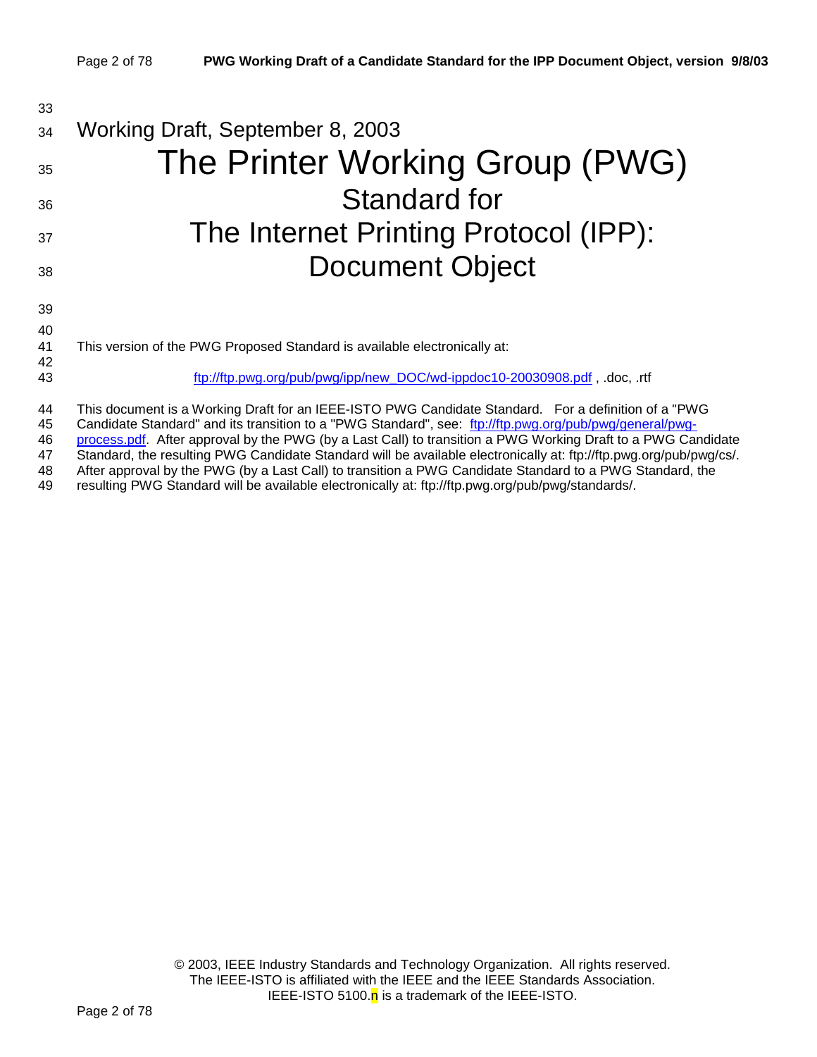| 33             |                                                                                                                                                                                                                                                                                                                                 |
|----------------|---------------------------------------------------------------------------------------------------------------------------------------------------------------------------------------------------------------------------------------------------------------------------------------------------------------------------------|
| 34             | Working Draft, September 8, 2003                                                                                                                                                                                                                                                                                                |
| 35             | The Printer Working Group (PWG)                                                                                                                                                                                                                                                                                                 |
| 36             | Standard for                                                                                                                                                                                                                                                                                                                    |
| 37             | The Internet Printing Protocol (IPP):                                                                                                                                                                                                                                                                                           |
| 38             | <b>Document Object</b>                                                                                                                                                                                                                                                                                                          |
| 39             |                                                                                                                                                                                                                                                                                                                                 |
| 40             |                                                                                                                                                                                                                                                                                                                                 |
| 41<br>42       | This version of the PWG Proposed Standard is available electronically at:                                                                                                                                                                                                                                                       |
| 43             | ftp://ftp.pwg.org/pub/pwg/ipp/new_DOC/wd-ippdoc10-20030908.pdf, .doc, .rtf                                                                                                                                                                                                                                                      |
| 44<br>45<br>46 | This document is a Working Draft for an IEEE-ISTO PWG Candidate Standard. For a definition of a "PWG<br>Candidate Standard" and its transition to a "PWG Standard", see: ftp://ftp.pwg.org/pub/pwg/general/pwg-<br>process.pdf. After approval by the PWG (by a Last Call) to transition a PWG Working Draft to a PWG Candidate |

47 Standard, the resulting PWG Candidate Standard will be available electronically at: ftp://ftp.pwg.org/pub/pwg/cs/.<br>48 After approval by the PWG (by a Last Call) to transition a PWG Candidate Standard to a PWG Standard, 48 After approval by the PWG (by a Last Call) to transition a PWG Candidate Standard to a PWG Standard, the resulting PWG Standard will be available electronically at: ftp://ftp.pwg.org/pub/pwg/standards/.

resulting PWG Standard will be available electronically at: ftp://ftp.pwg.org/pub/pwg/standards/.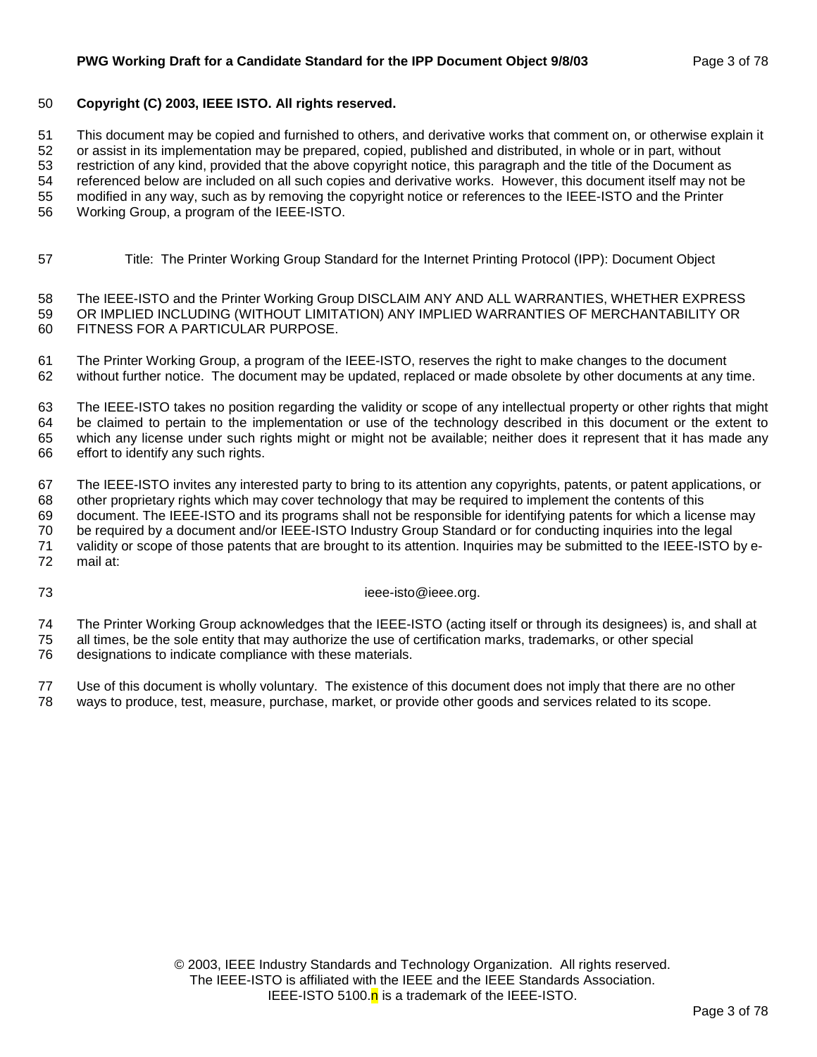#### **PWG Working Draft for a Candidate Standard for the IPP Document Object 9/8/03** Page 3 of 78

#### 50 **Copyright (C) 2003, IEEE ISTO. All rights reserved.**

51 This document may be copied and furnished to others, and derivative works that comment on, or otherwise explain it

52 or assist in its implementation may be prepared, copied, published and distributed, in whole or in part, without

53 restriction of any kind, provided that the above copyright notice, this paragraph and the title of the Document as

54 referenced below are included on all such copies and derivative works. However, this document itself may not be 55 modified in any way, such as by removing the copyright notice or references to the IEEE-ISTO and the Printer

56 Working Group, a program of the IEEE-ISTO.

57 Title: The Printer Working Group Standard for the Internet Printing Protocol (IPP): Document Object

58 The IEEE-ISTO and the Printer Working Group DISCLAIM ANY AND ALL WARRANTIES, WHETHER EXPRESS 59 OR IMPLIED INCLUDING (WITHOUT LIMITATION) ANY IMPLIED WARRANTIES OF MERCHANTABILITY OR 60 FITNESS FOR A PARTICULAR PURPOSE.

61 The Printer Working Group, a program of the IEEE-ISTO, reserves the right to make changes to the document 62 without further notice. The document may be updated, replaced or made obsolete by other documents at any time.

63 The IEEE-ISTO takes no position regarding the validity or scope of any intellectual property or other rights that might 64 be claimed to pertain to the implementation or use of the technology described in this document or the extent to 65 which any license under such rights might or might not be available; neither does it represent that it has made any 66 effort to identify any such rights.

67 The IEEE-ISTO invites any interested party to bring to its attention any copyrights, patents, or patent applications, or 68 other proprietary rights which may cover technology that may be required to implement the contents of this

69 document. The IEEE-ISTO and its programs shall not be responsible for identifying patents for which a license may 70 be required by a document and/or IEEE-ISTO Industry Group Standard or for conducting inquiries into the legal

71 validity or scope of those patents that are brought to its attention. Inquiries may be submitted to the IEEE-ISTO by e-

72 mail at:

73 ieee-isto@ieee.org.

74 The Printer Working Group acknowledges that the IEEE-ISTO (acting itself or through its designees) is, and shall at

75 all times, be the sole entity that may authorize the use of certification marks, trademarks, or other special 76 designations to indicate compliance with these materials.

77 Use of this document is wholly voluntary. The existence of this document does not imply that there are no other 78 ways to produce, test, measure, purchase, market, or provide other goods and services related to its scope.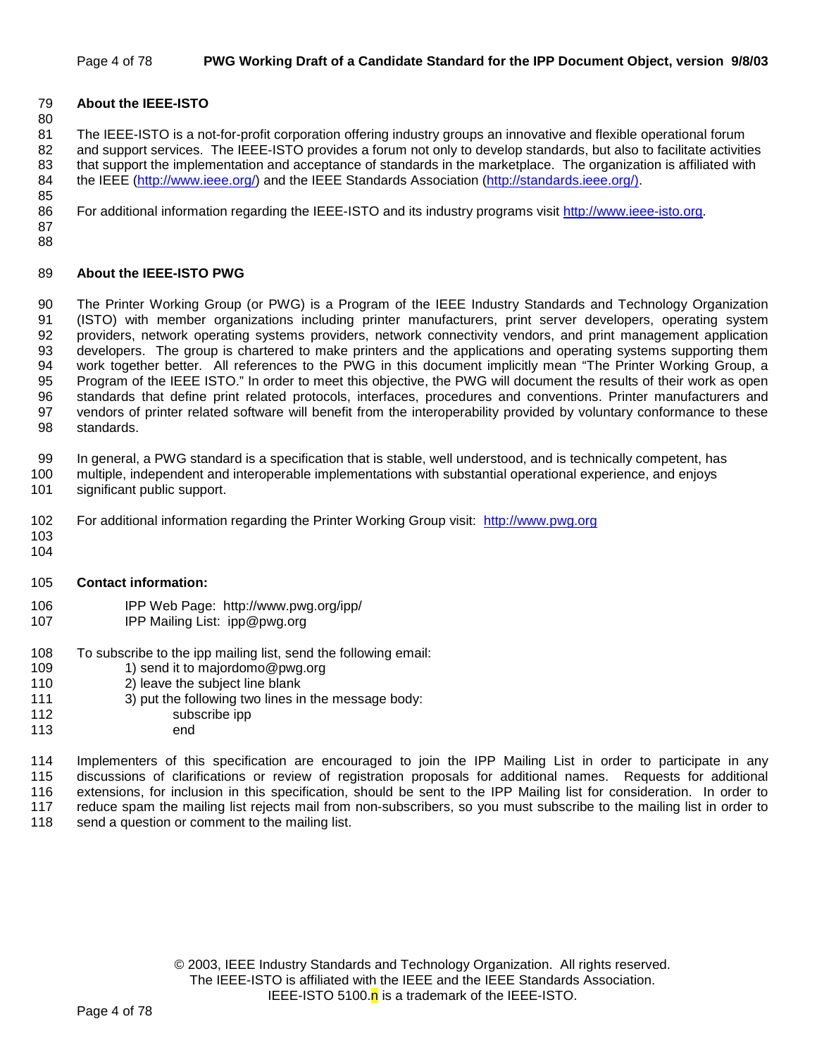#### Page 4 of 78 **PWG Working Draft of a Candidate Standard for the IPP Document Object, version 9/8/03**

#### 79 **About the IEEE-ISTO**

80

81 The IEEE-ISTO is a not-for-profit corporation offering industry groups an innovative and flexible operational forum 82 and support services. The IEEE-ISTO provides a forum not only to develop standards, but also to facilitate activities 83 that support the implementation and acceptance of standards in the marketplace. The organization is affiliated with 84 the IEEE (http://www.ieee.org/) and the IEEE Standards Association (http://standards.ieee.org/). 85

86 For additional information regarding the IEEE-ISTO and its industry programs visit http://www.ieee-isto.org.

87 88

#### 89 **About the IEEE-ISTO PWG**

90 The Printer Working Group (or PWG) is a Program of the IEEE Industry Standards and Technology Organization 91 (ISTO) with member organizations including printer manufacturers, print server developers, operating system 92 providers, network operating systems providers, network connectivity vendors, and print management application 93 developers. The group is chartered to make printers and the applications and operating systems supporting them 94 work together better. All references to the PWG in this document implicitly mean "The Printer Working Group, a 95 Program of the IEEE ISTO." In order to meet this objective, the PWG will document the results of their work as open 96 standards that define print related protocols, interfaces, procedures and conventions. Printer manufacturers and 97 vendors of printer related software will benefit from the interoperability provided by voluntary conformance to these 98 standards.

99 In general, a PWG standard is a specification that is stable, well understood, and is technically competent, has

- 100 multiple, independent and interoperable implementations with substantial operational experience, and enjoys 101 significant public support.
- 
- 102 For additional information regarding the Printer Working Group visit: http://www.pwg.org
- 103 104
- 105 **Contact information:**
- 106 IPP Web Page: http://www.pwg.org/ipp/
- 107 IPP Mailing List: ipp@pwg.org
- 108 To subscribe to the ipp mailing list, send the following email:
- 109 1) send it to majordomo@pwg.org
- 110 2) leave the subject line blank
- 111 3) put the following two lines in the message body:
- 112 subscribe ipp
- 113 end

114 Implementers of this specification are encouraged to join the IPP Mailing List in order to participate in any 115 discussions of clarifications or review of registration proposals for additional names. Requests for additional 116 extensions, for inclusion in this specification, should be sent to the IPP Mailing list for consideration. In order to 117 reduce spam the mailing list rejects mail from non-subscribers, so you must subscribe to the mailing list in order to 118 send a question or comment to the mailing list.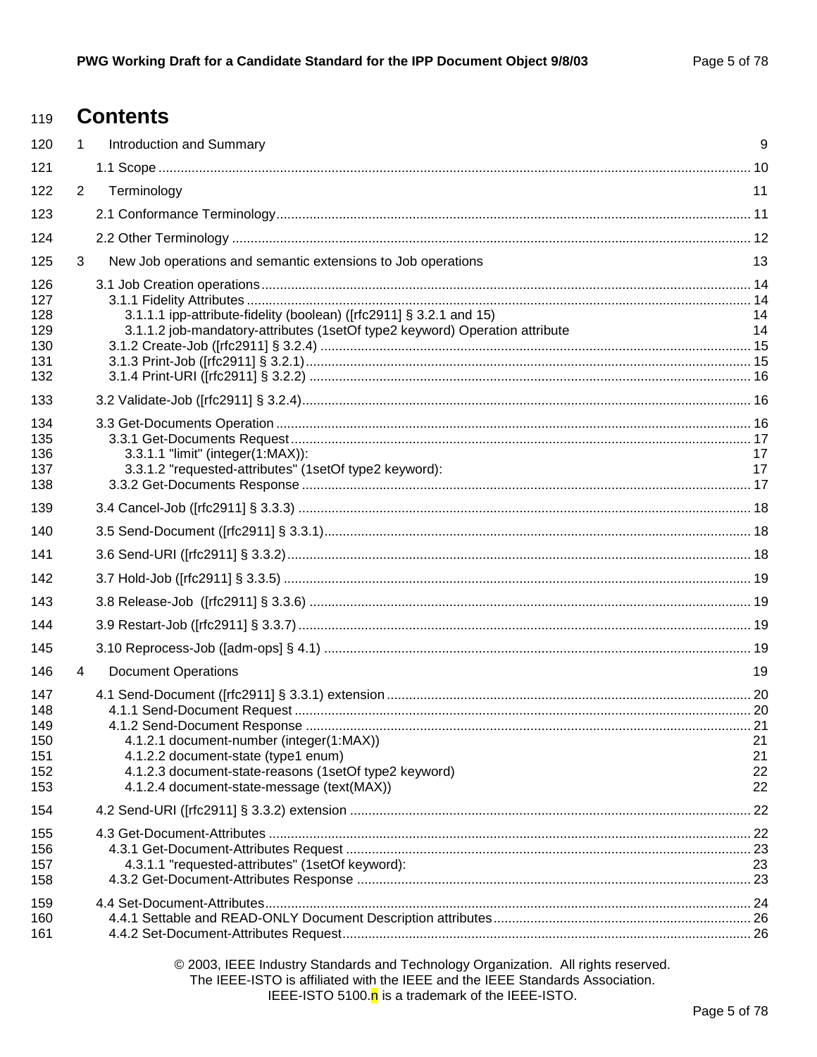#### **Contents** 119

| 120                                           | $\mathbf{1}$   | <b>Introduction and Summary</b>                                                                                                                                                        | 9                    |
|-----------------------------------------------|----------------|----------------------------------------------------------------------------------------------------------------------------------------------------------------------------------------|----------------------|
| 121                                           |                |                                                                                                                                                                                        |                      |
| 122                                           | $\overline{2}$ | Terminology                                                                                                                                                                            | 11                   |
| 123                                           |                |                                                                                                                                                                                        |                      |
| 124                                           |                |                                                                                                                                                                                        |                      |
| 125                                           | 3              | New Job operations and semantic extensions to Job operations                                                                                                                           | 13                   |
| 126<br>127<br>128<br>129<br>130<br>131<br>132 |                | 3.1.1.1 ipp-attribute-fidelity (boolean) ([rfc2911] § 3.2.1 and 15)<br>3.1.1.2 job-mandatory-attributes (1setOf type2 keyword) Operation attribute                                     | 14<br>14             |
| 133                                           |                |                                                                                                                                                                                        |                      |
| 134<br>135<br>136<br>137<br>138               |                | 3.3.1.1 "limit" (integer(1:MAX)):<br>3.3.1.2 "requested-attributes" (1setOf type2 keyword):                                                                                            | 17<br>17             |
| 139                                           |                |                                                                                                                                                                                        |                      |
| 140                                           |                |                                                                                                                                                                                        |                      |
| 141                                           |                |                                                                                                                                                                                        |                      |
| 142                                           |                |                                                                                                                                                                                        |                      |
| 143                                           |                |                                                                                                                                                                                        |                      |
| 144                                           |                |                                                                                                                                                                                        |                      |
| 145                                           |                |                                                                                                                                                                                        |                      |
| 146                                           | 4              | <b>Document Operations</b>                                                                                                                                                             | 19                   |
| 147<br>148<br>149<br>150<br>151<br>152<br>153 |                | 4.1.2.1 document-number (integer(1:MAX))<br>4.1.2.2 document-state (type1 enum)<br>4.1.2.3 document-state-reasons (1setOf type2 keyword)<br>4.1.2.4 document-state-message (text(MAX)) | 21<br>21<br>22<br>22 |
| 154                                           |                |                                                                                                                                                                                        |                      |
| 155<br>156<br>157<br>158                      |                | 4.3.1.1 "requested-attributes" (1setOf keyword):                                                                                                                                       | 23                   |
| 159<br>160<br>161                             |                |                                                                                                                                                                                        |                      |
|                                               |                |                                                                                                                                                                                        |                      |

© 2003, IEEE Industry Standards and Technology Organization. All rights reserved. The IEEE-ISTO is affiliated with the IEEE and the IEEE Standards Association. IEEE-ISTO 5100.n is a trademark of the IEEE-ISTO.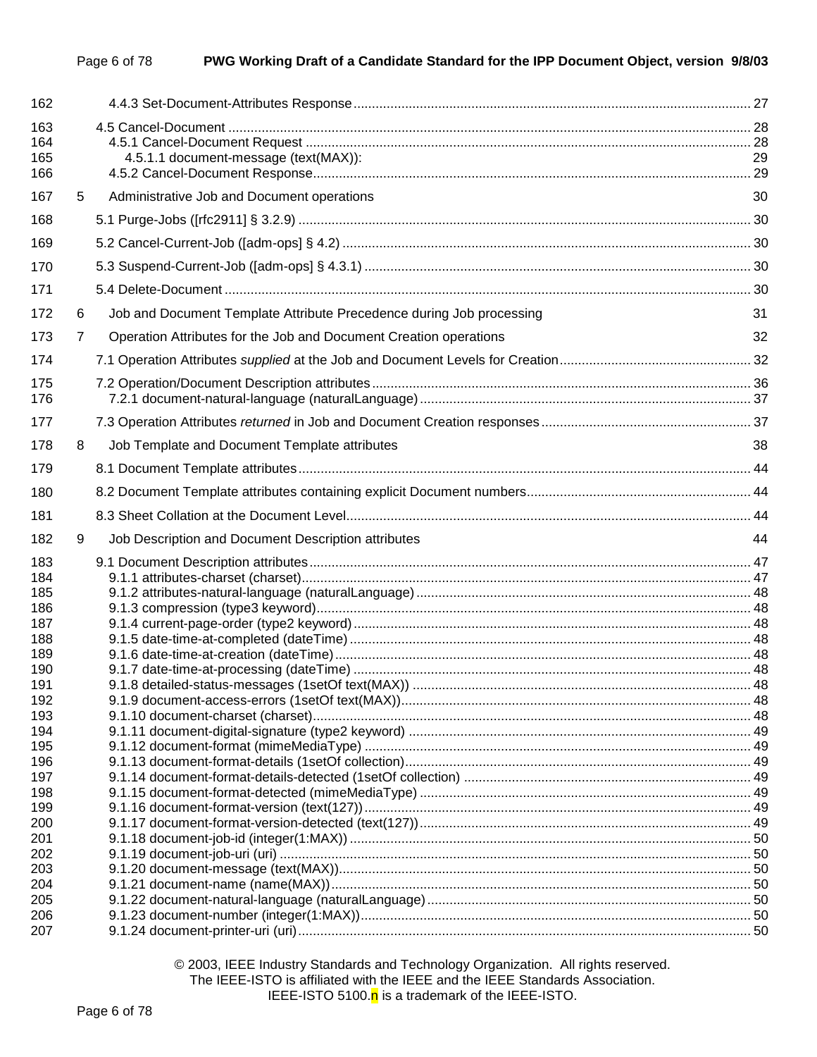| 162                      |   |                                                                      |    |
|--------------------------|---|----------------------------------------------------------------------|----|
| 163<br>164<br>165<br>166 |   | 4.5.1.1 document-message (text(MAX)):                                | 29 |
| 167                      | 5 | Administrative Job and Document operations                           | 30 |
| 168                      |   |                                                                      |    |
| 169                      |   |                                                                      |    |
| 170                      |   |                                                                      |    |
| 171                      |   |                                                                      |    |
|                          |   |                                                                      |    |
| 172                      | 6 | Job and Document Template Attribute Precedence during Job processing | 31 |
| 173                      | 7 | Operation Attributes for the Job and Document Creation operations    | 32 |
| 174                      |   |                                                                      |    |
| 175<br>176               |   |                                                                      |    |
| 177                      |   |                                                                      |    |
| 178                      | 8 | Job Template and Document Template attributes                        | 38 |
| 179                      |   |                                                                      |    |
| 180                      |   |                                                                      |    |
| 181                      |   |                                                                      |    |
| 182                      | 9 | Job Description and Document Description attributes                  | 44 |
| 183                      |   |                                                                      |    |
| 184                      |   |                                                                      |    |
| 185                      |   |                                                                      |    |
| 186<br>187               |   |                                                                      |    |
| 188                      |   |                                                                      |    |
| 189                      |   |                                                                      |    |
| 190                      |   |                                                                      |    |
| 191                      |   |                                                                      |    |
| 192                      |   |                                                                      |    |
| 193                      |   |                                                                      |    |
| 194                      |   |                                                                      |    |
| 195                      |   |                                                                      |    |
| 196                      |   |                                                                      |    |
| 197                      |   |                                                                      |    |
| 198                      |   |                                                                      |    |
| 199                      |   |                                                                      |    |
| 200<br>201               |   |                                                                      |    |
| 202                      |   |                                                                      |    |
| 203                      |   |                                                                      |    |
| 204                      |   |                                                                      |    |
| 205                      |   |                                                                      |    |
| 206                      |   |                                                                      |    |
| 207                      |   |                                                                      |    |

© 2003, IEEE Industry Standards and Technology Organization. All rights reserved. The IEEE-ISTO is affiliated with the IEEE and the IEEE Standards Association. IEEE-ISTO 5100. $n$  is a trademark of the IEEE-ISTO.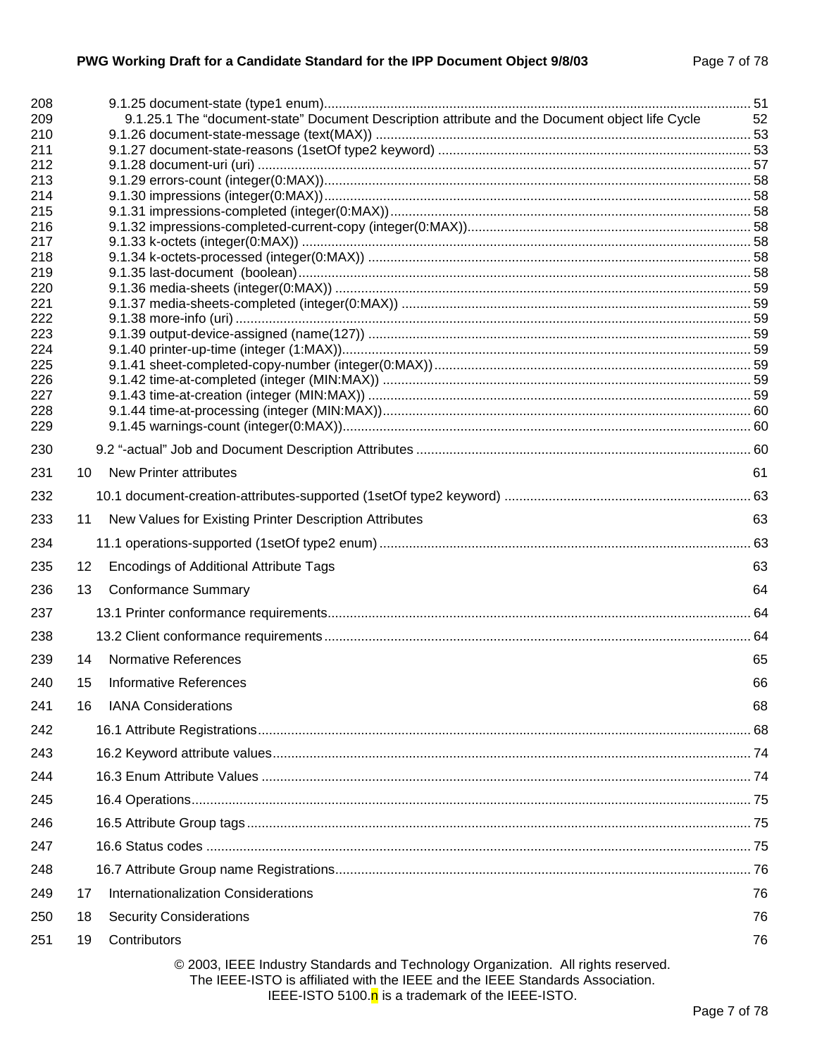| 208<br>209 |    | 9.1.25.1 The "document-state" Document Description attribute and the Document object life Cycle                                                                    | 52 |
|------------|----|--------------------------------------------------------------------------------------------------------------------------------------------------------------------|----|
| 210        |    |                                                                                                                                                                    |    |
| 211        |    |                                                                                                                                                                    |    |
| 212        |    |                                                                                                                                                                    |    |
| 213        |    |                                                                                                                                                                    |    |
| 214<br>215 |    |                                                                                                                                                                    |    |
| 216        |    |                                                                                                                                                                    |    |
| 217        |    |                                                                                                                                                                    |    |
| 218        |    |                                                                                                                                                                    |    |
| 219        |    |                                                                                                                                                                    |    |
| 220<br>221 |    |                                                                                                                                                                    |    |
| 222        |    |                                                                                                                                                                    |    |
| 223        |    |                                                                                                                                                                    |    |
| 224        |    |                                                                                                                                                                    |    |
| 225        |    |                                                                                                                                                                    |    |
| 226<br>227 |    |                                                                                                                                                                    |    |
| 228        |    |                                                                                                                                                                    |    |
| 229        |    |                                                                                                                                                                    |    |
| 230        |    |                                                                                                                                                                    |    |
| 231        | 10 | <b>New Printer attributes</b>                                                                                                                                      | 61 |
| 232        |    |                                                                                                                                                                    |    |
| 233        | 11 | New Values for Existing Printer Description Attributes                                                                                                             | 63 |
| 234        |    |                                                                                                                                                                    |    |
| 235        | 12 | <b>Encodings of Additional Attribute Tags</b>                                                                                                                      | 63 |
| 236        | 13 | <b>Conformance Summary</b>                                                                                                                                         | 64 |
| 237        |    |                                                                                                                                                                    |    |
| 238        |    |                                                                                                                                                                    |    |
| 239        | 14 | <b>Normative References</b>                                                                                                                                        | 65 |
| 240        | 15 | <b>Informative References</b>                                                                                                                                      | 66 |
| 241        | 16 | <b>IANA Considerations</b>                                                                                                                                         | 68 |
| 242        |    |                                                                                                                                                                    |    |
| 243        |    |                                                                                                                                                                    |    |
| 244        |    |                                                                                                                                                                    |    |
| 245        |    |                                                                                                                                                                    |    |
| 246        |    |                                                                                                                                                                    |    |
| 247        |    |                                                                                                                                                                    |    |
| 248        |    |                                                                                                                                                                    |    |
| 249        | 17 | Internationalization Considerations                                                                                                                                | 76 |
| 250        | 18 | <b>Security Considerations</b>                                                                                                                                     | 76 |
| 251        | 19 | Contributors                                                                                                                                                       | 76 |
|            |    | © 2003, IEEE Industry Standards and Technology Organization. All rights reserved.<br>The IEEE-ISTO is affiliated with the IEEE and the IEEE Standards Association. |    |

IEEE-ISTO 5100. $n$  is a trademark of the IEEE-ISTO.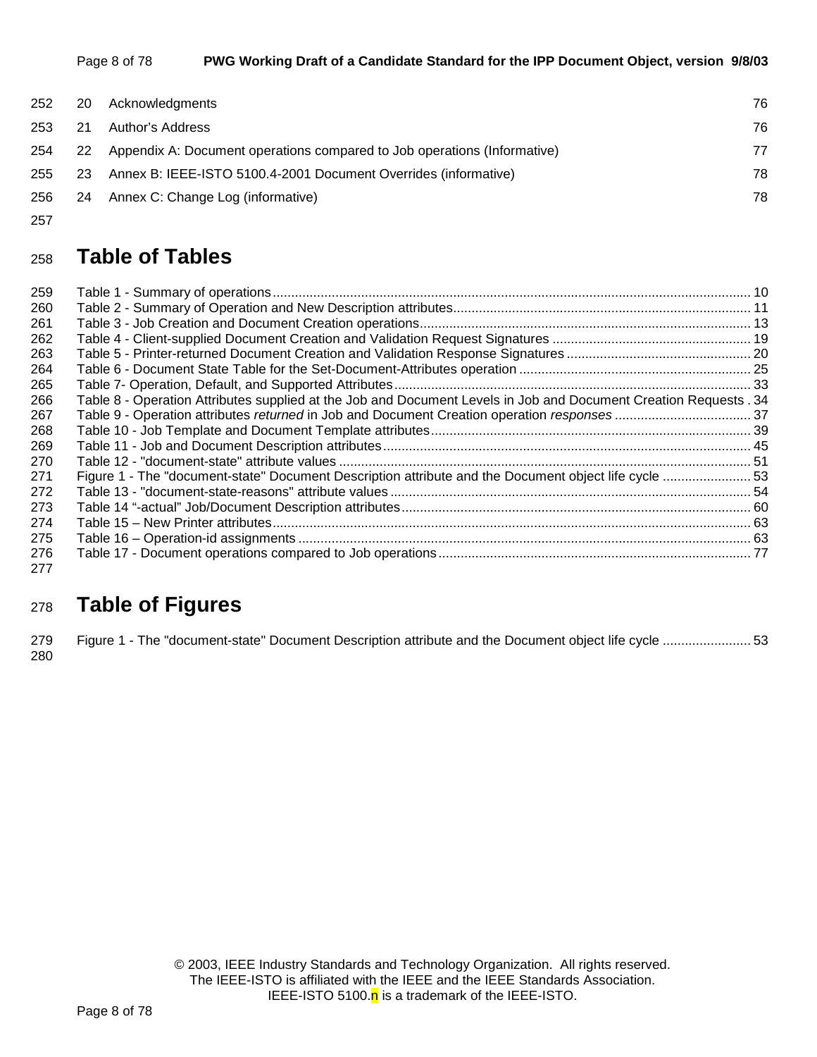| Page 8 of 78 | PWG Working Draft of a Candidate Standard for the IPP Document Object, version 9/8/03 |
|--------------|---------------------------------------------------------------------------------------|
|--------------|---------------------------------------------------------------------------------------|

| 252 | -20 | Acknowledgments                                                             | 76 |
|-----|-----|-----------------------------------------------------------------------------|----|
| 253 | 21  | Author's Address                                                            | 76 |
| 254 |     | 22 Appendix A: Document operations compared to Job operations (Informative) | 77 |
| 255 | 23  | Annex B: IEEE-ISTO 5100.4-2001 Document Overrides (informative)             | 78 |
|     |     | 256 24 Annex C: Change Log (informative)                                    | 78 |
|     |     |                                                                             |    |

257

## <sup>258</sup>**Table of Tables**

| 259        |                                                                                                                   |  |
|------------|-------------------------------------------------------------------------------------------------------------------|--|
| 260        |                                                                                                                   |  |
| 261        |                                                                                                                   |  |
| 262        |                                                                                                                   |  |
| 263        |                                                                                                                   |  |
| 264        |                                                                                                                   |  |
| 265        |                                                                                                                   |  |
| 266        | Table 8 - Operation Attributes supplied at the Job and Document Levels in Job and Document Creation Requests . 34 |  |
| 267        |                                                                                                                   |  |
| 268        |                                                                                                                   |  |
| 269        |                                                                                                                   |  |
| 270        |                                                                                                                   |  |
| 271        | Figure 1 - The "document-state" Document Description attribute and the Document object life cycle  53             |  |
| 272        |                                                                                                                   |  |
| 273        |                                                                                                                   |  |
| 274        |                                                                                                                   |  |
| 275        |                                                                                                                   |  |
| 276<br>277 |                                                                                                                   |  |

# <sup>278</sup>**Table of Figures**

279 Figure 1 - The "document-state" Document Description attribute and the Document object life cycle ........................ 53 280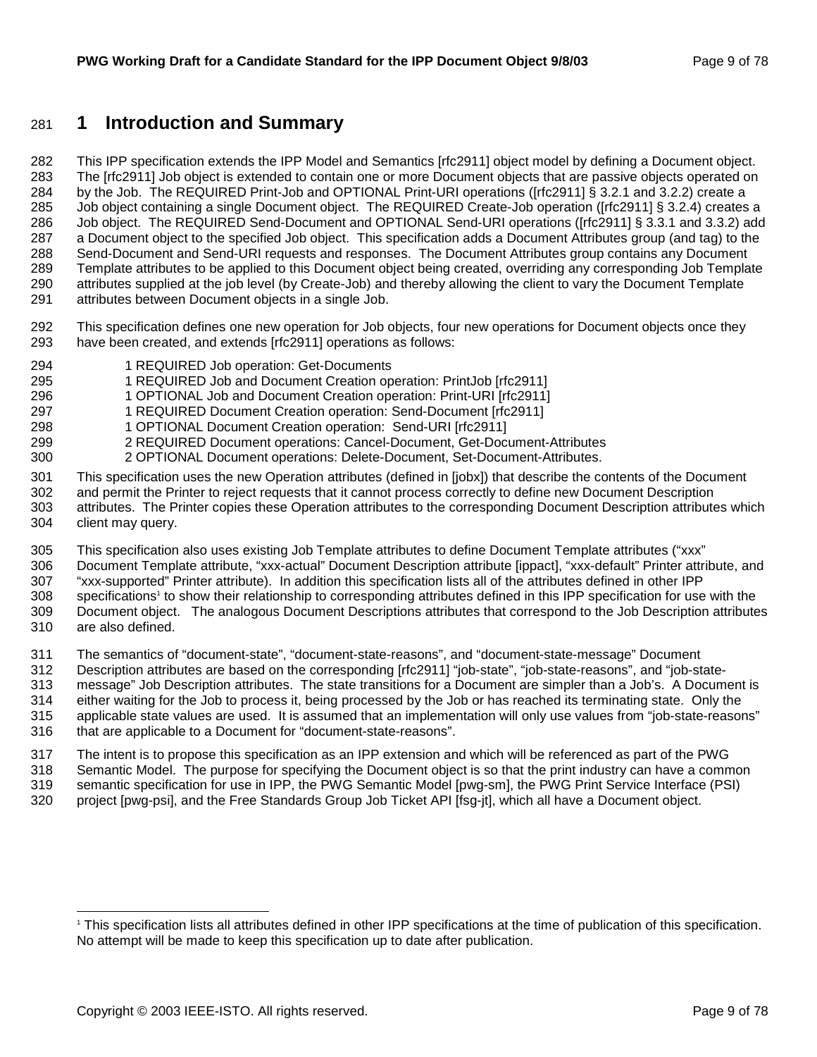### 281 **1 Introduction and Summary**

282 This IPP specification extends the IPP Model and Semantics [rfc2911] object model by defining a Document object. 283 The [rfc2911] Job object is extended to contain one or more Document objects that are passive objects operated on 284 by the Job. The REQUIRED Print-Job and OPTIONAL Print-URI operations ([rfc2911] § 3.2.1 and 3.2.2) create a 285 Job object containing a single Document object. The REQUIRED Create-Job operation ([rfc2911] § 3.2.4) creates a 286 Job object. The REQUIRED Send-Document and OPTIONAL Send-URI operations ([rfc2911] § 3.3.1 and 3.3.2) add 287 a Document object to the specified Job object. This specification adds a Document Attributes group (and tag) to the 288 Send-Document and Send-URI requests and responses. The Document Attributes group contains any Document 289 Template attributes to be applied to this Document object being created, overriding any corresponding Job Template 290 attributes supplied at the job level (by Create-Job) and thereby allowing the client to vary the Document Template 291 attributes between Document objects in a single Job.

- 292 This specification defines one new operation for Job objects, four new operations for Document objects once they 293 have been created, and extends [rfc2911] operations as follows:
- 294 1 REQUIRED Job operation: Get-Documents
- 295 1 REQUIRED Job and Document Creation operation: PrintJob [rfc2911]
- 296 1 OPTIONAL Job and Document Creation operation: Print-URI [rfc2911]
- 297 1 REQUIRED Document Creation operation: Send-Document [rfc2911]
- 298 1 OPTIONAL Document Creation operation: Send-URI [rfc2911]
- 299 2 REQUIRED Document operations: Cancel-Document, Get-Document-Attributes
- 300 2 OPTIONAL Document operations: Delete-Document, Set-Document-Attributes.
- 301 This specification uses the new Operation attributes (defined in [jobx]) that describe the contents of the Document 302 and permit the Printer to reject requests that it cannot process correctly to define new Document Description
- 303 attributes. The Printer copies these Operation attributes to the corresponding Document Description attributes which 304 client may query.
- 305 This specification also uses existing Job Template attributes to define Document Template attributes ("xxx"
- 306 Document Template attribute, "xxx-actual" Document Description attribute [ippact], "xxx-default" Printer attribute, and
- 307 "xxx-supported" Printer attribute). In addition this specification lists all of the attributes defined in other IPP
- 308 specifications<sup>1</sup> to show their relationship to corresponding attributes defined in this IPP specification for use with the 309 Document object. The analogous Document Descriptions attributes that correspond to the Job Description attributes 310 are also defined.
- 311 The semantics of "document-state", "document-state-reasons", and "document-state-message" Document
- 312 Description attributes are based on the corresponding [rfc2911] "job-state", "job-state-reasons", and "job-state-313 message" Job Description attributes. The state transitions for a Document are simpler than a Job's. A Document is
- 314 either waiting for the Job to process it, being processed by the Job or has reached its terminating state. Only the 315 applicable state values are used. It is assumed that an implementation will only use values from "job-state-reasons"
- 316 that are applicable to a Document for "document-state-reasons".
- 317 The intent is to propose this specification as an IPP extension and which will be referenced as part of the PWG 318 Semantic Model. The purpose for specifying the Document object is so that the print industry can have a common
- 319 semantic specification for use in IPP, the PWG Semantic Model [pwg-sm], the PWG Print Service Interface (PSI)
- 320 project [pwg-psi], and the Free Standards Group Job Ticket API [fsg-jt], which all have a Document object.

l 1 This specification lists all attributes defined in other IPP specifications at the time of publication of this specification. No attempt will be made to keep this specification up to date after publication.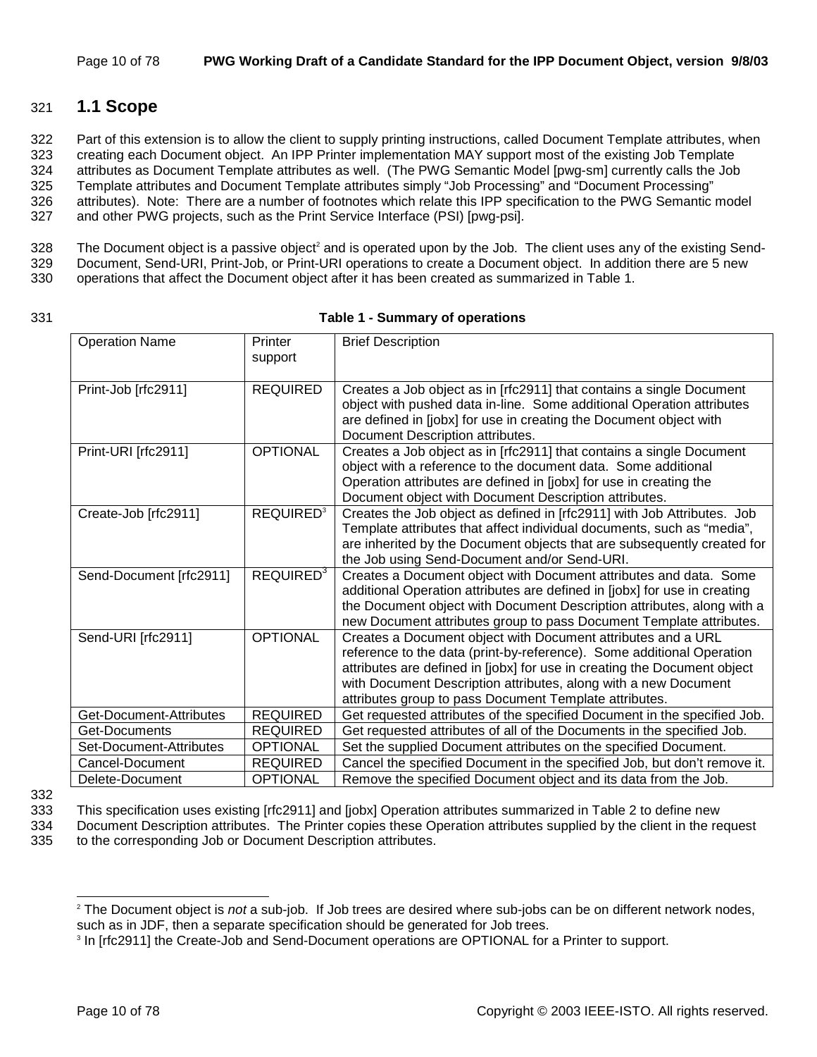### 321 **1.1 Scope**

322 Part of this extension is to allow the client to supply printing instructions, called Document Template attributes, when 323 creating each Document object. An IPP Printer implementation MAY support most of the existing Job Template 324 attributes as Document Template attributes as well. (The PWG Semantic Model [pwg-sm] currently calls the Job 325 Template attributes and Document Template attributes simply "Job Processing" and "Document Processing" 326 attributes). Note: There are a number of footnotes which relate this IPP specification to the PWG Semantic model 327 and other PWG projects, such as the Print Service Interface (PSI) [pwg-psi].

 $328$  The Document object is a passive object<sup>2</sup> and is operated upon by the Job. The client uses any of the existing Send-

329 Document, Send-URI, Print-Job, or Print-URI operations to create a Document object. In addition there are 5 new

330 operations that affect the Document object after it has been created as summarized in Table 1.

#### 331 **Table 1 - Summary of operations**

| <b>Operation Name</b>   | Printer<br>support          | <b>Brief Description</b>                                                                                                                                                                                                                                                                                                                       |
|-------------------------|-----------------------------|------------------------------------------------------------------------------------------------------------------------------------------------------------------------------------------------------------------------------------------------------------------------------------------------------------------------------------------------|
| Print-Job [rfc2911]     | <b>REQUIRED</b>             | Creates a Job object as in [rfc2911] that contains a single Document<br>object with pushed data in-line. Some additional Operation attributes<br>are defined in [jobx] for use in creating the Document object with<br>Document Description attributes.                                                                                        |
| Print-URI [rfc2911]     | <b>OPTIONAL</b>             | Creates a Job object as in [rfc2911] that contains a single Document<br>object with a reference to the document data. Some additional<br>Operation attributes are defined in [jobx] for use in creating the<br>Document object with Document Description attributes.                                                                           |
| Create-Job [rfc2911]    | <b>REQUIRED<sup>3</sup></b> | Creates the Job object as defined in [rfc2911] with Job Attributes. Job<br>Template attributes that affect individual documents, such as "media",<br>are inherited by the Document objects that are subsequently created for<br>the Job using Send-Document and/or Send-URI.                                                                   |
| Send-Document [rfc2911] | REQUIRED <sup>3</sup>       | Creates a Document object with Document attributes and data. Some<br>additional Operation attributes are defined in [jobx] for use in creating<br>the Document object with Document Description attributes, along with a<br>new Document attributes group to pass Document Template attributes.                                                |
| Send-URI [rfc2911]      | <b>OPTIONAL</b>             | Creates a Document object with Document attributes and a URL<br>reference to the data (print-by-reference). Some additional Operation<br>attributes are defined in [jobx] for use in creating the Document object<br>with Document Description attributes, along with a new Document<br>attributes group to pass Document Template attributes. |
| Get-Document-Attributes | <b>REQUIRED</b>             | Get requested attributes of the specified Document in the specified Job.                                                                                                                                                                                                                                                                       |
| Get-Documents           | <b>REQUIRED</b>             | Get requested attributes of all of the Documents in the specified Job.                                                                                                                                                                                                                                                                         |
| Set-Document-Attributes | <b>OPTIONAL</b>             | Set the supplied Document attributes on the specified Document.                                                                                                                                                                                                                                                                                |
| Cancel-Document         | <b>REQUIRED</b>             | Cancel the specified Document in the specified Job, but don't remove it.                                                                                                                                                                                                                                                                       |
| Delete-Document         | <b>OPTIONAL</b>             | Remove the specified Document object and its data from the Job.                                                                                                                                                                                                                                                                                |

332

l

333 This specification uses existing [rfc2911] and [jobx] Operation attributes summarized in Table 2 to define new

334 Document Description attributes. The Printer copies these Operation attributes supplied by the client in the request 335 to the corresponding Job or Document Description attributes.

<sup>2</sup> The Document object is *not* a sub-job. If Job trees are desired where sub-jobs can be on different network nodes, such as in JDF, then a separate specification should be generated for Job trees.

<sup>&</sup>lt;sup>3</sup> In [rfc2911] the Create-Job and Send-Document operations are OPTIONAL for a Printer to support.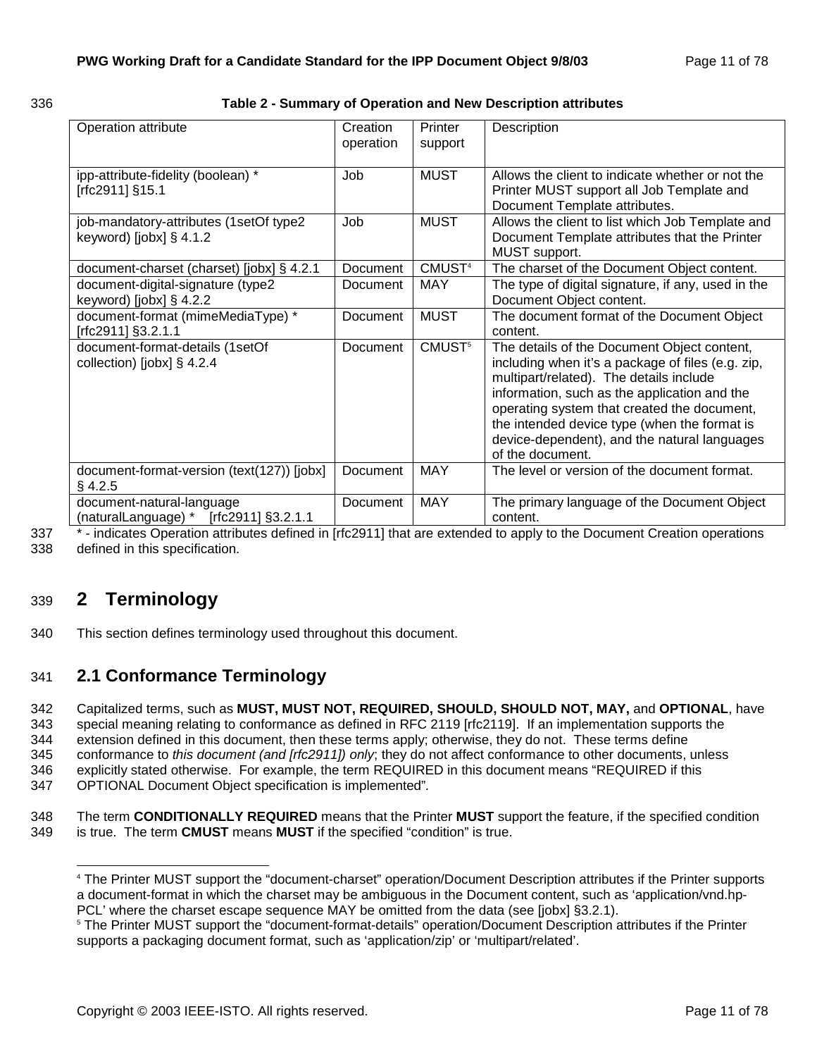| ×<br>۰. | ×<br>۰, | ×<br>۰, |
|---------|---------|---------|

#### 336 **Table 2 - Summary of Operation and New Description attributes**

| Operation attribute                        | Creation<br>operation | Printer<br>support | Description                                                                                  |
|--------------------------------------------|-----------------------|--------------------|----------------------------------------------------------------------------------------------|
|                                            |                       |                    |                                                                                              |
| ipp-attribute-fidelity (boolean) *         | Job                   | <b>MUST</b>        | Allows the client to indicate whether or not the                                             |
| [rfc2911] §15.1                            |                       |                    | Printer MUST support all Job Template and<br>Document Template attributes.                   |
| job-mandatory-attributes (1setOf type2     | Job                   | <b>MUST</b>        | Allows the client to list which Job Template and                                             |
| keyword) [ $j$ obx] § 4.1.2                |                       |                    | Document Template attributes that the Printer                                                |
|                                            |                       |                    | MUST support.                                                                                |
| document-charset (charset) [jobx] § 4.2.1  | Document              | CMUST <sup>4</sup> | The charset of the Document Object content.                                                  |
| document-digital-signature (type2          | <b>Document</b>       | <b>MAY</b>         | The type of digital signature, if any, used in the                                           |
| keyword) [jobx] $\S$ 4.2.2                 |                       |                    | Document Object content.                                                                     |
| document-format (mimeMediaType) *          | Document              | <b>MUST</b>        | The document format of the Document Object                                                   |
| [rfc2911] §3.2.1.1                         |                       |                    | content.                                                                                     |
| document-format-details (1setOf            | Document              | CMUST <sup>5</sup> | The details of the Document Object content,                                                  |
| collection) [jobx] $\S$ 4.2.4              |                       |                    | including when it's a package of files (e.g. zip,<br>multipart/related). The details include |
|                                            |                       |                    | information, such as the application and the                                                 |
|                                            |                       |                    | operating system that created the document,                                                  |
|                                            |                       |                    | the intended device type (when the format is                                                 |
|                                            |                       |                    | device-dependent), and the natural languages                                                 |
|                                            |                       |                    | of the document.                                                                             |
| document-format-version (text(127)) [jobx] | Document              | <b>MAY</b>         | The level or version of the document format.                                                 |
| $§$ 4.2.5                                  |                       |                    |                                                                                              |
| document-natural-language                  | Document              | <b>MAY</b>         | The primary language of the Document Object                                                  |
| (naturalLanguage) * [rfc2911] §3.2.1.1     |                       |                    | content.                                                                                     |

337 \* - indicates Operation attributes defined in [rfc2911] that are extended to apply to the Document Creation operations 338 defined in this specification.

### 339 **2 Terminology**

l

340 This section defines terminology used throughout this document.

### 341 **2.1 Conformance Terminology**

342 Capitalized terms, such as **MUST, MUST NOT, REQUIRED, SHOULD, SHOULD NOT, MAY,** and **OPTIONAL**, have 343 special meaning relating to conformance as defined in RFC 2119 [rfc2119]. If an implementation supports the 344 extension defined in this document, then these terms apply; otherwise, they do not. These terms define 345 conformance to *this document (and [rfc2911]) only*; they do not affect conformance to other documents, unless 346 explicitly stated otherwise. For example, the term REQUIRED in this document means "REQUIRED if this 347 OPTIONAL Document Object specification is implemented"*.* 

348 The term **CONDITIONALLY REQUIRED** means that the Printer **MUST** support the feature, if the specified condition 349 is true. The term **CMUST** means **MUST** if the specified "condition" is true.

<sup>4</sup> The Printer MUST support the "document-charset" operation/Document Description attributes if the Printer supports a document-format in which the charset may be ambiguous in the Document content, such as 'application/vnd.hp-PCL' where the charset escape sequence MAY be omitted from the data (see [jobx] §3.2.1).

<sup>5</sup> The Printer MUST support the "document-format-details" operation/Document Description attributes if the Printer supports a packaging document format, such as 'application/zip' or 'multipart/related'.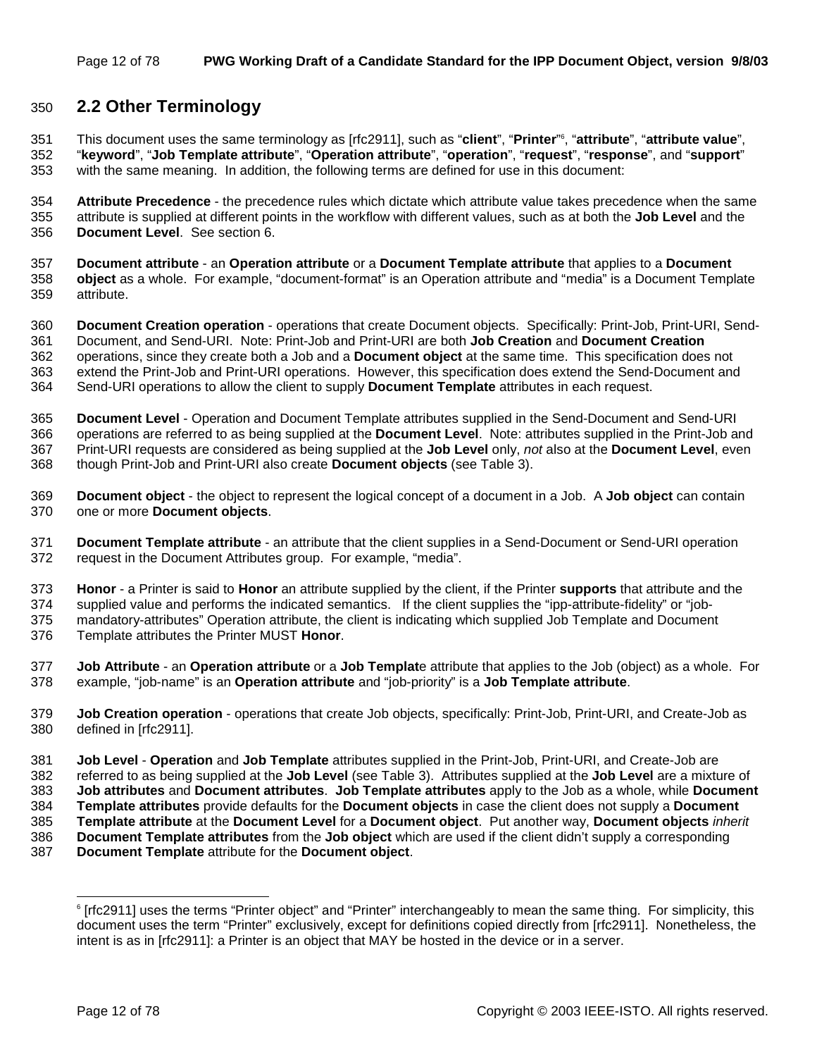### 350 **2.2 Other Terminology**

This document uses the same terminology as [rfc2911], such as "**client**", "**Printer**" <sup>6</sup> 351 , "**attribute**", "**attribute value**", 352 "**keyword**", "**Job Template attribute**", "**Operation attribute**", "**operation**", "**request**", "**response**", and "**support**" 353 with the same meaning. In addition, the following terms are defined for use in this document:

354 **Attribute Precedence** - the precedence rules which dictate which attribute value takes precedence when the same 355 attribute is supplied at different points in the workflow with different values, such as at both the **Job Level** and the 356 **Document Level**. See section 6.

357 **Document attribute** - an **Operation attribute** or a **Document Template attribute** that applies to a **Document**  358 **object** as a whole. For example, "document-format" is an Operation attribute and "media" is a Document Template 359 attribute.

360 **Document Creation operation** - operations that create Document objects. Specifically: Print-Job, Print-URI, Send-361 Document, and Send-URI. Note: Print-Job and Print-URI are both **Job Creation** and **Document Creation** 362 operations, since they create both a Job and a **Document object** at the same time. This specification does not 363 extend the Print-Job and Print-URI operations. However, this specification does extend the Send-Document and 364 Send-URI operations to allow the client to supply **Document Template** attributes in each request.

365 **Document Level** - Operation and Document Template attributes supplied in the Send-Document and Send-URI 366 operations are referred to as being supplied at the **Document Level**. Note: attributes supplied in the Print-Job and 367 Print-URI requests are considered as being supplied at the **Job Level** only, *not* also at the **Document Level**, even 368 though Print-Job and Print-URI also create **Document objects** (see Table 3).

369 **Document object** - the object to represent the logical concept of a document in a Job. A **Job object** can contain 370 one or more **Document objects**.

371 **Document Template attribute** - an attribute that the client supplies in a Send-Document or Send-URI operation 372 request in the Document Attributes group. For example, "media".

373 **Honor** - a Printer is said to **Honor** an attribute supplied by the client, if the Printer **supports** that attribute and the

374 supplied value and performs the indicated semantics. If the client supplies the "ipp-attribute-fidelity" or "job-375 mandatory-attributes" Operation attribute, the client is indicating which supplied Job Template and Document

376 Template attributes the Printer MUST **Honor**.

377 **Job Attribute** - an **Operation attribute** or a **Job Templat**e attribute that applies to the Job (object) as a whole. For 378 example, "job-name" is an **Operation attribute** and "job-priority" is a **Job Template attribute**.

379 **Job Creation operation** - operations that create Job objects, specifically: Print-Job, Print-URI, and Create-Job as 380 defined in [rfc2911].

381 **Job Level** - **Operation** and **Job Template** attributes supplied in the Print-Job, Print-URI, and Create-Job are

382 referred to as being supplied at the **Job Level** (see Table 3). Attributes supplied at the **Job Level** are a mixture of

383 **Job attributes** and **Document attributes**. **Job Template attributes** apply to the Job as a whole, while **Document** 

384 **Template attributes** provide defaults for the **Document objects** in case the client does not supply a **Document** 

385 **Template attribute** at the **Document Level** for a **Document object**. Put another way, **Document objects** *inherit*

386 **Document Template attributes** from the **Job object** which are used if the client didn't supply a corresponding

387 **Document Template** attribute for the **Document object**.

l

<sup>6</sup> [rfc2911] uses the terms "Printer object" and "Printer" interchangeably to mean the same thing. For simplicity, this document uses the term "Printer" exclusively, except for definitions copied directly from [rfc2911]. Nonetheless, the intent is as in [rfc2911]: a Printer is an object that MAY be hosted in the device or in a server.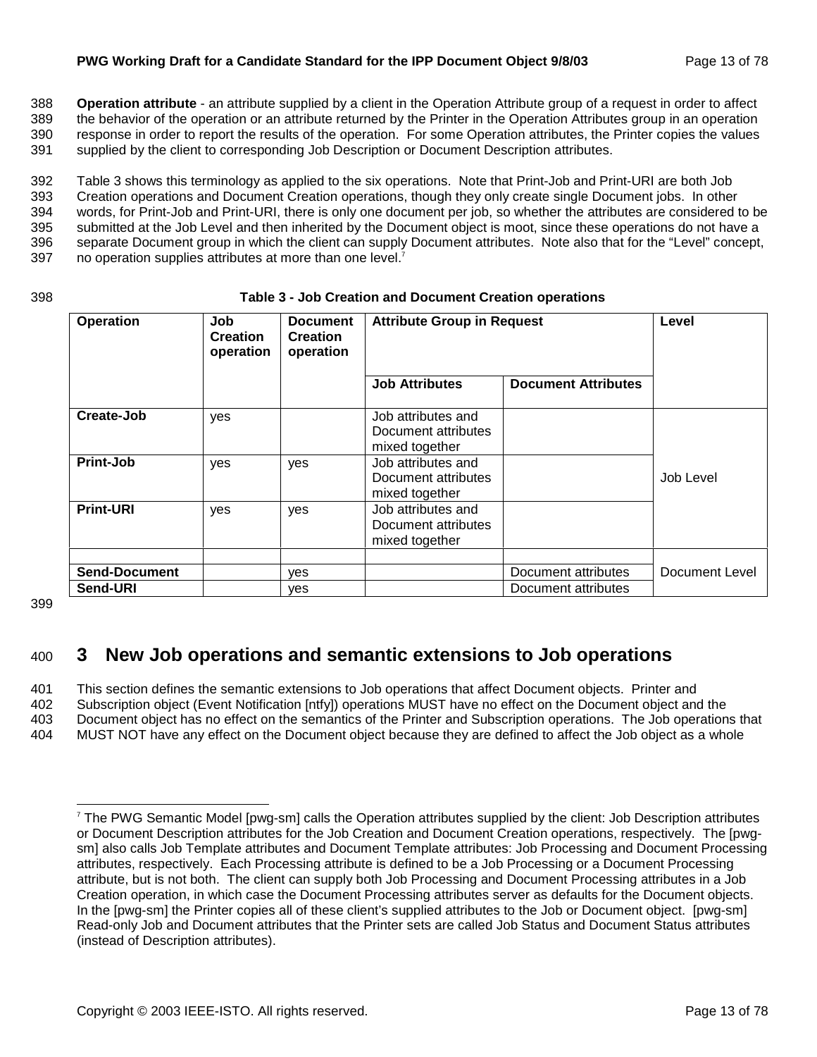#### **PWG Working Draft for a Candidate Standard for the IPP Document Object 9/8/03** Page 13 of 78

388 **Operation attribute** - an attribute supplied by a client in the Operation Attribute group of a request in order to affect 389 the behavior of the operation or an attribute returned by the Printer in the Operation Attributes group in an operation 390 response in order to report the results of the operation. For some Operation attributes, the Printer copies the values 391 supplied by the client to corresponding Job Description or Document Description attributes.

392 Table 3 shows this terminology as applied to the six operations. Note that Print-Job and Print-URI are both Job 393 Creation operations and Document Creation operations, though they only create single Document jobs. In other 394 words, for Print-Job and Print-URI, there is only one document per job, so whether the attributes are considered to be 395 submitted at the Job Level and then inherited by the Document object is moot, since these operations do not have a 396 separate Document group in which the client can supply Document attributes. Note also that for the "Level" concept, 397 no operation supplies attributes at more than one level. $<sup>7</sup>$ </sup>

#### 398 **Table 3 - Job Creation and Document Creation operations**

| <b>Operation</b>     | Job<br><b>Creation</b><br>operation | <b>Document</b><br><b>Creation</b><br>operation | <b>Attribute Group in Request</b>                           |                            | Level          |
|----------------------|-------------------------------------|-------------------------------------------------|-------------------------------------------------------------|----------------------------|----------------|
|                      |                                     |                                                 | <b>Job Attributes</b>                                       | <b>Document Attributes</b> |                |
| Create-Job           | yes                                 |                                                 | Job attributes and<br>Document attributes<br>mixed together |                            |                |
| Print-Job            | yes                                 | yes                                             | Job attributes and<br>Document attributes<br>mixed together |                            | Job Level      |
| <b>Print-URI</b>     | yes                                 | yes                                             | Job attributes and<br>Document attributes<br>mixed together |                            |                |
| <b>Send-Document</b> |                                     | ves                                             |                                                             | Document attributes        | Document Level |
| Send-URI             |                                     | yes                                             |                                                             | Document attributes        |                |

399

l

### 400 **3 New Job operations and semantic extensions to Job operations**

401 This section defines the semantic extensions to Job operations that affect Document objects. Printer and 402 Subscription object (Event Notification [ntfy]) operations MUST have no effect on the Document object and the 403 Document object has no effect on the semantics of the Printer and Subscription operations. The Job operations that 404 MUST NOT have any effect on the Document object because they are defined to affect the Job object as a whole

<sup>7</sup> The PWG Semantic Model [pwg-sm] calls the Operation attributes supplied by the client: Job Description attributes or Document Description attributes for the Job Creation and Document Creation operations, respectively. The [pwgsm] also calls Job Template attributes and Document Template attributes: Job Processing and Document Processing attributes, respectively. Each Processing attribute is defined to be a Job Processing or a Document Processing attribute, but is not both. The client can supply both Job Processing and Document Processing attributes in a Job Creation operation, in which case the Document Processing attributes server as defaults for the Document objects. In the [pwg-sm] the Printer copies all of these client's supplied attributes to the Job or Document object. [pwg-sm] Read-only Job and Document attributes that the Printer sets are called Job Status and Document Status attributes (instead of Description attributes).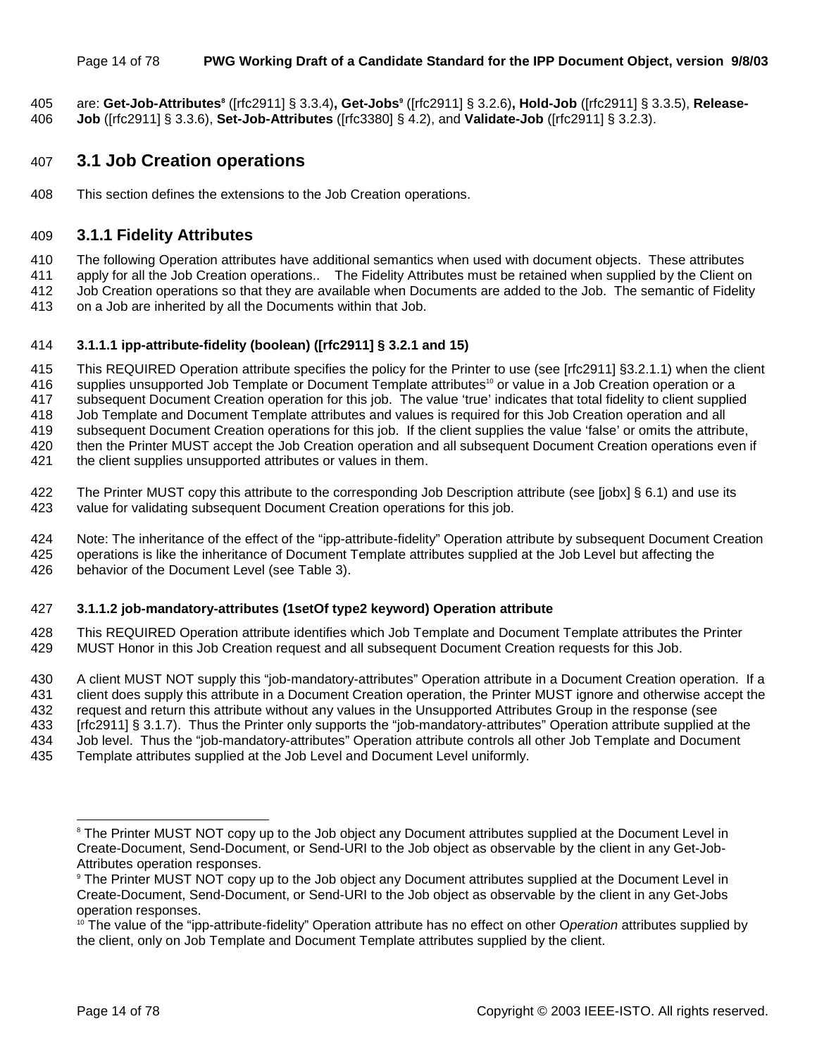#### Page 14 of 78 **PWG Working Draft of a Candidate Standard for the IPP Document Object, version 9/8/03**

are: **Get-Job-Attributes8** ([rfc2911] § 3.3.4)**, Get-Jobs9** 405 ([rfc2911] § 3.2.6)**, Hold-Job** ([rfc2911] § 3.3.5), **Release-**406 **Job** ([rfc2911] § 3.3.6), **Set-Job-Attributes** ([rfc3380] § 4.2), and **Validate-Job** ([rfc2911] § 3.2.3).

### 407 **3.1 Job Creation operations**

408 This section defines the extensions to the Job Creation operations.

### 409 **3.1.1 Fidelity Attributes**

410 The following Operation attributes have additional semantics when used with document objects. These attributes

411 apply for all the Job Creation operations.. The Fidelity Attributes must be retained when supplied by the Client on

412 Job Creation operations so that they are available when Documents are added to the Job. The semantic of Fidelity 413 on a Job are inherited by all the Documents within that Job.

#### 414 **3.1.1.1 ipp-attribute-fidelity (boolean) ([rfc2911] § 3.2.1 and 15)**

415 This REQUIRED Operation attribute specifies the policy for the Printer to use (see [rfc2911] §3.2.1.1) when the client 416 supplies unsupported Job Template or Document Template attributes<sup>10</sup> or value in a Job Creation operation or a 417 subsequent Document Creation operation for this job. The value 'true' indicates that total fidelity to client supplied 418 Job Template and Document Template attributes and values is required for this Job Creation operation and all 419 subsequent Document Creation operations for this job. If the client supplies the value 'false' or omits the attribute, 420 then the Printer MUST accept the Job Creation operation and all subsequent Document Creation operations even if 421 the client supplies unsupported attributes or values in them.

- 422 The Printer MUST copy this attribute to the corresponding Job Description attribute (see [jobx] § 6.1) and use its 423 value for validating subsequent Document Creation operations for this job.
- 424 Note: The inheritance of the effect of the "ipp-attribute-fidelity" Operation attribute by subsequent Document Creation 425 operations is like the inheritance of Document Template attributes supplied at the Job Level but affecting the 426 behavior of the Document Level (see Table 3).

#### 427 **3.1.1.2 job-mandatory-attributes (1setOf type2 keyword) Operation attribute**

428 This REQUIRED Operation attribute identifies which Job Template and Document Template attributes the Printer 429 MUST Honor in this Job Creation request and all subsequent Document Creation requests for this Job.

430 A client MUST NOT supply this "job-mandatory-attributes" Operation attribute in a Document Creation operation. If a 431 client does supply this attribute in a Document Creation operation, the Printer MUST ignore and otherwise accept the 432 request and return this attribute without any values in the Unsupported Attributes Group in the response (see 433 [rfc2911] § 3.1.7). Thus the Printer only supports the "job-mandatory-attributes" Operation attribute supplied at the 434 Job level. Thus the "job-mandatory-attributes" Operation attribute controls all other Job Template and Document

435 Template attributes supplied at the Job Level and Document Level uniformly.

l

<sup>&</sup>lt;sup>8</sup> The Printer MUST NOT copy up to the Job object any Document attributes supplied at the Document Level in Create-Document, Send-Document, or Send-URI to the Job object as observable by the client in any Get-Job-Attributes operation responses.

<sup>9</sup> The Printer MUST NOT copy up to the Job object any Document attributes supplied at the Document Level in Create-Document, Send-Document, or Send-URI to the Job object as observable by the client in any Get-Jobs operation responses.

<sup>&</sup>lt;sup>10</sup> The value of the "ipp-attribute-fidelity" Operation attribute has no effect on other Operation attributes supplied by the client, only on Job Template and Document Template attributes supplied by the client.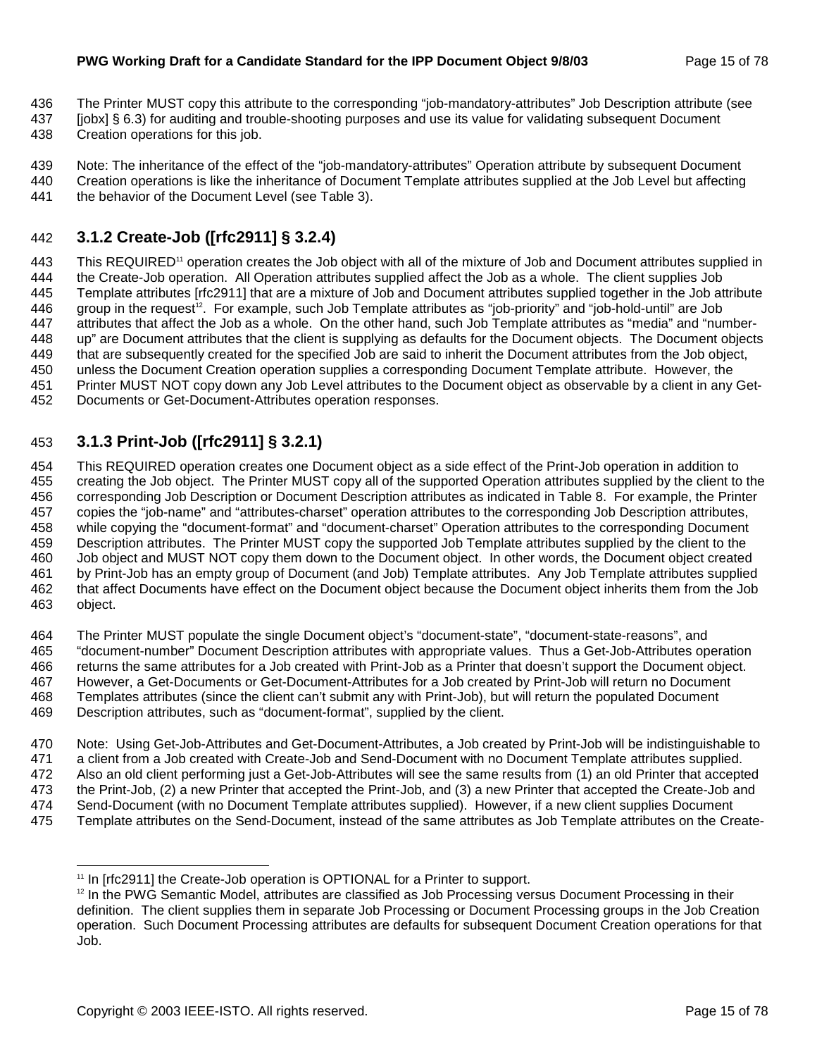- 436 The Printer MUST copy this attribute to the corresponding "job-mandatory-attributes" Job Description attribute (see
- 437 [jobx] § 6.3) for auditing and trouble-shooting purposes and use its value for validating subsequent Document
- 438 Creation operations for this job.

439 Note: The inheritance of the effect of the "job-mandatory-attributes" Operation attribute by subsequent Document

440 Creation operations is like the inheritance of Document Template attributes supplied at the Job Level but affecting 441 the behavior of the Document Level (see Table 3).

### 442 **3.1.2 Create-Job ([rfc2911] § 3.2.4)**

443 This REQUIRED<sup>11</sup> operation creates the Job object with all of the mixture of Job and Document attributes supplied in 444 the Create-Job operation. All Operation attributes supplied affect the Job as a whole. The client supplies Job 445 Template attributes [rfc2911] that are a mixture of Job and Document attributes supplied together in the Job attribute 446 group in the request<sup>12</sup>. For example, such Job Template attributes as "job-priority" and "job-hold-until" are Job 447 attributes that affect the Job as a whole. On the other hand, such Job Template attributes as "media" and "number-448 up" are Document attributes that the client is supplying as defaults for the Document objects. The Document objects 449 that are subsequently created for the specified Job are said to inherit the Document attributes from the Job object, 450 unless the Document Creation operation supplies a corresponding Document Template attribute. However, the 451 Printer MUST NOT copy down any Job Level attributes to the Document object as observable by a client in any Get-452 Documents or Get-Document-Attributes operation responses.

### 453 **3.1.3 Print-Job ([rfc2911] § 3.2.1)**

454 This REQUIRED operation creates one Document object as a side effect of the Print-Job operation in addition to 455 creating the Job object. The Printer MUST copy all of the supported Operation attributes supplied by the client to the 456 corresponding Job Description or Document Description attributes as indicated in Table 8. For example, the Printer 457 copies the "job-name" and "attributes-charset" operation attributes to the corresponding Job Description attributes, 458 while copying the "document-format" and "document-charset" Operation attributes to the corresponding Document 459 Description attributes. The Printer MUST copy the supported Job Template attributes supplied by the client to the 460 Job object and MUST NOT copy them down to the Document object. In other words, the Document object created 461 by Print-Job has an empty group of Document (and Job) Template attributes. Any Job Template attributes supplied 462 that affect Documents have effect on the Document object because the Document object inherits them from the Job 463 object.

464 The Printer MUST populate the single Document object's "document-state", "document-state-reasons", and 465 "document-number" Document Description attributes with appropriate values. Thus a Get-Job-Attributes operation 466 returns the same attributes for a Job created with Print-Job as a Printer that doesn't support the Document object. 467 However, a Get-Documents or Get-Document-Attributes for a Job created by Print-Job will return no Document 468 Templates attributes (since the client can't submit any with Print-Job), but will return the populated Document 469 Description attributes, such as "document-format", supplied by the client.

470 Note: Using Get-Job-Attributes and Get-Document-Attributes, a Job created by Print-Job will be indistinguishable to 471 a client from a Job created with Create-Job and Send-Document with no Document Template attributes supplied. 472 Also an old client performing just a Get-Job-Attributes will see the same results from (1) an old Printer that accepted 473 the Print-Job, (2) a new Printer that accepted the Print-Job, and (3) a new Printer that accepted the Create-Job and 474 Send-Document (with no Document Template attributes supplied). However, if a new client supplies Document 475 Template attributes on the Send-Document, instead of the same attributes as Job Template attributes on the Create-

l

<sup>&</sup>lt;sup>11</sup> In [rfc2911] the Create-Job operation is OPTIONAL for a Printer to support.

<sup>&</sup>lt;sup>12</sup> In the PWG Semantic Model, attributes are classified as Job Processing versus Document Processing in their definition. The client supplies them in separate Job Processing or Document Processing groups in the Job Creation operation. Such Document Processing attributes are defaults for subsequent Document Creation operations for that Job.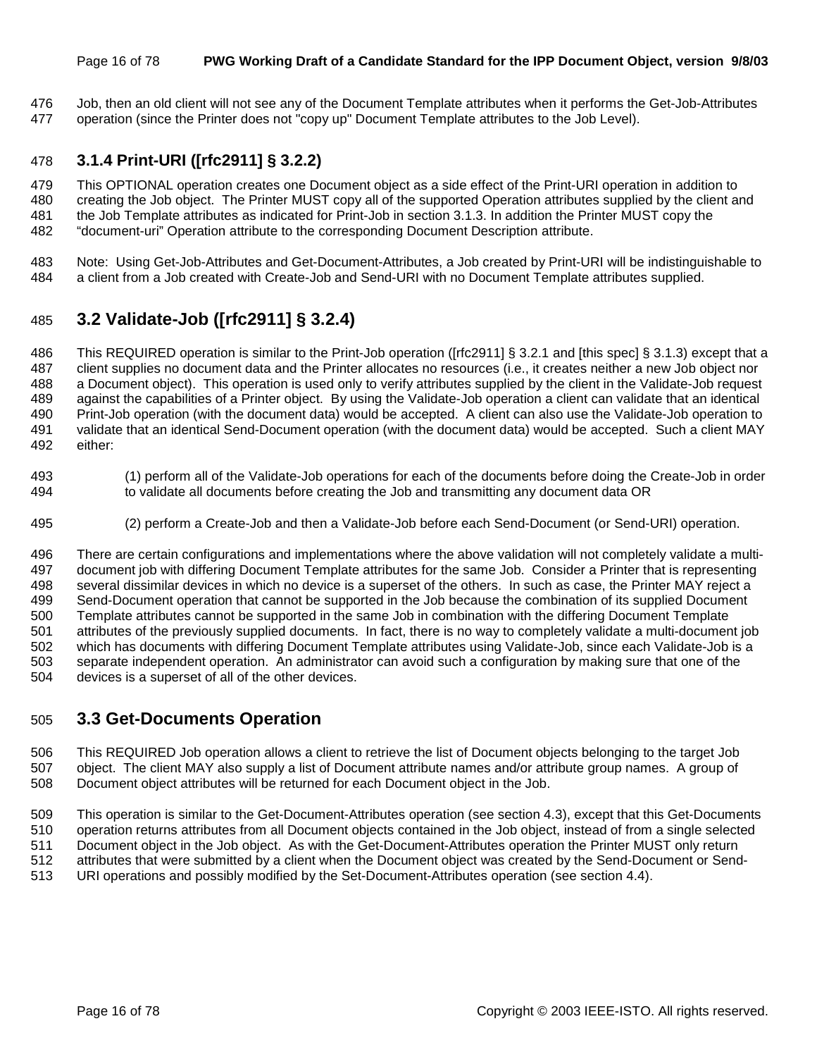#### Page 16 of 78 **PWG Working Draft of a Candidate Standard for the IPP Document Object, version 9/8/03**

476 Job, then an old client will not see any of the Document Template attributes when it performs the Get-Job-Attributes 477 operation (since the Printer does not "copy up" Document Template attributes to the Job Level).

### 478 **3.1.4 Print-URI ([rfc2911] § 3.2.2)**

479 This OPTIONAL operation creates one Document object as a side effect of the Print-URI operation in addition to 480 creating the Job object. The Printer MUST copy all of the supported Operation attributes supplied by the client and 481 the Job Template attributes as indicated for Print-Job in section 3.1.3. In addition the Printer MUST copy the 482 "document-uri" Operation attribute to the corresponding Document Description attribute.

483 Note: Using Get-Job-Attributes and Get-Document-Attributes, a Job created by Print-URI will be indistinguishable to 484 a client from a Job created with Create-Job and Send-URI with no Document Template attributes supplied.

### 485 **3.2 Validate-Job ([rfc2911] § 3.2.4)**

486 This REQUIRED operation is similar to the Print-Job operation ([rfc2911] § 3.2.1 and [this spec] § 3.1.3) except that a 487 client supplies no document data and the Printer allocates no resources (i.e., it creates neither a new Job object nor 488 a Document object). This operation is used only to verify attributes supplied by the client in the Validate-Job request 489 against the capabilities of a Printer object. By using the Validate-Job operation a client can validate that an identical 490 Print-Job operation (with the document data) would be accepted. A client can also use the Validate-Job operation to 491 validate that an identical Send-Document operation (with the document data) would be accepted. Such a client MAY 492 either:

- 493 (1) perform all of the Validate-Job operations for each of the documents before doing the Create-Job in order 494 to validate all documents before creating the Job and transmitting any document data OR
- 495 (2) perform a Create-Job and then a Validate-Job before each Send-Document (or Send-URI) operation.

496 There are certain configurations and implementations where the above validation will not completely validate a multi-497 document job with differing Document Template attributes for the same Job. Consider a Printer that is representing 498 several dissimilar devices in which no device is a superset of the others. In such as case, the Printer MAY reject a 499 Send-Document operation that cannot be supported in the Job because the combination of its supplied Document 500 Template attributes cannot be supported in the same Job in combination with the differing Document Template 501 attributes of the previously supplied documents. In fact, there is no way to completely validate a multi-document job 502 which has documents with differing Document Template attributes using Validate-Job, since each Validate-Job is a 503 separate independent operation. An administrator can avoid such a configuration by making sure that one of the 504 devices is a superset of all of the other devices.

### 505 **3.3 Get-Documents Operation**

506 This REQUIRED Job operation allows a client to retrieve the list of Document objects belonging to the target Job 507 object. The client MAY also supply a list of Document attribute names and/or attribute group names. A group of 508 Document object attributes will be returned for each Document object in the Job.

509 This operation is similar to the Get-Document-Attributes operation (see section 4.3), except that this Get-Documents 510 operation returns attributes from all Document objects contained in the Job object, instead of from a single selected 511 Document object in the Job object. As with the Get-Document-Attributes operation the Printer MUST only return 512 attributes that were submitted by a client when the Document object was created by the Send-Document or Send-513 URI operations and possibly modified by the Set-Document-Attributes operation (see section 4.4).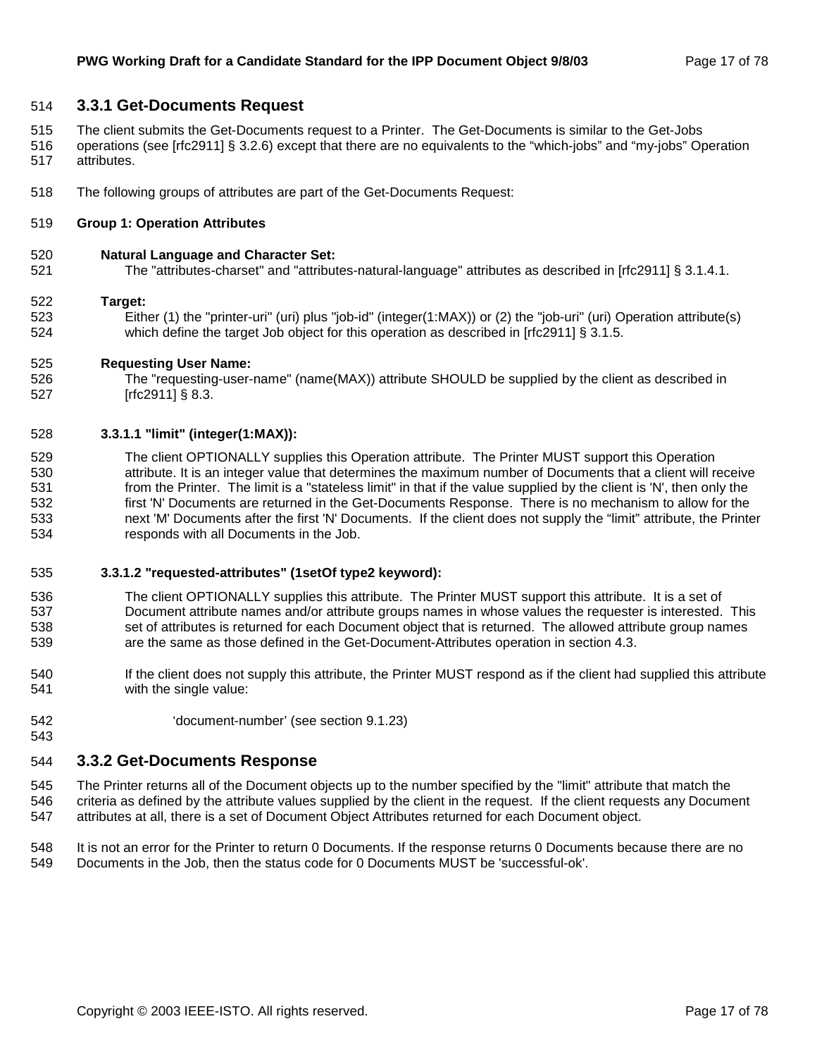#### 514 **3.3.1 Get-Documents Request**

- 515 The client submits the Get-Documents request to a Printer. The Get-Documents is similar to the Get-Jobs
- 516 operations (see [rfc2911] § 3.2.6) except that there are no equivalents to the "which-jobs" and "my-jobs" Operation 517 attributes.
- 518 The following groups of attributes are part of the Get-Documents Request:

#### 519 **Group 1: Operation Attributes**

#### 520 **Natural Language and Character Set:**

521 The "attributes-charset" and "attributes-natural-language" attributes as described in [rfc2911] § 3.1.4.1.

#### 522 **Target:**

543

523 Either (1) the "printer-uri" (uri) plus "job-id" (integer(1:MAX)) or (2) the "job-uri" (uri) Operation attribute(s) 524 which define the target Job object for this operation as described in [rfc2911] § 3.1.5.

#### 525 **Requesting User Name:**

526 The "requesting-user-name" (name(MAX)) attribute SHOULD be supplied by the client as described in 527 [rfc2911] § 8.3.

#### 528 **3.3.1.1 "limit" (integer(1:MAX)):**

529 The client OPTIONALLY supplies this Operation attribute. The Printer MUST support this Operation 530 attribute. It is an integer value that determines the maximum number of Documents that a client will receive 531 from the Printer. The limit is a "stateless limit" in that if the value supplied by the client is 'N', then only the 532 first 'N' Documents are returned in the Get-Documents Response. There is no mechanism to allow for the 533 next 'M' Documents after the first 'N' Documents. If the client does not supply the "limit" attribute, the Printer 534 responds with all Documents in the Job.

#### 535 **3.3.1.2 "requested-attributes" (1setOf type2 keyword):**

- 536 The client OPTIONALLY supplies this attribute. The Printer MUST support this attribute. It is a set of 537 Document attribute names and/or attribute groups names in whose values the requester is interested. This 538 set of attributes is returned for each Document object that is returned. The allowed attribute group names 539 are the same as those defined in the Get-Document-Attributes operation in section 4.3.
- 540 If the client does not supply this attribute, the Printer MUST respond as if the client had supplied this attribute 541 with the single value:
- 542 'document-number' (see section 9.1.23)

### 544 **3.3.2 Get-Documents Response**

- 545 The Printer returns all of the Document objects up to the number specified by the "limit" attribute that match the 546 criteria as defined by the attribute values supplied by the client in the request. If the client requests any Document 547 attributes at all, there is a set of Document Object Attributes returned for each Document object.
- 548 It is not an error for the Printer to return 0 Documents. If the response returns 0 Documents because there are no 549 Documents in the Job, then the status code for 0 Documents MUST be 'successful-ok'.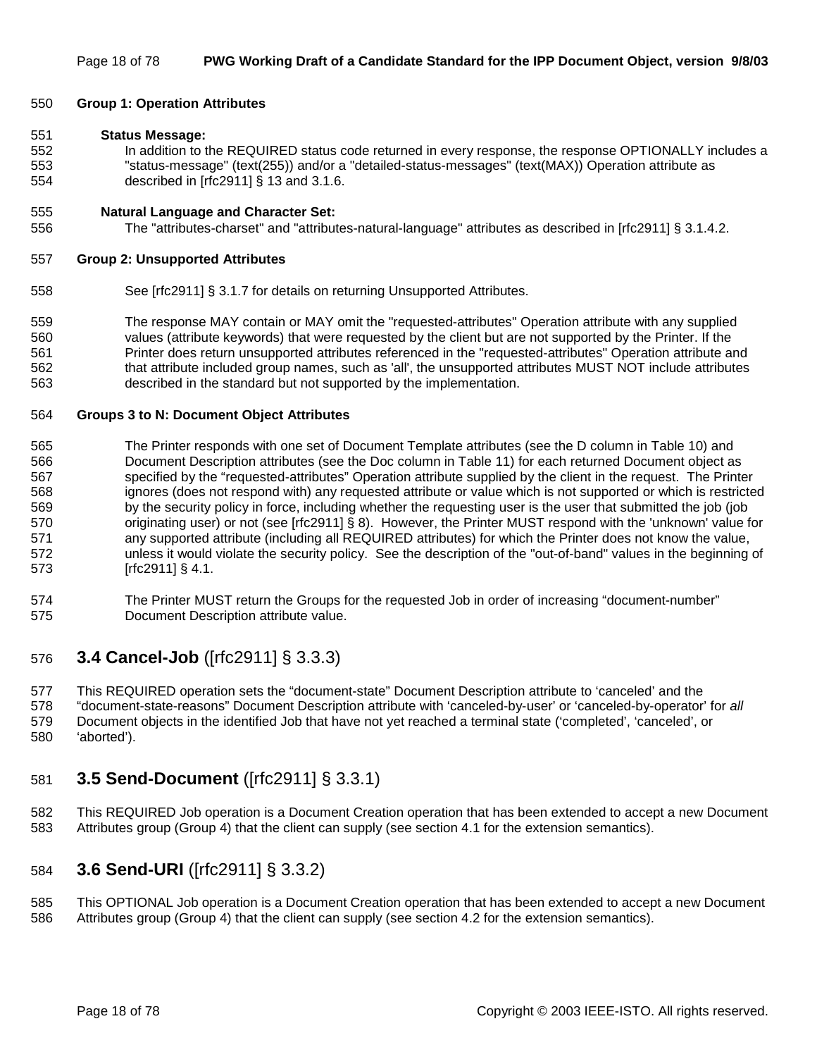#### 550 **Group 1: Operation Attributes**

#### 551 **Status Message:**

552 In addition to the REQUIRED status code returned in every response, the response OPTIONALLY includes a 553 "status-message" (text(255)) and/or a "detailed-status-messages" (text(MAX)) Operation attribute as 554 described in [rfc2911] § 13 and 3.1.6.

#### 555 **Natural Language and Character Set:**

556 The "attributes-charset" and "attributes-natural-language" attributes as described in [rfc2911] § 3.1.4.2.

#### 557 **Group 2: Unsupported Attributes**

- 558 See [rfc2911] § 3.1.7 for details on returning Unsupported Attributes.
- 559 The response MAY contain or MAY omit the "requested-attributes" Operation attribute with any supplied 560 values (attribute keywords) that were requested by the client but are not supported by the Printer. If the 561 Printer does return unsupported attributes referenced in the "requested-attributes" Operation attribute and 562 that attribute included group names, such as 'all', the unsupported attributes MUST NOT include attributes 563 described in the standard but not supported by the implementation.

#### 564 **Groups 3 to N: Document Object Attributes**

- 565 The Printer responds with one set of Document Template attributes (see the D column in Table 10) and 566 Document Description attributes (see the Doc column in Table 11) for each returned Document object as 567 specified by the "requested-attributes" Operation attribute supplied by the client in the request. The Printer 568 ignores (does not respond with) any requested attribute or value which is not supported or which is restricted 569 by the security policy in force, including whether the requesting user is the user that submitted the job (job 570 originating user) or not (see [rfc2911] § 8). However, the Printer MUST respond with the 'unknown' value for 571 any supported attribute (including all REQUIRED attributes) for which the Printer does not know the value, 572 unless it would violate the security policy. See the description of the "out-of-band" values in the beginning of 573 [rfc2911] § 4.1.
- 574 The Printer MUST return the Groups for the requested Job in order of increasing "document-number" 575 Document Description attribute value.

### 576 **3.4 Cancel-Job** ([rfc2911] § 3.3.3)

577 This REQUIRED operation sets the "document-state" Document Description attribute to 'canceled' and the 578 "document-state-reasons" Document Description attribute with 'canceled-by-user' or 'canceled-by-operator' for *all* 579 Document objects in the identified Job that have not yet reached a terminal state ('completed', 'canceled', or 580 'aborted').

### 581 **3.5 Send-Document** ([rfc2911] § 3.3.1)

582 This REQUIRED Job operation is a Document Creation operation that has been extended to accept a new Document 583 Attributes group (Group 4) that the client can supply (see section 4.1 for the extension semantics).

### 584 **3.6 Send-URI** ([rfc2911] § 3.3.2)

585 This OPTIONAL Job operation is a Document Creation operation that has been extended to accept a new Document 586 Attributes group (Group 4) that the client can supply (see section 4.2 for the extension semantics).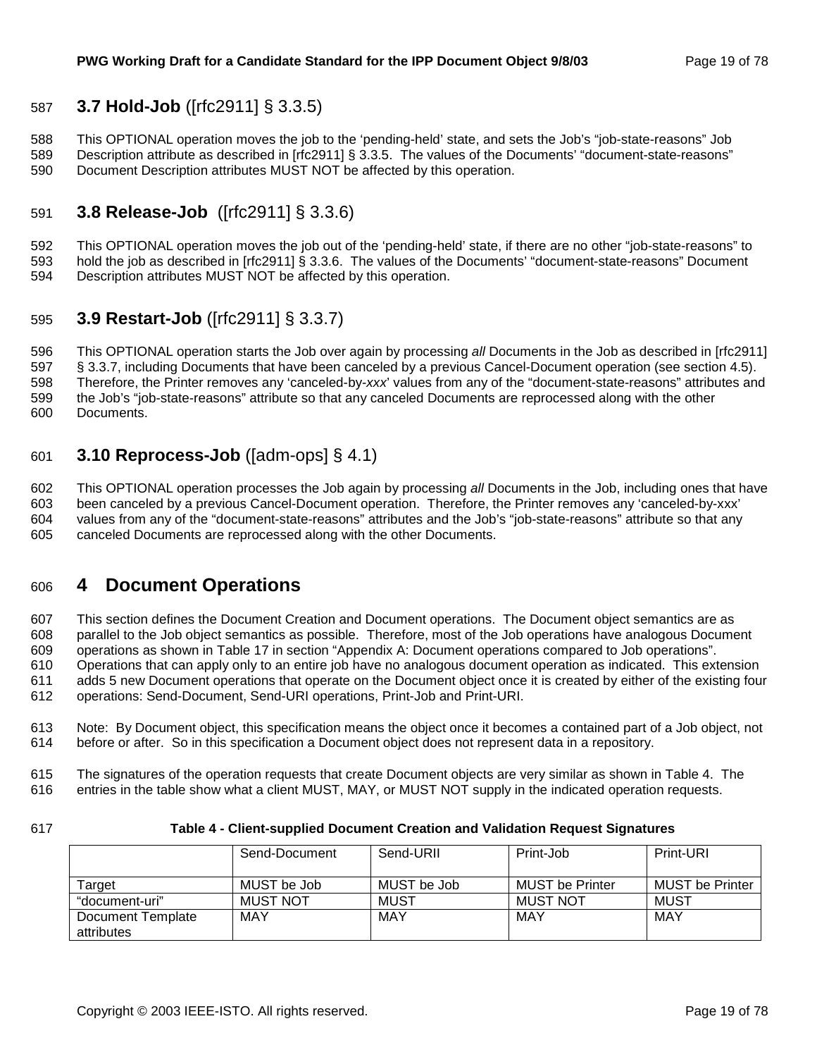### 587 **3.7 Hold-Job** ([rfc2911] § 3.3.5)

588 This OPTIONAL operation moves the job to the 'pending-held' state, and sets the Job's "job-state-reasons" Job 589 Description attribute as described in [rfc2911] § 3.3.5. The values of the Documents' "document-state-reasons" 590 Document Description attributes MUST NOT be affected by this operation.

### 591 **3.8 Release-Job** ([rfc2911] § 3.3.6)

592 This OPTIONAL operation moves the job out of the 'pending-held' state, if there are no other "job-state-reasons" to 593 hold the job as described in [rfc2911] § 3.3.6. The values of the Documents' "document-state-reasons" Document 594 Description attributes MUST NOT be affected by this operation.

### 595 **3.9 Restart-Job** ([rfc2911] § 3.3.7)

596 This OPTIONAL operation starts the Job over again by processing *all* Documents in the Job as described in [rfc2911] 597 § 3.3.7, including Documents that have been canceled by a previous Cancel-Document operation (see section 4.5). 598 Therefore, the Printer removes any 'canceled-by-*xxx*' values from any of the "document-state-reasons" attributes and 599 the Job's "job-state-reasons" attribute so that any canceled Documents are reprocessed along with the other 600 Documents.

### 601 **3.10 Reprocess-Job** ([adm-ops] § 4.1)

602 This OPTIONAL operation processes the Job again by processing *all* Documents in the Job, including ones that have 603 been canceled by a previous Cancel-Document operation. Therefore, the Printer removes any 'canceled-by-xxx' 604 values from any of the "document-state-reasons" attributes and the Job's "job-state-reasons" attribute so that any 605 canceled Documents are reprocessed along with the other Documents.

### 606 **4 Document Operations**

607 This section defines the Document Creation and Document operations. The Document object semantics are as 608 parallel to the Job object semantics as possible. Therefore, most of the Job operations have analogous Document 609 operations as shown in Table 17 in section "Appendix A: Document operations compared to Job operations". 610 Operations that can apply only to an entire job have no analogous document operation as indicated. This extension 611 adds 5 new Document operations that operate on the Document object once it is created by either of the existing four 612 operations: Send-Document, Send-URI operations, Print-Job and Print-URI.

613 Note: By Document object, this specification means the object once it becomes a contained part of a Job object, not 614 before or after. So in this specification a Document object does not represent data in a repository.

615 The signatures of the operation requests that create Document objects are very similar as shown in Table 4. The 616 entries in the table show what a client MUST, MAY, or MUST NOT supply in the indicated operation requests.

#### 617 **Table 4 - Client-supplied Document Creation and Validation Request Signatures**

|                                 | Send-Document   | Send-URII   | Print-Job              | Print-URI              |
|---------------------------------|-----------------|-------------|------------------------|------------------------|
|                                 |                 |             |                        |                        |
| Tarɑet                          | MUST be Job     | MUST be Job | <b>MUST be Printer</b> | <b>MUST be Printer</b> |
| "document-uri"                  | <b>MUST NOT</b> | MUST        | <b>MUST NOT</b>        | MUST                   |
| Document Template<br>attributes | MAY             | MAY         | MAY                    | MAY                    |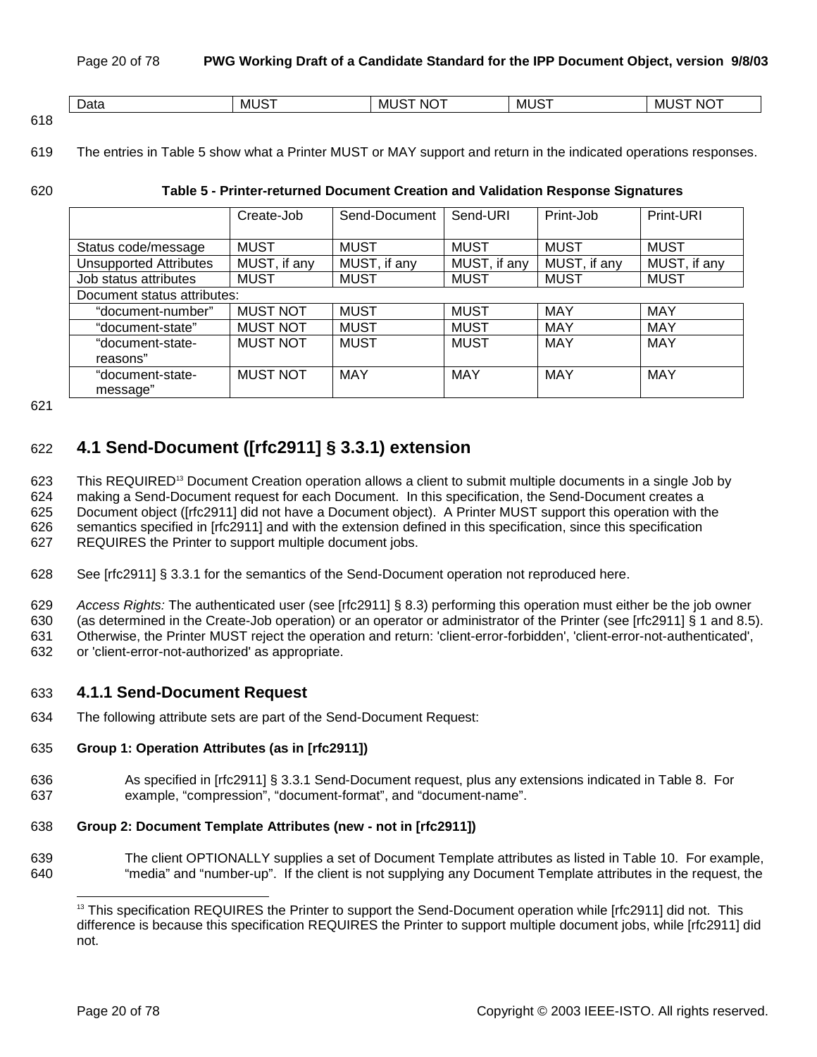|      | -<br>Data | $MUS^-$ | $\sim$ $\sim$ $\sim$<br>'NG.<br>MU | $M1^\circ$ | $\overline{\phantom{a}}$<br>M<br>NO. |
|------|-----------|---------|------------------------------------|------------|--------------------------------------|
| 21 O |           |         |                                    |            |                                      |

<sup>618</sup> 

619 The entries in Table 5 show what a Printer MUST or MAY support and return in the indicated operations responses.

#### 620 **Table 5 - Printer-returned Document Creation and Validation Response Signatures**

|                               | Create-Job      | Send-Document | Send-URI     | Print-Job    | Print-URI    |
|-------------------------------|-----------------|---------------|--------------|--------------|--------------|
|                               |                 |               |              |              |              |
| Status code/message           | <b>MUST</b>     | <b>MUST</b>   | <b>MUST</b>  | <b>MUST</b>  | <b>MUST</b>  |
| <b>Unsupported Attributes</b> | MUST, if any    | MUST, if any  | MUST, if any | MUST, if any | MUST, if any |
| Job status attributes         | <b>MUST</b>     | <b>MUST</b>   | <b>MUST</b>  | <b>MUST</b>  | <b>MUST</b>  |
| Document status attributes:   |                 |               |              |              |              |
| "document-number"             | <b>MUST NOT</b> | <b>MUST</b>   | <b>MUST</b>  | <b>MAY</b>   | <b>MAY</b>   |
| "document-state"              | <b>MUST NOT</b> | <b>MUST</b>   | <b>MUST</b>  | MAY          | <b>MAY</b>   |
| "document-state-              | <b>MUST NOT</b> | <b>MUST</b>   | <b>MUST</b>  | <b>MAY</b>   | <b>MAY</b>   |
| reasons"                      |                 |               |              |              |              |
| "document-state-              | <b>MUST NOT</b> | <b>MAY</b>    | MAY          | MAY          | MAY          |
| message"                      |                 |               |              |              |              |

621

### 622 **4.1 Send-Document ([rfc2911] § 3.3.1) extension**

623 This REQUIRED<sup>13</sup> Document Creation operation allows a client to submit multiple documents in a single Job by 624 making a Send-Document request for each Document. In this specification, the Send-Document creates a 625 Document object ([rfc2911] did not have a Document object). A Printer MUST support this operation with the 626 semantics specified in [rfc2911] and with the extension defined in this specification, since this specification 627 REQUIRES the Printer to support multiple document jobs.

- 628 See [rfc2911] § 3.3.1 for the semantics of the Send-Document operation not reproduced here.
- 629 *Access Rights:* The authenticated user (see [rfc2911] § 8.3) performing this operation must either be the job owner

630 (as determined in the Create-Job operation) or an operator or administrator of the Printer (see [rfc2911] § 1 and 8.5).

631 Otherwise, the Printer MUST reject the operation and return: 'client-error-forbidden', 'client-error-not-authenticated',

632 or 'client-error-not-authorized' as appropriate.

### 633 **4.1.1 Send-Document Request**

634 The following attribute sets are part of the Send-Document Request:

#### 635 **Group 1: Operation Attributes (as in [rfc2911])**

636 As specified in [rfc2911] § 3.3.1 Send-Document request, plus any extensions indicated in Table 8. For 637 example, "compression", "document-format", and "document-name".

#### 638 **Group 2: Document Template Attributes (new - not in [rfc2911])**

639 The client OPTIONALLY supplies a set of Document Template attributes as listed in Table 10. For example, 640 "media" and "number-up". If the client is not supplying any Document Template attributes in the request, the

l

<sup>&</sup>lt;sup>13</sup> This specification REQUIRES the Printer to support the Send-Document operation while [rfc2911] did not. This difference is because this specification REQUIRES the Printer to support multiple document jobs, while [rfc2911] did not.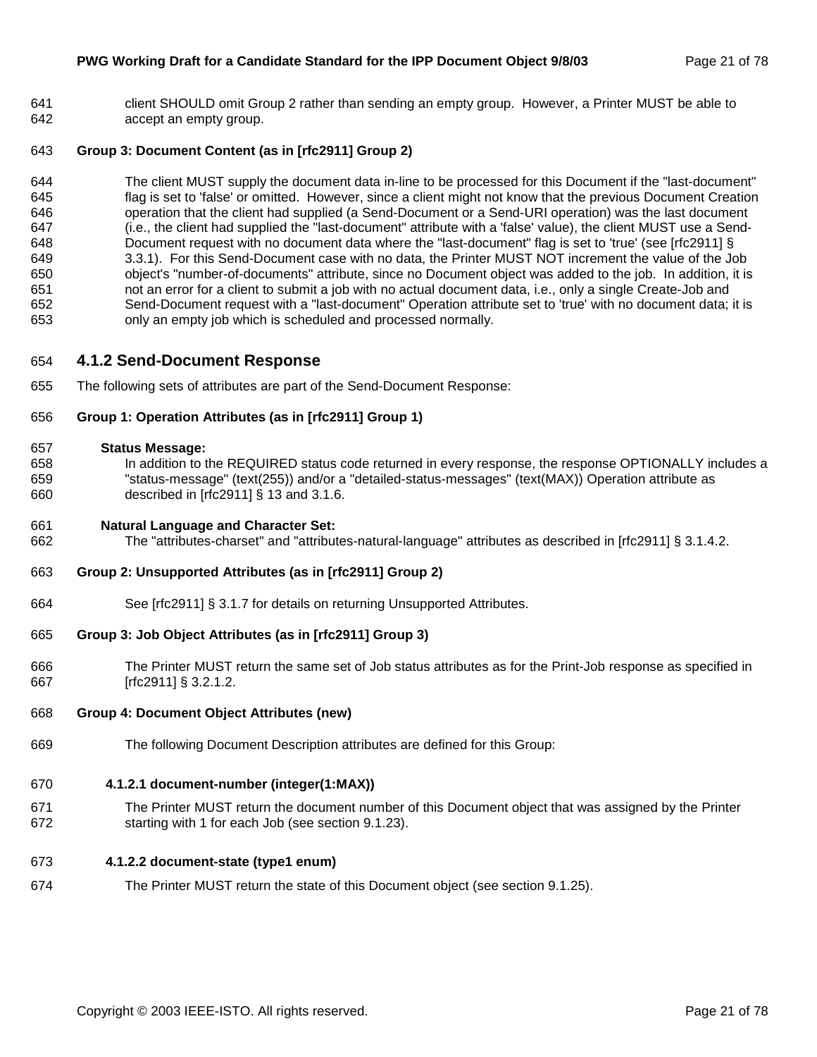641 client SHOULD omit Group 2 rather than sending an empty group. However, a Printer MUST be able to 642 accept an empty group.

#### 643 **Group 3: Document Content (as in [rfc2911] Group 2)**

644 The client MUST supply the document data in-line to be processed for this Document if the "last-document" 645 flag is set to 'false' or omitted. However, since a client might not know that the previous Document Creation 646 operation that the client had supplied (a Send-Document or a Send-URI operation) was the last document 647 (i.e., the client had supplied the "last-document" attribute with a 'false' value), the client MUST use a Send-648 Document request with no document data where the "last-document" flag is set to 'true' (see [rfc2911] § 649 3.3.1). For this Send-Document case with no data, the Printer MUST NOT increment the value of the Job 650 object's "number-of-documents" attribute, since no Document object was added to the job. In addition, it is 651 not an error for a client to submit a job with no actual document data, i.e., only a single Create-Job and 652 Send-Document request with a "last-document" Operation attribute set to 'true' with no document data; it is 653 only an empty job which is scheduled and processed normally.

#### 654 **4.1.2 Send-Document Response**

655 The following sets of attributes are part of the Send-Document Response:

#### 656 **Group 1: Operation Attributes (as in [rfc2911] Group 1)**

#### 657 **Status Message:**

658 In addition to the REQUIRED status code returned in every response, the response OPTIONALLY includes a 659 "status-message" (text(255)) and/or a "detailed-status-messages" (text(MAX)) Operation attribute as 660 described in [rfc2911] § 13 and 3.1.6.

#### 661 **Natural Language and Character Set:**

662 The "attributes-charset" and "attributes-natural-language" attributes as described in [rfc2911] § 3.1.4.2.

#### 663 **Group 2: Unsupported Attributes (as in [rfc2911] Group 2)**

664 See [rfc2911] § 3.1.7 for details on returning Unsupported Attributes.

#### 665 **Group 3: Job Object Attributes (as in [rfc2911] Group 3)**

666 The Printer MUST return the same set of Job status attributes as for the Print-Job response as specified in 667 [rfc2911] § 3.2.1.2.

#### 668 **Group 4: Document Object Attributes (new)**

669 The following Document Description attributes are defined for this Group:

#### 670 **4.1.2.1 document-number (integer(1:MAX))**

671 The Printer MUST return the document number of this Document object that was assigned by the Printer 672 starting with 1 for each Job (see section 9.1.23).

#### 673 **4.1.2.2 document-state (type1 enum)**

674 The Printer MUST return the state of this Document object (see section 9.1.25).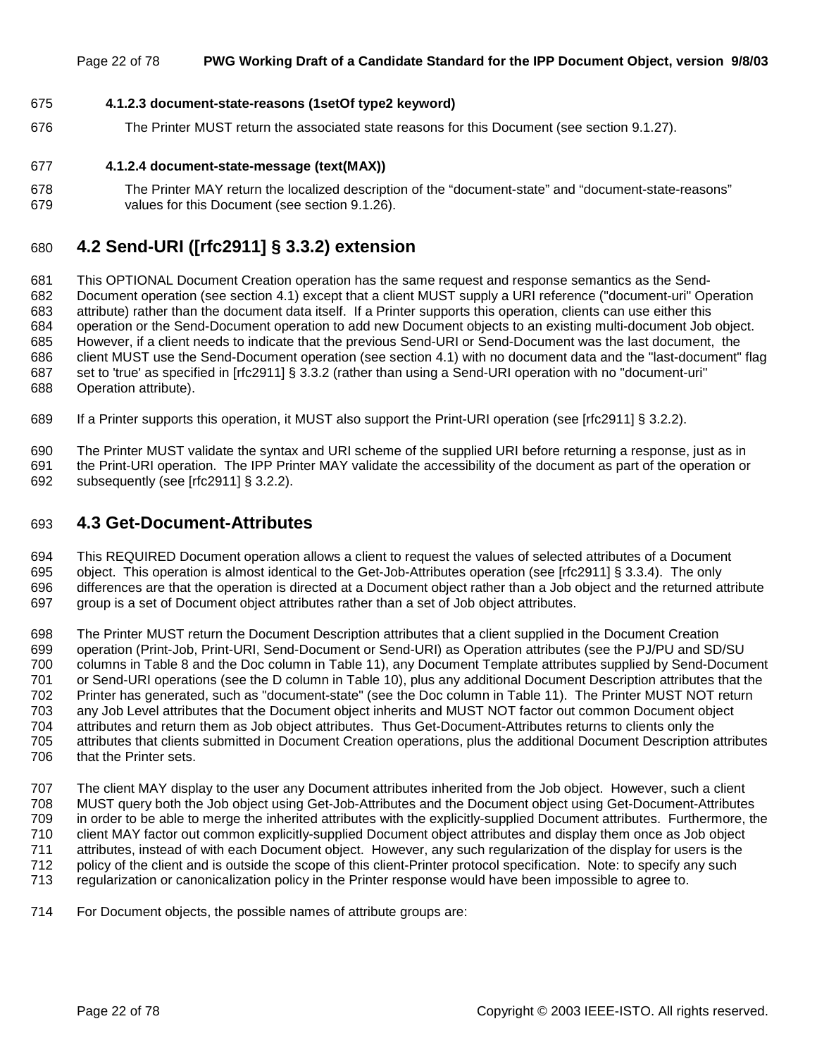#### Page 22 of 78 **PWG Working Draft of a Candidate Standard for the IPP Document Object, version 9/8/03**

#### 675 **4.1.2.3 document-state-reasons (1setOf type2 keyword)**

676 The Printer MUST return the associated state reasons for this Document (see section 9.1.27).

#### 677 **4.1.2.4 document-state-message (text(MAX))**

678 The Printer MAY return the localized description of the "document-state" and "document-state-reasons" 679 values for this Document (see section 9.1.26).

### 680 **4.2 Send-URI ([rfc2911] § 3.3.2) extension**

681 This OPTIONAL Document Creation operation has the same request and response semantics as the Send-682 Document operation (see section 4.1) except that a client MUST supply a URI reference ("document-uri" Operation 683 attribute) rather than the document data itself. If a Printer supports this operation, clients can use either this 684 operation or the Send-Document operation to add new Document objects to an existing multi-document Job object. 685 However, if a client needs to indicate that the previous Send-URI or Send-Document was the last document, the 686 client MUST use the Send-Document operation (see section 4.1) with no document data and the "last-document" flag 687 set to 'true' as specified in [rfc2911] § 3.3.2 (rather than using a Send-URI operation with no "document-uri" 688 Operation attribute).

689 If a Printer supports this operation, it MUST also support the Print-URI operation (see [rfc2911] § 3.2.2).

690 The Printer MUST validate the syntax and URI scheme of the supplied URI before returning a response, just as in 691 the Print-URI operation. The IPP Printer MAY validate the accessibility of the document as part of the operation or 692 subsequently (see [rfc2911] § 3.2.2).

### 693 **4.3 Get-Document-Attributes**

694 This REQUIRED Document operation allows a client to request the values of selected attributes of a Document 695 object. This operation is almost identical to the Get-Job-Attributes operation (see [rfc2911] § 3.3.4). The only 696 differences are that the operation is directed at a Document object rather than a Job object and the returned attribute 697 group is a set of Document object attributes rather than a set of Job object attributes.

698 The Printer MUST return the Document Description attributes that a client supplied in the Document Creation 699 operation (Print-Job, Print-URI, Send-Document or Send-URI) as Operation attributes (see the PJ/PU and SD/SU 700 columns in Table 8 and the Doc column in Table 11), any Document Template attributes supplied by Send-Document 701 or Send-URI operations (see the D column in Table 10), plus any additional Document Description attributes that the 702 Printer has generated, such as "document-state" (see the Doc column in Table 11). The Printer MUST NOT return 703 any Job Level attributes that the Document object inherits and MUST NOT factor out common Document object 704 attributes and return them as Job object attributes. Thus Get-Document-Attributes returns to clients only the 705 attributes that clients submitted in Document Creation operations, plus the additional Document Description attributes 706 that the Printer sets.

707 The client MAY display to the user any Document attributes inherited from the Job object. However, such a client 708 MUST query both the Job object using Get-Job-Attributes and the Document object using Get-Document-Attributes 709 in order to be able to merge the inherited attributes with the explicitly-supplied Document attributes. Furthermore, the 710 client MAY factor out common explicitly-supplied Document object attributes and display them once as Job object 711 attributes, instead of with each Document object. However, any such regularization of the display for users is the 712 policy of the client and is outside the scope of this client-Printer protocol specification. Note: to specify any such 713 regularization or canonicalization policy in the Printer response would have been impossible to agree to.

714 For Document objects, the possible names of attribute groups are: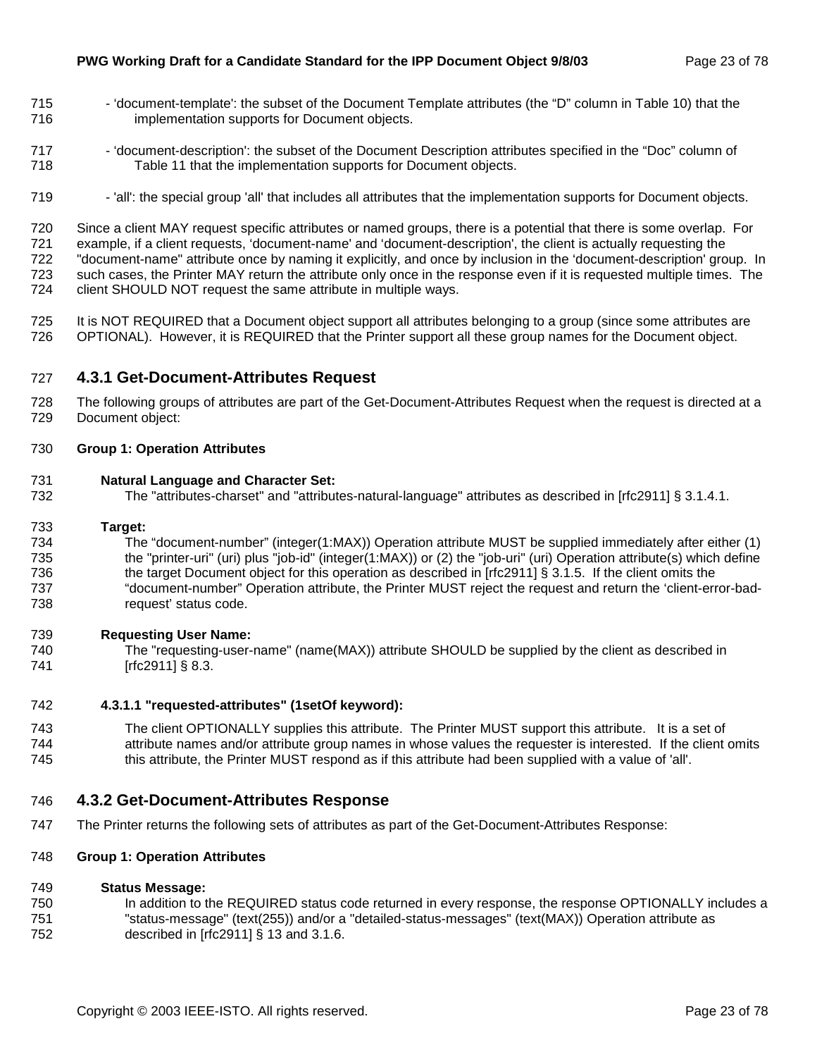- 715 'document-template': the subset of the Document Template attributes (the "D" column in Table 10) that the 716 implementation supports for Document objects.
- 717 'document-description': the subset of the Document Description attributes specified in the "Doc" column of 718 Table 11 that the implementation supports for Document objects.
- 719 'all': the special group 'all' that includes all attributes that the implementation supports for Document objects.

720 Since a client MAY request specific attributes or named groups, there is a potential that there is some overlap. For 721 example, if a client requests, 'document-name' and 'document-description', the client is actually requesting the 722 "document-name" attribute once by naming it explicitly, and once by inclusion in the 'document-description' group. In 723 such cases, the Printer MAY return the attribute only once in the response even if it is requested multiple times. The 724 client SHOULD NOT request the same attribute in multiple ways.

725 It is NOT REQUIRED that a Document object support all attributes belonging to a group (since some attributes are 726 OPTIONAL). However, it is REQUIRED that the Printer support all these group names for the Document object.

#### 727 **4.3.1 Get-Document-Attributes Request**

728 The following groups of attributes are part of the Get-Document-Attributes Request when the request is directed at a 729 Document object:

#### 730 **Group 1: Operation Attributes**

#### 731 **Natural Language and Character Set:**

732 The "attributes-charset" and "attributes-natural-language" attributes as described in [rfc2911] § 3.1.4.1.

#### 733 **Target:**

734 The "document-number" (integer(1:MAX)) Operation attribute MUST be supplied immediately after either (1) 735 the "printer-uri" (uri) plus "job-id" (integer(1:MAX)) or (2) the "job-uri" (uri) Operation attribute(s) which define 736 the target Document object for this operation as described in [rfc2911] § 3.1.5. If the client omits the 737 "document-number" Operation attribute, the Printer MUST reject the request and return the 'client-error-bad-738 request' status code.

#### 739 **Requesting User Name:**

740 The "requesting-user-name" (name(MAX)) attribute SHOULD be supplied by the client as described in 741 [rfc2911] § 8.3.

#### 742 **4.3.1.1 "requested-attributes" (1setOf keyword):**

743 The client OPTIONALLY supplies this attribute. The Printer MUST support this attribute. It is a set of 744 attribute names and/or attribute group names in whose values the requester is interested. If the client omits 745 this attribute, the Printer MUST respond as if this attribute had been supplied with a value of 'all'.

#### 746 **4.3.2 Get-Document-Attributes Response**

747 The Printer returns the following sets of attributes as part of the Get-Document-Attributes Response:

#### 748 **Group 1: Operation Attributes**

#### 749 **Status Message:**

750 In addition to the REQUIRED status code returned in every response, the response OPTIONALLY includes a 751 "status-message" (text(255)) and/or a "detailed-status-messages" (text(MAX)) Operation attribute as 752 described in [rfc2911] § 13 and 3.1.6.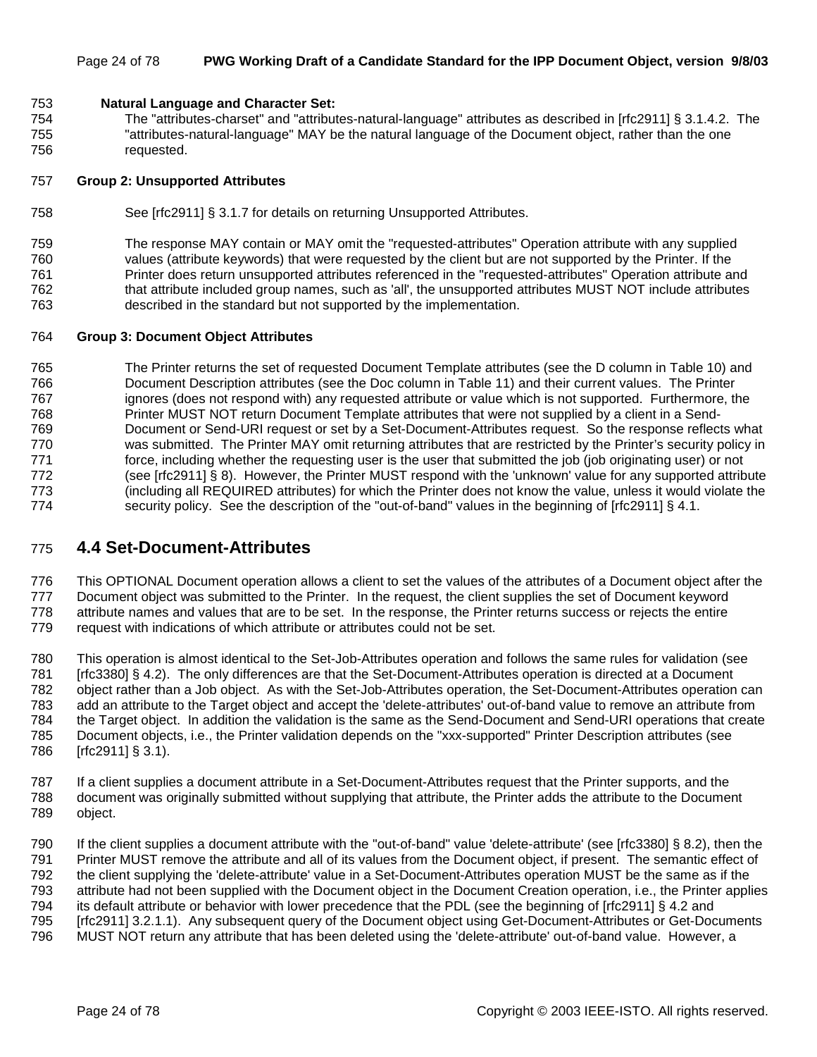#### Page 24 of 78 **PWG Working Draft of a Candidate Standard for the IPP Document Object, version 9/8/03**

#### 753 **Natural Language and Character Set:**

754 The "attributes-charset" and "attributes-natural-language" attributes as described in [rfc2911] § 3.1.4.2. The 755 "attributes-natural-language" MAY be the natural language of the Document object, rather than the one 756 requested.

#### 757 **Group 2: Unsupported Attributes**

758 See [rfc2911] § 3.1.7 for details on returning Unsupported Attributes.

759 The response MAY contain or MAY omit the "requested-attributes" Operation attribute with any supplied 760 values (attribute keywords) that were requested by the client but are not supported by the Printer. If the 761 Printer does return unsupported attributes referenced in the "requested-attributes" Operation attribute and 762 that attribute included group names, such as 'all', the unsupported attributes MUST NOT include attributes 763 described in the standard but not supported by the implementation.

#### 764 **Group 3: Document Object Attributes**

765 The Printer returns the set of requested Document Template attributes (see the D column in Table 10) and 766 Document Description attributes (see the Doc column in Table 11) and their current values. The Printer 767 ignores (does not respond with) any requested attribute or value which is not supported. Furthermore, the 768 Printer MUST NOT return Document Template attributes that were not supplied by a client in a Send-769 Document or Send-URI request or set by a Set-Document-Attributes request. So the response reflects what 770 was submitted. The Printer MAY omit returning attributes that are restricted by the Printer's security policy in 771 force, including whether the requesting user is the user that submitted the job (job originating user) or not 772 (see [rfc2911] § 8). However, the Printer MUST respond with the 'unknown' value for any supported attribute 773 (including all REQUIRED attributes) for which the Printer does not know the value, unless it would violate the 774 security policy. See the description of the "out-of-band" values in the beginning of [rfc2911] § 4.1.

### 775 **4.4 Set-Document-Attributes**

776 This OPTIONAL Document operation allows a client to set the values of the attributes of a Document object after the 777 Document object was submitted to the Printer. In the request, the client supplies the set of Document keyword 778 attribute names and values that are to be set. In the response, the Printer returns success or rejects the entire 779 request with indications of which attribute or attributes could not be set.

780 This operation is almost identical to the Set-Job-Attributes operation and follows the same rules for validation (see 781 [rfc3380] § 4.2). The only differences are that the Set-Document-Attributes operation is directed at a Document 782 object rather than a Job object. As with the Set-Job-Attributes operation, the Set-Document-Attributes operation can 783 add an attribute to the Target object and accept the 'delete-attributes' out-of-band value to remove an attribute from 784 the Target object. In addition the validation is the same as the Send-Document and Send-URI operations that create 785 Document objects, i.e., the Printer validation depends on the "xxx-supported" Printer Description attributes (see 786 [rfc2911] § 3.1).

787 If a client supplies a document attribute in a Set-Document-Attributes request that the Printer supports, and the 788 document was originally submitted without supplying that attribute, the Printer adds the attribute to the Document 789 object.

790 If the client supplies a document attribute with the "out-of-band" value 'delete-attribute' (see [rfc3380] § 8.2), then the 791 Printer MUST remove the attribute and all of its values from the Document object, if present. The semantic effect of 792 the client supplying the 'delete-attribute' value in a Set-Document-Attributes operation MUST be the same as if the 793 attribute had not been supplied with the Document object in the Document Creation operation, i.e., the Printer applies 794 its default attribute or behavior with lower precedence that the PDL (see the beginning of [rfc2911] § 4.2 and 795 [rfc2911] 3.2.1.1). Any subsequent query of the Document object using Get-Document-Attributes or Get-Documents 796 MUST NOT return any attribute that has been deleted using the 'delete-attribute' out-of-band value. However, a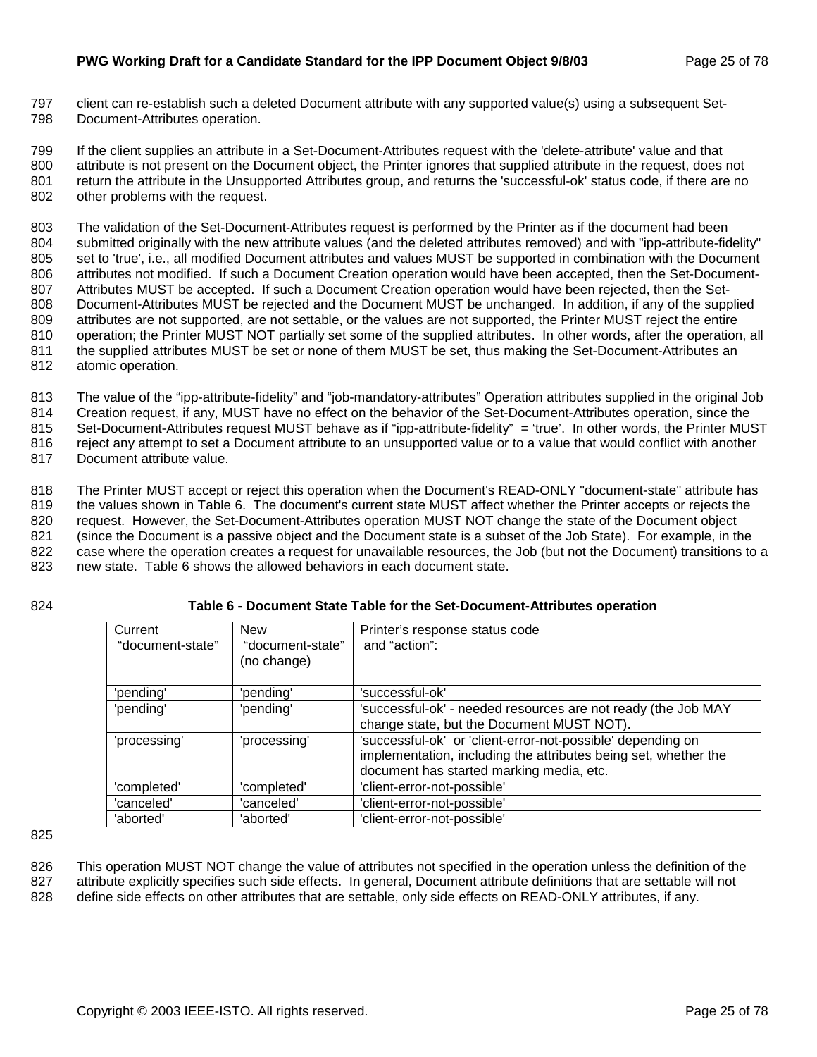797 client can re-establish such a deleted Document attribute with any supported value(s) using a subsequent Set-798 Document-Attributes operation.

799 If the client supplies an attribute in a Set-Document-Attributes request with the 'delete-attribute' value and that 800 attribute is not present on the Document object, the Printer ignores that supplied attribute in the request, does not 801 return the attribute in the Unsupported Attributes group, and returns the 'successful-ok' status code, if there are no 802 other problems with the request.

803 The validation of the Set-Document-Attributes request is performed by the Printer as if the document had been 804 submitted originally with the new attribute values (and the deleted attributes removed) and with "ipp-attribute-fidelity" 805 set to 'true', i.e., all modified Document attributes and values MUST be supported in combination with the Document 806 attributes not modified. If such a Document Creation operation would have been accepted, then the Set-Document-807 Attributes MUST be accepted. If such a Document Creation operation would have been rejected, then the Set-808 Document-Attributes MUST be rejected and the Document MUST be unchanged. In addition, if any of the supplied 809 attributes are not supported, are not settable, or the values are not supported, the Printer MUST reject the entire 810 operation; the Printer MUST NOT partially set some of the supplied attributes. In other words, after the operation, all 811 the supplied attributes MUST be set or none of them MUST be set, thus making the Set-Document-Attributes an 812 atomic operation.

813 The value of the "ipp-attribute-fidelity" and "job-mandatory-attributes" Operation attributes supplied in the original Job 814 Creation request, if any, MUST have no effect on the behavior of the Set-Document-Attributes operation, since the 815 Set-Document-Attributes request MUST behave as if "ipp-attribute-fidelity" = 'true'. In other words, the Printer MUST 816 reject any attempt to set a Document attribute to an unsupported value or to a value that would conflict with another 817 Document attribute value.

818 The Printer MUST accept or reject this operation when the Document's READ-ONLY "document-state" attribute has 819 the values shown in Table 6. The document's current state MUST affect whether the Printer accepts or rejects the 820 request. However, the Set-Document-Attributes operation MUST NOT change the state of the Document object 821 (since the Document is a passive object and the Document state is a subset of the Job State). For example, in the 822 case where the operation creates a request for unavailable resources, the Job (but not the Document) transitions to a

823 new state. Table 6 shows the allowed behaviors in each document state.

#### 824 **Table 6 - Document State Table for the Set-Document-Attributes operation**

| Current<br>"document-state" | <b>New</b><br>"document-state"<br>(no change) | Printer's response status code<br>and "action":                                                                                                                            |
|-----------------------------|-----------------------------------------------|----------------------------------------------------------------------------------------------------------------------------------------------------------------------------|
| 'pending'                   | 'pending'                                     | 'successful-ok'                                                                                                                                                            |
| 'pending'                   | 'pending'                                     | 'successful-ok' - needed resources are not ready (the Job MAY<br>change state, but the Document MUST NOT).                                                                 |
| 'processing'                | 'processing'                                  | 'successful-ok' or 'client-error-not-possible' depending on<br>implementation, including the attributes being set, whether the<br>document has started marking media, etc. |
| 'completed'                 | 'completed'                                   | 'client-error-not-possible'                                                                                                                                                |
| 'canceled'                  | 'canceled'                                    | 'client-error-not-possible'                                                                                                                                                |
| 'aborted'                   | 'aborted'                                     | 'client-error-not-possible'                                                                                                                                                |

825

826 This operation MUST NOT change the value of attributes not specified in the operation unless the definition of the 827 attribute explicitly specifies such side effects. In general, Document attribute definitions that are settable will not 828 define side effects on other attributes that are settable, only side effects on READ-ONLY attributes, if any.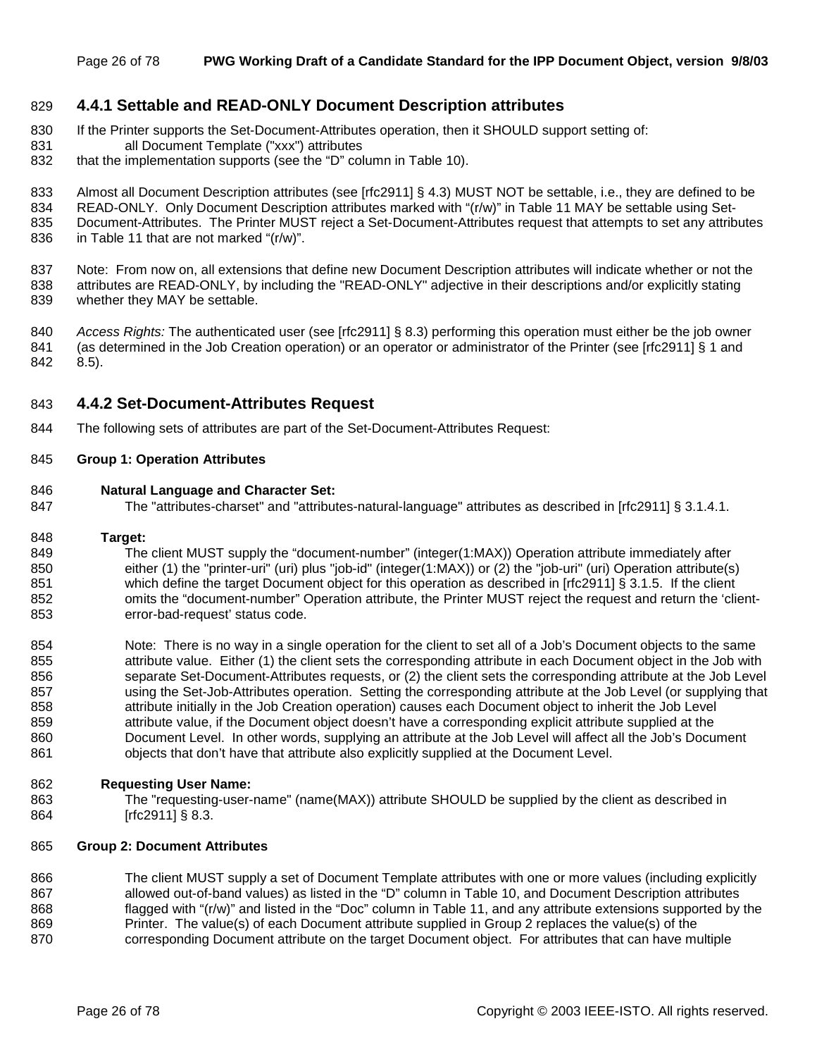#### 829 **4.4.1 Settable and READ-ONLY Document Description attributes**

- 830 If the Printer supports the Set-Document-Attributes operation, then it SHOULD support setting of: 831 all Document Template ("xxx") attributes
- 832 that the implementation supports (see the "D" column in Table 10).

833 Almost all Document Description attributes (see [rfc2911] § 4.3) MUST NOT be settable, i.e., they are defined to be

834 READ-ONLY. Only Document Description attributes marked with "(r/w)" in Table 11 MAY be settable using Set-

835 Document-Attributes. The Printer MUST reject a Set-Document-Attributes request that attempts to set any attributes

836 in Table 11 that are not marked "(r/w)".

837 Note: From now on, all extensions that define new Document Description attributes will indicate whether or not the 838 attributes are READ-ONLY, by including the "READ-ONLY" adjective in their descriptions and/or explicitly stating 839 whether they MAY be settable.

840 *Access Rights:* The authenticated user (see [rfc2911] § 8.3) performing this operation must either be the job owner 841 (as determined in the Job Creation operation) or an operator or administrator of the Printer (see [rfc2911] § 1 and 842 8.5).

#### 843 **4.4.2 Set-Document-Attributes Request**

844 The following sets of attributes are part of the Set-Document-Attributes Request:

#### 845 **Group 1: Operation Attributes**

#### 846 **Natural Language and Character Set:**

847 The "attributes-charset" and "attributes-natural-language" attributes as described in [rfc2911] § 3.1.4.1.

#### 848 **Target:**

849 The client MUST supply the "document-number" (integer(1:MAX)) Operation attribute immediately after 850 either (1) the "printer-uri" (uri) plus "job-id" (integer(1:MAX)) or (2) the "job-uri" (uri) Operation attribute(s) 851 which define the target Document object for this operation as described in [rfc2911] § 3.1.5. If the client 852 omits the "document-number" Operation attribute, the Printer MUST reject the request and return the 'client-853 error-bad-request' status code.

854 Note: There is no way in a single operation for the client to set all of a Job's Document objects to the same 855 attribute value. Either (1) the client sets the corresponding attribute in each Document object in the Job with 856 separate Set-Document-Attributes requests, or (2) the client sets the corresponding attribute at the Job Level 857 using the Set-Job-Attributes operation. Setting the corresponding attribute at the Job Level (or supplying that 858 attribute initially in the Job Creation operation) causes each Document object to inherit the Job Level 859 attribute value, if the Document object doesn't have a corresponding explicit attribute supplied at the 860 Document Level. In other words, supplying an attribute at the Job Level will affect all the Job's Document 861 objects that don't have that attribute also explicitly supplied at the Document Level.

#### 862 **Requesting User Name:**

863 The "requesting-user-name" (name(MAX)) attribute SHOULD be supplied by the client as described in 864 [rfc2911] § 8.3.

#### 865 **Group 2: Document Attributes**

866 The client MUST supply a set of Document Template attributes with one or more values (including explicitly 867 allowed out-of-band values) as listed in the "D" column in Table 10, and Document Description attributes 868 flagged with "(r/w)" and listed in the "Doc" column in Table 11, and any attribute extensions supported by the 869 Printer. The value(s) of each Document attribute supplied in Group 2 replaces the value(s) of the 870 corresponding Document attribute on the target Document object. For attributes that can have multiple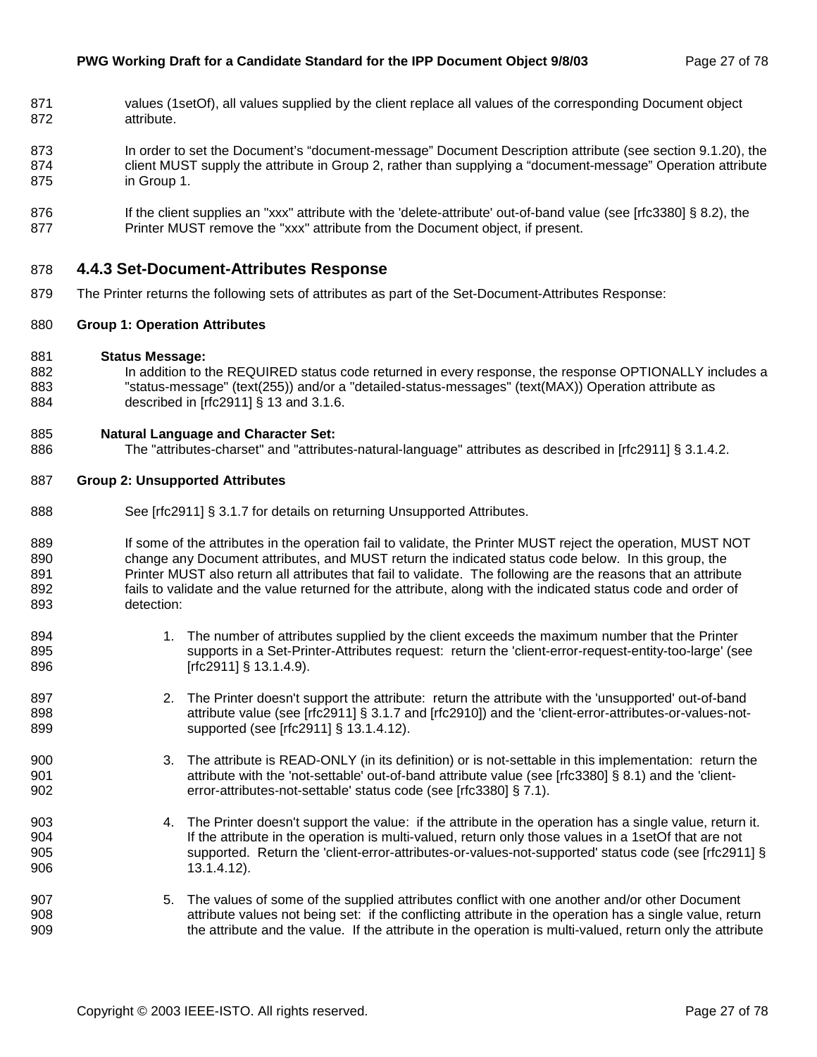- 871 values (1setOf), all values supplied by the client replace all values of the corresponding Document object 872 attribute.
- 873 In order to set the Document's "document-message" Document Description attribute (see section 9.1.20), the 874 client MUST supply the attribute in Group 2, rather than supplying a "document-message" Operation attribute 875 in Group 1.
- 876 If the client supplies an "xxx" attribute with the 'delete-attribute' out-of-band value (see [rfc3380] § 8.2), the 877 Printer MUST remove the "xxx" attribute from the Document object, if present.

#### 878 **4.4.3 Set-Document-Attributes Response**

879 The Printer returns the following sets of attributes as part of the Set-Document-Attributes Response:

#### 880 **Group 1: Operation Attributes**

- 881 **Status Message:**
- 882 In addition to the REQUIRED status code returned in every response, the response OPTIONALLY includes a 883 "status-message" (text(255)) and/or a "detailed-status-messages" (text(MAX)) Operation attribute as 884 described in [rfc2911] § 13 and 3.1.6.

#### 885 **Natural Language and Character Set:**

886 The "attributes-charset" and "attributes-natural-language" attributes as described in [rfc2911] § 3.1.4.2.

#### 887 **Group 2: Unsupported Attributes**

- 888 See [rfc2911] § 3.1.7 for details on returning Unsupported Attributes.
- 889 If some of the attributes in the operation fail to validate, the Printer MUST reject the operation, MUST NOT 890 change any Document attributes, and MUST return the indicated status code below. In this group, the 891 Printer MUST also return all attributes that fail to validate. The following are the reasons that an attribute 892 fails to validate and the value returned for the attribute, along with the indicated status code and order of 893 detection:
- 894 1. The number of attributes supplied by the client exceeds the maximum number that the Printer 895 supports in a Set-Printer-Attributes request: return the 'client-error-request-entity-too-large' (see 896 [rfc2911] § 13.1.4.9).
- 897 2. The Printer doesn't support the attribute: return the attribute with the 'unsupported' out-of-band 898 attribute value (see [rfc2911] § 3.1.7 and [rfc2910]) and the 'client-error-attributes-or-values-not-899 **supported (see [rfc2911] § 13.1.4.12).**
- 900 3. The attribute is READ-ONLY (in its definition) or is not-settable in this implementation: return the 901 **attribute with the 'not-settable' out-of-band attribute value (see [rfc3380] § 8.1) and the 'client-**902 error-attributes-not-settable' status code (see [rfc3380] § 7.1).
- 903 4. The Printer doesn't support the value: if the attribute in the operation has a single value, return it. 904 If the attribute in the operation is multi-valued, return only those values in a 1setOf that are not 905 supported. Return the 'client-error-attributes-or-values-not-supported' status code (see [rfc2911] § 906 13.1.4.12).
- 907 5. The values of some of the supplied attributes conflict with one another and/or other Document 908 attribute values not being set: if the conflicting attribute in the operation has a single value, return 909 the attribute and the value. If the attribute in the operation is multi-valued, return only the attribute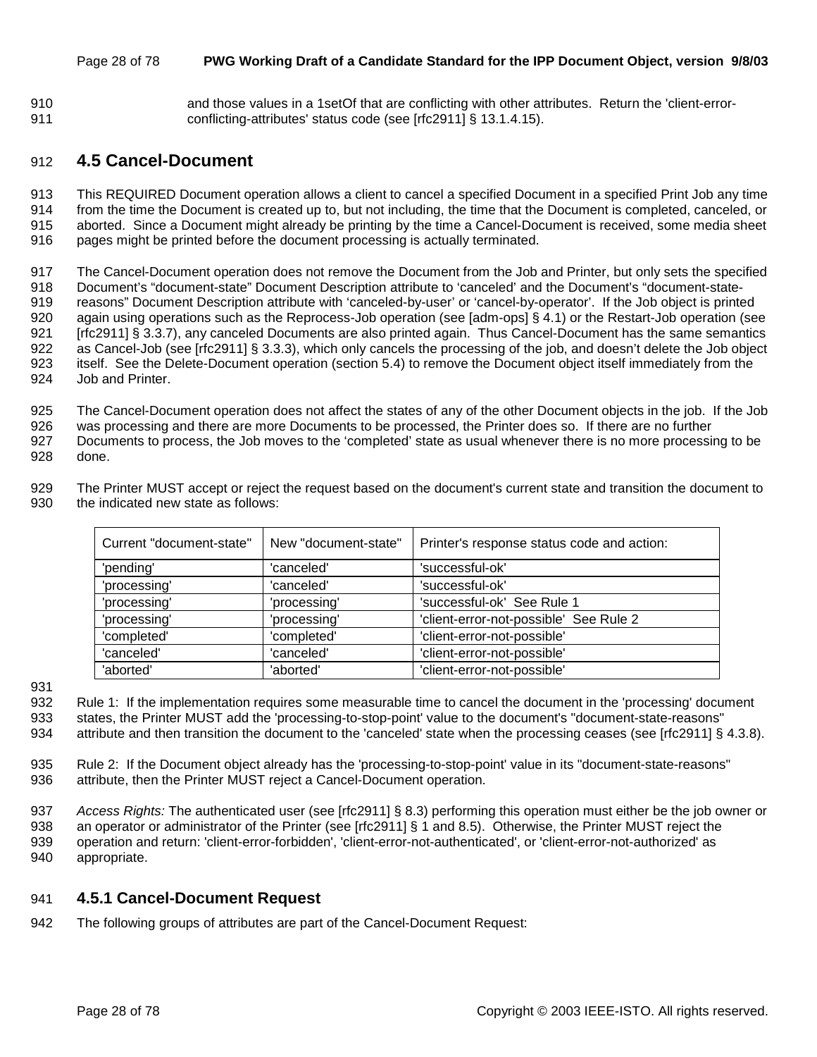#### Page 28 of 78 **PWG Working Draft of a Candidate Standard for the IPP Document Object, version 9/8/03**

910 and those values in a 1setOf that are conflicting with other attributes. Return the 'client-error-911 conflicting-attributes' status code (see [rfc2911] § 13.1.4.15).

### 912 **4.5 Cancel-Document**

913 This REQUIRED Document operation allows a client to cancel a specified Document in a specified Print Job any time 914 from the time the Document is created up to, but not including, the time that the Document is completed, canceled, or 915 aborted. Since a Document might already be printing by the time a Cancel-Document is received, some media sheet 916 pages might be printed before the document processing is actually terminated.

917 The Cancel-Document operation does not remove the Document from the Job and Printer, but only sets the specified 918 Document's "document-state" Document Description attribute to 'canceled' and the Document's "document-state-919 reasons" Document Description attribute with 'canceled-by-user' or 'cancel-by-operator'. If the Job object is printed 920 again using operations such as the Reprocess-Job operation (see [adm-ops] § 4.1) or the Restart-Job operation (see 921 [rfc2911] § 3.3.7), any canceled Documents are also printed again. Thus Cancel-Document has the same semantics 922 as Cancel-Job (see [rfc2911] § 3.3.3), which only cancels the processing of the job, and doesn't delete the Job object 923 itself. See the Delete-Document operation (section 5.4) to remove the Document object itself immediately from the 924 Job and Printer.

925 The Cancel-Document operation does not affect the states of any of the other Document objects in the job. If the Job 926 was processing and there are more Documents to be processed, the Printer does so. If there are no further 927 Documents to process, the Job moves to the 'completed' state as usual whenever there is no more processing to be 928 done.

929 The Printer MUST accept or reject the request based on the document's current state and transition the document to 930 the indicated new state as follows:

| Current "document-state" | New "document-state" | Printer's response status code and action: |  |  |  |
|--------------------------|----------------------|--------------------------------------------|--|--|--|
| 'pending'                | 'canceled'           | 'successful-ok'                            |  |  |  |
| 'processing'             | 'canceled'           | 'successful-ok'                            |  |  |  |
| 'processing'             | 'processing'         | 'successful-ok' See Rule 1                 |  |  |  |
| 'processing'             | 'processing'         | 'client-error-not-possible' See Rule 2     |  |  |  |
| 'completed'              | 'completed'          | 'client-error-not-possible'                |  |  |  |
| 'canceled'               | 'canceled'           | 'client-error-not-possible'                |  |  |  |
| 'aborted'                | 'aborted'            | 'client-error-not-possible'                |  |  |  |

931

932 Rule 1: If the implementation requires some measurable time to cancel the document in the 'processing' document 933 states, the Printer MUST add the 'processing-to-stop-point' value to the document's "document-state-reasons" 934 attribute and then transition the document to the 'canceled' state when the processing ceases (see [rfc2911] § 4.3.8).

935 Rule 2: If the Document object already has the 'processing-to-stop-point' value in its "document-state-reasons" 936 attribute, then the Printer MUST reject a Cancel-Document operation.

937 *Access Rights:* The authenticated user (see [rfc2911] § 8.3) performing this operation must either be the job owner or 938 an operator or administrator of the Printer (see [rfc2911] § 1 and 8.5). Otherwise, the Printer MUST reject the 939 operation and return: 'client-error-forbidden', 'client-error-not-authenticated', or 'client-error-not-authorized' as 940 appropriate.

### 941 **4.5.1 Cancel-Document Request**

942 The following groups of attributes are part of the Cancel-Document Request: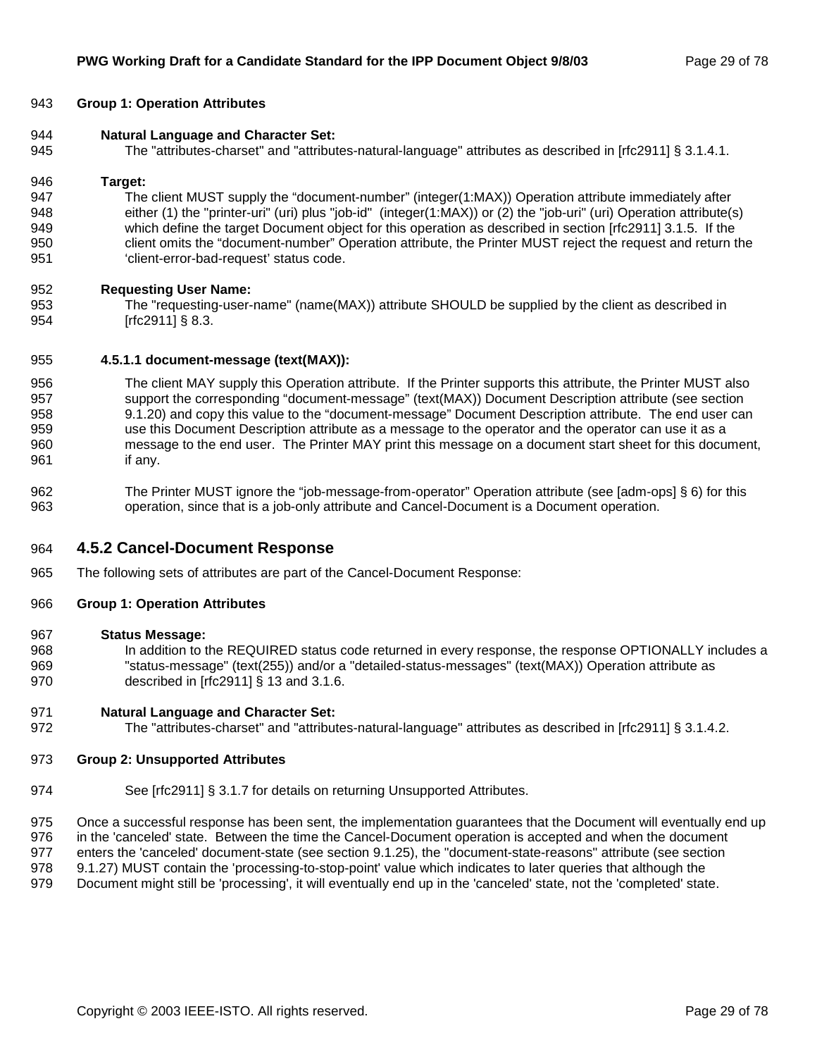#### 943 **Group 1: Operation Attributes**

- 944 **Natural Language and Character Set:**
- 945 The "attributes-charset" and "attributes-natural-language" attributes as described in [rfc2911] § 3.1.4.1.

#### 946 **Target:**

947 The client MUST supply the "document-number" (integer(1:MAX)) Operation attribute immediately after 948 either (1) the "printer-uri" (uri) plus "job-id" (integer(1:MAX)) or (2) the "job-uri" (uri) Operation attribute(s) 949 which define the target Document object for this operation as described in section [rfc2911] 3.1.5. If the 950 client omits the "document-number" Operation attribute, the Printer MUST reject the request and return the 951 'client-error-bad-request' status code.

#### 952 **Requesting User Name:**

953 The "requesting-user-name" (name(MAX)) attribute SHOULD be supplied by the client as described in 954 [rfc2911] § 8.3.

#### 955 **4.5.1.1 document-message (text(MAX)):**

- 956 The client MAY supply this Operation attribute. If the Printer supports this attribute, the Printer MUST also 957 support the corresponding "document-message" (text(MAX)) Document Description attribute (see section 958 9.1.20) and copy this value to the "document-message" Document Description attribute. The end user can 959 use this Document Description attribute as a message to the operator and the operator can use it as a 960 message to the end user. The Printer MAY print this message on a document start sheet for this document, 961 if any.
- 962 The Printer MUST ignore the "job-message-from-operator" Operation attribute (see [adm-ops] § 6) for this 963 operation, since that is a job-only attribute and Cancel-Document is a Document operation.

#### 964 **4.5.2 Cancel-Document Response**

965 The following sets of attributes are part of the Cancel-Document Response:

#### 966 **Group 1: Operation Attributes**

- 967 **Status Message:**
- 968 In addition to the REQUIRED status code returned in every response, the response OPTIONALLY includes a 969 "status-message" (text(255)) and/or a "detailed-status-messages" (text(MAX)) Operation attribute as 970 described in [rfc2911] § 13 and 3.1.6.

#### 971 **Natural Language and Character Set:**

972 The "attributes-charset" and "attributes-natural-language" attributes as described in [rfc2911] § 3.1.4.2.

#### 973 **Group 2: Unsupported Attributes**

974 See [rfc2911] § 3.1.7 for details on returning Unsupported Attributes.

975 Once a successful response has been sent, the implementation guarantees that the Document will eventually end up 976 in the 'canceled' state. Between the time the Cancel-Document operation is accepted and when the document 977 enters the 'canceled' document-state (see section 9.1.25), the "document-state-reasons" attribute (see section 978 9.1.27) MUST contain the 'processing-to-stop-point' value which indicates to later queries that although the

979 Document might still be 'processing', it will eventually end up in the 'canceled' state, not the 'completed' state.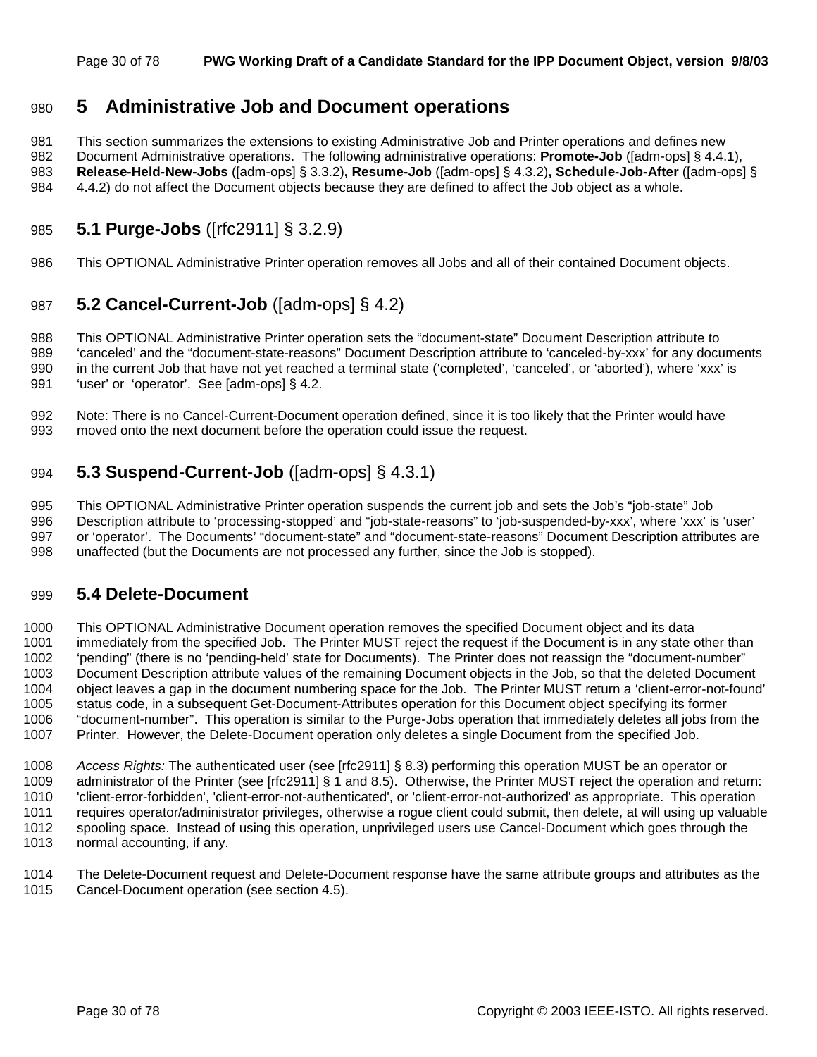### 980 **5 Administrative Job and Document operations**

981 This section summarizes the extensions to existing Administrative Job and Printer operations and defines new 982 Document Administrative operations. The following administrative operations: **Promote-Job** ([adm-ops] § 4.4.1), 983 **Release-Held-New-Jobs** ([adm-ops] § 3.3.2)**, Resume-Job** ([adm-ops] § 4.3.2)**, Schedule-Job-After** ([adm-ops] §

984 4.4.2) do not affect the Document objects because they are defined to affect the Job object as a whole.

### 985 **5.1 Purge-Jobs** ([rfc2911] § 3.2.9)

986 This OPTIONAL Administrative Printer operation removes all Jobs and all of their contained Document objects.

### 987 **5.2 Cancel-Current-Job** ([adm-ops] § 4.2)

988 This OPTIONAL Administrative Printer operation sets the "document-state" Document Description attribute to 989 'canceled' and the "document-state-reasons" Document Description attribute to 'canceled-by-xxx' for any documents 990 in the current Job that have not yet reached a terminal state ('completed', 'canceled', or 'aborted'), where 'xxx' is 991 'user' or 'operator'. See [adm-ops] § 4.2.

992 Note: There is no Cancel-Current-Document operation defined, since it is too likely that the Printer would have 993 moved onto the next document before the operation could issue the request.

### 994 **5.3 Suspend-Current-Job** ([adm-ops] § 4.3.1)

995 This OPTIONAL Administrative Printer operation suspends the current job and sets the Job's "job-state" Job 996 Description attribute to 'processing-stopped' and "job-state-reasons" to 'job-suspended-by-xxx', where 'xxx' is 'user' 997 or 'operator'. The Documents' "document-state" and "document-state-reasons" Document Description attributes are 998 unaffected (but the Documents are not processed any further, since the Job is stopped).

### 999 **5.4 Delete-Document**

1000 This OPTIONAL Administrative Document operation removes the specified Document object and its data 1001 immediately from the specified Job. The Printer MUST reject the request if the Document is in any state other than 1002 'pending" (there is no 'pending-held' state for Documents). The Printer does not reassign the "document-number" 1003 Document Description attribute values of the remaining Document objects in the Job, so that the deleted Document 1004 object leaves a gap in the document numbering space for the Job. The Printer MUST return a 'client-error-not-found' 1005 status code, in a subsequent Get-Document-Attributes operation for this Document object specifying its former 1006 "document-number". This operation is similar to the Purge-Jobs operation that immediately deletes all jobs from the 1007 Printer. However, the Delete-Document operation only deletes a single Document from the specified Job.

1008 *Access Rights:* The authenticated user (see [rfc2911] § 8.3) performing this operation MUST be an operator or 1009 administrator of the Printer (see [rfc2911] § 1 and 8.5). Otherwise, the Printer MUST reject the operation and return: 1010 'client-error-forbidden', 'client-error-not-authenticated', or 'client-error-not-authorized' as appropriate. This operation 1011 requires operator/administrator privileges, otherwise a rogue client could submit, then delete, at will using up valuable 1012 spooling space. Instead of using this operation, unprivileged users use Cancel-Document which goes through the 1013 normal accounting, if any.

1014 The Delete-Document request and Delete-Document response have the same attribute groups and attributes as the 1015 Cancel-Document operation (see section 4.5).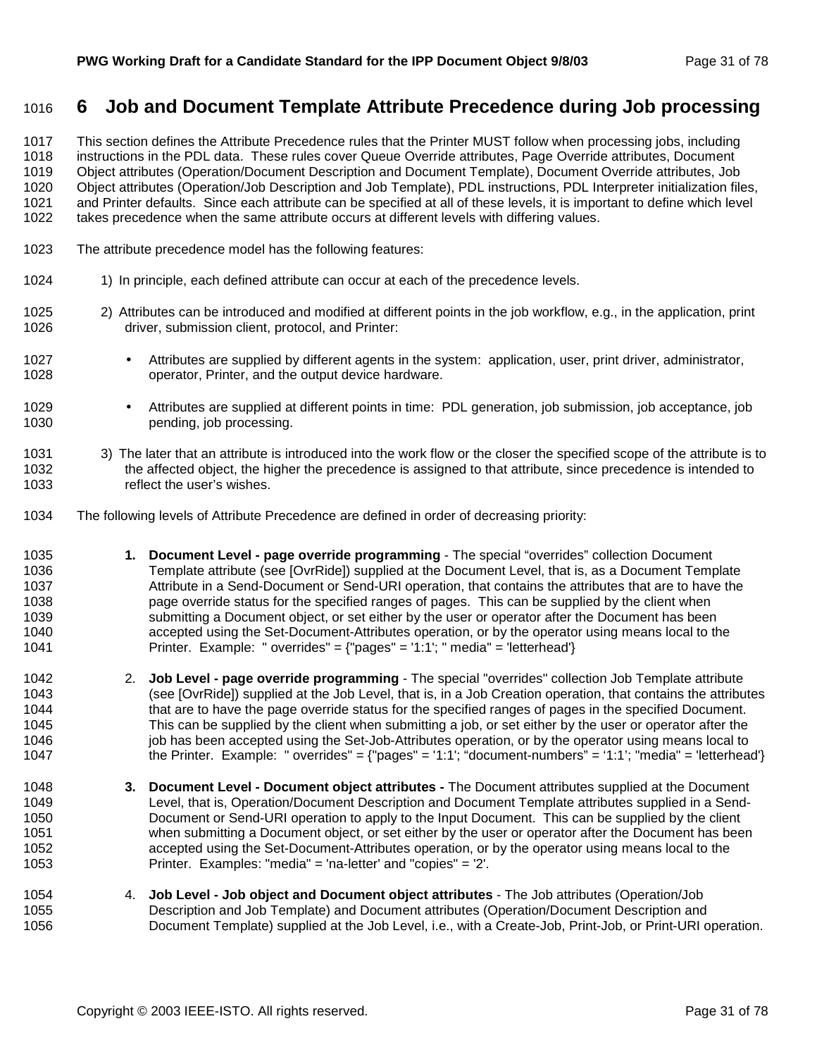### 1016 **6 Job and Document Template Attribute Precedence during Job processing**

1017 This section defines the Attribute Precedence rules that the Printer MUST follow when processing jobs, including 1018 instructions in the PDL data. These rules cover Queue Override attributes, Page Override attributes, Document 1019 Object attributes (Operation/Document Description and Document Template), Document Override attributes, Job 1020 Object attributes (Operation/Job Description and Job Template), PDL instructions, PDL Interpreter initialization files, 1021 and Printer defaults. Since each attribute can be specified at all of these levels, it is important to define which level 1022 takes precedence when the same attribute occurs at different levels with differing values.

- 1023 The attribute precedence model has the following features:
- 1024 1) In principle, each defined attribute can occur at each of the precedence levels.
- 1025 2) Attributes can be introduced and modified at different points in the job workflow, e.g., in the application, print 1026 driver, submission client, protocol, and Printer:
- 1027 Attributes are supplied by different agents in the system: application, user, print driver, administrator, 1028 operator, Printer, and the output device hardware.
- 1029 Attributes are supplied at different points in time: PDL generation, job submission, job acceptance, job 1030 **pending**, job processing.
- 1031 3) The later that an attribute is introduced into the work flow or the closer the specified scope of the attribute is to 1032 the affected object, the higher the precedence is assigned to that attribute, since precedence is intended to 1033 reflect the user's wishes.
- 1034 The following levels of Attribute Precedence are defined in order of decreasing priority:
- 1035 **1. Document Level page override programming** The special "overrides" collection Document 1036 Template attribute (see [OvrRide]) supplied at the Document Level, that is, as a Document Template 1037 Attribute in a Send-Document or Send-URI operation, that contains the attributes that are to have the 1038 page override status for the specified ranges of pages. This can be supplied by the client when 1039 submitting a Document object, or set either by the user or operator after the Document has been 1040 accepted using the Set-Document-Attributes operation, or by the operator using means local to the 1041 Printer. Example: " overrides" = {"pages" = '1:1'; " media" = 'letterhead'}
- 1042 2. **Job Level page override programming** The special "overrides" collection Job Template attribute 1043 (see [OvrRide]) supplied at the Job Level, that is, in a Job Creation operation, that contains the attributes 1044 that are to have the page override status for the specified ranges of pages in the specified Document. 1045 This can be supplied by the client when submitting a job, or set either by the user or operator after the 1046 job has been accepted using the Set-Job-Attributes operation, or by the operator using means local to 1047 the Printer. Example: " overrides" = {"pages" = '1:1'; "document-numbers" = '1:1'; "media" = 'letterhead'}
- 1048 **3. Document Level Document object attributes** The Document attributes supplied at the Document 1049 Level, that is, Operation/Document Description and Document Template attributes supplied in a Send-1050 Document or Send-URI operation to apply to the Input Document. This can be supplied by the client 1051 when submitting a Document object, or set either by the user or operator after the Document has been 1052 accepted using the Set-Document-Attributes operation, or by the operator using means local to the 1053 Printer. Examples: "media" = 'na-letter' and "copies" = '2'.
- 1054 4. **Job Level Job object and Document object attributes**  The Job attributes (Operation/Job 1055 Description and Job Template) and Document attributes (Operation/Document Description and 1056 Document Template) supplied at the Job Level, i.e., with a Create-Job, Print-Job, or Print-URI operation.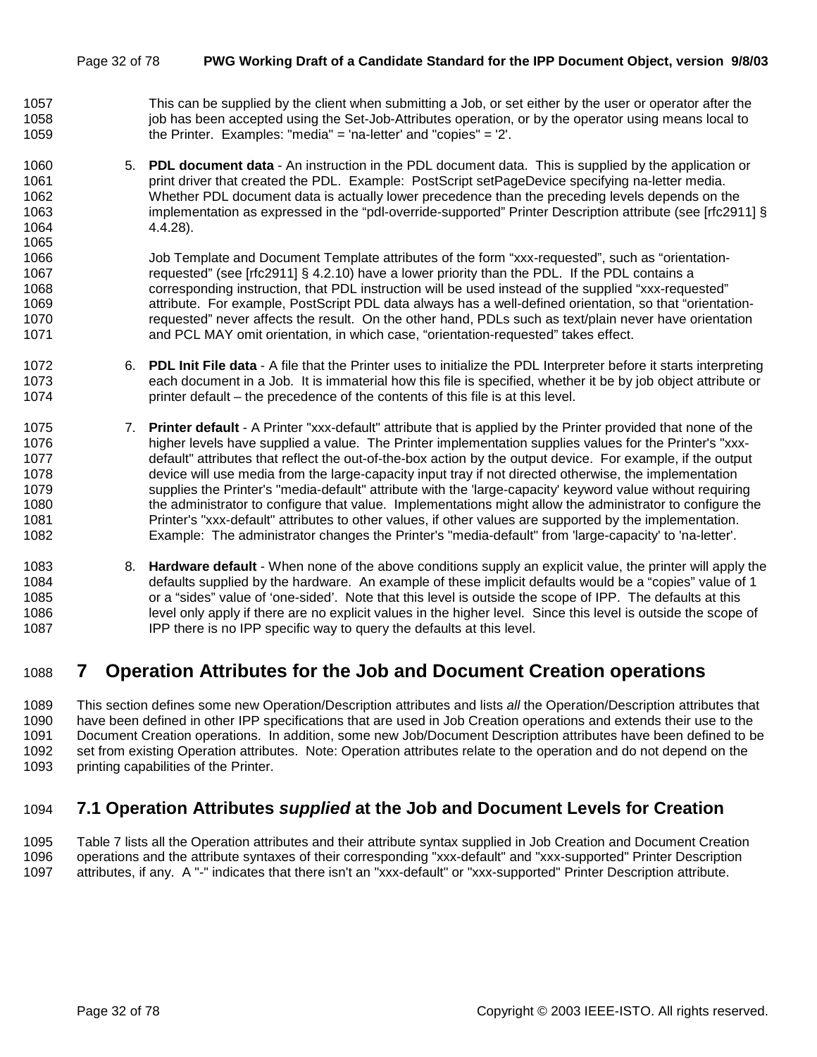- 1057 This can be supplied by the client when submitting a Job, or set either by the user or operator after the 1058 job has been accepted using the Set-Job-Attributes operation, or by the operator using means local to 1059 the Printer. Examples: "media" = 'na-letter' and "copies" = '2'.
- 1060 5. **PDL document data**  An instruction in the PDL document data. This is supplied by the application or 1061 **print driver that created the PDL.** Example: PostScript setPageDevice specifying na-letter media. 1062 Whether PDL document data is actually lower precedence than the preceding levels depends on the 1063 implementation as expressed in the "pdl-override-supported" Printer Description attribute (see [rfc2911] § 1064 4.4.28).

1066 Job Template and Document Template attributes of the form "xxx-requested", such as "orientation-1067 requested" (see [rfc2911] § 4.2.10) have a lower priority than the PDL. If the PDL contains a 1068 corresponding instruction, that PDL instruction will be used instead of the supplied "xxx-requested" 1069 attribute. For example, PostScript PDL data always has a well-defined orientation, so that "orientation-1070 requested" never affects the result. On the other hand, PDLs such as text/plain never have orientation 1071 and PCL MAY omit orientation, in which case, "orientation-requested" takes effect.

- 1072 6. **PDL Init File data**  A file that the Printer uses to initialize the PDL Interpreter before it starts interpreting 1073 each document in a Job. It is immaterial how this file is specified, whether it be by job object attribute or 1074 printer default – the precedence of the contents of this file is at this level.
- 1075 7. **Printer default**  A Printer "xxx-default" attribute that is applied by the Printer provided that none of the 1076 higher levels have supplied a value. The Printer implementation supplies values for the Printer's "xxx-1077 default" attributes that reflect the out-of-the-box action by the output device. For example, if the output 1078 device will use media from the large-capacity input tray if not directed otherwise, the implementation 1079 supplies the Printer's "media-default" attribute with the 'large-capacity' keyword value without requiring 1080 the administrator to configure that value. Implementations might allow the administrator to configure the 1081 Printer's "xxx-default" attributes to other values, if other values are supported by the implementation. 1082 Example: The administrator changes the Printer's "media-default" from 'large-capacity' to 'na-letter'.
- 1083 8. **Hardware default**  When none of the above conditions supply an explicit value, the printer will apply the 1084 defaults supplied by the hardware. An example of these implicit defaults would be a "copies" value of 1 1085 or a "sides" value of 'one-sided'. Note that this level is outside the scope of IPP. The defaults at this 1086 level only apply if there are no explicit values in the higher level. Since this level is outside the scope of 1087 IPP there is no IPP specific way to query the defaults at this level.

### 1088 **7 Operation Attributes for the Job and Document Creation operations**

1089 This section defines some new Operation/Description attributes and lists *all* the Operation/Description attributes that 1090 have been defined in other IPP specifications that are used in Job Creation operations and extends their use to the 1091 Document Creation operations. In addition, some new Job/Document Description attributes have been defined to be 1092 set from existing Operation attributes. Note: Operation attributes relate to the operation and do not depend on the 1093 printing capabilities of the Printer.

### 1094 **7.1 Operation Attributes** *supplied* **at the Job and Document Levels for Creation**

1095 Table 7 lists all the Operation attributes and their attribute syntax supplied in Job Creation and Document Creation 1096 operations and the attribute syntaxes of their corresponding "xxx-default" and "xxx-supported" Printer Description 1097 attributes, if any. A "-" indicates that there isn't an "xxx-default" or "xxx-supported" Printer Description attribute.

1065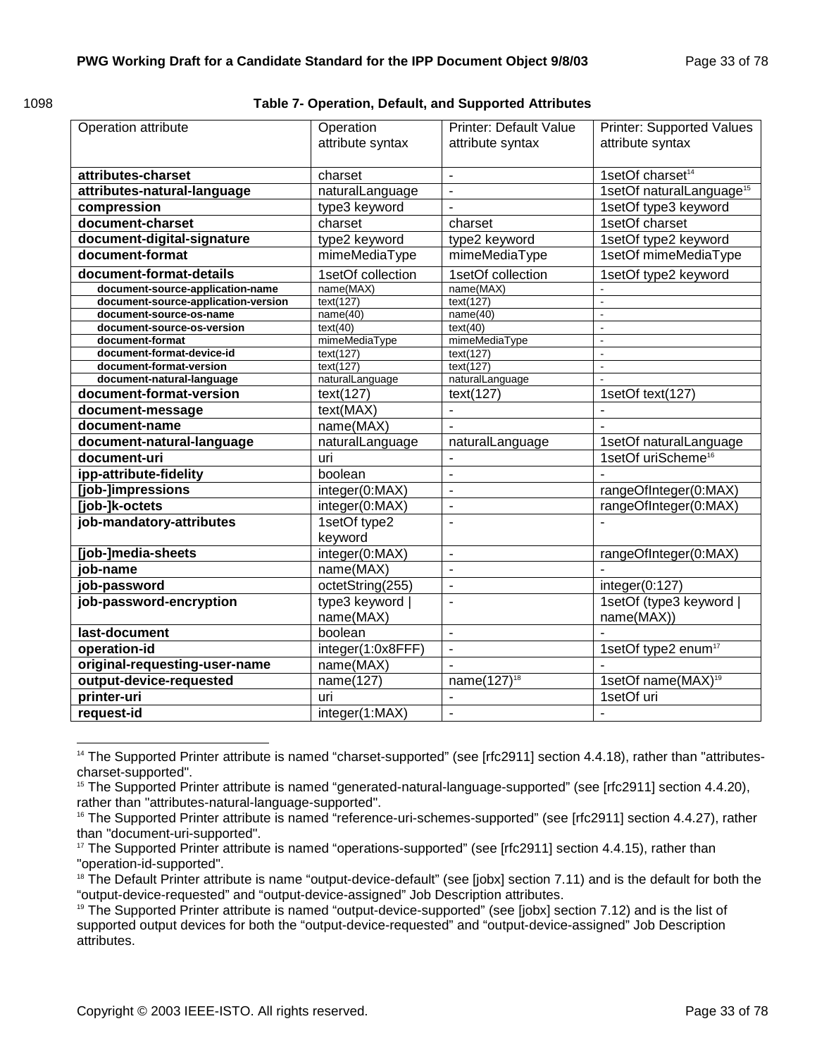**Table 7- Operation, Default, and Supported Attributes** 

| Operation attribute                          | Operation<br>attribute syntax | <b>Printer: Default Value</b><br>attribute syntax | <b>Printer: Supported Values</b><br>attribute syntax |  |
|----------------------------------------------|-------------------------------|---------------------------------------------------|------------------------------------------------------|--|
| attributes-charset                           | charset                       | $\blacksquare$                                    | 1setOf charset <sup>14</sup>                         |  |
| attributes-natural-language                  | naturalLanguage               | $\blacksquare$                                    | 1setOf naturalLanguage <sup>15</sup>                 |  |
| compression                                  | type3 keyword                 | $\blacksquare$                                    | 1setOf type3 keyword                                 |  |
| document-charset                             | charset                       | charset                                           | 1setOf charset                                       |  |
| document-digital-signature                   | type2 keyword                 | type2 keyword                                     | 1setOf type2 keyword                                 |  |
| document-format                              | mimeMediaType                 | mimeMediaType                                     | 1setOf mimeMediaType                                 |  |
| document-format-details                      | 1setOf collection             | 1setOf collection                                 | 1setOf type2 keyword                                 |  |
| document-source-application-name             | name(MAX)                     | name(MAX)                                         |                                                      |  |
| document-source-application-version          | text(127)                     | text(127)                                         |                                                      |  |
| document-source-os-name                      | name(40)                      | name(40)                                          | $\overline{a}$                                       |  |
| document-source-os-version                   | text(40)<br>mimeMediaType     | text(40)<br>mimeMediaType                         | ä,<br>$\blacksquare$                                 |  |
| document-format<br>document-format-device-id | text(127)                     | text(127)                                         | $\overline{a}$                                       |  |
| document-format-version                      | text(127)                     | text(127)                                         | $\blacksquare$                                       |  |
| document-natural-language                    | naturalLanguage               | naturalLanguage                                   |                                                      |  |
| document-format-version                      | text(127)                     | text(127)                                         | 1setOf text(127)                                     |  |
| document-message                             | text(MAX)                     | $\blacksquare$                                    |                                                      |  |
| document-name                                | name(MAX)                     |                                                   |                                                      |  |
| document-natural-language                    | naturalLanguage               | naturalLanguage                                   | 1setOf naturalLanguage                               |  |
| document-uri                                 | uri                           | ÷                                                 | 1setOf uriScheme <sup>16</sup>                       |  |
| ipp-attribute-fidelity                       | boolean                       | L,                                                |                                                      |  |
| [job-]impressions                            | integer(0:MAX)                | $\overline{a}$                                    | rangeOfInteger(0:MAX)                                |  |
| [job-]k-octets                               | integer(0:MAX)                | $\blacksquare$                                    | rangeOfInteger(0:MAX)                                |  |
| job-mandatory-attributes                     | 1setOf type2<br>keyword       | $\blacksquare$                                    | L,                                                   |  |
| [job-]media-sheets                           | integer(0:MAX)                | $\blacksquare$                                    | rangeOfInteger(0:MAX)                                |  |
| job-name                                     | name(MAX)                     | $\sim$                                            |                                                      |  |
| job-password                                 | octetString(255)              | $\blacksquare$                                    | integer(0:127)                                       |  |
| job-password-encryption                      | type3 keyword  <br>name(MAX)  | L.                                                | 1setOf (type3 keyword  <br>name(MAX))                |  |
| last-document                                | boolean                       | $\overline{a}$                                    |                                                      |  |
| operation-id                                 | integer(1:0x8FFF)             | $\overline{a}$                                    | 1setOf type2 enum <sup>17</sup>                      |  |
| original-requesting-user-name                | name(MAX)                     |                                                   |                                                      |  |
| output-device-requested                      | name(127)                     | name $(127)^{18}$                                 | 1setOf name(MAX) <sup>19</sup>                       |  |
| printer-uri                                  | uri                           | L.                                                | 1setOf uri                                           |  |
| request-id                                   | integer(1:MAX)                | $\blacksquare$                                    |                                                      |  |

l <sup>14</sup> The Supported Printer attribute is named "charset-supported" (see [rfc2911] section 4.4.18), rather than "attributescharset-supported".

<sup>&</sup>lt;sup>15</sup> The Supported Printer attribute is named "generated-natural-language-supported" (see [rfc2911] section 4.4.20), rather than "attributes-natural-language-supported".

<sup>&</sup>lt;sup>16</sup> The Supported Printer attribute is named "reference-uri-schemes-supported" (see [rfc2911] section 4.4.27), rather than "document-uri-supported".

<sup>&</sup>lt;sup>17</sup> The Supported Printer attribute is named "operations-supported" (see [rfc2911] section 4.4.15), rather than "operation-id-supported".

<sup>&</sup>lt;sup>18</sup> The Default Printer attribute is name "output-device-default" (see [jobx] section 7.11) and is the default for both the "output-device-requested" and "output-device-assigned" Job Description attributes.

<sup>&</sup>lt;sup>19</sup> The Supported Printer attribute is named "output-device-supported" (see [jobx] section 7.12) and is the list of supported output devices for both the "output-device-requested" and "output-device-assigned" Job Description attributes.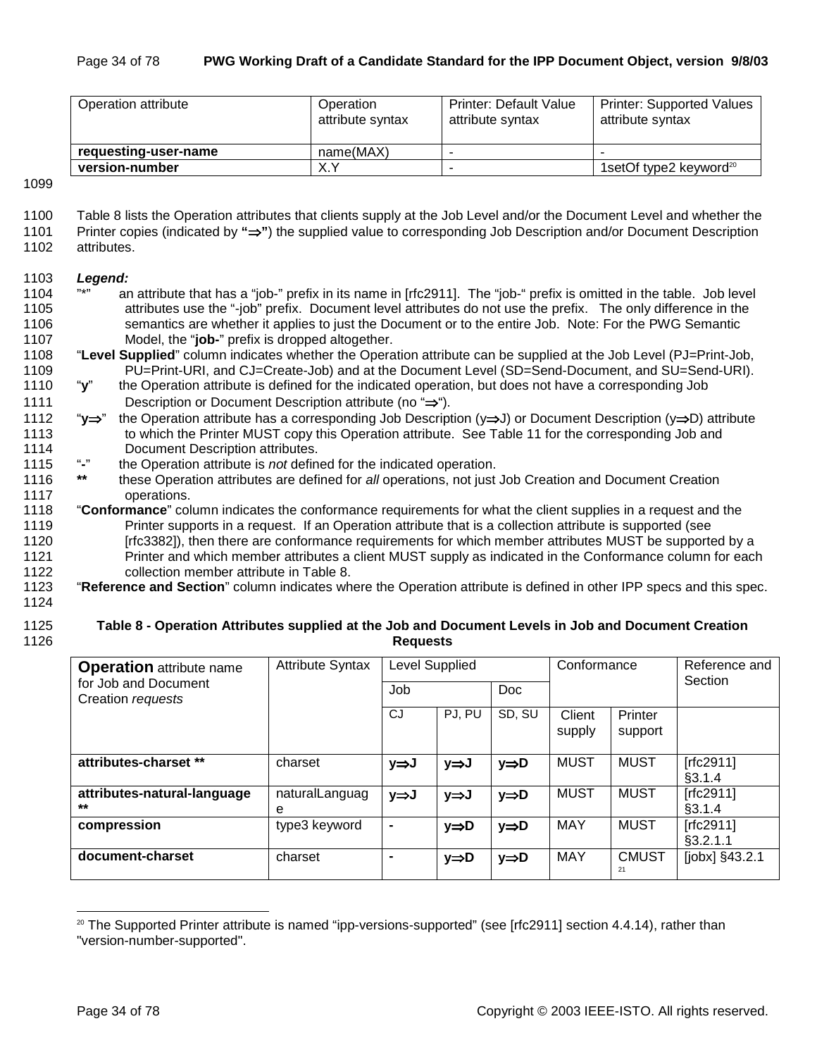| Operation attribute  | Operation<br>attribute syntax | <b>Printer: Default Value</b><br>attribute syntax | <b>Printer: Supported Values</b><br>attribute syntax |
|----------------------|-------------------------------|---------------------------------------------------|------------------------------------------------------|
| requesting-user-name | name(MAX)                     |                                                   | $\overline{\phantom{a}}$                             |
| version-number       | X.Y                           |                                                   | 1setOf type2 keyword <sup>20</sup>                   |

1099

- 1100 Table 8 lists the Operation attributes that clients supply at the Job Level and/or the Document Level and whether the
- 1101 Printer copies (indicated by **"**⇒**"**) the supplied value to corresponding Job Description and/or Document Description 1102 attributes.
- 

#### 1103 *Legend:*

- 1104 "\*" an attribute that has a "job-" prefix in its name in [rfc2911]. The "job-" prefix is omitted in the table. Job level 1105 attributes use the "-job" prefix. Document level attributes do not use the prefix. The only difference in the 1106 semantics are whether it applies to just the Document or to the entire Job. Note: For the PWG Semantic 1107 Model, the "**job-**" prefix is dropped altogether.
- 1108 "**Level Supplied**" column indicates whether the Operation attribute can be supplied at the Job Level (PJ=Print-Job, 1109 PU=Print-URI, and CJ=Create-Job) and at the Document Level (SD=Send-Document, and SU=Send-URI).
- 1110 "**y**" the Operation attribute is defined for the indicated operation, but does not have a corresponding Job 1111 Description or Document Description attribute (no "⇒").
- 1112 "**y**⇒" the Operation attribute has a corresponding Job Description (y⇒J) or Document Description (y⇒D) attribute 1113 to which the Printer MUST copy this Operation attribute. See Table 11 for the corresponding Job and 1114 Document Description attributes.
- 1115 "**-**" the Operation attribute is *not* defined for the indicated operation.
- 1116 **\*\*** these Operation attributes are defined for *all* operations, not just Job Creation and Document Creation 1117 operations.
- 1118 "**Conformance**" column indicates the conformance requirements for what the client supplies in a request and the 1119 Printer supports in a request. If an Operation attribute that is a collection attribute is supported (see 1120 [rfc3382]), then there are conformance requirements for which member attributes MUST be supported by a
- 1121 Printer and which member attributes a client MUST supply as indicated in the Conformance column for each 1122 collection member attribute in Table 8.

### 1123 "**Reference and Section**" column indicates where the Operation attribute is defined in other IPP specs and this spec.

1124

#### 1125 **Table 8 - Operation Attributes supplied at the Job and Document Levels in Job and Document Creation**  1126 **Requests**

| <b>Operation</b> attribute name           | <b>Attribute Syntax</b> | Level Supplied |        |        | Conformance |                    | Reference and<br>Section |
|-------------------------------------------|-------------------------|----------------|--------|--------|-------------|--------------------|--------------------------|
| for Job and Document<br>Creation requests |                         | Job<br>Doc     |        |        |             |                    |                          |
|                                           |                         | <b>CJ</b>      | PJ, PU | SD, SU | Client      | Printer            |                          |
|                                           |                         |                |        |        | supply      | support            |                          |
| attributes-charset **                     | charset                 | y⇒J            | y⇒J    | y⇒D    | <b>MUST</b> | <b>MUST</b>        | [rfc2911]                |
|                                           |                         |                |        |        |             |                    | §3.1.4                   |
| attributes-natural-language               | naturalLanguag          | y⇒J            | y⇒J    | y⇒D    | <b>MUST</b> | <b>MUST</b>        | [rfc2911]                |
| $***$                                     | е                       |                |        |        |             |                    | §3.1.4                   |
| compression                               | type3 keyword           | $\blacksquare$ | y⇒D    | y⇒D    | MAY         | <b>MUST</b>        | [ $rfc2911$ ]            |
|                                           |                         |                |        |        |             |                    | §3.2.1.1                 |
| document-charset                          | charset                 | $\blacksquare$ | y⇒D    | y⇒D    | <b>MAY</b>  | <b>CMUST</b><br>21 | $[jobx]$ §43.2.1         |
|                                           |                         |                |        |        |             |                    |                          |

 $20$  The Supported Printer attribute is named "ipp-versions-supported" (see [rfc2911] section 4.4.14), rather than "version-number-supported".

l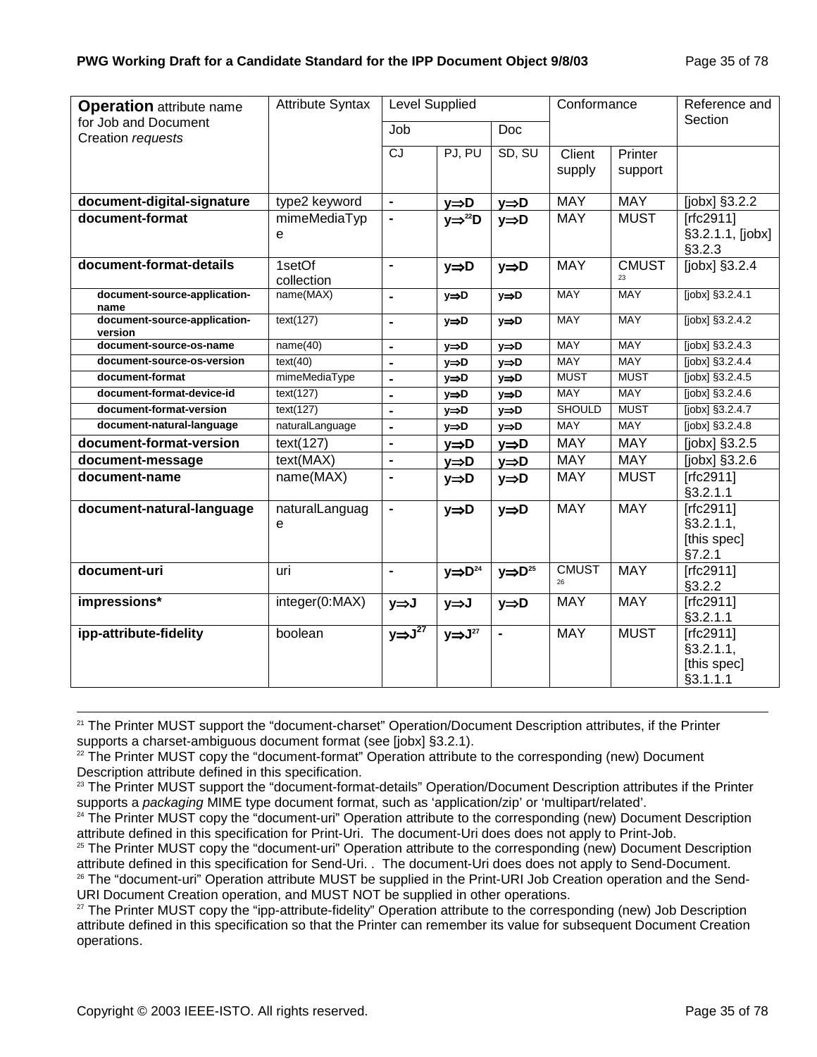| <b>Attribute Syntax</b> | <b>Level Supplied</b>                                                                                              |                        |                                                                                            | Conformance                                                                                        |                                                             | Reference and                           |
|-------------------------|--------------------------------------------------------------------------------------------------------------------|------------------------|--------------------------------------------------------------------------------------------|----------------------------------------------------------------------------------------------------|-------------------------------------------------------------|-----------------------------------------|
|                         | Job                                                                                                                |                        | Doc                                                                                        |                                                                                                    |                                                             | Section                                 |
|                         | CJ                                                                                                                 | PJ, PU                 | SD, SU                                                                                     | Client                                                                                             | Printer                                                     |                                         |
|                         |                                                                                                                    |                        |                                                                                            | supply                                                                                             | support                                                     |                                         |
|                         | $\blacksquare$                                                                                                     |                        |                                                                                            | <b>MAY</b>                                                                                         | <b>MAY</b>                                                  | [ $j$ obx] $§3.2.2$                     |
| mimeMediaTyp            | $\blacksquare$                                                                                                     |                        |                                                                                            | <b>MAY</b>                                                                                         | <b>MUST</b>                                                 | [rfc2911]                               |
| e                       |                                                                                                                    |                        |                                                                                            |                                                                                                    |                                                             | §3.2.1.1, [jobx]<br>§3.2.3              |
| 1setOf<br>collection    | $\blacksquare$                                                                                                     | y⇒D                    | $y \Rightarrow D$                                                                          | <b>MAY</b>                                                                                         | <b>CMUST</b>                                                | [jobx] $§3.\overline{2.4}$              |
|                         | $\blacksquare$                                                                                                     | y⇒D                    | $y \Rightarrow D$                                                                          | <b>MAY</b>                                                                                         | <b>MAY</b>                                                  | [jobx] §3.2.4.1                         |
| text(127)               | $\blacksquare$                                                                                                     | $y \Rightarrow D$      | $y \Rightarrow D$                                                                          | <b>MAY</b>                                                                                         | <b>MAY</b>                                                  | [jobx] §3.2.4.2                         |
| name(40)                | $\blacksquare$                                                                                                     | $y \Rightarrow D$      | $y \Rightarrow D$                                                                          | <b>MAY</b>                                                                                         | <b>MAY</b>                                                  | $[jobx]$ §3.2.4.3                       |
| text(40)                | $\blacksquare$                                                                                                     | $y \Rightarrow D$      | $y \Rightarrow D$                                                                          | <b>MAY</b>                                                                                         | <b>MAY</b>                                                  | [jobx] §3.2.4.4                         |
|                         | $\blacksquare$                                                                                                     | y⇒D                    | $y \Rightarrow D$                                                                          |                                                                                                    | <b>MUST</b>                                                 | [jobx] §3.2.4.5                         |
| text(127)               | $\blacksquare$                                                                                                     | y⇒D                    | $y \Rightarrow D$                                                                          | <b>MAY</b>                                                                                         | <b>MAY</b>                                                  | [jobx] §3.2.4.6                         |
| text(127)               | $\blacksquare$                                                                                                     | y⇒D                    | $y \Rightarrow D$                                                                          | <b>SHOULD</b>                                                                                      | <b>MUST</b>                                                 | [jobx] §3.2.4.7                         |
|                         | $\blacksquare$                                                                                                     | y⇒D                    |                                                                                            | MAY                                                                                                | MAY                                                         | [jobx] §3.2.4.8                         |
| text(127)               | $\blacksquare$                                                                                                     | y⇒D                    | y⇒D                                                                                        | <b>MAY</b>                                                                                         | <b>MAY</b>                                                  | [jobx] §3.2.5                           |
| text(MAX)               | $\blacksquare$                                                                                                     | y⇒D                    | $y \Rightarrow D$                                                                          | <b>MAY</b>                                                                                         | <b>MAY</b>                                                  | [jobx] §3.2.6                           |
| name(MAX)               | $\blacksquare$                                                                                                     | $y \Rightarrow D$      | y⇒D                                                                                        | <b>MAY</b>                                                                                         | <b>MUST</b>                                                 | [rfc2911]<br>§3.2.1.1                   |
|                         |                                                                                                                    |                        |                                                                                            |                                                                                                    |                                                             | [ $rfc2911$ ]                           |
|                         |                                                                                                                    |                        |                                                                                            |                                                                                                    |                                                             | §3.2.1.1,                               |
|                         |                                                                                                                    |                        |                                                                                            |                                                                                                    |                                                             | [this spec]                             |
|                         |                                                                                                                    |                        |                                                                                            |                                                                                                    |                                                             | §7.2.1                                  |
| uri                     | $\blacksquare$                                                                                                     | $y \Rightarrow D^{24}$ | $y \Rightarrow D^{25}$                                                                     | <b>CMUST</b>                                                                                       | <b>MAY</b>                                                  | $[rfc2911]$                             |
|                         |                                                                                                                    |                        |                                                                                            |                                                                                                    |                                                             | §3.2.2                                  |
|                         | y⇒J                                                                                                                | y⇒J                    | $y \Rightarrow D$                                                                          |                                                                                                    |                                                             | [rfc2911]<br>§3.2.1.1                   |
|                         |                                                                                                                    |                        |                                                                                            |                                                                                                    |                                                             | $[rfc2911]$                             |
|                         |                                                                                                                    |                        |                                                                                            |                                                                                                    |                                                             | §3.2.1.1,                               |
|                         |                                                                                                                    |                        |                                                                                            |                                                                                                    |                                                             | [this spec]                             |
|                         |                                                                                                                    |                        |                                                                                            |                                                                                                    |                                                             | §3.1.1.1                                |
|                         | type2 keyword<br>name(MAX)<br>mimeMediaType<br>naturalLanguage<br>naturalLanguag<br>е<br>integer(0:MAX)<br>boolean | $y \Rightarrow J^{27}$ | $y \Rightarrow D$<br>$y \Rightarrow^{22} D$<br>$y \Rightarrow D$<br>$y \Rightarrow J^{27}$ | $y \Rightarrow D$<br>$y \Rightarrow D$<br>$y \Rightarrow D$<br>$y \Rightarrow D$<br>$\blacksquare$ | <b>MUST</b><br><b>MAY</b><br>26<br><b>MAY</b><br><b>MAY</b> | <b>MAY</b><br><b>MAY</b><br><b>MUST</b> |

<sup>&</sup>lt;sup>21</sup> The Printer MUST support the "document-charset" Operation/Document Description attributes, if the Printer supports a charset-ambiguous document format (see [jobx] §3.2.1).

<sup>&</sup>lt;sup>22</sup> The Printer MUST copy the "document-format" Operation attribute to the corresponding (new) Document Description attribute defined in this specification.

<sup>&</sup>lt;sup>23</sup> The Printer MUST support the "document-format-details" Operation/Document Description attributes if the Printer supports a *packaging* MIME type document format, such as 'application/zip' or 'multipart/related'.<br><sup>24</sup> The Printer MUST copy the "document-uri" Operation attribute to the corresponding (new) Document Description

attribute defined in this specification for Print-Uri. The document-Uri does does not apply to Print-Job.

<sup>&</sup>lt;sup>25</sup> The Printer MUST copy the "document-uri" Operation attribute to the corresponding (new) Document Description attribute defined in this specification for Send-Uri. . The document-Uri does does not apply to Send-Document.

<sup>&</sup>lt;sup>26</sup> The "document-uri" Operation attribute MUST be supplied in the Print-URI Job Creation operation and the Send-URI Document Creation operation, and MUST NOT be supplied in other operations.

<sup>&</sup>lt;sup>27</sup> The Printer MUST copy the "ipp-attribute-fidelity" Operation attribute to the corresponding (new) Job Description attribute defined in this specification so that the Printer can remember its value for subsequent Document Creation operations.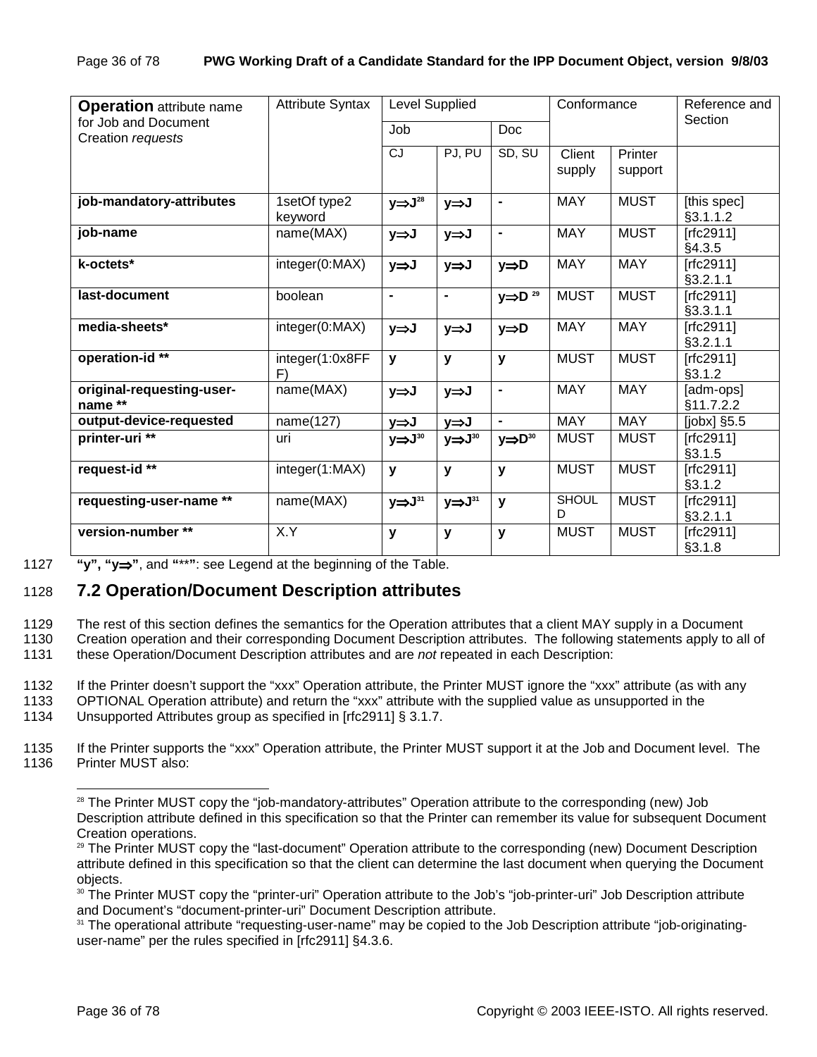| <b>Attribute Syntax</b><br><b>Operation</b> attribute name |                         |                              | <b>Level Supplied</b>  |                        |                   | Conformance        | Reference and             |
|------------------------------------------------------------|-------------------------|------------------------------|------------------------|------------------------|-------------------|--------------------|---------------------------|
| for Job and Document<br>Creation requests                  |                         | Job                          | Doc                    |                        |                   |                    | Section                   |
|                                                            |                         | $\overline{c}$               | PJ, PU                 | SD, SU                 | Client<br>supply  | Printer<br>support |                           |
| job-mandatory-attributes                                   | 1setOf type2<br>keyword | $y \Rightarrow J^{28}$       | y⇒J                    | $\blacksquare$         | <b>MAY</b>        | <b>MUST</b>        | [this spec]<br>§3.1.1.2   |
| job-name                                                   | name(MAX)               | y⇒J                          | y⇒J                    | $\blacksquare$         | <b>MAY</b>        | <b>MUST</b>        | [rfc2911]<br>§4.3.5       |
| k-octets*                                                  | integer(0:MAX)          | y⇒J                          | y⇒J                    | y⇒D                    | MAY               | <b>MAY</b>         | [ $rfc2911$ ]<br>§3.2.1.1 |
| last-document                                              | boolean                 | $\qquad \qquad \blacksquare$ | $\blacksquare$         | $y \Rightarrow D^{29}$ | <b>MUST</b>       | <b>MUST</b>        | $[rfc2911]$<br>§3.3.1.1   |
| media-sheets*                                              | integer(0:MAX)          | y⇒J                          | y⇒J                    | y⇒D                    | <b>MAY</b>        | <b>MAY</b>         | [ $rfc2911$ ]<br>§3.2.1.1 |
| operation-id <sup>**</sup>                                 | integer(1:0x8FF<br>F)   | y                            | y                      | y                      | <b>MUST</b>       | <b>MUST</b>        | [ $rfc2911$ ]<br>§3.1.2   |
| original-requesting-user-<br>name **                       | name(MAX)               | y⇒J                          | y⇒J                    | $\blacksquare$         | <b>MAY</b>        | <b>MAY</b>         | [adm-ops]<br>§11.7.2.2    |
| output-device-requested                                    | name(127)               | y⇒J                          | y⇒J                    |                        | <b>MAY</b>        | <b>MAY</b>         | [ $j$ obx] $§5.5$         |
| printer-uri <sup>**</sup>                                  | uri                     | $y \Rightarrow J^{30}$       | $y \Rightarrow J^{30}$ | $y \Rightarrow D^{30}$ | <b>MUST</b>       | <b>MUST</b>        | [rfc2911]<br>§3.1.5       |
| request- $id**$                                            | integer(1:MAX)          | y                            | y                      | $\mathbf{y}$           | <b>MUST</b>       | <b>MUST</b>        | [ $rfc2911$ ]<br>§3.1.2   |
| requesting-user-name **                                    | name(MAX)               | $y \Rightarrow J^{31}$       | $y \Rightarrow J^{31}$ | y                      | <b>SHOUL</b><br>D | <b>MUST</b>        | [ $rfc2911$ ]<br>§3.2.1.1 |
| version-number **                                          | X.Y                     | у                            | y                      | y                      | <b>MUST</b>       | <b>MUST</b>        | $[rfc2911]$<br>§3.1.8     |

l

1127 **"y", "y**⇒**"**, and **"**\*\***"**: see Legend at the beginning of the Table.

### 1128 **7.2 Operation/Document Description attributes**

1129 The rest of this section defines the semantics for the Operation attributes that a client MAY supply in a Document

1130 Creation operation and their corresponding Document Description attributes. The following statements apply to all of 1131 these Operation/Document Description attributes and are *not* repeated in each Description:

1132 If the Printer doesn't support the "xxx" Operation attribute, the Printer MUST ignore the "xxx" attribute (as with any

1133 OPTIONAL Operation attribute) and return the "xxx" attribute with the supplied value as unsupported in the

1134 Unsupported Attributes group as specified in [rfc2911] § 3.1.7.

1135 If the Printer supports the "xxx" Operation attribute, the Printer MUST support it at the Job and Document level. The 1136 Printer MUST also:

<sup>&</sup>lt;sup>28</sup> The Printer MUST copy the "job-mandatory-attributes" Operation attribute to the corresponding (new) Job Description attribute defined in this specification so that the Printer can remember its value for subsequent Document Creation operations.

<sup>&</sup>lt;sup>29</sup> The Printer MUST copy the "last-document" Operation attribute to the corresponding (new) Document Description attribute defined in this specification so that the client can determine the last document when querying the Document objects.

<sup>30</sup> The Printer MUST copy the "printer-uri" Operation attribute to the Job's "job-printer-uri" Job Description attribute and Document's "document-printer-uri" Document Description attribute.

<sup>&</sup>lt;sup>31</sup> The operational attribute "requesting-user-name" may be copied to the Job Description attribute "job-originatinguser-name" per the rules specified in [rfc2911] §4.3.6.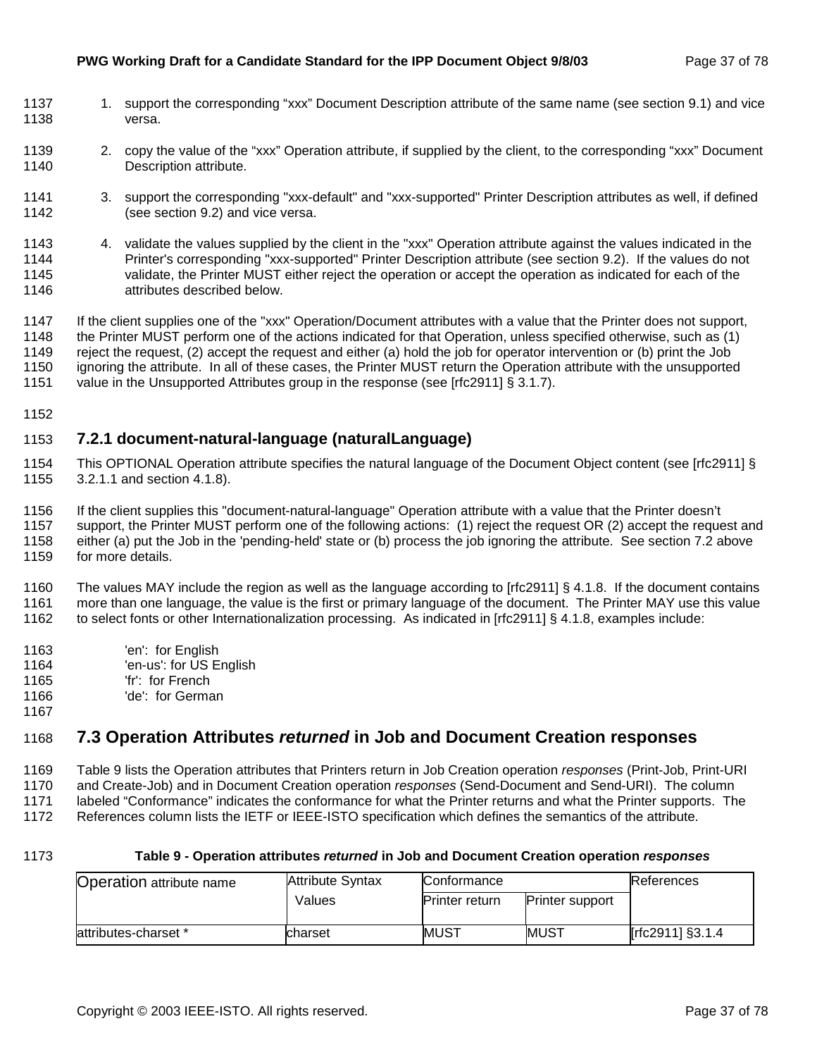#### **PWG Working Draft for a Candidate Standard for the IPP Document Object 9/8/03** Page 37 of 78

- 1137 1. support the corresponding "xxx" Document Description attribute of the same name (see section 9.1) and vice 1138 versa.
- 1139 2. copy the value of the "xxx" Operation attribute, if supplied by the client, to the corresponding "xxx" Document 1140 Description attribute.
- 1141 3. support the corresponding "xxx-default" and "xxx-supported" Printer Description attributes as well, if defined 1142 (see section 9.2) and vice versa.
- 1143 4. validate the values supplied by the client in the "xxx" Operation attribute against the values indicated in the 1144 Printer's corresponding "xxx-supported" Printer Description attribute (see section 9.2). If the values do not 1145 validate, the Printer MUST either reject the operation or accept the operation as indicated for each of the 1146 attributes described below.
- 1147 If the client supplies one of the "xxx" Operation/Document attributes with a value that the Printer does not support, 1148 the Printer MUST perform one of the actions indicated for that Operation, unless specified otherwise, such as (1) 1149 reject the request, (2) accept the request and either (a) hold the job for operator intervention or (b) print the Job 1150 ignoring the attribute. In all of these cases, the Printer MUST return the Operation attribute with the unsupported
- 1151 value in the Unsupported Attributes group in the response (see [rfc2911] § 3.1.7).
- 1152

## 1153 **7.2.1 document-natural-language (naturalLanguage)**

- 1154 This OPTIONAL Operation attribute specifies the natural language of the Document Object content (see [rfc2911] § 1155 3.2.1.1 and section 4.1.8).
- 1156 If the client supplies this "document-natural-language" Operation attribute with a value that the Printer doesn't
- 1157 support, the Printer MUST perform one of the following actions: (1) reject the request OR (2) accept the request and
- 1158 either (a) put the Job in the 'pending-held' state or (b) process the job ignoring the attribute. See section 7.2 above
- 1159 for more details.

1160 The values MAY include the region as well as the language according to [rfc2911] § 4.1.8. If the document contains 1161 more than one language, the value is the first or primary language of the document. The Printer MAY use this value 1162 to select fonts or other Internationalization processing. As indicated in [rfc2911] § 4.1.8, examples include:

- 1163 'en': for English
- 1164 'en-us': for US English
- 1165 'fr': for French
- 1166 'de': for German
- 1167

## 1168 **7.3 Operation Attributes** *returned* **in Job and Document Creation responses**

1169 Table 9 lists the Operation attributes that Printers return in Job Creation operation *responses* (Print-Job, Print-URI

- 1170 and Create-Job) and in Document Creation operation *responses* (Send-Document and Send-URI). The column
- 1171 labeled "Conformance" indicates the conformance for what the Printer returns and what the Printer supports. The
- 1172 References column lists the IETF or IEEE-ISTO specification which defines the semantics of the attribute.
- 

#### 1173 **Table 9 - Operation attributes** *returned* **in Job and Document Creation operation** *responses*

| <b>Operation attribute name</b> | <b>Attribute Syntax</b> | Conformance           |                        | References       |
|---------------------------------|-------------------------|-----------------------|------------------------|------------------|
|                                 | Values                  | <b>Printer return</b> | <b>Printer support</b> |                  |
| attributes-charset *            | charset                 | MUST                  | <b>IMUST</b>           | [rfc2911] §3.1.4 |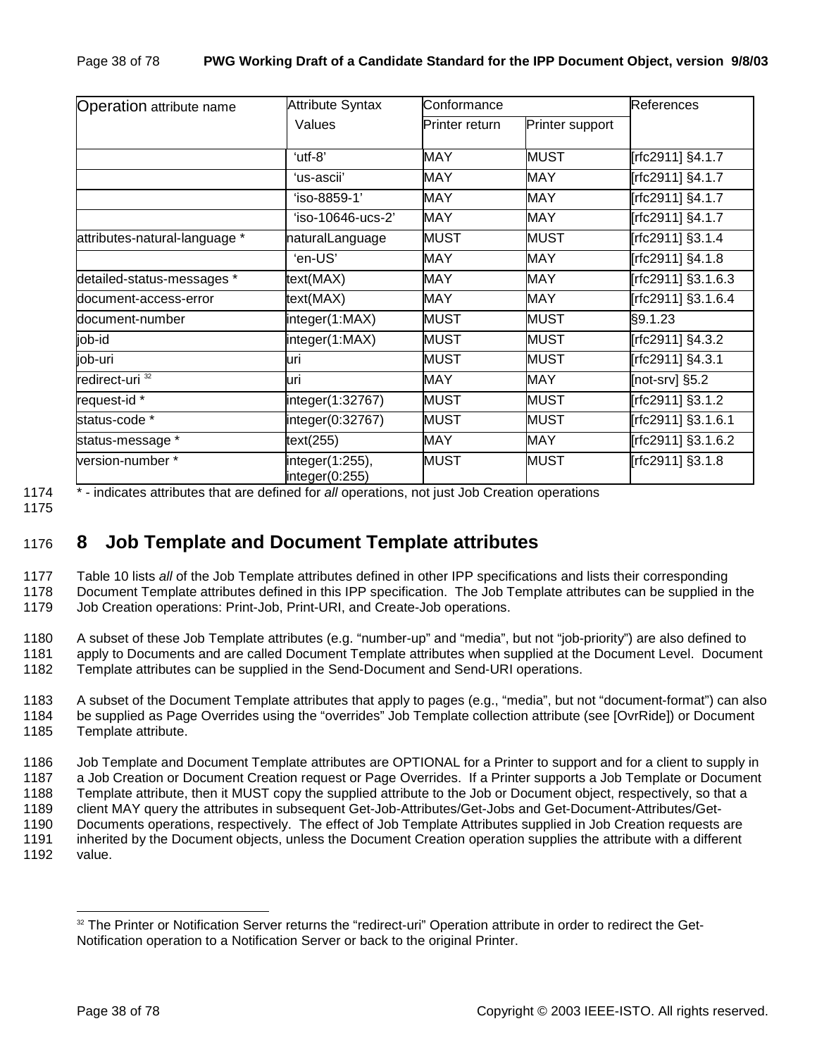| Attribute Syntax<br><b>Operation attribute name</b><br>Values |                                   | Conformance    |                 | References         |
|---------------------------------------------------------------|-----------------------------------|----------------|-----------------|--------------------|
|                                                               |                                   | Printer return | Printer support |                    |
|                                                               | 'utf-8"                           | <b>MAY</b>     | <b>MUST</b>     | [rfc2911] §4.1.7   |
|                                                               | 'us-ascii'                        | <b>MAY</b>     | <b>MAY</b>      | Frfc2911] §4.1.7   |
|                                                               | 'iso-8859-1'                      | <b>MAY</b>     | <b>MAY</b>      | [rfc2911] §4.1.7   |
|                                                               | $'$ iso-10646-ucs-2'              | <b>MAY</b>     | <b>MAY</b>      | [rfc2911] §4.1.7   |
| attributes-natural-language *                                 | naturalLanguage                   | <b>MUST</b>    | <b>MUST</b>     | [rfc2911] §3.1.4   |
|                                                               | 'en-US'                           | <b>MAY</b>     | <b>MAY</b>      | [rfc2911] §4.1.8   |
| detailed-status-messages *                                    | text(MAX)                         | <b>MAY</b>     | <b>MAY</b>      | [rfc2911] §3.1.6.3 |
| document-access-error                                         | text(MAX)                         | MAY            | <b>MAY</b>      | [rfc2911] §3.1.6.4 |
| document-number                                               | integer(1:MAX)                    | <b>MUST</b>    | <b>MUST</b>     | §9.1.23            |
| $job$ - $id$                                                  | integer(1:MAX)                    | <b>MUST</b>    | <b>MUST</b>     | [rfc2911] §4.3.2   |
| job-uri                                                       | uri                               | <b>MUST</b>    | <b>MUST</b>     | [rfc2911] §4.3.1   |
| redirect-uri <sup>32</sup>                                    | uri                               | <b>MAY</b>     | <b>MAY</b>      | [not-srv] $§5.2$   |
| request-id *                                                  | integer(1:32767)                  | <b>MUST</b>    | <b>MUST</b>     | [rfc2911] §3.1.2   |
| status-code *                                                 | integer(0:32767)                  | <b>MUST</b>    | <b>MUST</b>     | [rfc2911] §3.1.6.1 |
| status-message *                                              | text(255)                         | MAY            | <b>MAY</b>      | [rfc2911] §3.1.6.2 |
| version-number*                                               | integer(1:255),<br>integer(0:255) | <b>MUST</b>    | <b>MUST</b>     | [rfc2911] §3.1.8   |

1174 \* - indicates attributes that are defined for *all* operations, not just Job Creation operations

1175

## 1176 **8 Job Template and Document Template attributes**

1177 Table 10 lists *all* of the Job Template attributes defined in other IPP specifications and lists their corresponding 1178 Document Template attributes defined in this IPP specification. The Job Template attributes can be supplied in the 1179 Job Creation operations: Print-Job, Print-URI, and Create-Job operations.

1180 A subset of these Job Template attributes (e.g. "number-up" and "media", but not "job-priority") are also defined to 1181 apply to Documents and are called Document Template attributes when supplied at the Document Level. Document 1182 Template attributes can be supplied in the Send-Document and Send-URI operations.

1183 A subset of the Document Template attributes that apply to pages (e.g., "media", but not "document-format") can also 1184 be supplied as Page Overrides using the "overrides" Job Template collection attribute (see [OvrRide]) or Document 1185 Template attribute.

1186 Job Template and Document Template attributes are OPTIONAL for a Printer to support and for a client to supply in 1187 a Job Creation or Document Creation request or Page Overrides. If a Printer supports a Job Template or Document 1188 Template attribute, then it MUST copy the supplied attribute to the Job or Document object, respectively, so that a 1189 client MAY query the attributes in subsequent Get-Job-Attributes/Get-Jobs and Get-Document-Attributes/Get-1190 Documents operations, respectively. The effect of Job Template Attributes supplied in Job Creation requests are 1191 inherited by the Document objects, unless the Document Creation operation supplies the attribute with a different

1192 value.

<sup>&</sup>lt;sup>32</sup> The Printer or Notification Server returns the "redirect-uri" Operation attribute in order to redirect the Get-Notification operation to a Notification Server or back to the original Printer.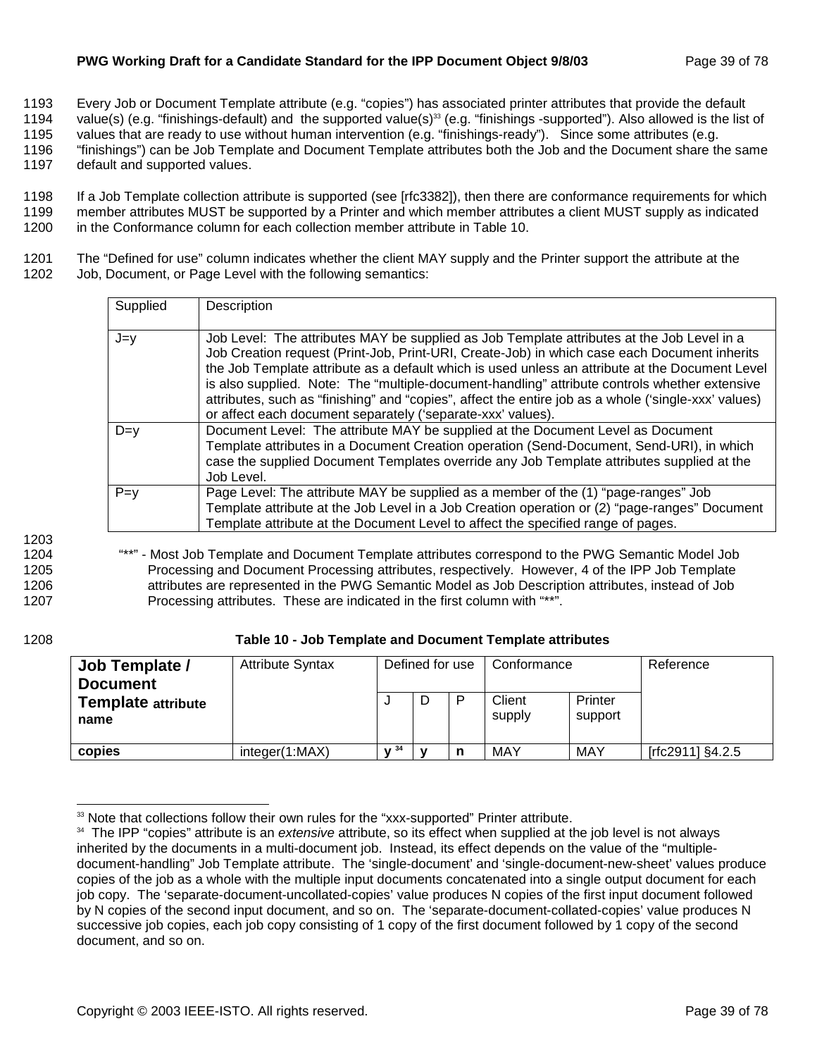### **PWG Working Draft for a Candidate Standard for the IPP Document Object 9/8/03** Page 39 of 78

1193 Every Job or Document Template attribute (e.g. "copies") has associated printer attributes that provide the default

1194 value(s) (e.g. "finishings-default) and the supported value(s)<sup>33</sup> (e.g. "finishings -supported"). Also allowed is the list of

1195 values that are ready to use without human intervention (e.g. "finishings-ready"). Since some attributes (e.g.

1196 "finishings") can be Job Template and Document Template attributes both the Job and the Document share the same 1197 default and supported values.

1198 If a Job Template collection attribute is supported (see [rfc3382]), then there are conformance requirements for which 1199 member attributes MUST be supported by a Printer and which member attributes a client MUST supply as indicated 1200 in the Conformance column for each collection member attribute in Table 10.

1201 The "Defined for use" column indicates whether the client MAY supply and the Printer support the attribute at the 1202 Job, Document, or Page Level with the following semantics:

| Supplied | Description                                                                                                                                                                                                                                                                                                                                                                                                                                                                                                                                                           |
|----------|-----------------------------------------------------------------------------------------------------------------------------------------------------------------------------------------------------------------------------------------------------------------------------------------------------------------------------------------------------------------------------------------------------------------------------------------------------------------------------------------------------------------------------------------------------------------------|
| $J=y$    | Job Level: The attributes MAY be supplied as Job Template attributes at the Job Level in a<br>Job Creation request (Print-Job, Print-URI, Create-Job) in which case each Document inherits<br>the Job Template attribute as a default which is used unless an attribute at the Document Level<br>is also supplied. Note: The "multiple-document-handling" attribute controls whether extensive<br>attributes, such as "finishing" and "copies", affect the entire job as a whole ('single-xxx' values)<br>or affect each document separately ('separate-xxx' values). |
| $D=v$    | Document Level: The attribute MAY be supplied at the Document Level as Document<br>Template attributes in a Document Creation operation (Send-Document, Send-URI), in which<br>case the supplied Document Templates override any Job Template attributes supplied at the<br>Job Level.                                                                                                                                                                                                                                                                                |
| $P=y$    | Page Level: The attribute MAY be supplied as a member of the (1) "page-ranges" Job<br>Template attribute at the Job Level in a Job Creation operation or (2) "page-ranges" Document<br>Template attribute at the Document Level to affect the specified range of pages.                                                                                                                                                                                                                                                                                               |

1203

1204 "\*\*" - Most Job Template and Document Template attributes correspond to the PWG Semantic Model Job 1205 Processing and Document Processing attributes, respectively. However, 4 of the IPP Job Template 1206 attributes are represented in the PWG Semantic Model as Job Description attributes, instead of Job 1207 Processing attributes. These are indicated in the first column with "\*\*".

l

### 1208 **Table 10 - Job Template and Document Template attributes**

| Job Template /<br><b>Document</b> | <b>Attribute Syntax</b> | Defined for use |  | Conformance |                  | Reference          |                  |
|-----------------------------------|-------------------------|-----------------|--|-------------|------------------|--------------------|------------------|
| <b>Template attribute</b><br>name |                         |                 |  |             | Client<br>supply | Printer<br>support |                  |
| copies                            | integer(1:MAX)          | .734            |  |             | MAY              | <b>MAY</b>         | [rfc2911] §4.2.5 |

<sup>&</sup>lt;sup>33</sup> Note that collections follow their own rules for the "xxx-supported" Printer attribute.

<sup>34</sup> The IPP "copies" attribute is an *extensive* attribute, so its effect when supplied at the job level is not always inherited by the documents in a multi-document job. Instead, its effect depends on the value of the "multipledocument-handling" Job Template attribute. The 'single-document' and 'single-document-new-sheet' values produce copies of the job as a whole with the multiple input documents concatenated into a single output document for each job copy. The 'separate-document-uncollated-copies' value produces N copies of the first input document followed by N copies of the second input document, and so on. The 'separate-document-collated-copies' value produces N successive job copies, each job copy consisting of 1 copy of the first document followed by 1 copy of the second document, and so on.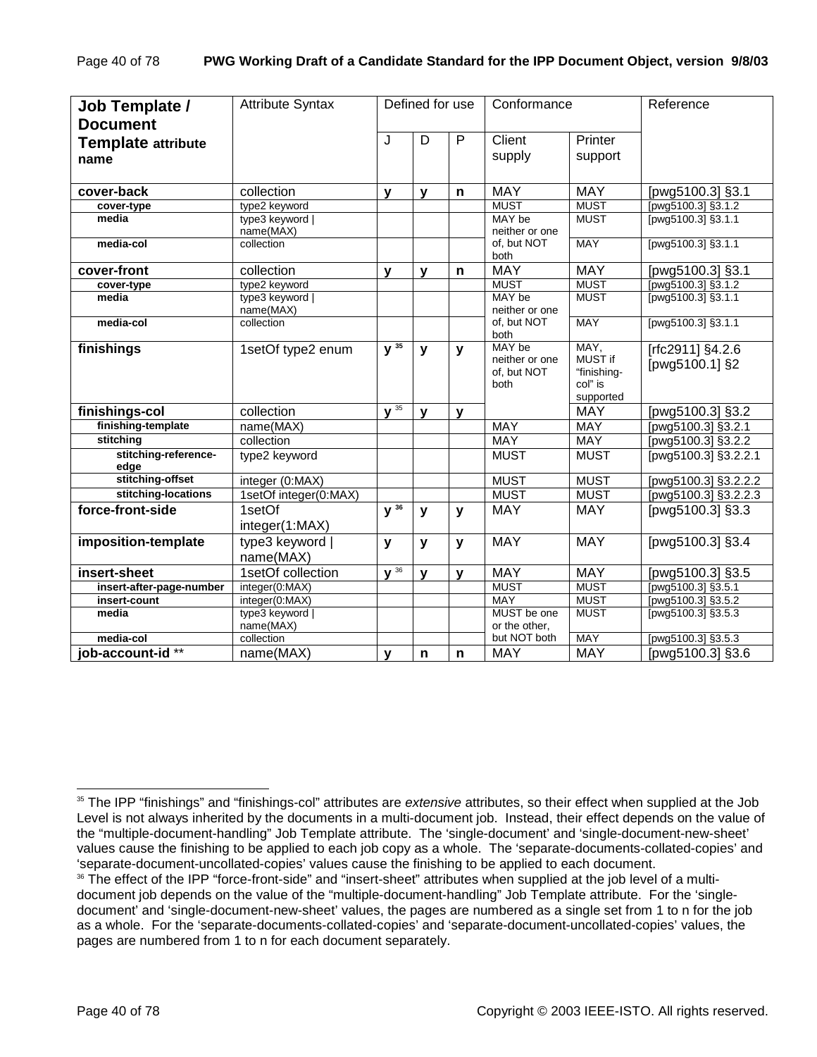| Job Template /<br><b>Document</b> | <b>Attribute Syntax</b>      |              | Defined for use |              | Conformance                                     |                                                        | Reference                          |
|-----------------------------------|------------------------------|--------------|-----------------|--------------|-------------------------------------------------|--------------------------------------------------------|------------------------------------|
| <b>Template attribute</b><br>name |                              | J            | D               | P            | Client<br>supply                                | Printer<br>support                                     |                                    |
| cover-back                        | collection                   | $\mathbf{V}$ | $\mathbf v$     | n            | <b>MAY</b>                                      | <b>MAY</b>                                             | [pwg5100.3] §3.1                   |
| cover-type                        | type2 keyword                |              |                 |              | <b>MUST</b>                                     | <b>MUST</b>                                            | [pwg5100.3] §3.1.2                 |
| media                             | type3 keyword  <br>name(MAX) |              |                 |              | MAY be<br>neither or one                        | <b>MUST</b>                                            | [pwg5100.3] §3.1.1                 |
| media-col                         | collection                   |              |                 |              | of, but NOT<br>both                             | <b>MAY</b>                                             | [pwg5100.3] §3.1.1                 |
| cover-front                       | collection                   | $\mathbf{y}$ | $\mathbf{v}$    | n            | <b>MAY</b>                                      | <b>MAY</b>                                             | [pwg5100.3] §3.1                   |
| cover-type                        | type2 keyword                |              |                 |              | <b>MUST</b>                                     | <b>MUST</b>                                            | [pwg5100.3] §3.1.2                 |
| media                             | type3 keyword  <br>name(MAX) |              |                 |              | MAY be<br>neither or one                        | <b>MUST</b>                                            | [pwg5100.3] §3.1.1                 |
| media-col                         | collection                   |              |                 |              | of, but NOT<br>both                             | <b>MAY</b>                                             | [pwg5100.3] §3.1.1                 |
| finishings                        | 1setOf type2 enum            | $y^{35}$     | $\mathbf{y}$    | y            | MAY be<br>neither or one<br>of, but NOT<br>both | MAY,<br>MUST if<br>"finishing-<br>col" is<br>supported | [rfc2911] §4.2.6<br>[pwg5100.1] §2 |
| finishings-col                    | collection                   | $\sqrt{35}$  | $\mathbf v$     | $\mathbf{v}$ |                                                 | <b>MAY</b>                                             | [pwg5100.3] §3.2                   |
| finishing-template                | name(MAX)                    |              |                 |              | <b>MAY</b>                                      | <b>MAY</b>                                             | [pwg5100.3] §3.2.1                 |
| stitching                         | collection                   |              |                 |              | <b>MAY</b>                                      | <b>MAY</b>                                             | [pwg5100.3] §3.2.2                 |
| stitching-reference-<br>edge      | type2 keyword                |              |                 |              | <b>MUST</b>                                     | <b>MUST</b>                                            | [pwg5100.3] §3.2.2.1               |
| stitching-offset                  | integer (0:MAX)              |              |                 |              | <b>MUST</b>                                     | <b>MUST</b>                                            | [pwg5100.3] §3.2.2.2               |
| stitching-locations               | 1setOf integer(0:MAX)        |              |                 |              | <b>MUST</b>                                     | <b>MUST</b>                                            | [pwg5100.3] §3.2.2.3               |
| force-front-side                  | 1setOf<br>integer(1:MAX)     | $y^{36}$     | V               | y            | <b>MAY</b>                                      | <b>MAY</b>                                             | [pwg5100.3] §3.3                   |
| imposition-template               | type3 keyword  <br>name(MAX) | y            | y               | y            | <b>MAY</b>                                      | <b>MAY</b>                                             | [pwg5100.3] §3.4                   |
| insert-sheet                      | 1setOf collection            | $\sqrt{36}$  | $\mathbf{v}$    | y            | <b>MAY</b>                                      | <b>MAY</b>                                             | [pwg5100.3] §3.5                   |
| insert-after-page-number          | integer(0:MAX)               |              |                 |              | <b>MUST</b>                                     | <b>MUST</b>                                            | [pwg5100.3] §3.5.1                 |
| insert-count                      | integer(0:MAX)               |              |                 |              | <b>MAY</b>                                      | <b>MUST</b>                                            | [pwg5100.3] §3.5.2                 |
| media                             | type3 keyword  <br>name(MAX) |              |                 |              | MUST be one<br>or the other,                    | <b>MUST</b>                                            | [pwg5100.3] §3.5.3                 |
| media-col                         | collection                   |              |                 |              | but NOT both                                    | <b>MAY</b>                                             | [pwg5100.3] §3.5.3                 |
| job-account-id**                  | name(MAX)                    | $\mathbf{v}$ | n               | $\mathsf{n}$ | <b>MAY</b>                                      | <b>MAY</b>                                             | [pwg5100.3] §3.6                   |

<sup>35</sup> The IPP "finishings" and "finishings-col" attributes are *extensive* attributes, so their effect when supplied at the Job Level is not always inherited by the documents in a multi-document job. Instead, their effect depends on the value of the "multiple-document-handling" Job Template attribute. The 'single-document' and 'single-document-new-sheet' values cause the finishing to be applied to each job copy as a whole. The 'separate-documents-collated-copies' and 'separate-document-uncollated-copies' values cause the finishing to be applied to each document.

<sup>&</sup>lt;sup>36</sup> The effect of the IPP "force-front-side" and "insert-sheet" attributes when supplied at the job level of a multidocument job depends on the value of the "multiple-document-handling" Job Template attribute. For the 'singledocument' and 'single-document-new-sheet' values, the pages are numbered as a single set from 1 to n for the job as a whole. For the 'separate-documents-collated-copies' and 'separate-document-uncollated-copies' values, the pages are numbered from 1 to n for each document separately.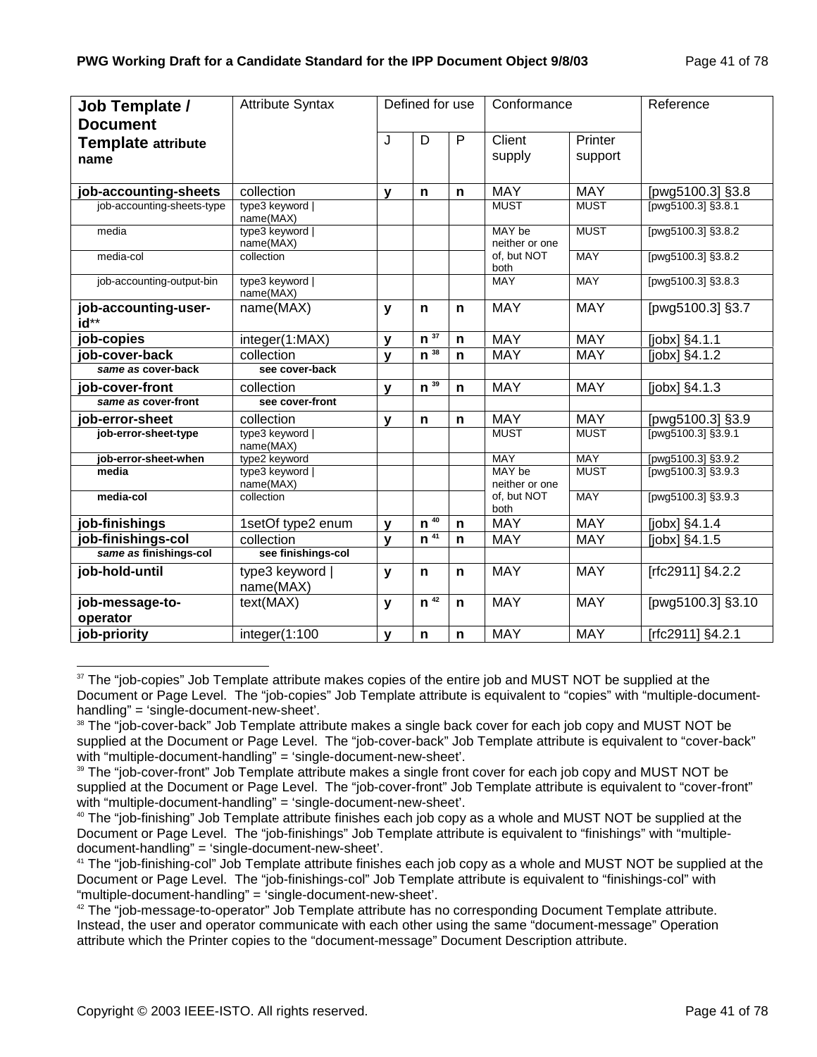| Job Template /<br><b>Document</b> | <b>Attribute Syntax</b>      |              | Defined for use    |              | Conformance              |                    | Reference           |
|-----------------------------------|------------------------------|--------------|--------------------|--------------|--------------------------|--------------------|---------------------|
| <b>Template attribute</b><br>name |                              | J            | D                  | $\mathsf{P}$ | Client<br>supply         | Printer<br>support |                     |
|                                   |                              |              |                    |              |                          |                    |                     |
| job-accounting-sheets             | collection                   | $\mathbf{v}$ | n                  | $\mathbf n$  | <b>MAY</b>               | <b>MAY</b>         | [pwg5100.3] §3.8    |
| job-accounting-sheets-type        | type3 keyword  <br>name(MAX) |              |                    |              | <b>MUST</b>              | <b>MUST</b>        | [pwg5100.3] §3.8.1  |
| media                             | type3 keyword  <br>name(MAX) |              |                    |              | MAY be<br>neither or one | <b>MUST</b>        | [pwg5100.3] §3.8.2  |
| media-col                         | collection                   |              |                    |              | of, but NOT<br>both      | <b>MAY</b>         | [pwg5100.3] §3.8.2  |
| job-accounting-output-bin         | type3 keyword  <br>name(MAX) |              |                    |              | <b>MAY</b>               | <b>MAY</b>         | [pwg5100.3] §3.8.3  |
| job-accounting-user-<br>id**      | name(MAX)                    | $\mathbf{y}$ | $\mathbf n$        | n            | <b>MAY</b>               | <b>MAY</b>         | [pwg5100.3] §3.7    |
| job-copies                        | integer(1:MAX)               | $\mathbf{V}$ | 37<br>$\mathbf n$  | $\mathbf n$  | <b>MAY</b>               | <b>MAY</b>         | [jobx] §4.1.1       |
| job-cover-back                    | collection                   | $\mathbf{v}$ | $n^{38}$           | $\mathsf{n}$ | <b>MAY</b>               | <b>MAY</b>         | $[jobx]$ $§4.1.2$   |
| same as cover-back                | see cover-back               |              |                    |              |                          |                    |                     |
| job-cover-front                   | collection                   | $\mathbf{v}$ | $n^{39}$           | n            | <b>MAY</b>               | <b>MAY</b>         | [jobx] §4.1.3       |
| same as cover-front               | see cover-front              |              |                    |              |                          |                    |                     |
| job-error-sheet                   | collection                   | $\mathbf{V}$ | $\mathsf{n}$       | $\mathsf{n}$ | <b>MAY</b>               | <b>MAY</b>         | [pwg5100.3] §3.9    |
| job-error-sheet-type              | type3 keyword  <br>name(MAX) |              |                    |              | <b>MUST</b>              | <b>MUST</b>        | [pwg5100.3] §3.9.1  |
| job-error-sheet-when              | type2 keyword                |              |                    |              | <b>MAY</b>               | <b>MAY</b>         | [pwg5100.3] §3.9.2  |
| media                             | type3 keyword  <br>name(MAX) |              |                    |              | MAY be<br>neither or one | <b>MUST</b>        | [pwg5100.3] §3.9.3  |
| media-col                         | collection                   |              |                    |              | of, but NOT<br>both      | <b>MAY</b>         | [pwg5100.3] §3.9.3  |
| job-finishings                    | 1setOf type2 enum            | $\mathbf{V}$ | 40<br>$\mathbf n$  | $\mathsf{n}$ | <b>MAY</b>               | <b>MAY</b>         | [ $jobs$ ] $§4.1.4$ |
| job-finishings-col                | collection                   | $\mathbf{v}$ | $n^{\frac{1}{41}}$ | $\mathsf{n}$ | <b>MAY</b>               | <b>MAY</b>         | [jobx] §4.1.5       |
| same as finishings-col            | see finishings-col           |              |                    |              |                          |                    |                     |
| job-hold-until                    | type3 keyword<br>name(MAX)   | y            | n                  | n            | <b>MAY</b>               | <b>MAY</b>         | [rfc2911] §4.2.2    |
| job-message-to-<br>operator       | text(MAX)                    | $\mathbf{y}$ | n <sup>42</sup>    | n            | <b>MAY</b>               | <b>MAY</b>         | [pwg5100.3] §3.10   |
| job-priority                      | integer(1:100                | $\mathbf{v}$ | $\mathbf n$        | n            | <b>MAY</b>               | <b>MAY</b>         | [rfc2911] §4.2.1    |

l <sup>37</sup> The "job-copies" Job Template attribute makes copies of the entire job and MUST NOT be supplied at the Document or Page Level. The "job-copies" Job Template attribute is equivalent to "copies" with "multiple-documenthandling" = 'single-document-new-sheet'.

<sup>&</sup>lt;sup>38</sup> The "job-cover-back" Job Template attribute makes a single back cover for each job copy and MUST NOT be supplied at the Document or Page Level. The "job-cover-back" Job Template attribute is equivalent to "cover-back" with "multiple-document-handling" = 'single-document-new-sheet'.

<sup>&</sup>lt;sup>39</sup> The "job-cover-front" Job Template attribute makes a single front cover for each job copy and MUST NOT be supplied at the Document or Page Level. The "job-cover-front" Job Template attribute is equivalent to "cover-front" with "multiple-document-handling" = 'single-document-new-sheet'.

<sup>&</sup>lt;sup>40</sup> The "job-finishing" Job Template attribute finishes each job copy as a whole and MUST NOT be supplied at the Document or Page Level. The "job-finishings" Job Template attribute is equivalent to "finishings" with "multipledocument-handling" = 'single-document-new-sheet'.

<sup>&</sup>lt;sup>41</sup> The "job-finishing-col" Job Template attribute finishes each job copy as a whole and MUST NOT be supplied at the Document or Page Level. The "job-finishings-col" Job Template attribute is equivalent to "finishings-col" with "multiple-document-handling" = 'single-document-new-sheet'.

 $42$  The "job-message-to-operator" Job Template attribute has no corresponding Document Template attribute. Instead, the user and operator communicate with each other using the same "document-message" Operation attribute which the Printer copies to the "document-message" Document Description attribute.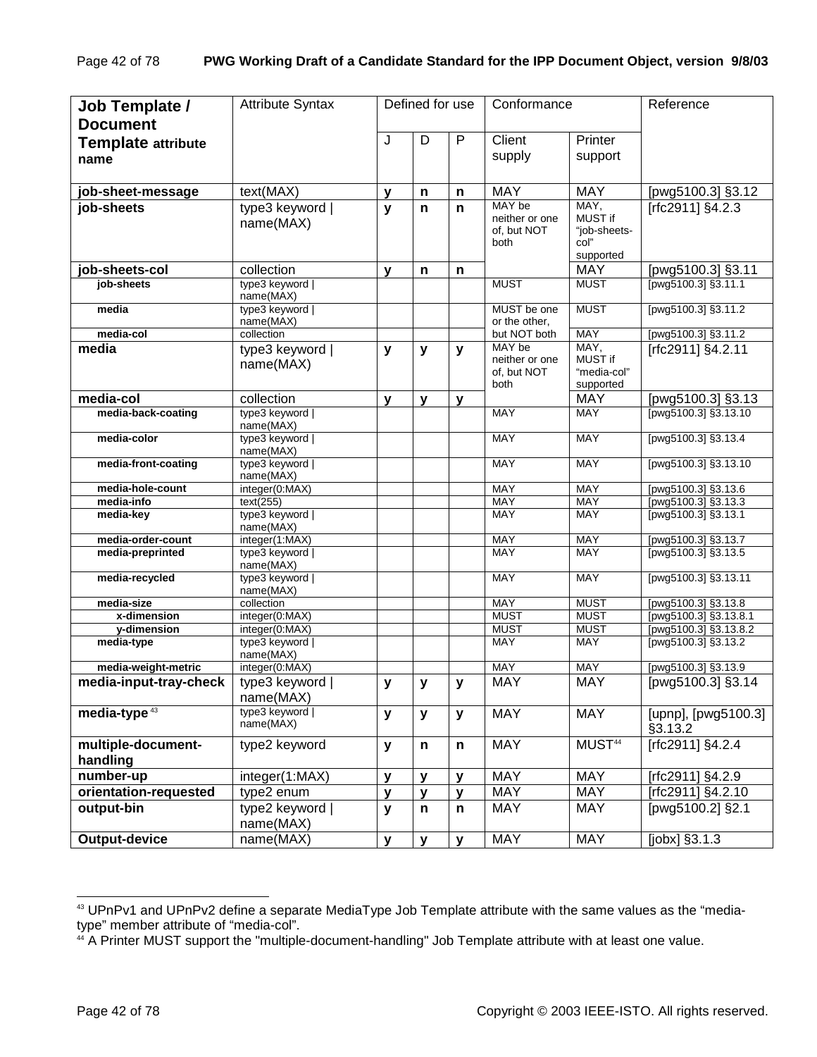| Job Template /<br><b>Document</b> | <b>Attribute Syntax</b>      |              | Defined for use |              | Conformance                                     |                                                             | Reference                                    |
|-----------------------------------|------------------------------|--------------|-----------------|--------------|-------------------------------------------------|-------------------------------------------------------------|----------------------------------------------|
| <b>Template attribute</b><br>name |                              | J            | D               | $\mathsf{P}$ | Client<br>supply                                | Printer<br>support                                          |                                              |
| job-sheet-message                 | text(MAX)                    | $\mathbf{v}$ | n               | n            | <b>MAY</b>                                      | <b>MAY</b>                                                  | [pwg5100.3] §3.12                            |
| job-sheets                        | type3 keyword  <br>name(MAX) | y            | $\mathbf n$     | n            | MAY be<br>neither or one<br>of, but NOT<br>both | MAY,<br><b>MUST if</b><br>"job-sheets-<br>col"<br>supported | [rfc2911] §4.2.3                             |
| job-sheets-col                    | collection                   | y            | n               | n            |                                                 | <b>MAY</b>                                                  | [pwg5100.3] §3.11                            |
| job-sheets                        | type3 keyword  <br>name(MAX) |              |                 |              | <b>MUST</b>                                     | <b>MUST</b>                                                 | [pwg5100.3] §3.11.1                          |
| media                             | type3 keyword  <br>name(MAX) |              |                 |              | MUST be one<br>or the other.                    | <b>MUST</b>                                                 | [pwg5100.3] §3.11.2                          |
| media-col                         | collection                   |              |                 |              | but NOT both                                    | <b>MAY</b>                                                  | [pwg5100.3] §3.11.2                          |
| media                             | type3 keyword  <br>name(MAX) | y            | y               | y            | MAY be<br>neither or one<br>of, but NOT<br>both | MAY,<br>MUST if<br>"media-col"<br>supported                 | [rfc2911] §4.2.11                            |
| media-col                         | collection                   | y            | $\mathbf{y}$    | y            |                                                 | <b>MAY</b>                                                  | [pwg5100.3] §3.13                            |
| media-back-coating                | type3 keyword  <br>name(MAX) |              |                 |              | <b>MAY</b>                                      | <b>MAY</b>                                                  | [pwg5100.3] §3.13.10                         |
| media-color                       | type3 keyword  <br>name(MAX) |              |                 |              | <b>MAY</b>                                      | <b>MAY</b>                                                  | [pwg5100.3] §3.13.4                          |
| media-front-coating               | type3 keyword  <br>name(MAX) |              |                 |              | <b>MAY</b>                                      | <b>MAY</b>                                                  | [pwg5100.3] §3.13.10                         |
| media-hole-count                  | integer(0:MAX)               |              |                 |              | <b>MAY</b>                                      | <b>MAY</b>                                                  | [pwg5100.3] §3.13.6                          |
| media-info<br>media-key           | text(255)<br>type3 keyword   |              |                 |              | <b>MAY</b><br><b>MAY</b>                        | <b>MAY</b><br>MAY                                           | [pwg5100.3] §3.13.3<br>[pwg5100.3] §3.13.1   |
|                                   | name(MAX)                    |              |                 |              |                                                 |                                                             |                                              |
| media-order-count                 | integer(1:MAX)               |              |                 |              | <b>MAY</b>                                      | <b>MAY</b>                                                  | [pwg5100.3] §3.13.7                          |
| media-preprinted                  | type3 keyword  <br>name(MAX) |              |                 |              | <b>MAY</b>                                      | <b>MAY</b>                                                  | [pwg5100.3] §3.13.5                          |
| media-recycled                    | type3 keyword  <br>name(MAX) |              |                 |              | <b>MAY</b>                                      | <b>MAY</b>                                                  | [pwg5100.3] §3.13.11                         |
| media-size<br>x-dimension         | collection<br>integer(0:MAX) |              |                 |              | <b>MAY</b><br><b>MUST</b>                       | <b>MUST</b><br><b>MUST</b>                                  | [pwg5100.3] §3.13.8<br>[pwg5100.3] §3.13.8.1 |
| y-dimension                       | integer(0:MAX)               |              |                 |              | <b>MUST</b>                                     | <b>MUST</b>                                                 | [pwg5100.3] §3.13.8.2                        |
| media-type                        | type3 keyword  <br>name(MAX) |              |                 |              | <b>MAY</b>                                      | <b>MAY</b>                                                  | [pwg5100.3] §3.13.2                          |
| media-weight-metric               | integer(0:MAX)               |              |                 |              | <b>MAY</b>                                      | <b>MAY</b>                                                  | [pwg5100.3] §3.13.9                          |
| media-input-tray-check            | type3 keyword<br>name(MAX)   | y            | y               | y            | <b>MAY</b>                                      | <b>MAY</b>                                                  | [pwg5100.3] §3.14                            |
| media-type <sup>43</sup>          | type3 keyword  <br>name(MAX) | y            | $\mathbf{y}$    | $\mathbf{y}$ | <b>MAY</b>                                      | <b>MAY</b>                                                  | [upnp], [pwg5100.3]<br>§3.13.2               |
| multiple-document-<br>handling    | type2 keyword                | y            | n               | n            | <b>MAY</b>                                      | MUST <sup>44</sup>                                          | [rfc2911] §4.2.4                             |
| number-up                         | integer(1:MAX)               | $\mathbf{v}$ | $\mathbf{y}$    | $\mathbf{y}$ | <b>MAY</b>                                      | <b>MAY</b>                                                  | [rfc2911] $§4.2.9$                           |
| orientation-requested             | type2 enum                   | $\mathbf{v}$ | $\mathbf{y}$    | $\mathbf{y}$ | <b>MAY</b>                                      | <b>MAY</b>                                                  | [rfc2911] §4.2.10                            |
| output-bin                        | type2 keyword  <br>name(MAX) | y            | n               | n            | <b>MAY</b>                                      | MAY                                                         | [pwg5100.2] §2.1                             |
| Output-device                     | name(MAX)                    | $\mathbf{y}$ | ${\bf y}$       | $\mathbf{y}$ | <b>MAY</b>                                      | <b>MAY</b>                                                  | [jobx] §3.1.3                                |

<sup>43</sup> UPnPv1 and UPnPv2 define a separate MediaType Job Template attribute with the same values as the "mediatype" member attribute of "media-col".

<sup>44</sup> A Printer MUST support the "multiple-document-handling" Job Template attribute with at least one value.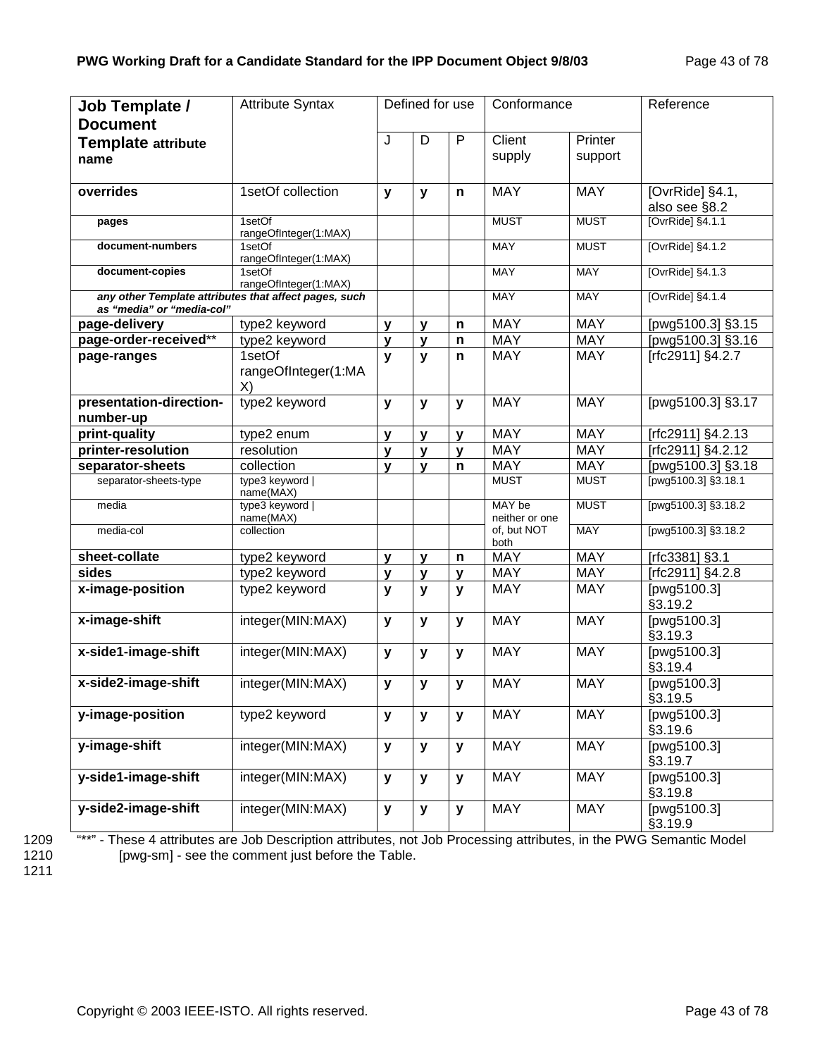| Job Template /<br><b>Document</b>    | <b>Attribute Syntax</b>                               |              | Defined for use |              | Conformance              |                    | Reference                        |
|--------------------------------------|-------------------------------------------------------|--------------|-----------------|--------------|--------------------------|--------------------|----------------------------------|
| <b>Template attribute</b><br>name    |                                                       | J            | D               | P            | Client<br>supply         | Printer<br>support |                                  |
| overrides                            | 1setOf collection                                     | y            | y               | n            | <b>MAY</b>               | <b>MAY</b>         | [OvrRide] §4.1,<br>also see §8.2 |
| pages                                | 1setOf<br>rangeOfInteger(1:MAX)                       |              |                 |              | <b>MUST</b>              | <b>MUST</b>        | $[OvrRide]$ §4.1.1               |
| document-numbers                     | 1setOf<br>rangeOfInteger(1:MAX)                       |              |                 |              | <b>MAY</b>               | <b>MUST</b>        | [OvrRide] §4.1.2                 |
| document-copies                      | 1setOf<br>rangeOfInteger(1:MAX)                       |              |                 |              | <b>MAY</b>               | <b>MAY</b>         | [OvrRide] §4.1.3                 |
| as "media" or "media-col"            | any other Template attributes that affect pages, such |              |                 |              | <b>MAY</b>               | <b>MAY</b>         | [OvrRide] §4.1.4                 |
| page-delivery                        | type2 keyword                                         | $\mathbf{y}$ | V               | $\mathsf{n}$ | <b>MAY</b>               | <b>MAY</b>         | [pwg5100.3] §3.15                |
| page-order-received**                | type2 keyword                                         | y            | y               | $\mathsf{n}$ | <b>MAY</b>               | <b>MAY</b>         | [pwg5100.3] §3.16                |
| page-ranges                          | 1setOf<br>rangeOfInteger(1:MA<br>X)                   | $\mathbf{v}$ | $\mathbf{y}$    | $\mathbf n$  | <b>MAY</b>               | <b>MAY</b>         | [rfc2911] §4.2.7                 |
| presentation-direction-<br>number-up | type2 keyword                                         | $\mathbf{y}$ | y               | y            | <b>MAY</b>               | <b>MAY</b>         | [pwg5100.3] §3.17                |
| print-quality                        | type2 enum                                            | $\mathbf{v}$ | $\mathbf{v}$    | $\mathbf{v}$ | <b>MAY</b>               | <b>MAY</b>         | [rfc2911] §4.2.13                |
| printer-resolution                   | resolution                                            | $\mathbf{v}$ | $\mathbf{v}$    | $\mathbf{y}$ | <b>MAY</b>               | <b>MAY</b>         | [rfc2911] §4.2.12                |
| separator-sheets                     | collection                                            | $\mathbf{v}$ | $\mathbf{v}$    | $\mathsf{n}$ | <b>MAY</b>               | <b>MAY</b>         | [pwg5100.3] §3.18                |
| separator-sheets-type                | type3 keyword  <br>name(MAX)                          |              |                 |              | <b>MUST</b>              | <b>MUST</b>        | [pwg5100.3] §3.18.1              |
| media                                | type3 keyword  <br>name(MAX)                          |              |                 |              | MAY be<br>neither or one | <b>MUST</b>        | [pwg5100.3] §3.18.2              |
| media-col                            | collection                                            |              |                 |              | of, but NOT<br>both      | <b>MAY</b>         | [pwg5100.3] §3.18.2              |
| sheet-collate                        | type2 keyword                                         | $\mathbf{y}$ | y               | n            | <b>MAY</b>               | <b>MAY</b>         | [rfc3381] §3.1                   |
| sides                                | type2 keyword                                         | y            | y               | $\mathbf{v}$ | <b>MAY</b>               | <b>MAY</b>         | [rfc2911] §4.2.8                 |
| x-image-position                     | type2 keyword                                         | $\mathbf{y}$ | y               | $\mathbf{y}$ | <b>MAY</b>               | <b>MAY</b>         | [pwg5100.3]<br>§3.19.2           |
| x-image-shift                        | integer(MIN:MAX)                                      | $\mathbf{y}$ | y               | y            | <b>MAY</b>               | <b>MAY</b>         | [pwg5100.3]<br>§3.19.3           |
| x-side1-image-shift                  | integer(MIN:MAX)                                      | $\mathbf{y}$ | y               | y            | <b>MAY</b>               | <b>MAY</b>         | [pwg5100.3]<br>§3.19.4           |
| x-side2-image-shift                  | integer(MIN:MAX)                                      | y            | y               | y            | <b>MAY</b>               | <b>MAY</b>         | [pwg5100.3]<br>§3.19.5           |
| y-image-position                     | type2 keyword                                         | y            | y               | y            | <b>MAY</b>               | <b>MAY</b>         | [pwg5100.3]<br>§3.19.6           |
| y-image-shift                        | integer(MIN:MAX)                                      | y            | У               | y            | <b>MAY</b>               | <b>MAY</b>         | [pwg5100.3]<br>§3.19.7           |
| y-side1-image-shift                  | integer(MIN:MAX)                                      | y            | y               | y            | <b>MAY</b>               | <b>MAY</b>         | [pwg5100.3]<br>§3.19.8           |
| y-side2-image-shift                  | integer(MIN:MAX)                                      | y            | У               | y            | <b>MAY</b>               | <b>MAY</b>         | [pwg5100.3]<br>§3.19.9           |

1211

1209 "\*\*" - These 4 attributes are Job Description attributes, not Job Processing attributes, in the PWG Semantic Model 1210 [pwg-sm] - see the comment just before the Table.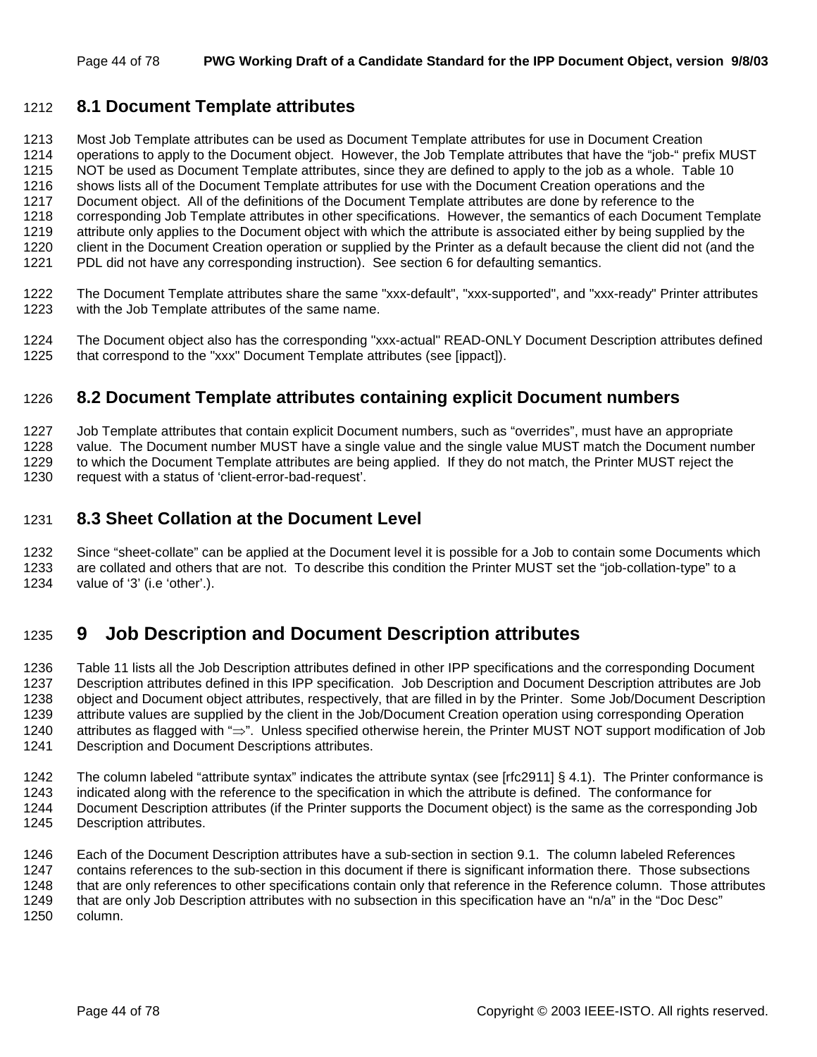## 1212 **8.1 Document Template attributes**

1213 Most Job Template attributes can be used as Document Template attributes for use in Document Creation 1214 operations to apply to the Document object. However, the Job Template attributes that have the "job-" prefix MUST 1215 NOT be used as Document Template attributes, since they are defined to apply to the job as a whole. Table 10 1216 shows lists all of the Document Template attributes for use with the Document Creation operations and the 1217 Document object. All of the definitions of the Document Template attributes are done by reference to the 1218 corresponding Job Template attributes in other specifications. However, the semantics of each Document Template 1219 attribute only applies to the Document object with which the attribute is associated either by being supplied by the 1220 client in the Document Creation operation or supplied by the Printer as a default because the client did not (and the 1221 PDL did not have any corresponding instruction). See section 6 for defaulting semantics.

- 1222 The Document Template attributes share the same "xxx-default", "xxx-supported", and "xxx-ready" Printer attributes 1223 with the Job Template attributes of the same name.
- 1224 The Document object also has the corresponding "xxx-actual" READ-ONLY Document Description attributes defined 1225 that correspond to the "xxx" Document Template attributes (see [ippact]).

## 1226 **8.2 Document Template attributes containing explicit Document numbers**

1227 Job Template attributes that contain explicit Document numbers, such as "overrides", must have an appropriate 1228 value. The Document number MUST have a single value and the single value MUST match the Document number 1229 to which the Document Template attributes are being applied. If they do not match, the Printer MUST reject the 1230 request with a status of 'client-error-bad-request'.

## 1231 **8.3 Sheet Collation at the Document Level**

1232 Since "sheet-collate" can be applied at the Document level it is possible for a Job to contain some Documents which 1233 are collated and others that are not. To describe this condition the Printer MUST set the "job-collation-type" to a 1234 value of '3' (i.e 'other'.).

## 1235 **9 Job Description and Document Description attributes**

1236 Table 11 lists all the Job Description attributes defined in other IPP specifications and the corresponding Document 1237 Description attributes defined in this IPP specification. Job Description and Document Description attributes are Job 1238 object and Document object attributes, respectively, that are filled in by the Printer. Some Job/Document Description 1239 attribute values are supplied by the client in the Job/Document Creation operation using corresponding Operation 1240 attributes as flagged with "⇒". Unless specified otherwise herein, the Printer MUST NOT support modification of Job 1241 Description and Document Descriptions attributes.

1242 The column labeled "attribute syntax" indicates the attribute syntax (see [rfc2911] § 4.1). The Printer conformance is

1243 indicated along with the reference to the specification in which the attribute is defined. The conformance for

1244 Document Description attributes (if the Printer supports the Document object) is the same as the corresponding Job 1245 Description attributes.

1246 Each of the Document Description attributes have a sub-section in section 9.1. The column labeled References 1247 contains references to the sub-section in this document if there is significant information there. Those subsections 1248 that are only references to other specifications contain only that reference in the Reference column. Those attributes 1249 that are only Job Description attributes with no subsection in this specification have an "n/a" in the "Doc Desc" 1250 column.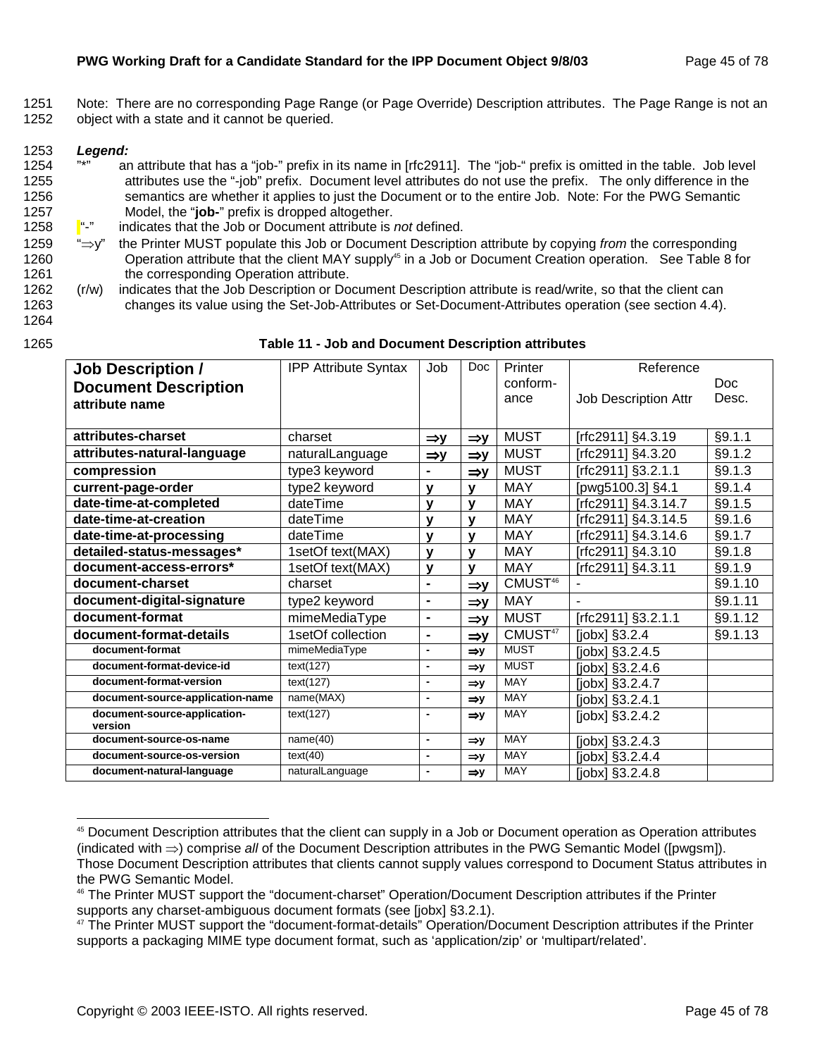1251 Note: There are no corresponding Page Range (or Page Override) Description attributes. The Page Range is not an 1252 object with a state and it cannot be queried.

#### 1253 *Legend:*

l

- 1254 "\*" an attribute that has a "job-" prefix in its name in [rfc2911]. The "job-" prefix is omitted in the table. Job level 1255 attributes use the "-job" prefix. Document level attributes do not use the prefix. The only difference in the 1256 semantics are whether it applies to just the Document or to the entire Job. Note: For the PWG Semantic 1257 Model, the "**job-**" prefix is dropped altogether.
- 1258 "-" indicates that the Job or Document attribute is *not* defined.
- 1259 "⇒y" the Printer MUST populate this Job or Document Description attribute by copying *from* the corresponding 1260 **Start Conduct** Operation attribute that the client MAY supply<sup>45</sup> in a Job or Document Creation operation. See Table 8 for 1261 the corresponding Operation attribute.
- 1262 (r/w) indicates that the Job Description or Document Description attribute is read/write, so that the client can 1263 changes its value using the Set-Job-Attributes or Set-Document-Attributes operation (see section 4.4).
- 1264

#### 1265 **Table 11 - Job and Document Description attributes**

| <b>Job Description /</b>                | <b>IPP Attribute Syntax</b> | Job                      | <b>Doc</b>      | Printer             | Reference                   |         |
|-----------------------------------------|-----------------------------|--------------------------|-----------------|---------------------|-----------------------------|---------|
| <b>Document Description</b>             |                             |                          |                 | conform-            |                             | Doc     |
| attribute name                          |                             |                          |                 | ance                | <b>Job Description Attr</b> | Desc.   |
|                                         |                             |                          |                 |                     |                             |         |
| attributes-charset                      | charset                     | $\Rightarrow$ y          | $\Rightarrow$ y | <b>MUST</b>         | [rfc2911] §4.3.19           | §9.1.1  |
| attributes-natural-language             | naturalLanguage             | $\Rightarrow$ y          | $\Rightarrow$ y | <b>MUST</b>         | [rfc2911] §4.3.20           | §9.1.2  |
| compression                             | type3 keyword               |                          | $\Rightarrow$ y | <b>MUST</b>         | [rfc2911] §3.2.1.1          | §9.1.3  |
| current-page-order                      | type2 keyword               | $\mathbf{v}$             | v               | <b>MAY</b>          | [pwg5100.3] §4.1            | §9.1.4  |
| date-time-at-completed                  | dateTime                    | $\mathbf v$              | v               | MAY                 | Trfc2911] §4.3.14.7         | §9.1.5  |
| date-time-at-creation                   | dateTime                    | $\mathbf v$              | v               | <b>MAY</b>          | [rfc2911] §4.3.14.5         | §9.1.6  |
| date-time-at-processing                 | dateTime                    | $\mathbf v$              | $\mathbf v$     | <b>MAY</b>          | [rfc2911] §4.3.14.6         | §9.1.7  |
| detailed-status-messages*               | 1setOf text(MAX)            | $\mathbf{v}$             | $\mathbf v$     | <b>MAY</b>          | [rfc2911] §4.3.10           | §9.1.8  |
| document-access-errors*                 | 1setOf text(MAX)            | $\mathbf{y}$             | v               | MAY                 | [rfc2911] §4.3.11           | §9.1.9  |
| document-charset                        | charset                     | $\blacksquare$           | $\Rightarrow$ y | CMUST <sup>46</sup> |                             | §9.1.10 |
| document-digital-signature              | type2 keyword               | $\blacksquare$           | $\Rightarrow$ y | <b>MAY</b>          |                             | §9.1.11 |
| document-format                         | mimeMediaType               | $\blacksquare$           | $\Rightarrow$ y | <b>MUST</b>         | [rfc2911] §3.2.1.1          | §9.1.12 |
| document-format-details                 | 1setOf collection           | $\blacksquare$           | $\Rightarrow$ y | CMUST <sup>47</sup> | $[jobx]$ §3.2.4             | §9.1.13 |
| document-format                         | mimeMediaType               | $\blacksquare$           | $\Rightarrow$ y | <b>MUST</b>         | [jobx] §3.2.4.5             |         |
| document-format-device-id               | text(127)                   | $\overline{\phantom{a}}$ | $\Rightarrow$ y | <b>MUST</b>         | $[jobx]$ §3.2.4.6           |         |
| document-format-version                 | text(127)                   | $\blacksquare$           | $\Rightarrow$ y | <b>MAY</b>          | [ $jobx$ ] $§3.2.4.7$       |         |
| document-source-application-name        | name(MAX)                   | $\blacksquare$           | $\Rightarrow$ y | <b>MAY</b>          | [jobx] §3.2.4.1             |         |
| document-source-application-<br>version | text(127)                   | $\blacksquare$           | $\Rightarrow$ y | <b>MAY</b>          | [jobx] §3.2.4.2             |         |
| document-source-os-name                 | name(40)                    | $\blacksquare$           | $\Rightarrow$ y | <b>MAY</b>          | [jobx] §3.2.4.3             |         |
| document-source-os-version              | text(40)                    | $\blacksquare$           | $\Rightarrow$ y | MAY                 | $[jobx]$ §3.2.4.4           |         |
| document-natural-language               | naturalLanguage             | $\blacksquare$           | $\Rightarrow$ y | MAY                 | [jobx] §3.2.4.8             |         |

<sup>45</sup> Document Description attributes that the client can supply in a Job or Document operation as Operation attributes (indicated with ⇒) comprise *all* of the Document Description attributes in the PWG Semantic Model ([pwgsm]). Those Document Description attributes that clients cannot supply values correspond to Document Status attributes in the PWG Semantic Model.

<sup>46</sup> The Printer MUST support the "document-charset" Operation/Document Description attributes if the Printer supports any charset-ambiguous document formats (see [jobx] §3.2.1).

<sup>&</sup>lt;sup>47</sup> The Printer MUST support the "document-format-details" Operation/Document Description attributes if the Printer supports a packaging MIME type document format, such as 'application/zip' or 'multipart/related'.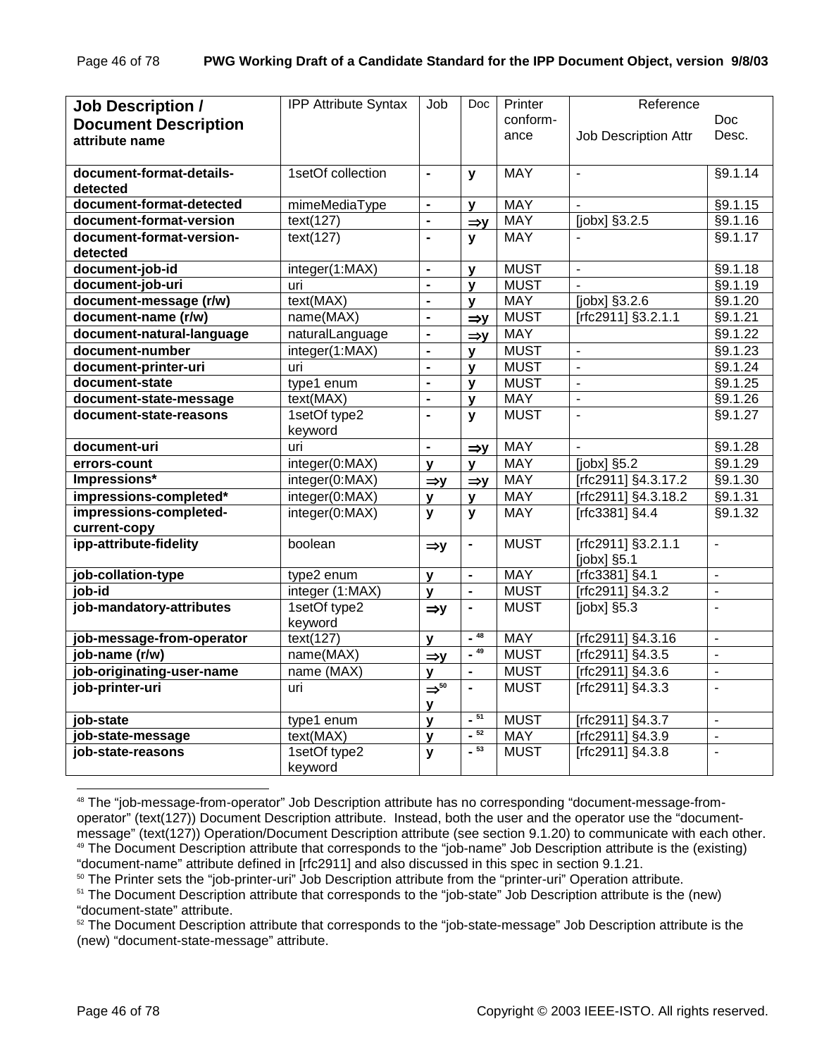| <b>Job Description /</b>    | <b>IPP Attribute Syntax</b> | Job                         | Doc             | Printer     | Reference                |                          |
|-----------------------------|-----------------------------|-----------------------------|-----------------|-------------|--------------------------|--------------------------|
| <b>Document Description</b> |                             |                             |                 | conform-    |                          | Doc.                     |
| attribute name              |                             |                             |                 | ance        | Job Description Attr     | Desc.                    |
|                             |                             |                             |                 |             |                          |                          |
| document-format-details-    | 1setOf collection           | $\blacksquare$              | y               | <b>MAY</b>  | $\blacksquare$           | §9.1.14                  |
| detected                    |                             |                             |                 |             |                          |                          |
| document-format-detected    | mimeMediaType               | $\blacksquare$              | v               | <b>MAY</b>  |                          | §9.1.15                  |
| document-format-version     | text(127)                   | $\blacksquare$              | $\Rightarrow$ y | <b>MAY</b>  | [jobx] §3.2.5            | §9.1.16                  |
| document-format-version-    | text(127)                   | $\blacksquare$              | y               | <b>MAY</b>  |                          | §9.1.17                  |
| detected                    |                             |                             |                 |             |                          |                          |
| document-job-id             | integer(1:MAX)              | $\blacksquare$              | $\mathbf v$     | <b>MUST</b> | $\blacksquare$           | §9.1.18                  |
| document-job-uri            | uri                         | $\blacksquare$              | $\mathbf v$     | <b>MUST</b> | $\blacksquare$           | §9.1.19                  |
| document-message (r/w)      | text(MAX)                   | $\blacksquare$              | $\mathbf v$     | <b>MAY</b>  | $[jobx]$ §3.2.6          | §9.1.20                  |
| document-name (r/w)         | name(MAX)                   | L,                          | $\Rightarrow$ y | <b>MUST</b> | [rfc2911] §3.2.1.1       | §9.1.21                  |
| document-natural-language   | naturalLanguage             | $\blacksquare$              | $\Rightarrow y$ | <b>MAY</b>  |                          | §9.1.22                  |
| document-number             | integer(1:MAX)              | $\blacksquare$              | v               | <b>MUST</b> | $\overline{\phantom{a}}$ | §9.1.23                  |
| document-printer-uri        | uri                         | $\blacksquare$              | v               | <b>MUST</b> | $\blacksquare$           | §9.1.24                  |
| document-state              | type1 enum                  | $\blacksquare$              | y               | <b>MUST</b> | $\blacksquare$           | §9.1.25                  |
| document-state-message      | text(MAX)                   | $\blacksquare$              | V               | <b>MAY</b>  | L.                       | §9.1.26                  |
| document-state-reasons      | 1setOf type2                | $\blacksquare$              | y               | <b>MUST</b> | $\overline{a}$           | §9.1.27                  |
|                             | keyword                     |                             |                 |             |                          |                          |
| document-uri                | uri                         | L.                          | $\Rightarrow$ y | <b>MAY</b>  |                          | §9.1.28                  |
| errors-count                | integer(0:MAX)              | y                           | V               | <b>MAY</b>  | $[jobx]$ §5.2            | §9.1.29                  |
| Impressions*                | integer(0:MAX)              | $\Rightarrow$ y             | $\Rightarrow$ y | <b>MAY</b>  | [rfc2911] §4.3.17.2      | §9.1.30                  |
| impressions-completed*      | integer(0:MAX)              | y                           | v               | <b>MAY</b>  | [rfc2911] §4.3.18.2      | §9.1.31                  |
| impressions-completed-      | integer(0:MAX)              | y                           | y               | <b>MAY</b>  | $[rfc3381]$ §4.4         | §9.1.32                  |
| current-copy                |                             |                             |                 |             |                          |                          |
| ipp-attribute-fidelity      | boolean                     | $\Rightarrow$ y             | $\blacksquare$  | <b>MUST</b> | [rfc2911] §3.2.1.1       | $\overline{a}$           |
|                             |                             |                             |                 |             | [ $jobs$ ] §5.1          |                          |
| job-collation-type          | type2 enum                  | $\mathbf{v}$                | $\blacksquare$  | <b>MAY</b>  | [rfc3381] §4.1           | $\overline{\phantom{a}}$ |
| job-id                      | integer (1:MAX)             | $\mathbf{v}$                | $\overline{a}$  | <b>MUST</b> | [rfc2911] §4.3.2         | $\overline{a}$           |
| job-mandatory-attributes    | 1setOf type2                | $\Rightarrow$ y             | $\blacksquare$  | <b>MUST</b> | $[jobx]$ §5.3            | $\overline{a}$           |
|                             | keyword                     |                             |                 |             |                          |                          |
| job-message-from-operator   | text(127)                   | $\mathbf{v}$                | $-48$           | <b>MAY</b>  | [rfc2911] §4.3.16        | L,                       |
| job-name (r/w)              | name(MAX)                   | $\Rightarrow$ y             | $-49$           | <b>MUST</b> | [rfc2911] §4.3.5         | $\overline{a}$           |
| job-originating-user-name   | name (MAX)                  | v                           | $\blacksquare$  | <b>MUST</b> | [rfc2911] §4.3.6         | $\blacksquare$           |
| job-printer-uri             | uri                         | $\Rightarrow$ <sup>50</sup> | $\overline{a}$  | <b>MUST</b> | [rfc2911] §4.3.3         | L,                       |
|                             |                             | У                           |                 |             |                          |                          |
| job-state                   | type1 enum                  | $\mathbf{V}$                | $-51$           | <b>MUST</b> | [rfc2911] §4.3.7         | $\overline{a}$           |
| job-state-message           | text(MAX)                   | y                           | $-52$           | <b>MAY</b>  | [rfc2911] §4.3.9         | $\overline{a}$           |
| job-state-reasons           | 1setOf type2                | y                           | $-53$           | <b>MUST</b> | [rfc2911] §4.3.8         | $\overline{a}$           |
|                             | keyword                     |                             |                 |             |                          |                          |

<sup>48</sup> The "job-message-from-operator" Job Description attribute has no corresponding "document-message-fromoperator" (text(127)) Document Description attribute. Instead, both the user and the operator use the "documentmessage" (text(127)) Operation/Document Description attribute (see section 9.1.20) to communicate with each other. 49 The Document Description attribute that corresponds to the "job-name" Job Description attribute is the (existing) "document-name" attribute defined in [rfc2911] and also discussed in this spec in section 9.1.21.

<sup>&</sup>lt;sup>50</sup> The Printer sets the "job-printer-uri" Job Description attribute from the "printer-uri" Operation attribute.

<sup>&</sup>lt;sup>51</sup> The Document Description attribute that corresponds to the "job-state" Job Description attribute is the (new) "document-state" attribute.

<sup>&</sup>lt;sup>52</sup> The Document Description attribute that corresponds to the "job-state-message" Job Description attribute is the (new) "document-state-message" attribute.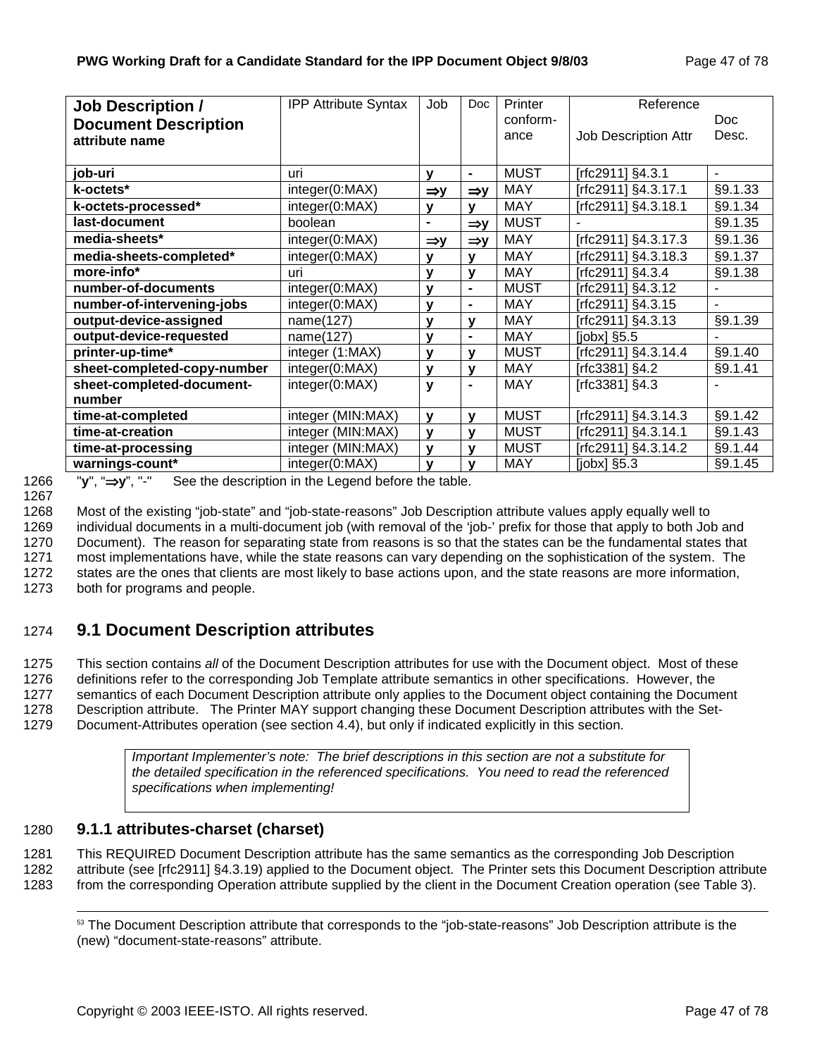| <b>Job Description /</b>    | <b>IPP Attribute Syntax</b> | Job             | <b>Doc</b>      | Printer     | Reference                   |         |
|-----------------------------|-----------------------------|-----------------|-----------------|-------------|-----------------------------|---------|
| <b>Document Description</b> |                             |                 |                 | conform-    |                             | Doc.    |
| attribute name              |                             |                 |                 | ance        | <b>Job Description Attr</b> | Desc.   |
|                             |                             |                 |                 |             |                             |         |
| job-uri                     | uri                         | ۷               | $\blacksquare$  | <b>MUST</b> | [rfc2911] §4.3.1            |         |
| k-octets*                   | integer(0:MAX)              | $\Rightarrow y$ | $\Rightarrow$ y | <b>MAY</b>  | [rfc2911] §4.3.17.1         | §9.1.33 |
| k-octets-processed*         | integer(0:MAX)              | y               | v               | <b>MAY</b>  | [rfc2911] §4.3.18.1         | §9.1.34 |
| last-document               | boolean                     | $\blacksquare$  | $\Rightarrow$ y | <b>MUST</b> |                             | §9.1.35 |
| media-sheets*               | integer(0:MAX)              | $\Rightarrow$ y | $\Rightarrow$ y | <b>MAY</b>  | [rfc2911] §4.3.17.3         | §9.1.36 |
| media-sheets-completed*     | integer(0:MAX)              | v               | v               | <b>MAY</b>  | [rfc2911] §4.3.18.3         | §9.1.37 |
| more-info*                  | uri                         | v               | v               | <b>MAY</b>  | [rfc2911] §4.3.4            | §9.1.38 |
| number-of-documents         | integer(0:MAX)              | $\mathbf v$     | $\blacksquare$  | <b>MUST</b> | [rfc2911] §4.3.12           |         |
| number-of-intervening-jobs  | integer(0:MAX)              | $\mathbf v$     | $\blacksquare$  | <b>MAY</b>  | [rfc2911] §4.3.15           |         |
| output-device-assigned      | name(127)                   | $\mathbf v$     | $\mathbf v$     | <b>MAY</b>  | [rfc2911] §4.3.13           | §9.1.39 |
| output-device-requested     | name(127)                   | y               | $\blacksquare$  | <b>MAY</b>  | $[jobx]$ §5.5               |         |
| printer-up-time*            | integer (1:MAX)             | v               | v               | <b>MUST</b> | [rfc2911] §4.3.14.4         | §9.1.40 |
| sheet-completed-copy-number | integer(0:MAX)              | $\mathbf v$     | v               | <b>MAY</b>  | [ $rfc3381$ ] §4.2          | §9.1.41 |
| sheet-completed-document-   | integer(0:MAX)              | y               | $\blacksquare$  | <b>MAY</b>  | [rfc3381] §4.3              |         |
| number                      |                             |                 |                 |             |                             |         |
| time-at-completed           | integer (MIN:MAX)           | $\mathbf v$     | v               | <b>MUST</b> | [rfc2911] §4.3.14.3         | §9.1.42 |
| time-at-creation            | integer (MIN:MAX)           | $\mathbf{v}$    | $\mathbf v$     | MUST        | [rfc2911] §4.3.14.1         | §9.1.43 |
| time-at-processing          | integer (MIN:MAX)           | $\mathbf{V}$    | $\mathbf v$     | <b>MUST</b> | [rfc2911] §4.3.14.2         | §9.1.44 |
| warnings-count*             | integer(0:MAX)              | $\mathbf v$     | v               | <b>MAY</b>  | [ $jobx$ ] $§5.3$           | §9.1.45 |

1268 Most of the existing "job-state" and "job-state-reasons" Job Description attribute values apply equally well to 1269 individual documents in a multi-document job (with removal of the 'job-' prefix for those that apply to both Job and 1270 Document). The reason for separating state from reasons is so that the states can be the fundamental states that 1271 most implementations have, while the state reasons can vary depending on the sophistication of the system. The 1272 states are the ones that clients are most likely to base actions upon, and the state reasons are more information,

1273 both for programs and people.

## 1274 **9.1 Document Description attributes**

1275 This section contains *all* of the Document Description attributes for use with the Document object. Most of these 1276 definitions refer to the corresponding Job Template attribute semantics in other specifications. However, the 1277 semantics of each Document Description attribute only applies to the Document object containing the Document 1278 Description attribute. The Printer MAY support changing these Document Description attributes with the Set-1279 Document-Attributes operation (see section 4.4), but only if indicated explicitly in this section.

> *Important Implementer's note: The brief descriptions in this section are not a substitute for the detailed specification in the referenced specifications. You need to read the referenced specifications when implementing!*

## 1280 **9.1.1 attributes-charset (charset)**

1281 This REQUIRED Document Description attribute has the same semantics as the corresponding Job Description 1282 attribute (see [rfc2911] §4.3.19) applied to the Document object. The Printer sets this Document Description attribute 1283 from the corresponding Operation attribute supplied by the client in the Document Creation operation (see Table 3).

<sup>53</sup> The Document Description attribute that corresponds to the "job-state-reasons" Job Description attribute is the (new) "document-state-reasons" attribute.

<sup>1266 &</sup>quot;**y**", "⇒**y**", "-" See the description in the Legend before the table.

<sup>1267</sup>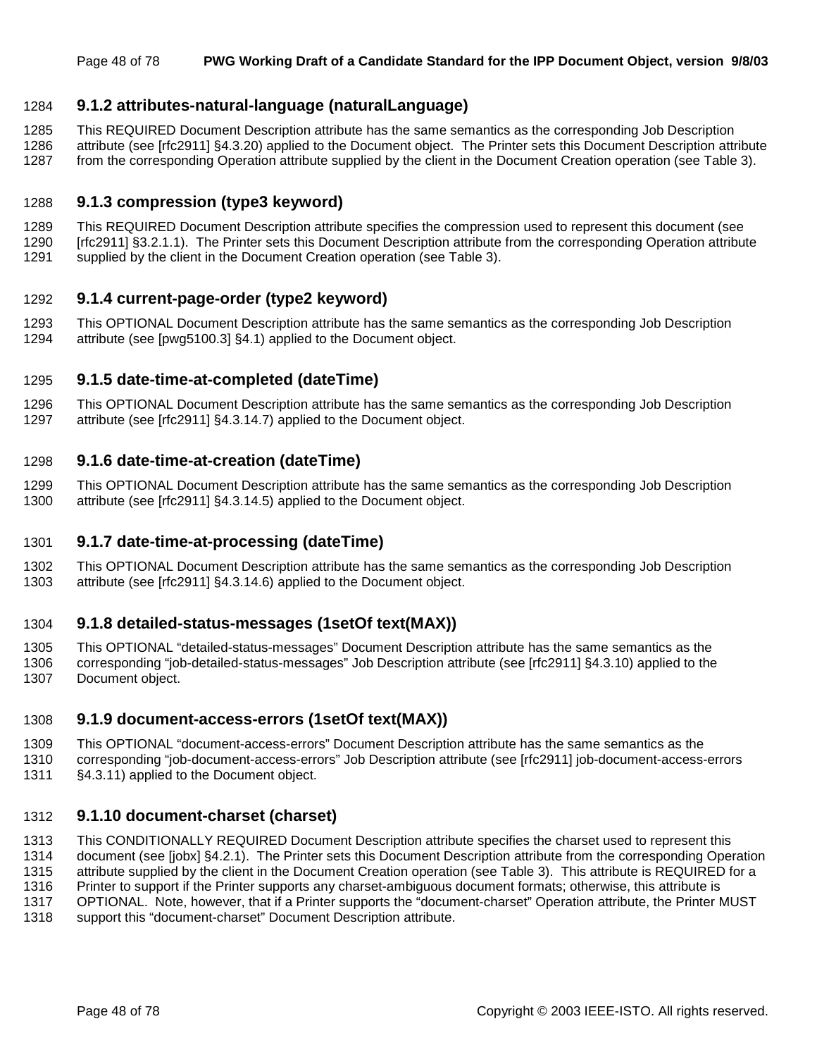## 1284 **9.1.2 attributes-natural-language (naturalLanguage)**

1285 This REQUIRED Document Description attribute has the same semantics as the corresponding Job Description

1286 attribute (see [rfc2911] §4.3.20) applied to the Document object. The Printer sets this Document Description attribute 1287 from the corresponding Operation attribute supplied by the client in the Document Creation operation (see Table 3).

## 1288 **9.1.3 compression (type3 keyword)**

1289 This REQUIRED Document Description attribute specifies the compression used to represent this document (see 1290 [rfc2911] §3.2.1.1). The Printer sets this Document Description attribute from the corresponding Operation attribute 1291 supplied by the client in the Document Creation operation (see Table 3).

### 1292 **9.1.4 current-page-order (type2 keyword)**

1293 This OPTIONAL Document Description attribute has the same semantics as the corresponding Job Description 1294 attribute (see [pwg5100.3] §4.1) applied to the Document object.

### 1295 **9.1.5 date-time-at-completed (dateTime)**

1296 This OPTIONAL Document Description attribute has the same semantics as the corresponding Job Description 1297 attribute (see [rfc2911] §4.3.14.7) applied to the Document object.

#### 1298 **9.1.6 date-time-at-creation (dateTime)**

1299 This OPTIONAL Document Description attribute has the same semantics as the corresponding Job Description 1300 attribute (see [rfc2911] §4.3.14.5) applied to the Document object.

#### 1301 **9.1.7 date-time-at-processing (dateTime)**

1302 This OPTIONAL Document Description attribute has the same semantics as the corresponding Job Description 1303 attribute (see [rfc2911] §4.3.14.6) applied to the Document object.

## 1304 **9.1.8 detailed-status-messages (1setOf text(MAX))**

1305 This OPTIONAL "detailed-status-messages" Document Description attribute has the same semantics as the 1306 corresponding "job-detailed-status-messages" Job Description attribute (see [rfc2911] §4.3.10) applied to the 1307 Document object.

#### 1308 **9.1.9 document-access-errors (1setOf text(MAX))**

1309 This OPTIONAL "document-access-errors" Document Description attribute has the same semantics as the

1310 corresponding "job-document-access-errors" Job Description attribute (see [rfc2911] job-document-access-errors 1311 §4.3.11) applied to the Document object.

#### 1312 **9.1.10 document-charset (charset)**

1313 This CONDITIONALLY REQUIRED Document Description attribute specifies the charset used to represent this

1314 document (see [jobx] §4.2.1). The Printer sets this Document Description attribute from the corresponding Operation

1315 attribute supplied by the client in the Document Creation operation (see Table 3). This attribute is REQUIRED for a

1316 Printer to support if the Printer supports any charset-ambiguous document formats; otherwise, this attribute is

1317 OPTIONAL. Note, however, that if a Printer supports the "document-charset" Operation attribute, the Printer MUST

1318 support this "document-charset" Document Description attribute.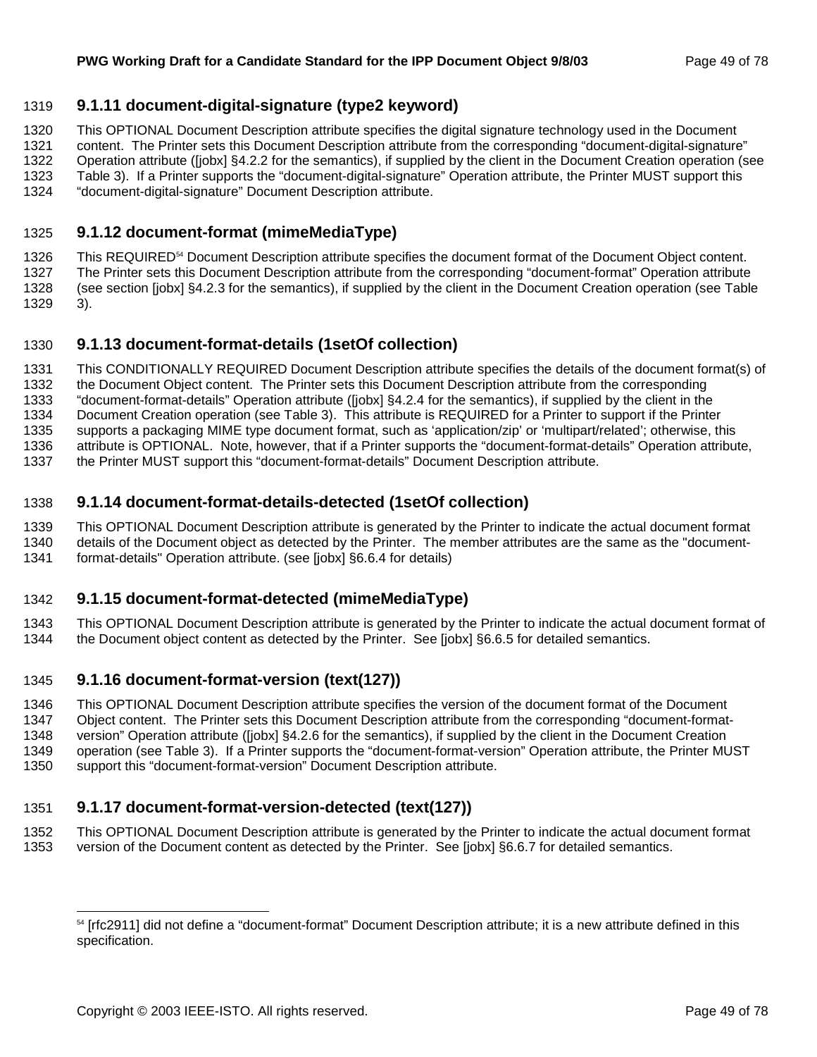## 1319 **9.1.11 document-digital-signature (type2 keyword)**

1320 This OPTIONAL Document Description attribute specifies the digital signature technology used in the Document

1321 content. The Printer sets this Document Description attribute from the corresponding "document-digital-signature"

1322 Operation attribute ([jobx] §4.2.2 for the semantics), if supplied by the client in the Document Creation operation (see

- 1323 Table 3). If a Printer supports the "document-digital-signature" Operation attribute, the Printer MUST support this
- 1324 "document-digital-signature" Document Description attribute.

## 1325 **9.1.12 document-format (mimeMediaType)**

1326 This REQUIRED<sup>54</sup> Document Description attribute specifies the document format of the Document Object content. 1327 The Printer sets this Document Description attribute from the corresponding "document-format" Operation attribute 1328 (see section [jobx] §4.2.3 for the semantics), if supplied by the client in the Document Creation operation (see Table 1329 3).

## 1330 **9.1.13 document-format-details (1setOf collection)**

1331 This CONDITIONALLY REQUIRED Document Description attribute specifies the details of the document format(s) of 1332 the Document Object content. The Printer sets this Document Description attribute from the corresponding 1333 "document-format-details" Operation attribute ([jobx] §4.2.4 for the semantics), if supplied by the client in the 1334 Document Creation operation (see Table 3). This attribute is REQUIRED for a Printer to support if the Printer 1335 supports a packaging MIME type document format, such as 'application/zip' or 'multipart/related'; otherwise, this 1336 attribute is OPTIONAL. Note, however, that if a Printer supports the "document-format-details" Operation attribute,

1337 the Printer MUST support this "document-format-details" Document Description attribute.

## 1338 **9.1.14 document-format-details-detected (1setOf collection)**

1339 This OPTIONAL Document Description attribute is generated by the Printer to indicate the actual document format 1340 details of the Document object as detected by the Printer. The member attributes are the same as the "document-

1341 format-details" Operation attribute. (see [jobx] §6.6.4 for details)

## 1342 **9.1.15 document-format-detected (mimeMediaType)**

1343 This OPTIONAL Document Description attribute is generated by the Printer to indicate the actual document format of 1344 the Document object content as detected by the Printer. See [jobx] §6.6.5 for detailed semantics.

## 1345 **9.1.16 document-format-version (text(127))**

1346 This OPTIONAL Document Description attribute specifies the version of the document format of the Document

1347 Object content. The Printer sets this Document Description attribute from the corresponding "document-format-1348 version" Operation attribute ([jobx] §4.2.6 for the semantics), if supplied by the client in the Document Creation

1349 operation (see Table 3). If a Printer supports the "document-format-version" Operation attribute, the Printer MUST

1350 support this "document-format-version" Document Description attribute.

## 1351 **9.1.17 document-format-version-detected (text(127))**

1352 This OPTIONAL Document Description attribute is generated by the Printer to indicate the actual document format 1353 version of the Document content as detected by the Printer. See [jobx] §6.6.7 for detailed semantics.

<sup>&</sup>lt;sup>54</sup> [rfc2911] did not define a "document-format" Document Description attribute; it is a new attribute defined in this specification.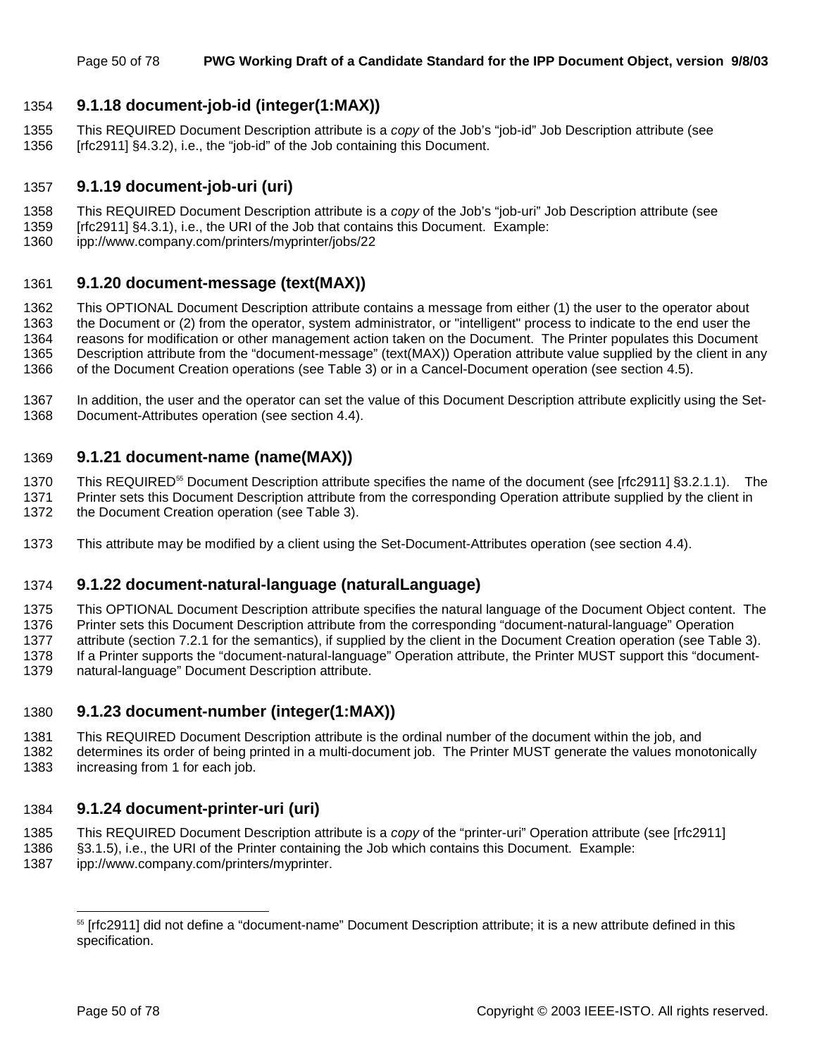## 1354 **9.1.18 document-job-id (integer(1:MAX))**

1355 This REQUIRED Document Description attribute is a *copy* of the Job's "job-id" Job Description attribute (see 1356 [rfc2911] §4.3.2), i.e., the "job-id" of the Job containing this Document.

### 1357 **9.1.19 document-job-uri (uri)**

- 1358 This REQUIRED Document Description attribute is a *copy* of the Job's "job-uri" Job Description attribute (see
- 1359 [rfc2911] §4.3.1), i.e., the URI of the Job that contains this Document. Example:
- 1360 ipp://www.company.com/printers/myprinter/jobs/22

### 1361 **9.1.20 document-message (text(MAX))**

1362 This OPTIONAL Document Description attribute contains a message from either (1) the user to the operator about 1363 the Document or (2) from the operator, system administrator, or "intelligent" process to indicate to the end user the 1364 reasons for modification or other management action taken on the Document. The Printer populates this Document 1365 Description attribute from the "document-message" (text(MAX)) Operation attribute value supplied by the client in any 1366 of the Document Creation operations (see Table 3) or in a Cancel-Document operation (see section 4.5).

1367 In addition, the user and the operator can set the value of this Document Description attribute explicitly using the Set-1368 Document-Attributes operation (see section 4.4).

## 1369 **9.1.21 document-name (name(MAX))**

1370 This REQUIRED<sup>55</sup> Document Description attribute specifies the name of the document (see [rfc2911] §3.2.1.1). The 1371 Printer sets this Document Description attribute from the corresponding Operation attribute supplied by the client in

- 1372 the Document Creation operation (see Table 3).
- 1373 This attribute may be modified by a client using the Set-Document-Attributes operation (see section 4.4).

### 1374 **9.1.22 document-natural-language (naturalLanguage)**

1375 This OPTIONAL Document Description attribute specifies the natural language of the Document Object content. The 1376 Printer sets this Document Description attribute from the corresponding "document-natural-language" Operation 1377 attribute (section 7.2.1 for the semantics), if supplied by the client in the Document Creation operation (see Table 3). 1378 If a Printer supports the "document-natural-language" Operation attribute, the Printer MUST support this "document-1379 natural-language" Document Description attribute.

### 1380 **9.1.23 document-number (integer(1:MAX))**

- 1381 This REQUIRED Document Description attribute is the ordinal number of the document within the job, and
- 1382 determines its order of being printed in a multi-document job. The Printer MUST generate the values monotonically 1383 increasing from 1 for each job.

### 1384 **9.1.24 document-printer-uri (uri)**

- 1385 This REQUIRED Document Description attribute is a *copy* of the "printer-uri" Operation attribute (see [rfc2911]
- 1386 §3.1.5), i.e., the URI of the Printer containing the Job which contains this Document. Example:
- 1387 ipp://www.company.com/printers/myprinter.

<sup>&</sup>lt;sup>55</sup> [rfc2911] did not define a "document-name" Document Description attribute; it is a new attribute defined in this specification.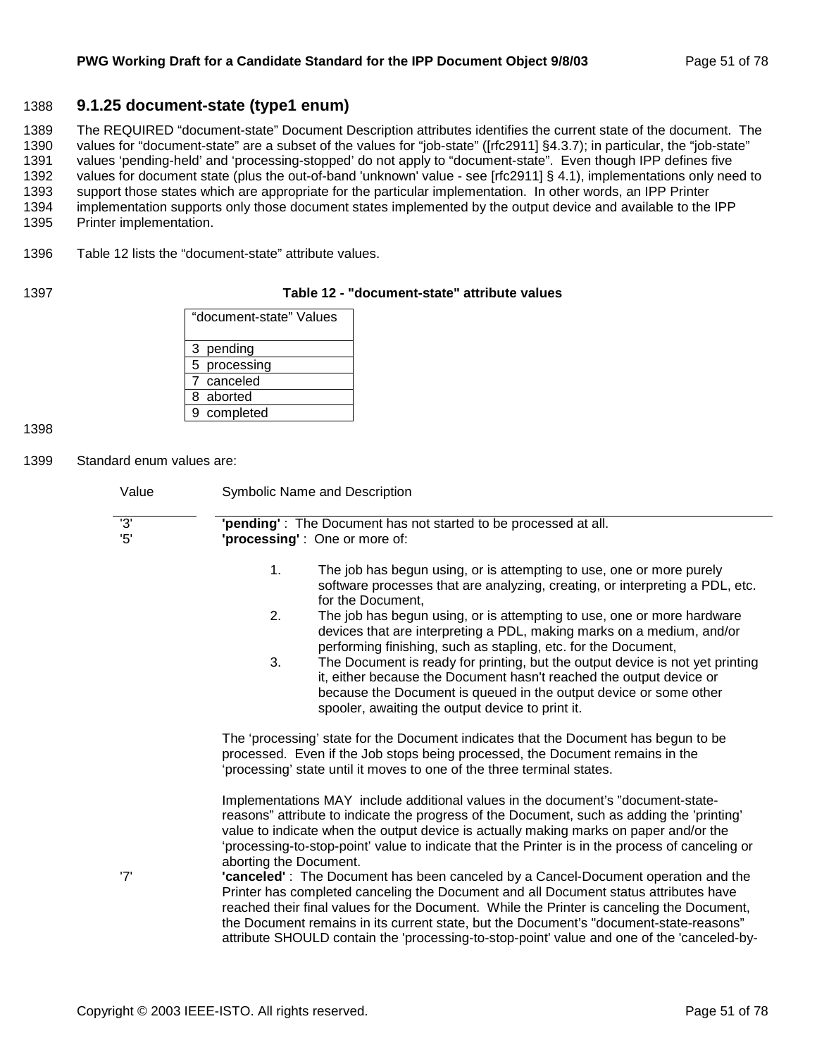### 1388 **9.1.25 document-state (type1 enum)**

1389 The REQUIRED "document-state" Document Description attributes identifies the current state of the document. The 1390 values for "document-state" are a subset of the values for "job-state" ([rfc2911] §4.3.7); in particular, the "job-state" 1391 values 'pending-held' and 'processing-stopped' do not apply to "document-state". Even though IPP defines five 1392 values for document state (plus the out-of-band 'unknown' value - see [rfc2911] § 4.1), implementations only need to 1393 support those states which are appropriate for the particular implementation. In other words, an IPP Printer 1394 implementation supports only those document states implemented by the output device and available to the IPP 1395 Printer implementation.

1396 Table 12 lists the "document-state" attribute values.

#### 1397 **Table 12 - "document-state" attribute values**

| "document-state" Values |
|-------------------------|
| 3 pending               |
| 5 processing            |
| 7 canceled              |
| 8 aborted               |
| 9 completed             |

1398

1399 Standard enum values are:

| Value                | Symbolic Name and Description                                                                                                                                                                                                                                                                                                                                                                                                                                  |
|----------------------|----------------------------------------------------------------------------------------------------------------------------------------------------------------------------------------------------------------------------------------------------------------------------------------------------------------------------------------------------------------------------------------------------------------------------------------------------------------|
| $\overline{3}$<br>5' | 'pending': The Document has not started to be processed at all.<br>'processing': One or more of:                                                                                                                                                                                                                                                                                                                                                               |
|                      | 1.<br>The job has begun using, or is attempting to use, one or more purely<br>software processes that are analyzing, creating, or interpreting a PDL, etc.<br>for the Document,                                                                                                                                                                                                                                                                                |
|                      | 2.<br>The job has begun using, or is attempting to use, one or more hardware<br>devices that are interpreting a PDL, making marks on a medium, and/or<br>performing finishing, such as stapling, etc. for the Document,                                                                                                                                                                                                                                        |
|                      | 3.<br>The Document is ready for printing, but the output device is not yet printing<br>it, either because the Document hasn't reached the output device or<br>because the Document is queued in the output device or some other<br>spooler, awaiting the output device to print it.                                                                                                                                                                            |
|                      | The 'processing' state for the Document indicates that the Document has begun to be<br>processed. Even if the Job stops being processed, the Document remains in the<br>'processing' state until it moves to one of the three terminal states.                                                                                                                                                                                                                 |
|                      | Implementations MAY include additional values in the document's "document-state-<br>reasons" attribute to indicate the progress of the Document, such as adding the 'printing'<br>value to indicate when the output device is actually making marks on paper and/or the<br>'processing-to-stop-point' value to indicate that the Printer is in the process of canceling or<br>aborting the Document.                                                           |
| '7'                  | "canceled": The Document has been canceled by a Cancel-Document operation and the<br>Printer has completed canceling the Document and all Document status attributes have<br>reached their final values for the Document. While the Printer is canceling the Document,<br>the Document remains in its current state, but the Document's "document-state-reasons"<br>attribute SHOULD contain the 'processing-to-stop-point' value and one of the 'canceled-by- |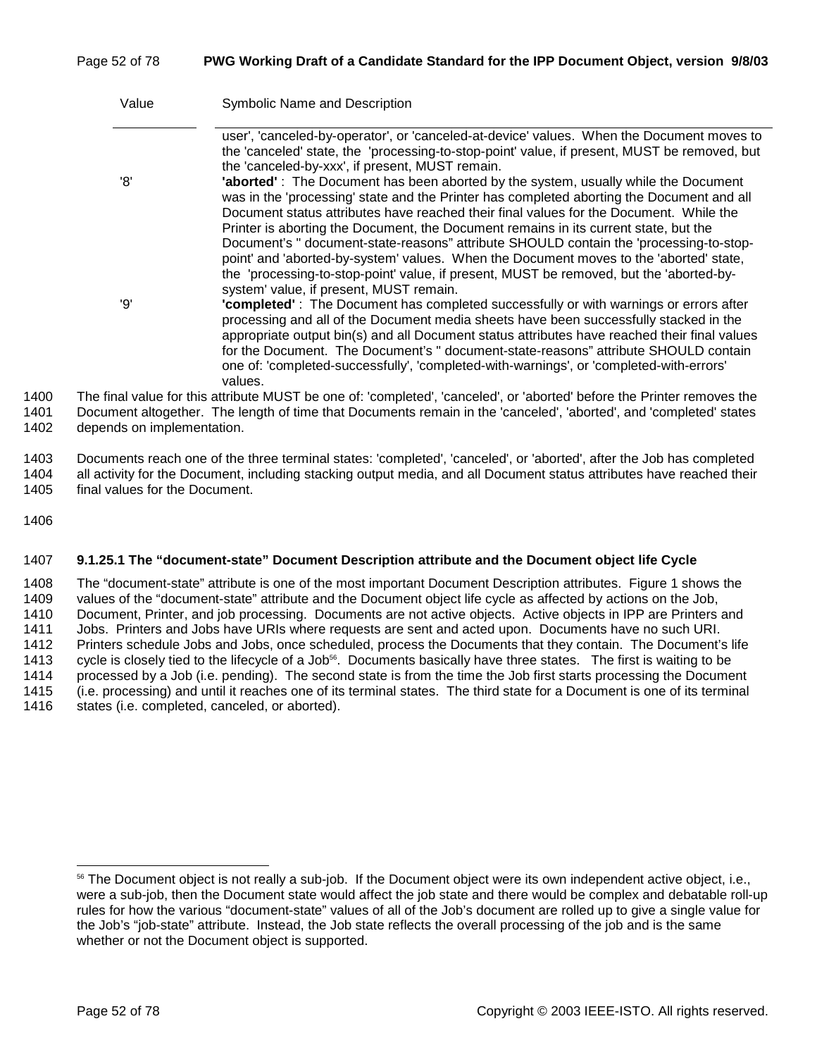### Page 52 of 78 **PWG Working Draft of a Candidate Standard for the IPP Document Object, version 9/8/03**

|      | Value | Symbolic Name and Description                                                                                                                                                                                                                                                                                                                                                                                                                                                                                                                                                                                     |
|------|-------|-------------------------------------------------------------------------------------------------------------------------------------------------------------------------------------------------------------------------------------------------------------------------------------------------------------------------------------------------------------------------------------------------------------------------------------------------------------------------------------------------------------------------------------------------------------------------------------------------------------------|
|      | '8'   | user', 'canceled-by-operator', or 'canceled-at-device' values. When the Document moves to<br>the 'canceled' state, the 'processing-to-stop-point' value, if present, MUST be removed, but<br>the 'canceled-by-xxx', if present, MUST remain.<br>'aborted': The Document has been aborted by the system, usually while the Document<br>was in the 'processing' state and the Printer has completed aborting the Document and all<br>Document status attributes have reached their final values for the Document. While the<br>Printer is aborting the Document, the Document remains in its current state, but the |
|      |       | Document's " document-state-reasons" attribute SHOULD contain the 'processing-to-stop-<br>point' and 'aborted-by-system' values. When the Document moves to the 'aborted' state,<br>the 'processing-to-stop-point' value, if present, MUST be removed, but the 'aborted-by-<br>system' value, if present, MUST remain.                                                                                                                                                                                                                                                                                            |
|      | יפי   | "completed": The Document has completed successfully or with warnings or errors after<br>processing and all of the Document media sheets have been successfully stacked in the<br>appropriate output bin(s) and all Document status attributes have reached their final values<br>for the Document. The Document's " document-state-reasons" attribute SHOULD contain<br>one of: 'completed-successfully', 'completed-with-warnings', or 'completed-with-errors'<br>values.                                                                                                                                       |
| 1400 |       | The final value for this attribute MUST be one of: 'completed', 'canceled', or 'aborted' before the Printer removes the                                                                                                                                                                                                                                                                                                                                                                                                                                                                                           |
|      |       |                                                                                                                                                                                                                                                                                                                                                                                                                                                                                                                                                                                                                   |

1401 Document altogether. The length of time that Documents remain in the 'canceled', 'aborted', and 'completed' states 1402 depends on implementation.

1403 Documents reach one of the three terminal states: 'completed', 'canceled', or 'aborted', after the Job has completed 1404 all activity for the Document, including stacking output media, and all Document status attributes have reached their 1405 final values for the Document.

1406

#### 1407 **9.1.25.1 The "document-state" Document Description attribute and the Document object life Cycle**

1408 The "document-state" attribute is one of the most important Document Description attributes. Figure 1 shows the 1409 values of the "document-state" attribute and the Document object life cycle as affected by actions on the Job, 1410 Document, Printer, and job processing. Documents are not active objects. Active objects in IPP are Printers and 1411 Jobs. Printers and Jobs have URIs where requests are sent and acted upon. Documents have no such URI. 1412 Printers schedule Jobs and Jobs, once scheduled, process the Documents that they contain. The Document's life 1413 cycle is closely tied to the lifecycle of a Job<sup>56</sup>. Documents basically have three states. The first is waiting to be 1414 processed by a Job (i.e. pending). The second state is from the time the Job first starts processing the Document 1415 (i.e. processing) and until it reaches one of its terminal states. The third state for a Document is one of its terminal 1416 states (i.e. completed, canceled, or aborted).

<sup>&</sup>lt;sup>56</sup> The Document object is not really a sub-job. If the Document object were its own independent active object, i.e., were a sub-job, then the Document state would affect the job state and there would be complex and debatable roll-up rules for how the various "document-state" values of all of the Job's document are rolled up to give a single value for the Job's "job-state" attribute. Instead, the Job state reflects the overall processing of the job and is the same whether or not the Document object is supported.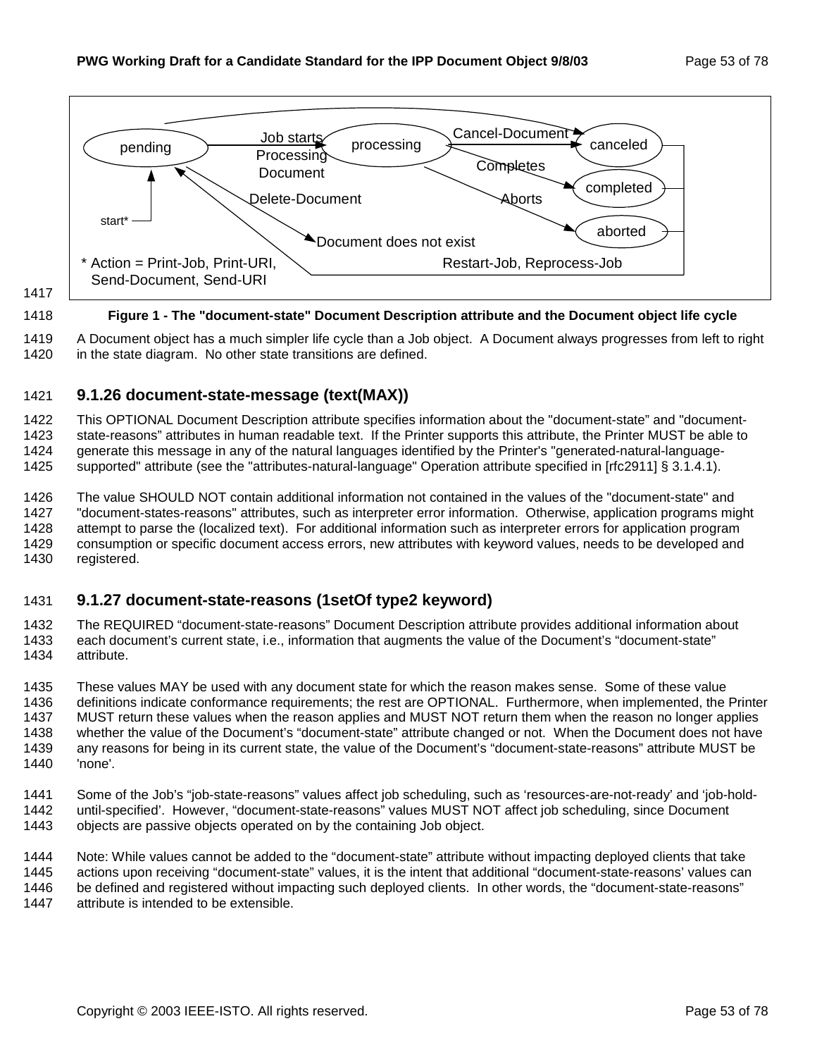

1417

#### 1418 **Figure 1 - The "document-state" Document Description attribute and the Document object life cycle**

1419 A Document object has a much simpler life cycle than a Job object. A Document always progresses from left to right 1420 in the state diagram. No other state transitions are defined.

## 1421 **9.1.26 document-state-message (text(MAX))**

1422 This OPTIONAL Document Description attribute specifies information about the "document-state" and "document-1423 state-reasons" attributes in human readable text. If the Printer supports this attribute, the Printer MUST be able to 1424 generate this message in any of the natural languages identified by the Printer's "generated-natural-language-1425 supported" attribute (see the "attributes-natural-language" Operation attribute specified in [rfc2911] § 3.1.4.1).

1426 The value SHOULD NOT contain additional information not contained in the values of the "document-state" and 1427 "document-states-reasons" attributes, such as interpreter error information. Otherwise, application programs might 1428 attempt to parse the (localized text). For additional information such as interpreter errors for application program 1429 consumption or specific document access errors, new attributes with keyword values, needs to be developed and 1430 registered.

## 1431 **9.1.27 document-state-reasons (1setOf type2 keyword)**

1432 The REQUIRED "document-state-reasons" Document Description attribute provides additional information about 1433 each document's current state, i.e., information that augments the value of the Document's "document-state" 1434 attribute.

1435 These values MAY be used with any document state for which the reason makes sense. Some of these value 1436 definitions indicate conformance requirements; the rest are OPTIONAL. Furthermore, when implemented, the Printer 1437 MUST return these values when the reason applies and MUST NOT return them when the reason no longer applies 1438 whether the value of the Document's "document-state" attribute changed or not. When the Document does not have 1439 any reasons for being in its current state, the value of the Document's "document-state-reasons" attribute MUST be 1440 'none'.

1441 Some of the Job's "job-state-reasons" values affect job scheduling, such as 'resources-are-not-ready' and 'job-hold-1442 until-specified'. However, "document-state-reasons" values MUST NOT affect job scheduling, since Document 1443 objects are passive objects operated on by the containing Job object.

1444 Note: While values cannot be added to the "document-state" attribute without impacting deployed clients that take 1445 actions upon receiving "document-state" values, it is the intent that additional "document-state-reasons' values can 1446 be defined and registered without impacting such deployed clients. In other words, the "document-state-reasons" 1447 attribute is intended to be extensible.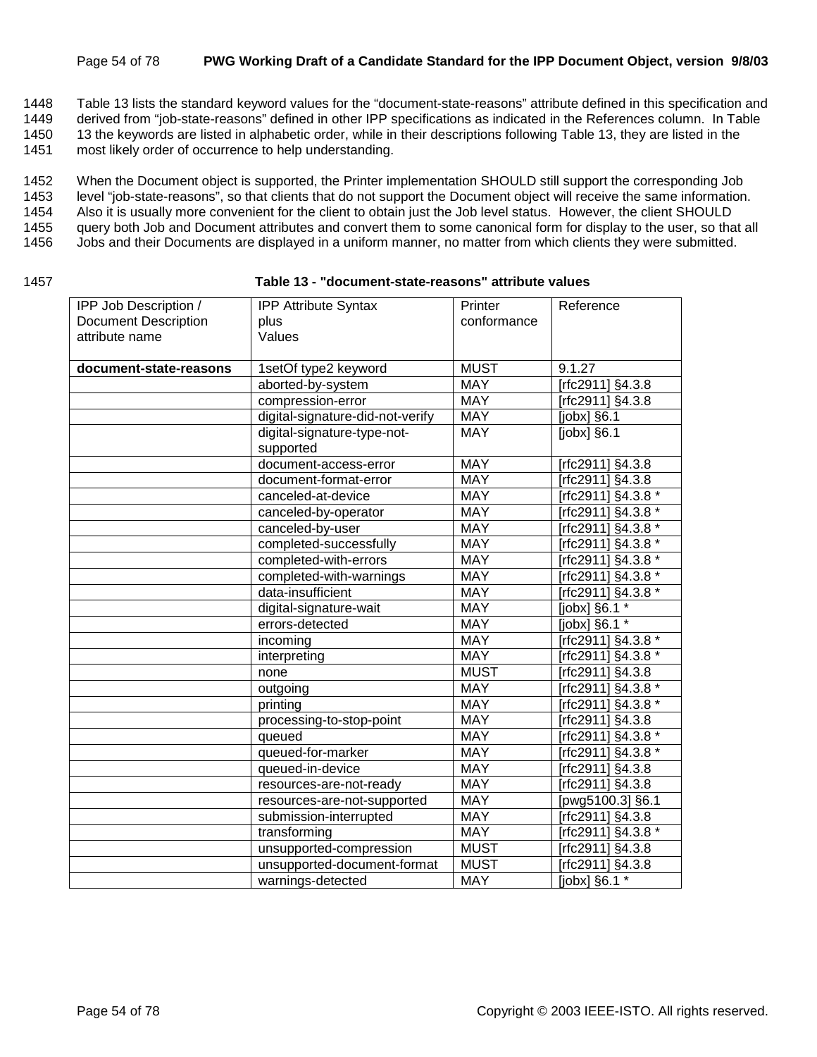#### Page 54 of 78 **PWG Working Draft of a Candidate Standard for the IPP Document Object, version 9/8/03**

1448 Table 13 lists the standard keyword values for the "document-state-reasons" attribute defined in this specification and

1449 derived from "job-state-reasons" defined in other IPP specifications as indicated in the References column. In Table

1450 13 the keywords are listed in alphabetic order, while in their descriptions following Table 13, they are listed in the

1451 most likely order of occurrence to help understanding.

1452 When the Document object is supported, the Printer implementation SHOULD still support the corresponding Job

1453 level "job-state-reasons", so that clients that do not support the Document object will receive the same information.

1454 Also it is usually more convenient for the client to obtain just the Job level status. However, the client SHOULD

1455 query both Job and Document attributes and convert them to some canonical form for display to the user, so that all

- 1456 Jobs and their Documents are displayed in a uniform manner, no matter from which clients they were submitted.
- 

#### 1457 **Table 13 - "document-state-reasons" attribute values**

| IPP Job Description /       | <b>IPP Attribute Syntax</b>      | Printer     | Reference          |
|-----------------------------|----------------------------------|-------------|--------------------|
| <b>Document Description</b> | plus                             | conformance |                    |
| attribute name              | Values                           |             |                    |
|                             |                                  |             |                    |
| document-state-reasons      | 1setOf type2 keyword             | <b>MUST</b> | 9.1.27             |
|                             | aborted-by-system                | <b>MAY</b>  | [rfc2911] §4.3.8   |
|                             | compression-error                | <b>MAY</b>  | [rfc2911] §4.3.8   |
|                             | digital-signature-did-not-verify | <b>MAY</b>  | [ $jobs$ ] $§6.1$  |
|                             | digital-signature-type-not-      | <b>MAY</b>  | $[jobx]$ §6.1      |
|                             | supported                        |             |                    |
|                             | document-access-error            | <b>MAY</b>  | [rfc2911] §4.3.8   |
|                             | document-format-error            | <b>MAY</b>  | [rfc2911] §4.3.8   |
|                             | canceled-at-device               | <b>MAY</b>  | [rfc2911] §4.3.8 * |
|                             | canceled-by-operator             | <b>MAY</b>  | Trfc2911] §4.3.8 * |
|                             | canceled-by-user                 | <b>MAY</b>  | [rfc2911] §4.3.8 * |
|                             | completed-successfully           | <b>MAY</b>  | [rfc2911] §4.3.8 * |
|                             | completed-with-errors            | <b>MAY</b>  | [rfc2911] §4.3.8 * |
|                             | completed-with-warnings          | <b>MAY</b>  | [rfc2911] §4.3.8 * |
|                             | data-insufficient                | <b>MAY</b>  | [rfc2911] §4.3.8 * |
|                             | digital-signature-wait           | <b>MAY</b>  | [ $jobx$ ] $§6.1*$ |
|                             | errors-detected                  | <b>MAY</b>  | [jobx] §6.1 *      |
|                             | incoming                         | <b>MAY</b>  | [rfc2911] §4.3.8 * |
|                             | interpreting                     | <b>MAY</b>  | [rfc2911] §4.3.8 * |
|                             | none                             | <b>MUST</b> | [rfc2911] §4.3.8   |
|                             | outgoing                         | <b>MAY</b>  | [rfc2911] §4.3.8 * |
|                             | printing                         | <b>MAY</b>  | [rfc2911] §4.3.8 * |
|                             | processing-to-stop-point         | <b>MAY</b>  | [rfc2911] §4.3.8   |
|                             | queued                           | <b>MAY</b>  | [rfc2911] §4.3.8 * |
|                             | queued-for-marker                | <b>MAY</b>  | [rfc2911] §4.3.8 * |
|                             | queued-in-device                 | <b>MAY</b>  | [rfc2911] §4.3.8   |
|                             | resources-are-not-ready          | <b>MAY</b>  | [rfc2911] §4.3.8   |
|                             | resources-are-not-supported      | <b>MAY</b>  | [pwg5100.3] §6.1   |
|                             | submission-interrupted           | <b>MAY</b>  | [rfc2911] §4.3.8   |
|                             | transforming                     | <b>MAY</b>  | [rfc2911] §4.3.8 * |
|                             | unsupported-compression          | <b>MUST</b> | [rfc2911] §4.3.8   |
|                             | unsupported-document-format      | <b>MUST</b> | [rfc2911] §4.3.8   |
|                             | warnings-detected                | <b>MAY</b>  | [jobx] §6.1 *      |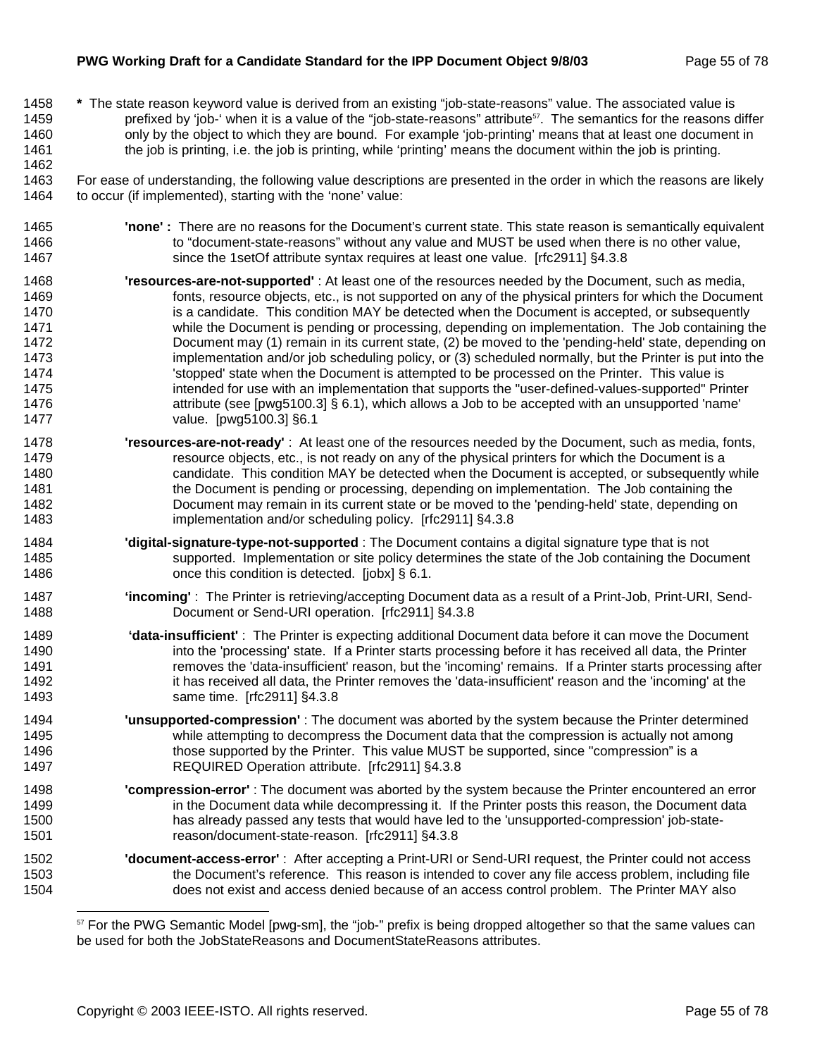#### **PWG Working Draft for a Candidate Standard for the IPP Document Object 9/8/03** Page 55 of 78

1462

1458 **\*** The state reason keyword value is derived from an existing "job-state-reasons" value. The associated value is 1459 prefixed by 'job-' when it is a value of the "job-state-reasons" attribute<sup>57</sup>. The semantics for the reasons differ 1460 only by the object to which they are bound. For example 'job-printing' means that at least one document in 1461 the job is printing, i.e. the job is printing, while 'printing' means the document within the job is printing.

1463 For ease of understanding, the following value descriptions are presented in the order in which the reasons are likely 1464 to occur (if implemented), starting with the 'none' value:

- 1465 **'none' :** There are no reasons for the Document's current state. This state reason is semantically equivalent 1466 to "document-state-reasons" without any value and MUST be used when there is no other value, 1467 since the 1setOf attribute syntax requires at least one value. [rfc2911] §4.3.8
- 1468 **'resources-are-not-supported'** : At least one of the resources needed by the Document, such as media, 1469 fonts, resource objects, etc., is not supported on any of the physical printers for which the Document 1470 is a candidate. This condition MAY be detected when the Document is accepted, or subsequently 1471 while the Document is pending or processing, depending on implementation. The Job containing the 1472 Document may (1) remain in its current state, (2) be moved to the 'pending-held' state, depending on 1473 implementation and/or job scheduling policy, or (3) scheduled normally, but the Printer is put into the 1474 **Subsetedable State when the Document is attempted to be processed on the Printer. This value is** 1474 1475 intended for use with an implementation that supports the "user-defined-values-supported" Printer 1476 attribute (see [pwg5100.3] § 6.1), which allows a Job to be accepted with an unsupported 'name' 1477 value. [pwg5100.3] §6.1
- 1478 **'resources-are-not-ready'** : At least one of the resources needed by the Document, such as media, fonts, 1479 resource objects, etc., is not ready on any of the physical printers for which the Document is a 1480 candidate. This condition MAY be detected when the Document is accepted, or subsequently while 1481 the Document is pending or processing, depending on implementation. The Job containing the 1482 Document may remain in its current state or be moved to the 'pending-held' state, depending on 1483 implementation and/or scheduling policy. [rfc2911] §4.3.8
- 1484 **'digital-signature-type-not-supported** : The Document contains a digital signature type that is not 1485 supported. Implementation or site policy determines the state of the Job containing the Document 1486 **cannot** once this condition is detected. [jobx] § 6.1.
- 1487 **'incoming'** : The Printer is retrieving/accepting Document data as a result of a Print-Job, Print-URI, Send-1488 Document or Send-URI operation. [rfc2911] §4.3.8
- 1489 **'data-insufficient'** : The Printer is expecting additional Document data before it can move the Document 1490 into the 'processing' state. If a Printer starts processing before it has received all data, the Printer 1491 removes the 'data-insufficient' reason, but the 'incoming' remains. If a Printer starts processing after 1492 it has received all data, the Printer removes the 'data-insufficient' reason and the 'incoming' at the 1493 same time. [rfc2911] §4.3.8
- 1494 **'unsupported-compression'** : The document was aborted by the system because the Printer determined 1495 while attempting to decompress the Document data that the compression is actually not among 1496 those supported by the Printer. This value MUST be supported, since "compression" is a 1497 REQUIRED Operation attribute. [rfc2911] §4.3.8
- 1498 **'compression-error'** : The document was aborted by the system because the Printer encountered an error 1499 in the Document data while decompressing it. If the Printer posts this reason, the Document data 1500 has already passed any tests that would have led to the 'unsupported-compression' job-state-1501 reason/document-state-reason. [rfc2911] §4.3.8
- 1502 **'document-access-error'** : After accepting a Print-URI or Send-URI request, the Printer could not access 1503 the Document's reference. This reason is intended to cover any file access problem, including file 1504 does not exist and access denied because of an access control problem. The Printer MAY also

<sup>57</sup> For the PWG Semantic Model [pwg-sm], the "job-" prefix is being dropped altogether so that the same values can be used for both the JobStateReasons and DocumentStateReasons attributes.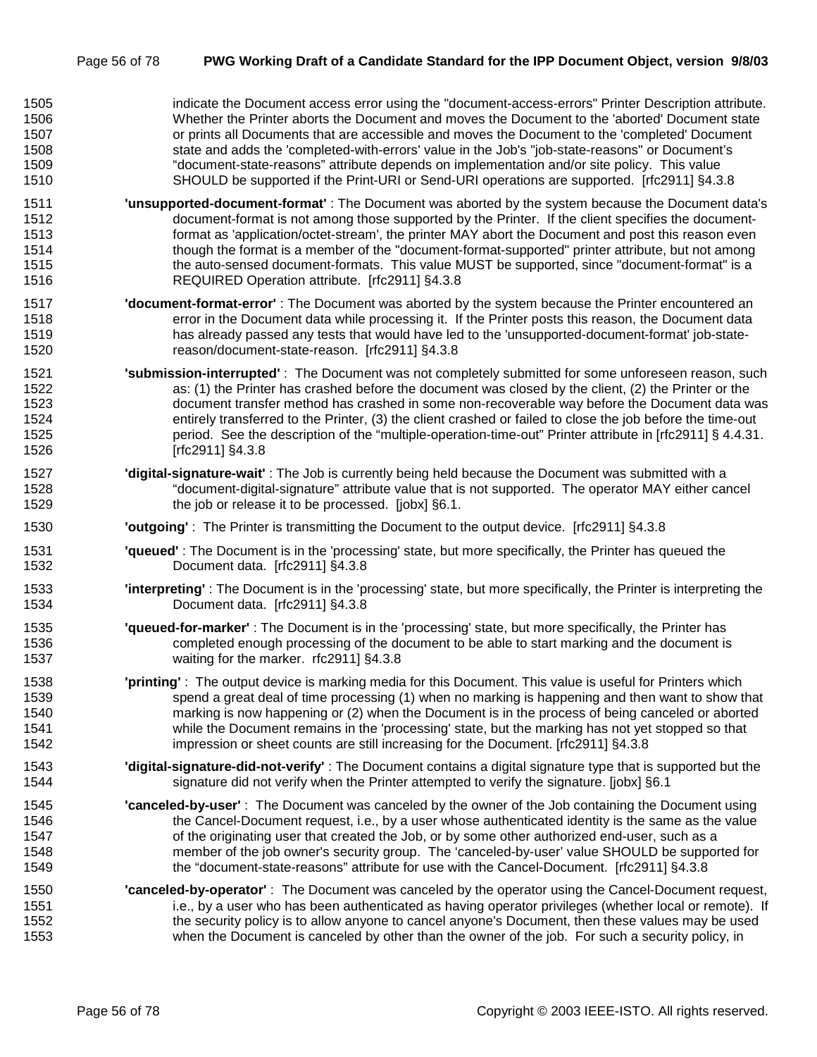| 1505 | indicate the Document access error using the "document-access-errors" Printer Description attribute.                      |
|------|---------------------------------------------------------------------------------------------------------------------------|
| 1506 | Whether the Printer aborts the Document and moves the Document to the 'aborted' Document state                            |
| 1507 | or prints all Documents that are accessible and moves the Document to the 'completed' Document                            |
| 1508 | state and adds the 'completed-with-errors' value in the Job's "job-state-reasons" or Document's                           |
| 1509 | "document-state-reasons" attribute depends on implementation and/or site policy. This value                               |
| 1510 | SHOULD be supported if the Print-URI or Send-URI operations are supported. [rfc2911] §4.3.8                               |
| 1511 | 'unsupported-document-format': The Document was aborted by the system because the Document data's                         |
| 1512 | document-format is not among those supported by the Printer. If the client specifies the document-                        |
| 1513 | format as 'application/octet-stream', the printer MAY abort the Document and post this reason even                        |
| 1514 | though the format is a member of the "document-format-supported" printer attribute, but not among                         |
| 1515 | the auto-sensed document-formats. This value MUST be supported, since "document-format" is a                              |
| 1516 | REQUIRED Operation attribute. [rfc2911] §4.3.8                                                                            |
| 1517 | "document-format-error": The Document was aborted by the system because the Printer encountered an                        |
| 1518 | error in the Document data while processing it. If the Printer posts this reason, the Document data                       |
| 1519 | has already passed any tests that would have led to the 'unsupported-document-format' job-state-                          |
| 1520 | reason/document-state-reason. [rfc2911] §4.3.8                                                                            |
| 1521 | 'submission-interrupted': The Document was not completely submitted for some unforeseen reason, such                      |
| 1522 | as: (1) the Printer has crashed before the document was closed by the client, (2) the Printer or the                      |
| 1523 | document transfer method has crashed in some non-recoverable way before the Document data was                             |
| 1524 | entirely transferred to the Printer, (3) the client crashed or failed to close the job before the time-out                |
| 1525 | period. See the description of the "multiple-operation-time-out" Printer attribute in [rfc2911] § 4.4.31.                 |
| 1526 | [rfc2911] §4.3.8                                                                                                          |
| 1527 | 'digital-signature-wait': The Job is currently being held because the Document was submitted with a                       |
| 1528 | "document-digital-signature" attribute value that is not supported. The operator MAY either cancel                        |
| 1529 | the job or release it to be processed. [jobx] §6.1.                                                                       |
| 1530 | <b>'outgoing'</b> : The Printer is transmitting the Document to the output device. [rfc2911] §4.3.8                       |
| 1531 | "queued": The Document is in the 'processing' state, but more specifically, the Printer has queued the                    |
| 1532 | Document data. [rfc2911] §4.3.8                                                                                           |
| 1533 | <b>'interpreting'</b> : The Document is in the 'processing' state, but more specifically, the Printer is interpreting the |
| 1534 | Document data. [rfc2911] §4.3.8                                                                                           |
| 1535 | 'queued-for-marker': The Document is in the 'processing' state, but more specifically, the Printer has                    |
| 1536 | completed enough processing of the document to be able to start marking and the document is                               |
| 1537 | waiting for the marker. rfc2911] §4.3.8                                                                                   |
| 1538 | 'printing': The output device is marking media for this Document. This value is useful for Printers which                 |
| 1539 | spend a great deal of time processing (1) when no marking is happening and then want to show that                         |
| 1540 | marking is now happening or (2) when the Document is in the process of being canceled or aborted                          |
| 1541 | while the Document remains in the 'processing' state, but the marking has not yet stopped so that                         |
| 1542 | impression or sheet counts are still increasing for the Document. [rfc2911] §4.3.8                                        |
| 1543 | 'digital-signature-did-not-verify': The Document contains a digital signature type that is supported but the              |
| 1544 | signature did not verify when the Printer attempted to verify the signature. [jobx] §6.1                                  |
| 1545 | "canceled-by-user": The Document was canceled by the owner of the Job containing the Document using                       |
| 1546 | the Cancel-Document request, i.e., by a user whose authenticated identity is the same as the value                        |
| 1547 | of the originating user that created the Job, or by some other authorized end-user, such as a                             |
| 1548 | member of the job owner's security group. The 'canceled-by-user' value SHOULD be supported for                            |
| 1549 | the "document-state-reasons" attribute for use with the Cancel-Document. [rfc2911] §4.3.8                                 |
| 1550 | 'canceled-by-operator': The Document was canceled by the operator using the Cancel-Document request,                      |
| 1551 | i.e., by a user who has been authenticated as having operator privileges (whether local or remote). If                    |
| 1552 | the security policy is to allow anyone to cancel anyone's Document, then these values may be used                         |
| 1553 | when the Document is canceled by other than the owner of the job. For such a security policy, in                          |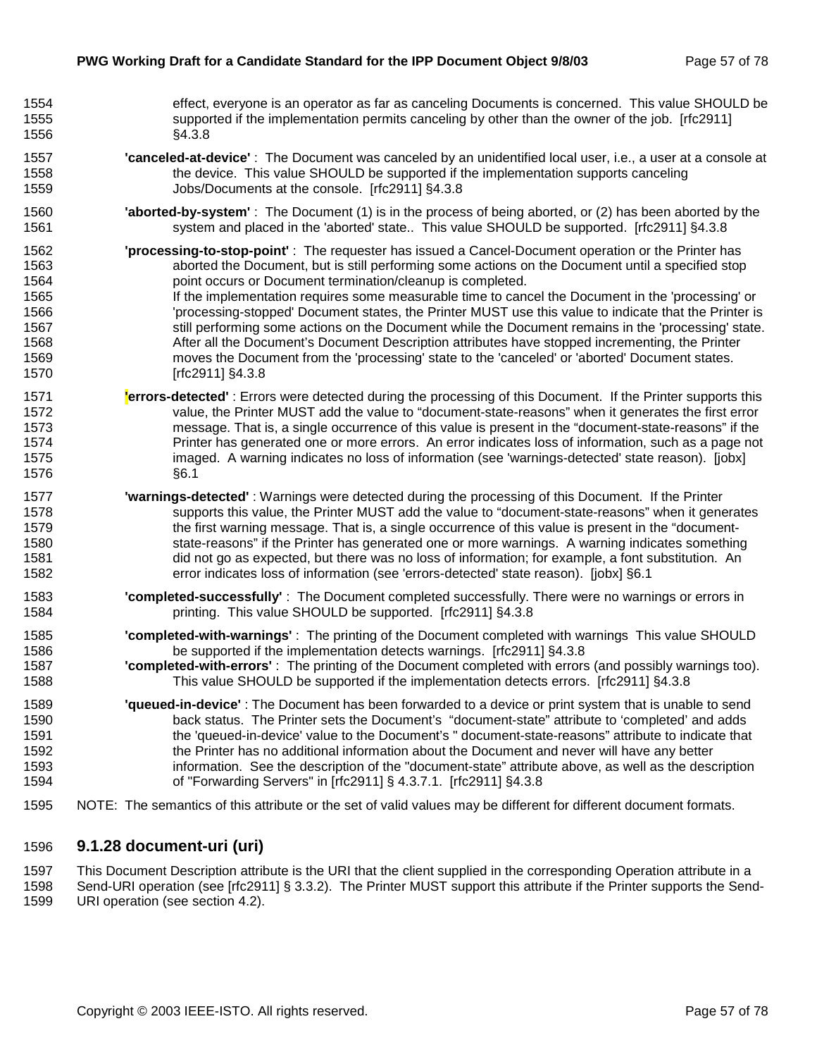| 1554 | effect, everyone is an operator as far as canceling Documents is concerned. This value SHOULD be                    |
|------|---------------------------------------------------------------------------------------------------------------------|
| 1555 | supported if the implementation permits canceling by other than the owner of the job. [rfc2911]                     |
| 1556 | §4.3.8                                                                                                              |
| 1557 | "canceled-at-device": The Document was canceled by an unidentified local user, i.e., a user at a console at         |
| 1558 | the device. This value SHOULD be supported if the implementation supports canceling                                 |
| 1559 | Jobs/Documents at the console. [rfc2911] §4.3.8                                                                     |
| 1560 | <b>'aborted-by-system'</b> : The Document (1) is in the process of being aborted, or (2) has been aborted by the    |
| 1561 | system and placed in the 'aborted' state This value SHOULD be supported. [rfc2911] §4.3.8                           |
| 1562 | <b>'processing-to-stop-point'</b> : The requester has issued a Cancel-Document operation or the Printer has         |
| 1563 | aborted the Document, but is still performing some actions on the Document until a specified stop                   |
| 1564 | point occurs or Document termination/cleanup is completed.                                                          |
| 1565 | If the implementation requires some measurable time to cancel the Document in the 'processing' or                   |
| 1566 | 'processing-stopped' Document states, the Printer MUST use this value to indicate that the Printer is               |
| 1567 | still performing some actions on the Document while the Document remains in the 'processing' state.                 |
| 1568 | After all the Document's Document Description attributes have stopped incrementing, the Printer                     |
| 1569 | moves the Document from the 'processing' state to the 'canceled' or 'aborted' Document states.                      |
| 1570 | [rfc2911] §4.3.8                                                                                                    |
| 1571 | <b>errors-detected'</b> : Errors were detected during the processing of this Document. If the Printer supports this |
| 1572 | value, the Printer MUST add the value to "document-state-reasons" when it generates the first error                 |
| 1573 | message. That is, a single occurrence of this value is present in the "document-state-reasons" if the               |
| 1574 | Printer has generated one or more errors. An error indicates loss of information, such as a page not                |
| 1575 | imaged. A warning indicates no loss of information (see 'warnings-detected' state reason). [jobx]                   |
| 1576 | §6.1                                                                                                                |
| 1577 | 'warnings-detected': Warnings were detected during the processing of this Document. If the Printer                  |
| 1578 | supports this value, the Printer MUST add the value to "document-state-reasons" when it generates                   |
| 1579 | the first warning message. That is, a single occurrence of this value is present in the "document-                  |
| 1580 | state-reasons" if the Printer has generated one or more warnings. A warning indicates something                     |
| 1581 | did not go as expected, but there was no loss of information; for example, a font substitution. An                  |
| 1582 | error indicates loss of information (see 'errors-detected' state reason). [jobx] §6.1                               |
| 1583 | 'completed-successfully': The Document completed successfully. There were no warnings or errors in                  |
| 1584 | printing. This value SHOULD be supported. [rfc2911] §4.3.8                                                          |
| 1585 | "completed-with-warnings": The printing of the Document completed with warnings This value SHOULD                   |
| 1586 | be supported if the implementation detects warnings. [rfc2911] §4.3.8                                               |
| 1587 | <b>'completed-with-errors'</b> : The printing of the Document completed with errors (and possibly warnings too).    |
| 1588 | This value SHOULD be supported if the implementation detects errors. [rfc2911] §4.3.8                               |
| 1589 | 'queued-in-device': The Document has been forwarded to a device or print system that is unable to send              |
| 1590 | back status. The Printer sets the Document's "document-state" attribute to 'completed' and adds                     |
| 1591 | the 'queued-in-device' value to the Document's " document-state-reasons" attribute to indicate that                 |
| 1592 | the Printer has no additional information about the Document and never will have any better                         |
| 1593 | information. See the description of the "document-state" attribute above, as well as the description                |
| 1594 | of "Forwarding Servers" in [rfc2911] § 4.3.7.1. [rfc2911] §4.3.8                                                    |
| 1595 | NOTE: The semantics of this attribute or the set of valid values may be different for different document formats.   |

## 1596 **9.1.28 document-uri (uri)**

1597 This Document Description attribute is the URI that the client supplied in the corresponding Operation attribute in a<br>1598 Send-URI operation (see [rfc2911] § 3.3.2). The Printer MUST support this attribute if the Pri Send-URI operation (see [rfc2911] § 3.3.2). The Printer MUST support this attribute if the Printer supports the Send-1599 URI operation (see section 4.2).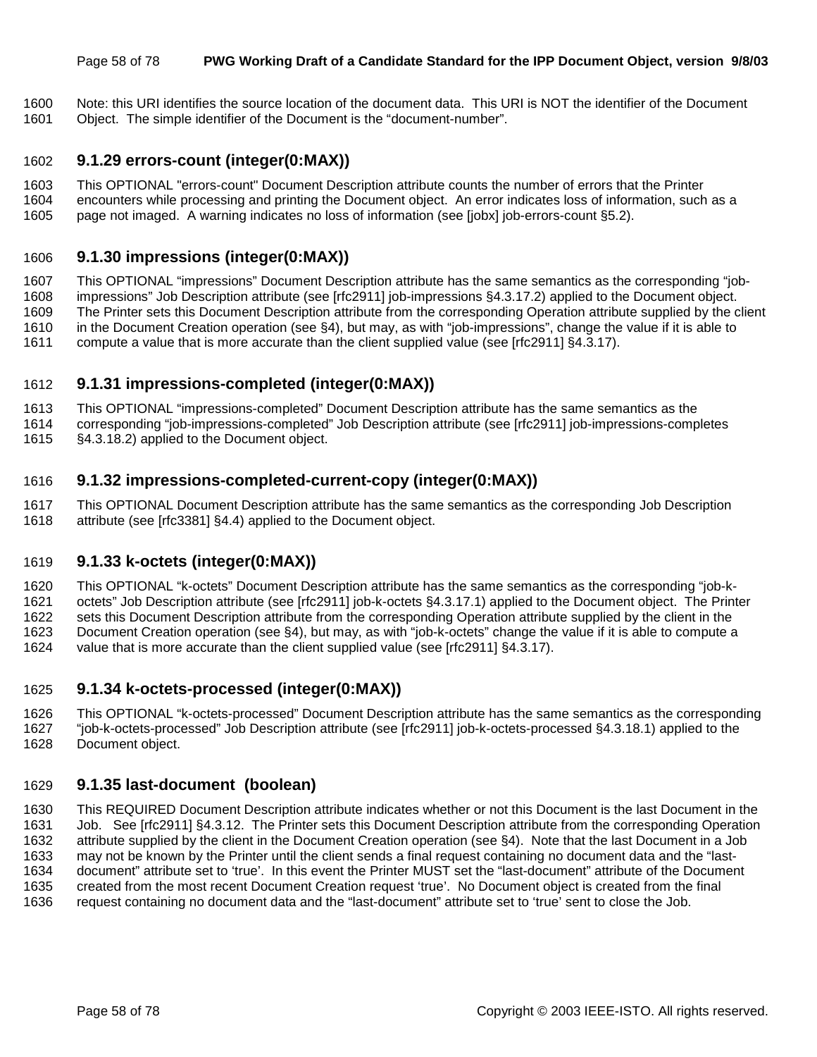#### Page 58 of 78 **PWG Working Draft of a Candidate Standard for the IPP Document Object, version 9/8/03**

1600 Note: this URI identifies the source location of the document data. This URI is NOT the identifier of the Document 1601 Object. The simple identifier of the Document is the "document-number".

# 1602 **9.1.29 errors-count (integer(0:MAX))**

- 1603 This OPTIONAL "errors-count" Document Description attribute counts the number of errors that the Printer
- 1604 encounters while processing and printing the Document object. An error indicates loss of information, such as a
- 1605 page not imaged. A warning indicates no loss of information (see [jobx] job-errors-count §5.2).

## 1606 **9.1.30 impressions (integer(0:MAX))**

1607 This OPTIONAL "impressions" Document Description attribute has the same semantics as the corresponding "job-1608 impressions" Job Description attribute (see [rfc2911] job-impressions §4.3.17.2) applied to the Document object. 1609 The Printer sets this Document Description attribute from the corresponding Operation attribute supplied by the client 1610 in the Document Creation operation (see §4), but may, as with "job-impressions", change the value if it is able to 1611 compute a value that is more accurate than the client supplied value (see [rfc2911] §4.3.17).

## 1612 **9.1.31 impressions-completed (integer(0:MAX))**

1613 This OPTIONAL "impressions-completed" Document Description attribute has the same semantics as the

1614 corresponding "job-impressions-completed" Job Description attribute (see [rfc2911] job-impressions-completes 1615 §4.3.18.2) applied to the Document object.

## 1616 **9.1.32 impressions-completed-current-copy (integer(0:MAX))**

1617 This OPTIONAL Document Description attribute has the same semantics as the corresponding Job Description 1618 attribute (see [rfc3381] §4.4) applied to the Document object.

## 1619 **9.1.33 k-octets (integer(0:MAX))**

1620 This OPTIONAL "k-octets" Document Description attribute has the same semantics as the corresponding "job-k-

1621 octets" Job Description attribute (see [rfc2911] job-k-octets §4.3.17.1) applied to the Document object. The Printer

1622 sets this Document Description attribute from the corresponding Operation attribute supplied by the client in the 1623 Document Creation operation (see §4), but may, as with "job-k-octets" change the value if it is able to compute a

1624 value that is more accurate than the client supplied value (see [rfc2911] §4.3.17).

## 1625 **9.1.34 k-octets-processed (integer(0:MAX))**

1626 This OPTIONAL "k-octets-processed" Document Description attribute has the same semantics as the corresponding

- 1627 "job-k-octets-processed" Job Description attribute (see [rfc2911] job-k-octets-processed §4.3.18.1) applied to the
- 1628 Document object.

## 1629 **9.1.35 last-document (boolean)**

1630 This REQUIRED Document Description attribute indicates whether or not this Document is the last Document in the 1631 Job. See [rfc2911] §4.3.12. The Printer sets this Document Description attribute from the corresponding Operation 1632 attribute supplied by the client in the Document Creation operation (see §4). Note that the last Document in a Job 1633 may not be known by the Printer until the client sends a final request containing no document data and the "last-1634 document" attribute set to 'true'. In this event the Printer MUST set the "last-document" attribute of the Document 1635 created from the most recent Document Creation request 'true'. No Document object is created from the final 1636 request containing no document data and the "last-document" attribute set to 'true' sent to close the Job.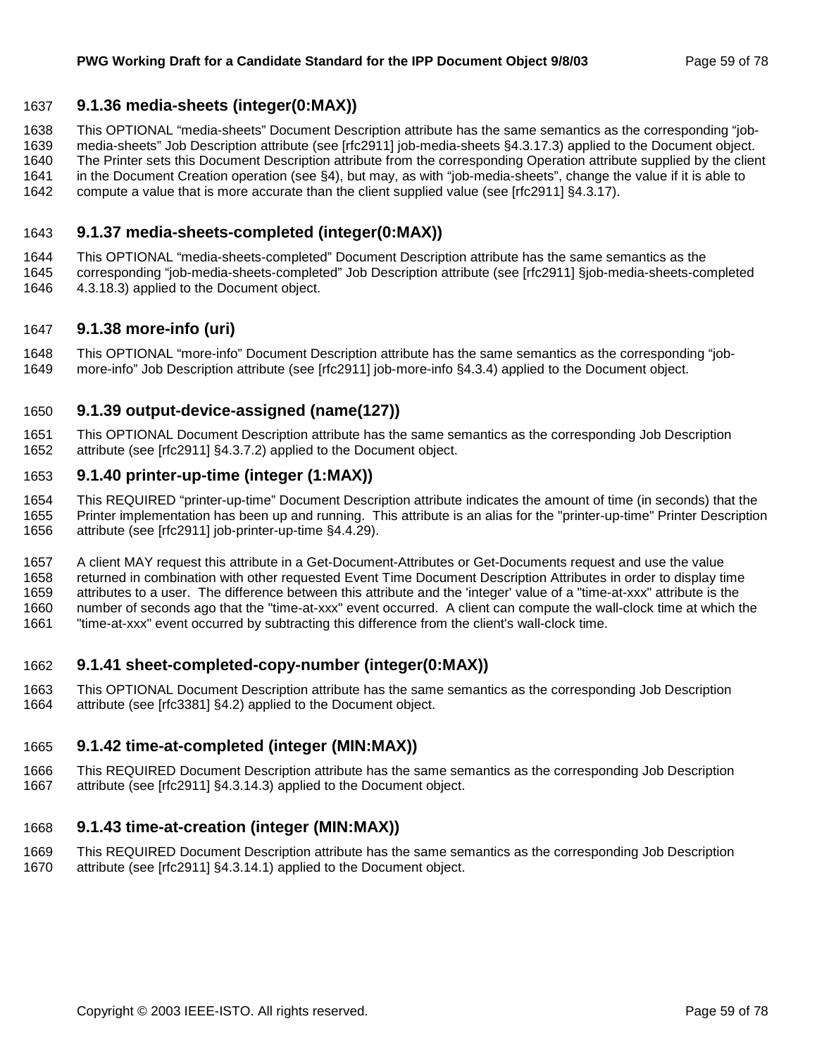## 1637 **9.1.36 media-sheets (integer(0:MAX))**

1638 This OPTIONAL "media-sheets" Document Description attribute has the same semantics as the corresponding "job-

1639 media-sheets" Job Description attribute (see [rfc2911] job-media-sheets §4.3.17.3) applied to the Document object.

1640 The Printer sets this Document Description attribute from the corresponding Operation attribute supplied by the client

- 1641 in the Document Creation operation (see §4), but may, as with "job-media-sheets", change the value if it is able to
- 1642 compute a value that is more accurate than the client supplied value (see [rfc2911] §4.3.17).

## 1643 **9.1.37 media-sheets-completed (integer(0:MAX))**

1644 This OPTIONAL "media-sheets-completed" Document Description attribute has the same semantics as the 1645 corresponding "job-media-sheets-completed" Job Description attribute (see [rfc2911] §job-media-sheets-completed

1646 4.3.18.3) applied to the Document object.

## 1647 **9.1.38 more-info (uri)**

1648 This OPTIONAL "more-info" Document Description attribute has the same semantics as the corresponding "job-1649 more-info" Job Description attribute (see [rfc2911] job-more-info §4.3.4) applied to the Document object.

## 1650 **9.1.39 output-device-assigned (name(127))**

1651 This OPTIONAL Document Description attribute has the same semantics as the corresponding Job Description 1652 attribute (see [rfc2911] §4.3.7.2) applied to the Document object.

## 1653 **9.1.40 printer-up-time (integer (1:MAX))**

1654 This REQUIRED "printer-up-time" Document Description attribute indicates the amount of time (in seconds) that the 1655 Printer implementation has been up and running. This attribute is an alias for the "printer-up-time" Printer Description 1656 attribute (see [rfc2911] job-printer-up-time §4.4.29).

1657 A client MAY request this attribute in a Get-Document-Attributes or Get-Documents request and use the value 1658 returned in combination with other requested Event Time Document Description Attributes in order to display time 1659 attributes to a user. The difference between this attribute and the 'integer' value of a "time-at-xxx" attribute is the 1660 number of seconds ago that the "time-at-xxx" event occurred. A client can compute the wall-clock time at which the 1661 "time-at-xxx" event occurred by subtracting this difference from the client's wall-clock time.

## 1662 **9.1.41 sheet-completed-copy-number (integer(0:MAX))**

1663 This OPTIONAL Document Description attribute has the same semantics as the corresponding Job Description 1664 attribute (see [rfc3381] §4.2) applied to the Document object.

### 1665 **9.1.42 time-at-completed (integer (MIN:MAX))**

1666 This REQUIRED Document Description attribute has the same semantics as the corresponding Job Description 1667 attribute (see [rfc2911] §4.3.14.3) applied to the Document object.

### 1668 **9.1.43 time-at-creation (integer (MIN:MAX))**

1669 This REQUIRED Document Description attribute has the same semantics as the corresponding Job Description 1670 attribute (see [rfc2911] §4.3.14.1) applied to the Document object.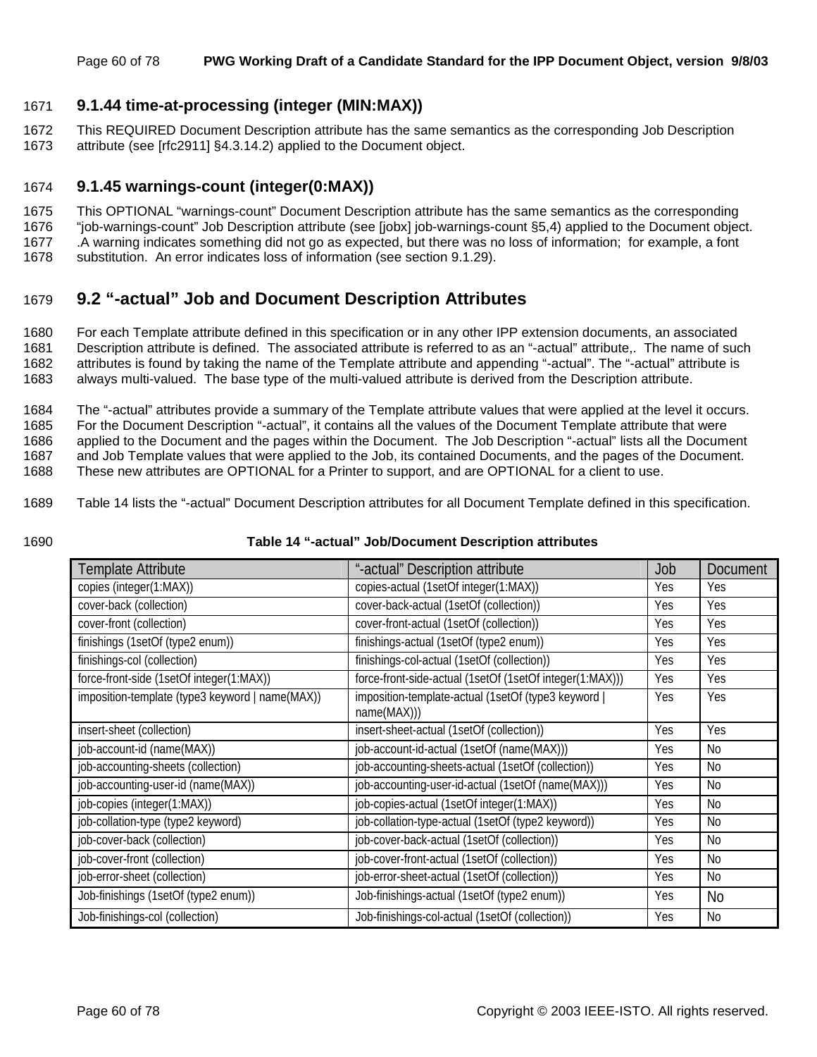## 1671 **9.1.44 time-at-processing (integer (MIN:MAX))**

1672 This REQUIRED Document Description attribute has the same semantics as the corresponding Job Description 1673 attribute (see [rfc2911] §4.3.14.2) applied to the Document object.

### 1674 **9.1.45 warnings-count (integer(0:MAX))**

1675 This OPTIONAL "warnings-count" Document Description attribute has the same semantics as the corresponding

1676 "job-warnings-count" Job Description attribute (see [jobx] job-warnings-count §5,4) applied to the Document object.

1677 .A warning indicates something did not go as expected, but there was no loss of information; for example, a font

1678 substitution. An error indicates loss of information (see section 9.1.29).

## 1679 **9.2 "-actual" Job and Document Description Attributes**

1680 For each Template attribute defined in this specification or in any other IPP extension documents, an associated 1681 Description attribute is defined. The associated attribute is referred to as an "-actual" attribute,. The name of such 1682 attributes is found by taking the name of the Template attribute and appending "-actual". The "-actual" attribute is 1683 always multi-valued. The base type of the multi-valued attribute is derived from the Description attribute.

1684 The "-actual" attributes provide a summary of the Template attribute values that were applied at the level it occurs. 1685 For the Document Description "-actual", it contains all the values of the Document Template attribute that were 1686 applied to the Document and the pages within the Document. The Job Description "-actual" lists all the Document 1687 and Job Template values that were applied to the Job, its contained Documents, and the pages of the Document. 1688 These new attributes are OPTIONAL for a Printer to support, and are OPTIONAL for a client to use.

- 1689 Table 14 lists the "-actual" Document Description attributes for all Document Template defined in this specification.
- 

#### 1690 **Table 14 "-actual" Job/Document Description attributes**

| Template Attribute                              | "-actual" Description attribute                                  | Job | <b>Document</b> |
|-------------------------------------------------|------------------------------------------------------------------|-----|-----------------|
| copies (integer(1:MAX))                         | copies-actual (1setOf integer(1:MAX))                            | Yes | Yes.            |
| cover-back (collection)                         | cover-back-actual (1setOf (collection))                          | Yes | Yes             |
| cover-front (collection)                        | cover-front-actual (1setOf (collection))                         | Yes | Yes             |
| finishings (1setOf (type2 enum))                | finishings-actual (1setOf (type2 enum))                          | Yes | Yes             |
| finishings-col (collection)                     | finishings-col-actual (1setOf (collection))                      | Yes | Yes             |
| force-front-side (1setOf integer(1:MAX))        | force-front-side-actual (1setOf (1setOf integer(1:MAX)))         | Yes | Yes             |
| imposition-template (type3 keyword   name(MAX)) | imposition-template-actual (1setOf (type3 keyword<br>name(MAX))) | Yes | Yes             |
| insert-sheet (collection)                       | insert-sheet-actual (1setOf (collection))                        | Yes | Yes             |
| job-account-id (name(MAX))                      | job-account-id-actual (1setOf (name(MAX)))                       | Yes | No              |
| job-accounting-sheets (collection)              | job-accounting-sheets-actual (1setOf (collection))               | Yes | No              |
| job-accounting-user-id (name(MAX))              | job-accounting-user-id-actual (1setOf (name(MAX)))               | Yes | N <sub>0</sub>  |
| job-copies (integer(1:MAX))                     | job-copies-actual (1setOf integer(1:MAX))                        | Yes | No              |
| job-collation-type (type2 keyword)              | job-collation-type-actual (1setOf (type2 keyword))               | Yes | No.             |
| job-cover-back (collection)                     | job-cover-back-actual (1setOf (collection))                      | Yes | No              |
| job-cover-front (collection)                    | job-cover-front-actual (1setOf (collection))                     | Yes | No              |
| job-error-sheet (collection)                    | job-error-sheet-actual (1setOf (collection))                     | Yes | No              |
| Job-finishings (1setOf (type2 enum))            | Job-finishings-actual (1setOf (type2 enum))                      | Yes | <b>No</b>       |
| Job-finishings-col (collection)                 | Job-finishings-col-actual (1setOf (collection))                  | Yes | No              |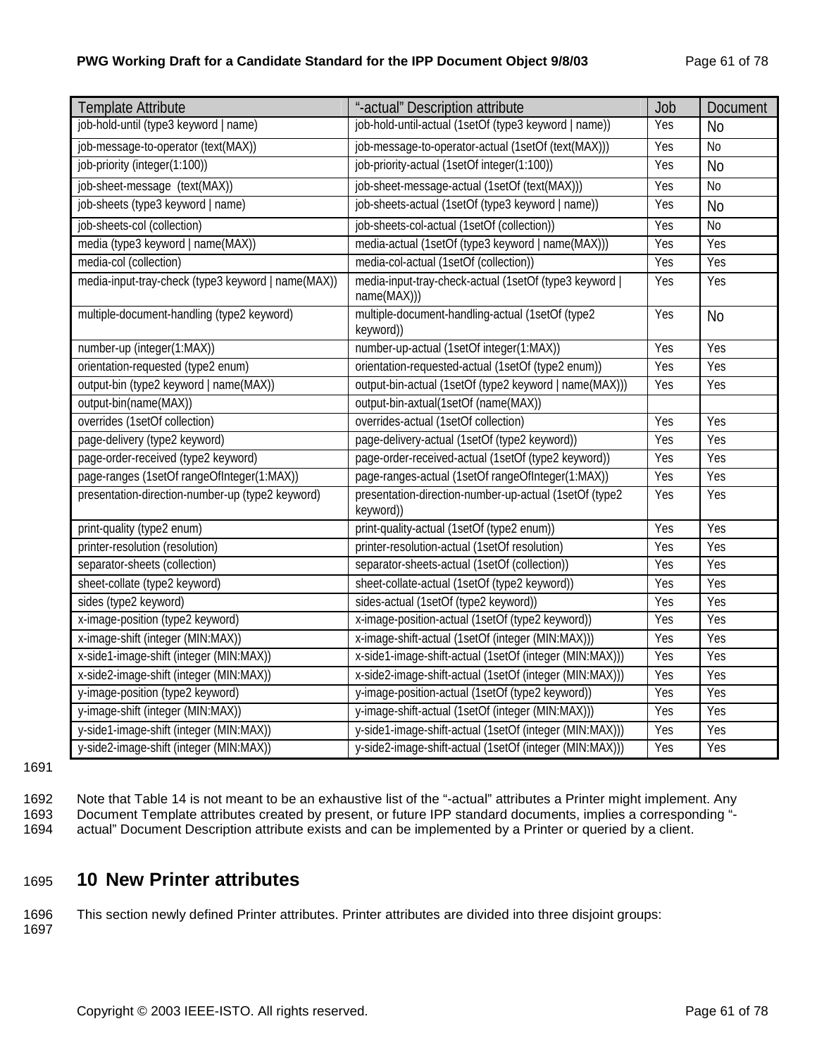### **PWG Working Draft for a Candidate Standard for the IPP Document Object 9/8/03** Page 61 of 78

| <b>Template Attribute</b>                          | "-actual" Description attribute                                       | Job | <b>Document</b> |
|----------------------------------------------------|-----------------------------------------------------------------------|-----|-----------------|
| job-hold-until (type3 keyword   name)              | job-hold-until-actual (1setOf (type3 keyword   name))                 | Yes | <b>No</b>       |
| job-message-to-operator (text(MAX))                | job-message-to-operator-actual (1setOf (text(MAX)))                   | Yes | N <sub>0</sub>  |
| job-priority (integer(1:100))                      | job-priority-actual (1setOf integer(1:100))                           | Yes | <b>No</b>       |
| job-sheet-message (text(MAX))                      | job-sheet-message-actual (1setOf (text(MAX)))                         | Yes | No              |
| job-sheets (type3 keyword   name)                  | job-sheets-actual (1setOf (type3 keyword   name))                     | Yes | <b>No</b>       |
| job-sheets-col (collection)                        | job-sheets-col-actual (1setOf (collection))                           | Yes | N <sub>0</sub>  |
| media (type3 keyword   name(MAX))                  | media-actual (1setOf (type3 keyword   name(MAX)))                     | Yes | Yes             |
| media-col (collection)                             | media-col-actual (1setOf (collection))                                | Yes | Yes             |
| media-input-tray-check (type3 keyword   name(MAX)) | media-input-tray-check-actual (1setOf (type3 keyword  <br>name(MAX))) | Yes | Yes             |
| multiple-document-handling (type2 keyword)         | multiple-document-handling-actual (1setOf (type2<br>keyword))         | Yes | <b>No</b>       |
| number-up (integer(1:MAX))                         | number-up-actual (1setOf integer(1:MAX))                              | Yes | Yes             |
| orientation-requested (type2 enum)                 | orientation-requested-actual (1setOf (type2 enum))                    | Yes | Yes             |
| output-bin (type2 keyword   name(MAX))             | output-bin-actual (1setOf (type2 keyword   name(MAX)))                | Yes | Yes             |
| output-bin(name(MAX))                              | output-bin-axtual(1setOf (name(MAX))                                  |     |                 |
| overrides (1setOf collection)                      | overrides-actual (1setOf collection)                                  | Yes | Yes             |
| page-delivery (type2 keyword)                      | page-delivery-actual (1setOf (type2 keyword))                         | Yes | Yes             |
| page-order-received (type2 keyword)                | page-order-received-actual (1setOf (type2 keyword))                   | Yes | Yes             |
| page-ranges (1setOf rangeOfInteger(1:MAX))         | page-ranges-actual (1setOf rangeOfInteger(1:MAX))                     | Yes | Yes             |
| presentation-direction-number-up (type2 keyword)   | presentation-direction-number-up-actual (1setOf (type2<br>keyword))   | Yes | Yes             |
| print-quality (type2 enum)                         | print-quality-actual (1setOf (type2 enum))                            | Yes | Yes             |
| printer-resolution (resolution)                    | printer-resolution-actual (1setOf resolution)                         | Yes | Yes             |
| separator-sheets (collection)                      | separator-sheets-actual (1setOf (collection))                         | Yes | Yes             |
| sheet-collate (type2 keyword)                      | sheet-collate-actual (1setOf (type2 keyword))                         | Yes | Yes             |
| sides (type2 keyword)                              | sides-actual (1setOf (type2 keyword))                                 | Yes | Yes             |
| x-image-position (type2 keyword)                   | x-image-position-actual (1setOf (type2 keyword))                      | Yes | Yes             |
| x-image-shift (integer (MIN:MAX))                  | x-image-shift-actual (1setOf (integer (MIN:MAX)))                     | Yes | Yes             |
| x-side1-image-shift (integer (MIN:MAX))            | x-side1-image-shift-actual (1setOf (integer (MIN:MAX)))               | Yes | Yes             |
| x-side2-image-shift (integer (MIN:MAX))            | x-side2-image-shift-actual (1setOf (integer (MIN:MAX)))               | Yes | Yes             |
| y-image-position (type2 keyword)                   | y-image-position-actual (1setOf (type2 keyword))                      | Yes | Yes             |
| y-image-shift (integer (MIN:MAX))                  | y-image-shift-actual (1setOf (integer (MIN:MAX)))                     | Yes | Yes             |
| y-side1-image-shift (integer (MIN:MAX))            | y-side1-image-shift-actual (1setOf (integer (MIN:MAX)))               | Yes | Yes             |
| y-side2-image-shift (integer (MIN:MAX))            | y-side2-image-shift-actual (1setOf (integer (MIN:MAX)))               | Yes | Yes             |

1691

1692 Note that Table 14 is not meant to be an exhaustive list of the "-actual" attributes a Printer might implement. Any 1693 Document Template attributes created by present, or future IPP standard documents, implies a corresponding "-<br>1694 actual" Document Description attribute exists and can be implemented by a Printer or queried by a clie

actual" Document Description attribute exists and can be implemented by a Printer or queried by a client.

## 1695 **10 New Printer attributes**

1696 This section newly defined Printer attributes. Printer attributes are divided into three disjoint groups:

1697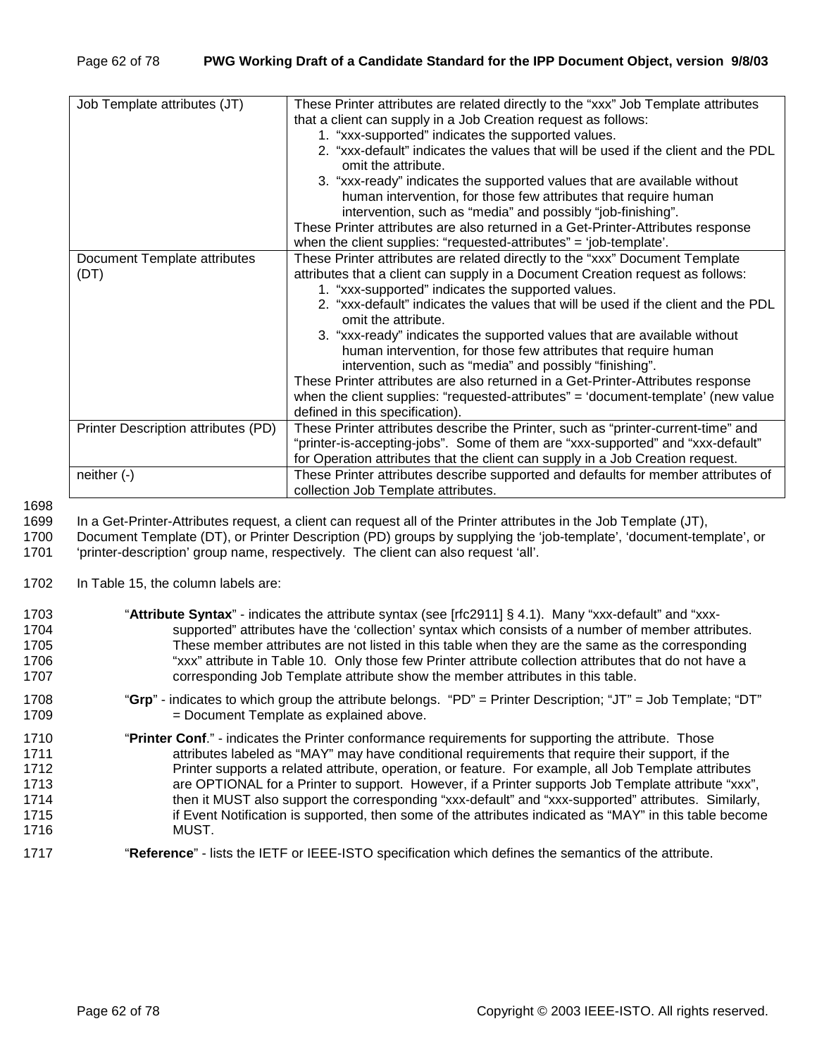| Job Template attributes (JT)        | These Printer attributes are related directly to the "xxx" Job Template attributes |
|-------------------------------------|------------------------------------------------------------------------------------|
|                                     | that a client can supply in a Job Creation request as follows:                     |
|                                     | 1. "xxx-supported" indicates the supported values.                                 |
|                                     | 2. "xxx-default" indicates the values that will be used if the client and the PDL  |
|                                     | omit the attribute.                                                                |
|                                     | 3. "xxx-ready" indicates the supported values that are available without           |
|                                     | human intervention, for those few attributes that require human                    |
|                                     | intervention, such as "media" and possibly "job-finishing".                        |
|                                     | These Printer attributes are also returned in a Get-Printer-Attributes response    |
|                                     | when the client supplies: "requested-attributes" = 'job-template'.                 |
| Document Template attributes        | These Printer attributes are related directly to the "xxx" Document Template       |
| (DT)                                | attributes that a client can supply in a Document Creation request as follows:     |
|                                     | 1. "xxx-supported" indicates the supported values.                                 |
|                                     | 2. "xxx-default" indicates the values that will be used if the client and the PDL  |
|                                     | omit the attribute.                                                                |
|                                     | 3. "xxx-ready" indicates the supported values that are available without           |
|                                     | human intervention, for those few attributes that require human                    |
|                                     | intervention, such as "media" and possibly "finishing".                            |
|                                     | These Printer attributes are also returned in a Get-Printer-Attributes response    |
|                                     | when the client supplies: "requested-attributes" = 'document-template' (new value  |
|                                     | defined in this specification).                                                    |
| Printer Description attributes (PD) | These Printer attributes describe the Printer, such as "printer-current-time" and  |
|                                     | "printer-is-accepting-jobs". Some of them are "xxx-supported" and "xxx-default"    |
|                                     | for Operation attributes that the client can supply in a Job Creation request.     |
| neither $(-)$                       | These Printer attributes describe supported and defaults for member attributes of  |
|                                     | collection Job Template attributes.                                                |

1698

1699 In a Get-Printer-Attributes request, a client can request all of the Printer attributes in the Job Template (JT), 1700 Document Template (DT), or Printer Description (PD) groups by supplying the 'job-template', 'docum

1700 Document Template (DT), or Printer Description (PD) groups by supplying the 'job-template', 'document-template', or<br>1701 frinter-description' group name, respectively. The client can also request 'all'. 'printer-description' group name, respectively. The client can also request 'all'.

1702 In Table 15, the column labels are:

| 1703 | "Attribute Syntax" - indicates the attribute syntax (see [rfc2911] § 4.1). Many "xxx-default" and "xxx-       |
|------|---------------------------------------------------------------------------------------------------------------|
| 1704 | supported" attributes have the 'collection' syntax which consists of a number of member attributes.           |
| 1705 | These member attributes are not listed in this table when they are the same as the corresponding              |
| 1706 | "xxx" attribute in Table 10. Only those few Printer attribute collection attributes that do not have a        |
| 1707 | corresponding Job Template attribute show the member attributes in this table.                                |
| 1708 | "Grp" - indicates to which group the attribute belongs. "PD" = Printer Description; "JT" = Job Template; "DT" |
| 1709 | = Document Template as explained above.                                                                       |
| 1710 | "Printer Conf." - indicates the Printer conformance requirements for supporting the attribute. Those          |
| 1711 | attributes labeled as "MAY" may have conditional requirements that require their support, if the              |
| 1712 | Printer supports a related attribute, operation, or feature. For example, all Job Template attributes         |
| 1713 | are OPTIONAL for a Printer to support. However, if a Printer supports Job Template attribute "xxx",           |
| 1714 | then it MUST also support the corresponding "xxx-default" and "xxx-supported" attributes. Similarly,          |
| 1715 | if Event Notification is supported, then some of the attributes indicated as "MAY" in this table become       |
| 1716 | MUST.                                                                                                         |
| 1717 | "Reference" - lists the IETF or IEEE-ISTO specification which defines the semantics of the attribute.         |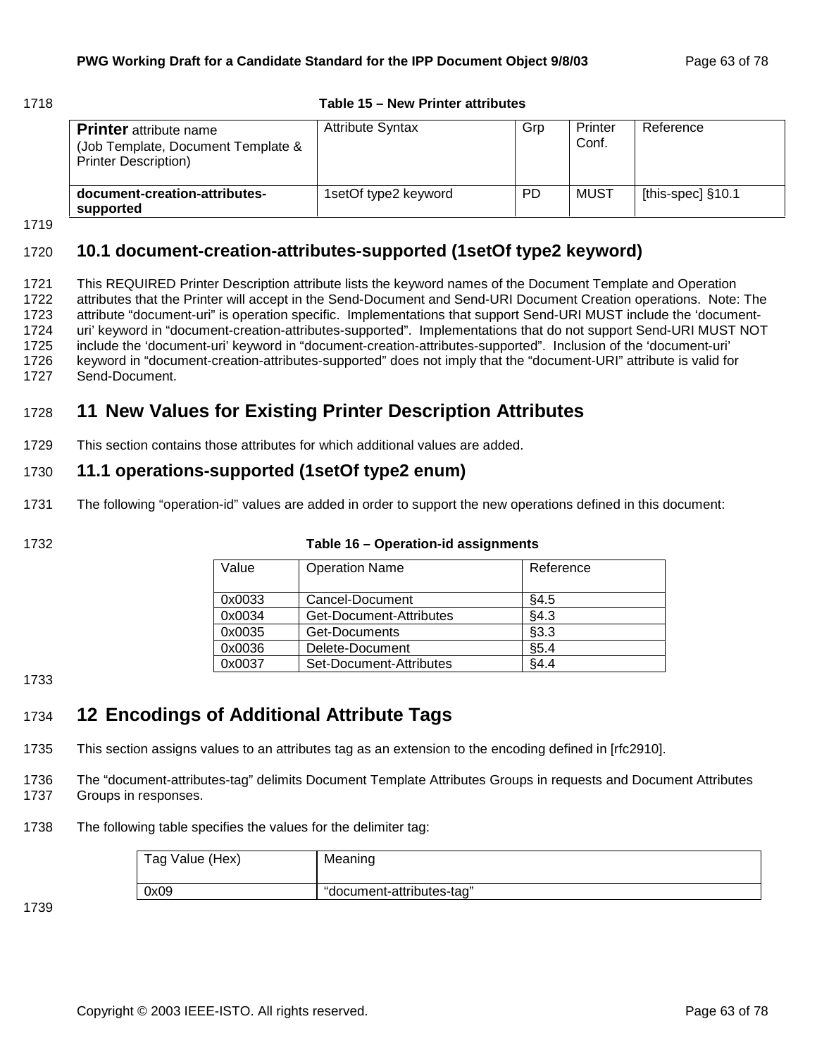#### 1718 **Table 15 – New Printer attributes**

| <b>Printer</b> attribute name<br>(Job Template, Document Template &<br><b>Printer Description)</b> | <b>Attribute Syntax</b> | Grp       | Printer<br>Conf. | Reference           |
|----------------------------------------------------------------------------------------------------|-------------------------|-----------|------------------|---------------------|
| document-creation-attributes-<br>supported                                                         | 1setOf type2 keyword    | <b>PD</b> | MUST             | [this-spec] $§10.1$ |

1719

## 1720 **10.1 document-creation-attributes-supported (1setOf type2 keyword)**

1721 This REQUIRED Printer Description attribute lists the keyword names of the Document Template and Operation 1722 attributes that the Printer will accept in the Send-Document and Send-URI Document Creation operations. Note: The 1723 attribute "document-uri" is operation specific. Implementations that support Send-URI MUST include the 'document-1724 uri' keyword in "document-creation-attributes-supported". Implementations that do not support Send-URI MUST NOT 1725 include the 'document-uri' keyword in "document-creation-attributes-supported". Inclusion of the 'document-uri' 1726 keyword in "document-creation-attributes-supported" does not imply that the "document-URI" attribute is valid for 1727 Send-Document.

## 1728 **11 New Values for Existing Printer Description Attributes**

1729 This section contains those attributes for which additional values are added.

## 1730 **11.1 operations-supported (1setOf type2 enum)**

1731 The following "operation-id" values are added in order to support the new operations defined in this document:

1732 **Table 16 – Operation-id assignments** 

| Value  | <b>Operation Name</b>   | Reference |
|--------|-------------------------|-----------|
| 0x0033 | Cancel-Document         | §4.5      |
| 0x0034 | Get-Document-Attributes | §4.3      |
| 0x0035 | Get-Documents           | §3.3      |
| 0x0036 | Delete-Document         | \$5.4     |
| 0x0037 | Set-Document-Attributes | §4.4      |

1733

## 1734 **12 Encodings of Additional Attribute Tags**

1735 This section assigns values to an attributes tag as an extension to the encoding defined in [rfc2910].

1736 The "document-attributes-tag" delimits Document Template Attributes Groups in requests and Document Attributes 1737 Groups in responses.

1738 The following table specifies the values for the delimiter tag:

| Tag Value (Hex) | Meaning                   |
|-----------------|---------------------------|
| 0x09            | "document-attributes-tag" |

1739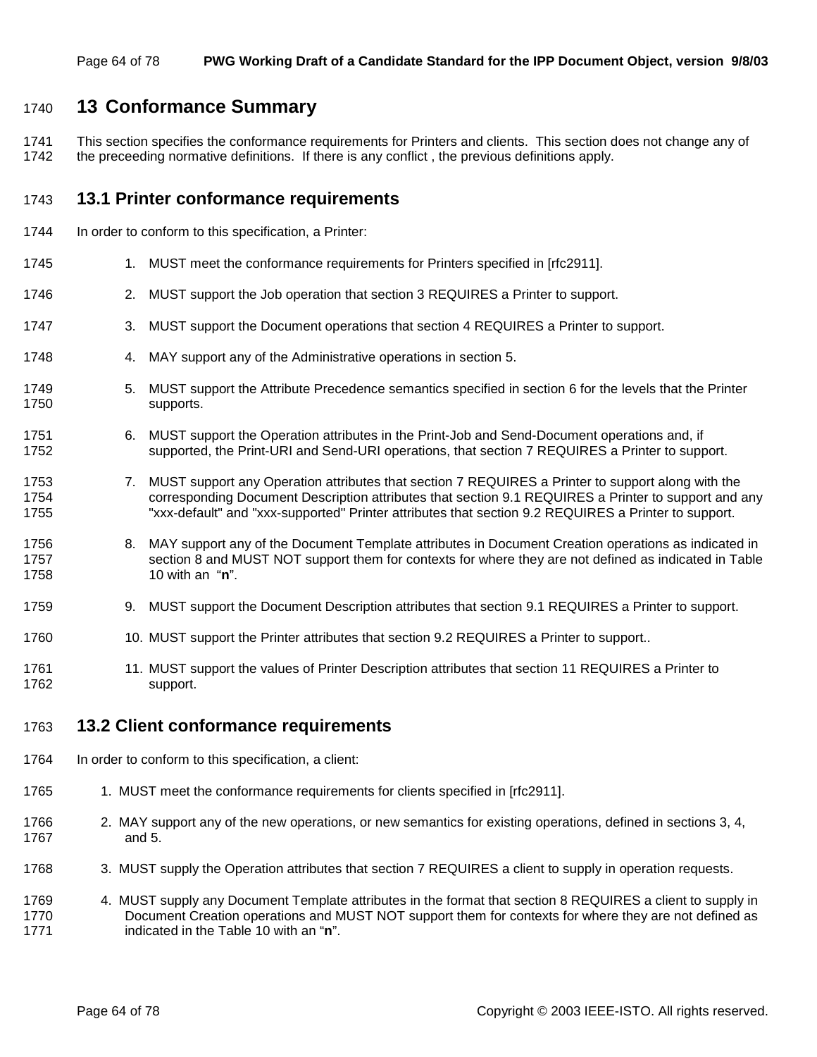## 1740 **13 Conformance Summary**

1741 This section specifies the conformance requirements for Printers and clients. This section does not change any of 1742 the preceeding normative definitions. If there is any conflict, the previous definitions apply.

## 1743 **13.1 Printer conformance requirements**

- 1744 In order to conform to this specification, a Printer:
- 1745 1. MUST meet the conformance requirements for Printers specified in [rfc2911].
- 1746 2. MUST support the Job operation that section 3 REQUIRES a Printer to support.
- 1747 3. MUST support the Document operations that section 4 REQUIRES a Printer to support.
- 1748 4. MAY support any of the Administrative operations in section 5.
- 1749 5. MUST support the Attribute Precedence semantics specified in section 6 for the levels that the Printer 1750 supports.
- 1751 6. MUST support the Operation attributes in the Print-Job and Send-Document operations and, if 1752 supported, the Print-URI and Send-URI operations, that section 7 REQUIRES a Printer to support.
- 1753 7. MUST support any Operation attributes that section 7 REQUIRES a Printer to support along with the 1754 corresponding Document Description attributes that section 9.1 REQUIRES a Printer to support and any 1755 "xxx-default" and "xxx-supported" Printer attributes that section 9.2 REQUIRES a Printer to support.
- 1756 8. MAY support any of the Document Template attributes in Document Creation operations as indicated in 1757 section 8 and MUST NOT support them for contexts for where they are not defined as indicated in Table 1758 10 with an "**n**".
- 1759 9. MUST support the Document Description attributes that section 9.1 REQUIRES a Printer to support.
- 1760 10. MUST support the Printer attributes that section 9.2 REQUIRES a Printer to support..
- 1761 11. MUST support the values of Printer Description attributes that section 11 REQUIRES a Printer to 1762 support.

## 1763 **13.2 Client conformance requirements**

- 1764 In order to conform to this specification, a client:
- 1765 1. MUST meet the conformance requirements for clients specified in [rfc2911].
- 1766 2. MAY support any of the new operations, or new semantics for existing operations, defined in sections 3, 4, 1767 and 5.
- 1768 3. MUST supply the Operation attributes that section 7 REQUIRES a client to supply in operation requests.
- 1769 4. MUST supply any Document Template attributes in the format that section 8 REQUIRES a client to supply in 1770 Document Creation operations and MUST NOT support them for contexts for where they are not defined as 1771 indicated in the Table 10 with an "**n**".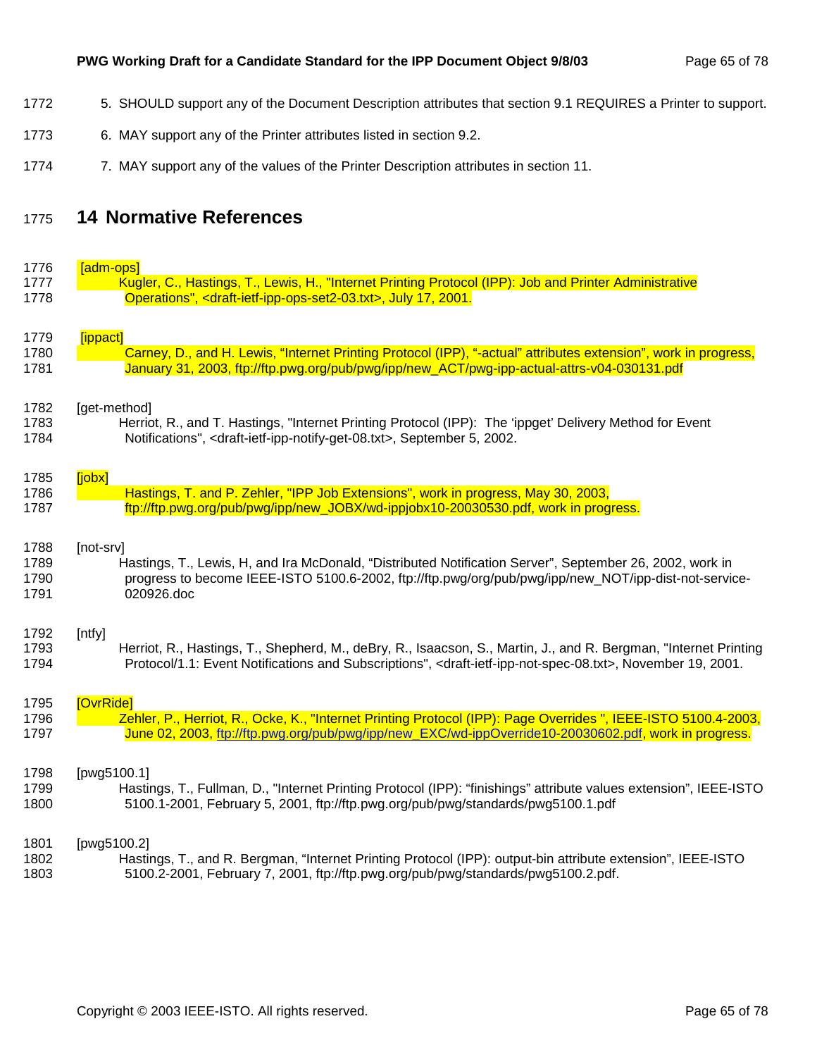## PWG Working Draft for a Candidate Standard for the IPP Document Object 9/8/03 Page 65 of 78

- 1772 5. SHOULD support any of the Document Description attributes that section 9.1 REQUIRES a Printer to support.
- 1773 6. MAY support any of the Printer attributes listed in section 9.2.
- 1774 7. MAY support any of the values of the Printer Description attributes in section 11.

## 1775 **14 Normative References**

1776 <mark>in the set of the set</mark>

| 1776 | <u> adm-ops </u>                                                                                                                            |
|------|---------------------------------------------------------------------------------------------------------------------------------------------|
| 1777 | Kugler, C., Hastings, T., Lewis, H., "Internet Printing Protocol (IPP): Job and Printer Administrative                                      |
| 1778 | Operations", <draft-ietf-ipp-ops-set2-03.txt>, July 17, 2001.</draft-ietf-ipp-ops-set2-03.txt>                                              |
|      |                                                                                                                                             |
| 1779 | [ippact]                                                                                                                                    |
| 1780 | Carney, D., and H. Lewis, "Internet Printing Protocol (IPP), "-actual" attributes extension", work in progress,                             |
|      |                                                                                                                                             |
| 1781 | January 31, 2003, ftp://ftp.pwg.org/pub/pwg/ipp/new_ACT/pwg-ipp-actual-attrs-v04-030131.pdf                                                 |
| 1782 | [get-method]                                                                                                                                |
|      |                                                                                                                                             |
| 1783 | Herriot, R., and T. Hastings, "Internet Printing Protocol (IPP): The 'ippget' Delivery Method for Event                                     |
| 1784 | Notifications", <draft-ietf-ipp-notify-get-08.txt>, September 5, 2002.</draft-ietf-ipp-notify-get-08.txt>                                   |
| 1785 | [jobx]                                                                                                                                      |
| 1786 | Hastings, T. and P. Zehler, "IPP Job Extensions", work in progress, May 30, 2003,                                                           |
|      |                                                                                                                                             |
| 1787 | ftp://ftp.pwg.org/pub/pwg/ipp/new_JOBX/wd-ippjobx10-20030530.pdf, work in progress.                                                         |
| 1788 | [not-srv]                                                                                                                                   |
| 1789 | Hastings, T., Lewis, H, and Ira McDonald, "Distributed Notification Server", September 26, 2002, work in                                    |
| 1790 | progress to become IEEE-ISTO 5100.6-2002, ftp://ftp.pwg/org/pub/pwg/ipp/new_NOT/ipp-dist-not-service-                                       |
|      |                                                                                                                                             |
| 1791 | 020926.doc                                                                                                                                  |
| 1792 | [ntfy]                                                                                                                                      |
| 1793 | Herriot, R., Hastings, T., Shepherd, M., deBry, R., Isaacson, S., Martin, J., and R. Bergman, "Internet Printing                            |
| 1794 | Protocol/1.1: Event Notifications and Subscriptions", <draft-ietf-ipp-not-spec-08.txt>, November 19, 2001.</draft-ietf-ipp-not-spec-08.txt> |
|      |                                                                                                                                             |
| 1795 | [OvrRide]                                                                                                                                   |
| 1796 | Zehler, P., Herriot, R., Ocke, K., "Internet Printing Protocol (IPP): Page Overrides ", IEEE-ISTO 5100.4-2003,                              |
| 1797 | June 02, 2003, ftp://ftp.pwg.org/pub/pwg/ipp/new_EXC/wd-ippOverride10-20030602.pdf, work in progress.                                       |
|      |                                                                                                                                             |
| 1798 | [pwg5100.1]                                                                                                                                 |
| 1799 | Hastings, T., Fullman, D., "Internet Printing Protocol (IPP): "finishings" attribute values extension", IEEE-ISTO                           |
| 1800 | 5100.1-2001, February 5, 2001, ftp://ftp.pwg.org/pub/pwg/standards/pwg5100.1.pdf                                                            |
|      |                                                                                                                                             |
| 1801 | [pwg5100.2]                                                                                                                                 |
| 1802 | Hastings, T., and R. Bergman, "Internet Printing Protocol (IPP): output-bin attribute extension", IEEE-ISTO                                 |
| 1803 | 5100.2-2001, February 7, 2001, ftp://ftp.pwg.org/pub/pwg/standards/pwg5100.2.pdf.                                                           |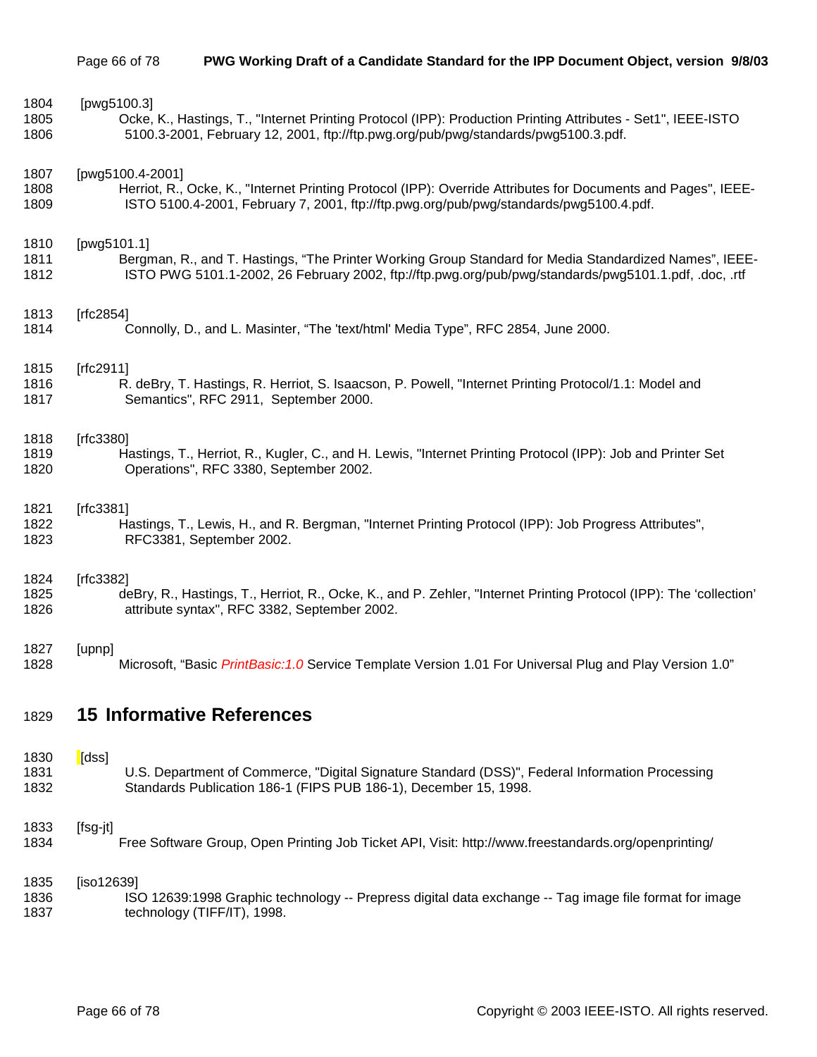| 1804 | [pwg5100.3]                                                                                                        |
|------|--------------------------------------------------------------------------------------------------------------------|
| 1805 | Ocke, K., Hastings, T., "Internet Printing Protocol (IPP): Production Printing Attributes - Set1", IEEE-ISTO       |
| 1806 | 5100.3-2001, February 12, 2001, ftp://ftp.pwg.org/pub/pwg/standards/pwg5100.3.pdf.                                 |
| 1807 | [pwg5100.4-2001]                                                                                                   |
| 1808 | Herriot, R., Ocke, K., "Internet Printing Protocol (IPP): Override Attributes for Documents and Pages", IEEE-      |
| 1809 | ISTO 5100.4-2001, February 7, 2001, ftp://ftp.pwg.org/pub/pwg/standards/pwg5100.4.pdf.                             |
| 1810 | [pwg5101.1]                                                                                                        |
| 1811 | Bergman, R., and T. Hastings, "The Printer Working Group Standard for Media Standardized Names", IEEE-             |
| 1812 | ISTO PWG 5101.1-2002, 26 February 2002, ftp://ftp.pwg.org/pub/pwg/standards/pwg5101.1.pdf, .doc, .rtf              |
| 1813 | [ $rfc2854$ ]                                                                                                      |
| 1814 | Connolly, D., and L. Masinter, "The 'text/html' Media Type", RFC 2854, June 2000.                                  |
| 1815 | [rfc2911]                                                                                                          |
| 1816 | R. deBry, T. Hastings, R. Herriot, S. Isaacson, P. Powell, "Internet Printing Protocol/1.1: Model and              |
| 1817 | Semantics", RFC 2911, September 2000.                                                                              |
| 1818 | [ $rfc3380$ ]                                                                                                      |
| 1819 | Hastings, T., Herriot, R., Kugler, C., and H. Lewis, "Internet Printing Protocol (IPP): Job and Printer Set        |
| 1820 | Operations", RFC 3380, September 2002.                                                                             |
| 1821 | [rfc3381]                                                                                                          |
| 1822 | Hastings, T., Lewis, H., and R. Bergman, "Internet Printing Protocol (IPP): Job Progress Attributes",              |
| 1823 | RFC3381, September 2002.                                                                                           |
| 1824 | [rfc3382]                                                                                                          |
| 1825 | deBry, R., Hastings, T., Herriot, R., Ocke, K., and P. Zehler, "Internet Printing Protocol (IPP): The 'collection' |
| 1826 | attribute syntax", RFC 3382, September 2002.                                                                       |
| 1827 | [upnp]                                                                                                             |
| 1828 | Microsoft, "Basic PrintBasic: 1.0 Service Template Version 1.01 For Universal Plug and Play Version 1.0"           |
| 1829 | <b>15 Informative References</b>                                                                                   |
| 1830 | [dss]                                                                                                              |
| 1831 | U.S. Department of Commerce, "Digital Signature Standard (DSS)", Federal Information Processing                    |
| 1832 | Standards Publication 186-1 (FIPS PUB 186-1), December 15, 1998.                                                   |

## 1833 [fsg-jt]

1834 Free Software Group, Open Printing Job Ticket API, Visit: http://www.freestandards.org/openprinting/

# 1835 [iso12639]

1836 ISO 12639:1998 Graphic technology -- Prepress digital data exchange -- Tag image file format for image 1837 technology (TIFF/IT), 1998.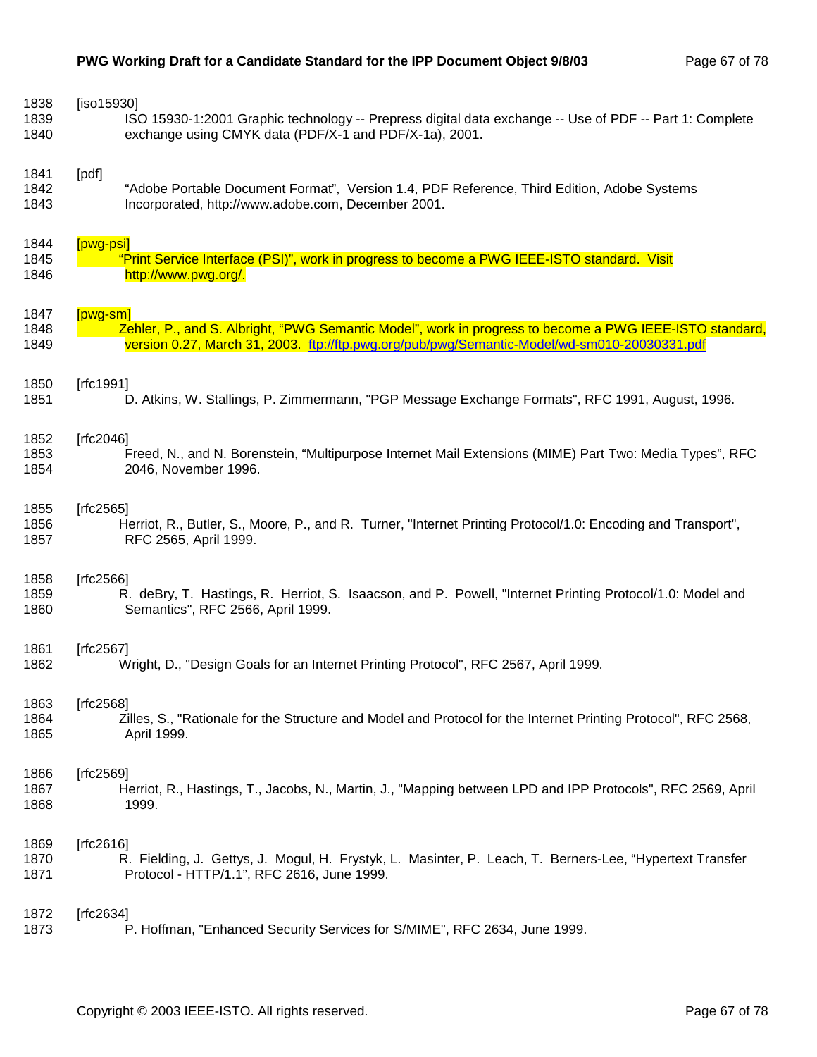| 1838 | [iso15930]                                                                                                     |  |  |  |
|------|----------------------------------------------------------------------------------------------------------------|--|--|--|
| 1839 | ISO 15930-1:2001 Graphic technology -- Prepress digital data exchange -- Use of PDF -- Part 1: Complete        |  |  |  |
| 1840 | exchange using CMYK data (PDF/X-1 and PDF/X-1a), 2001.                                                         |  |  |  |
| 1841 | [pdf]                                                                                                          |  |  |  |
| 1842 | "Adobe Portable Document Format", Version 1.4, PDF Reference, Third Edition, Adobe Systems                     |  |  |  |
| 1843 | Incorporated, http://www.adobe.com, December 2001.                                                             |  |  |  |
| 1844 | [pwg-psi]                                                                                                      |  |  |  |
| 1845 | "Print Service Interface (PSI)", work in progress to become a PWG IEEE-ISTO standard. Visit                    |  |  |  |
| 1846 | http://www.pwg.org/.                                                                                           |  |  |  |
| 1847 | $[pwg-sm]$                                                                                                     |  |  |  |
| 1848 | Zehler, P., and S. Albright, "PWG Semantic Model", work in progress to become a PWG IEEE-ISTO standard,        |  |  |  |
| 1849 | version 0.27, March 31, 2003. ttp://ttp.pwg.org/pub/pwg/Semantic-Model/wd-sm010-20030331.pdf                   |  |  |  |
| 1850 | [rfc1991]                                                                                                      |  |  |  |
| 1851 | D. Atkins, W. Stallings, P. Zimmermann, "PGP Message Exchange Formats", RFC 1991, August, 1996.                |  |  |  |
| 1852 | [ $rfc2046$ ]                                                                                                  |  |  |  |
| 1853 | Freed, N., and N. Borenstein, "Multipurpose Internet Mail Extensions (MIME) Part Two: Media Types", RFC        |  |  |  |
| 1854 | 2046, November 1996.                                                                                           |  |  |  |
| 1855 | [ $rfc2565$ ]                                                                                                  |  |  |  |
| 1856 | Herriot, R., Butler, S., Moore, P., and R. Turner, "Internet Printing Protocol/1.0: Encoding and Transport",   |  |  |  |
| 1857 | RFC 2565, April 1999.                                                                                          |  |  |  |
| 1858 | [ $rfc2566$ ]                                                                                                  |  |  |  |
| 1859 | R. deBry, T. Hastings, R. Herriot, S. Isaacson, and P. Powell, "Internet Printing Protocol/1.0: Model and      |  |  |  |
| 1860 | Semantics", RFC 2566, April 1999.                                                                              |  |  |  |
| 1861 | [ $rfc2567$ ]                                                                                                  |  |  |  |
| 1862 | Wright, D., "Design Goals for an Internet Printing Protocol", RFC 2567, April 1999.                            |  |  |  |
| 1863 | [rfc2568]                                                                                                      |  |  |  |
| 1864 | Zilles, S., "Rationale for the Structure and Model and Protocol for the Internet Printing Protocol", RFC 2568, |  |  |  |
| 1865 | April 1999.                                                                                                    |  |  |  |
| 1866 | [ $rfc2569$ ]                                                                                                  |  |  |  |
| 1867 | Herriot, R., Hastings, T., Jacobs, N., Martin, J., "Mapping between LPD and IPP Protocols", RFC 2569, April    |  |  |  |
| 1868 | 1999.                                                                                                          |  |  |  |
| 1869 | [ $rfc2616$ ]                                                                                                  |  |  |  |
| 1870 | R. Fielding, J. Gettys, J. Mogul, H. Frystyk, L. Masinter, P. Leach, T. Berners-Lee, "Hypertext Transfer       |  |  |  |
| 1871 | Protocol - HTTP/1.1", RFC 2616, June 1999.                                                                     |  |  |  |
| 1872 | [ $rfc2634$ ]                                                                                                  |  |  |  |
| 1873 | P. Hoffman, "Enhanced Security Services for S/MIME", RFC 2634, June 1999.                                      |  |  |  |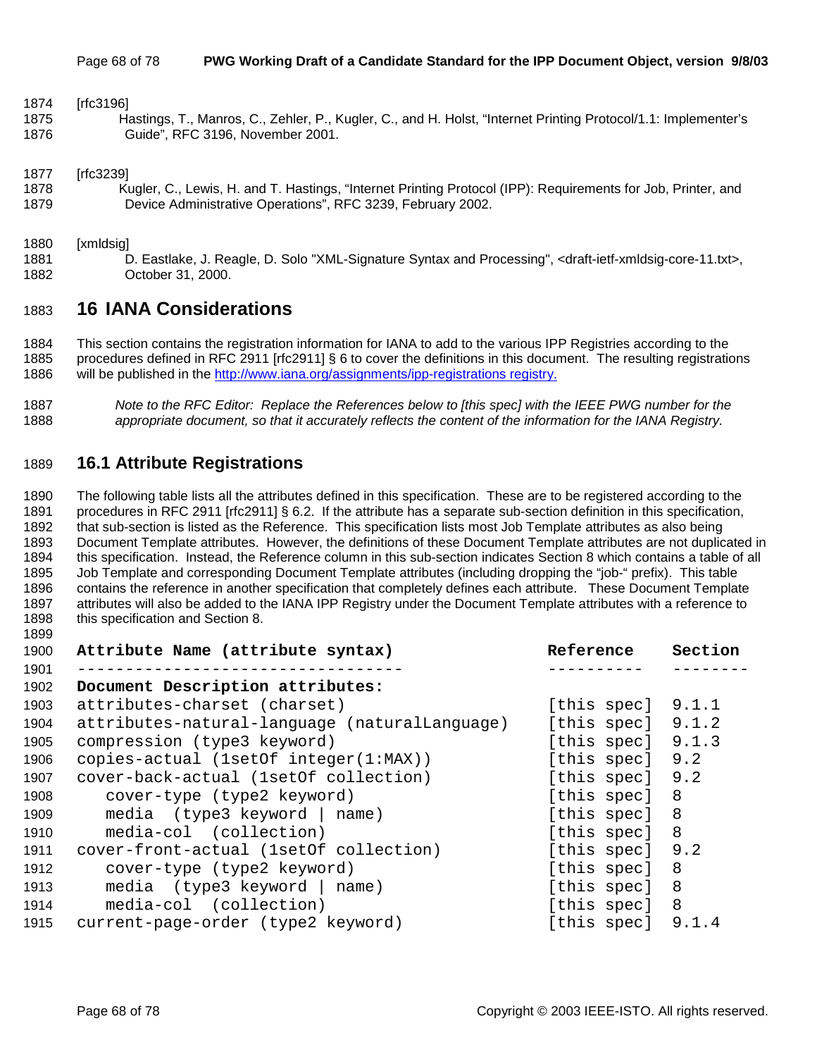1874 [rfc3196]

1875 Hastings, T., Manros, C., Zehler, P., Kugler, C., and H. Holst, "Internet Printing Protocol/1.1: Implementer's 1876 Guide", RFC 3196, November 2001.

1877 [rfc3239]

1878 Kugler, C., Lewis, H. and T. Hastings, "Internet Printing Protocol (IPP): Requirements for Job, Printer, and 1879 Device Administrative Operations", RFC 3239, February 2002.

1880 [xmldsig]

1899

1881 D. Eastlake, J. Reagle, D. Solo "XML-Signature Syntax and Processing", <draft-ietf-xmldsig-core-11.txt>, 1882 October 31, 2000.

## 1883 **16 IANA Considerations**

1884 This section contains the registration information for IANA to add to the various IPP Registries according to the 1885 procedures defined in RFC 2911 [rfc2911] § 6 to cover the definitions in this document. The resulting registrations 1886 will be published in the http://www.iana.org/assignments/ipp-registrations registry.

1887 *Note to the RFC Editor: Replace the References below to [this spec] with the IEEE PWG number for the*  1888 *appropriate document, so that it accurately reflects the content of the information for the IANA Registry.* 

## 1889 **16.1 Attribute Registrations**

1890 The following table lists all the attributes defined in this specification. These are to be registered according to the 1891 procedures in RFC 2911 [rfc2911] § 6.2. If the attribute has a separate sub-section definition in this specification, 1892 that sub-section is listed as the Reference. This specification lists most Job Template attributes as also being 1893 Document Template attributes. However, the definitions of these Document Template attributes are not duplicated in 1894 this specification. Instead, the Reference column in this sub-section indicates Section 8 which contains a table of all 1895 Job Template and corresponding Document Template attributes (including dropping the "job-" prefix). This table 1896 contains the reference in another specification that completely defines each attribute. These Document Template 1897 attributes will also be added to the IANA IPP Registry under the Document Template attributes with a reference to 1898 this specification and Section 8.

| 1900 | Attribute Name (attribute syntax)             | Reference           | Section |
|------|-----------------------------------------------|---------------------|---------|
| 1901 |                                               |                     |         |
| 1902 | Document Description attributes:              |                     |         |
| 1903 | attributes-charset (charset)                  | [this spec] $9.1.1$ |         |
| 1904 | attributes-natural-language (naturalLanguage) | [this spec] 9.1.2   |         |
| 1905 | compression (type3 keyword)                   | [this spec]         | 9.1.3   |
| 1906 | copies-actual (1setOf integer(1:MAX))         | [this spec]         | 9.2     |
| 1907 | cover-back-actual (1setOf collection)         | [this spec]         | 9.2     |
| 1908 | cover-type (type2 keyword)                    | [this spec] 8       |         |
| 1909 | media $(type3 keyword   name)$                | [this spec] 8       |         |
| 1910 | media-col (collection)                        | [this spec]         | 8       |
| 1911 | cover-front-actual (1set of collection)       | [this spec]         | 9.2     |
| 1912 | cover-type (type2 keyword)                    | [this spec]         | 8       |
| 1913 | media $(type3$ keyword $ name)$               | [this spec]         | - 8     |
| 1914 | media-col (collection)                        | [this spec]         | 8       |
| 1915 | current-page-order (type2 keyword)            | [this spec]         | 9.1.4   |
|      |                                               |                     |         |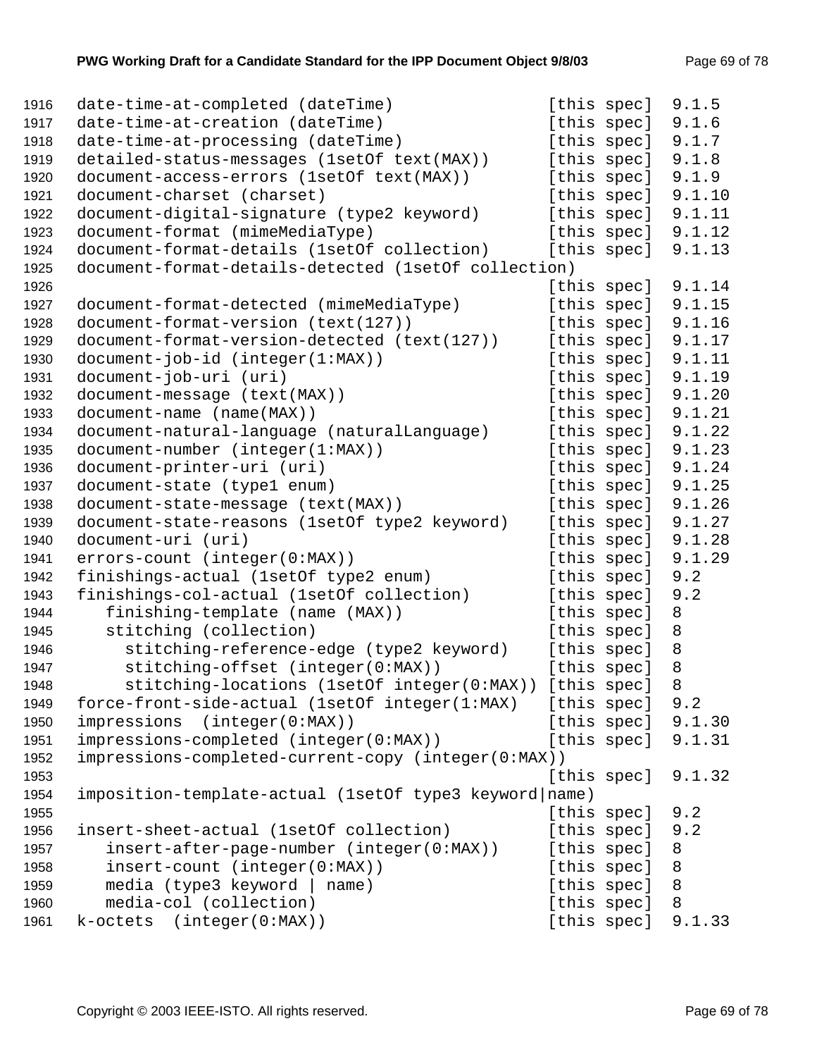| 1916 | date-time-at-completed (dateTime)                      | [this spec] | 9.1.5   |
|------|--------------------------------------------------------|-------------|---------|
| 1917 | date-time-at-creation (dateTime)                       | [this spec] | 9.1.6   |
| 1918 | date-time-at-processing (dateTime)                     | [this spec] | 9.1.7   |
| 1919 | detailed-status-messages (1setOf text(MAX))            | [this spec] | 9.1.8   |
| 1920 | document-access-errors (1setOf text(MAX))              | [this spec] | 9.1.9   |
| 1921 | document-charset (charset)                             | [this spec] | 9.1.10  |
| 1922 | document-digital-signature (type2 keyword)             | [this spec] | 9.1.11  |
| 1923 | document-format (mimeMediaType)                        | [this spec] | 9.1.12  |
| 1924 | document-format-details (1setOf collection)            | [this spec] | 9.1.13  |
| 1925 | document-format-details-detected (1setOf collection)   |             |         |
| 1926 |                                                        | [this spec] | 9.1.14  |
| 1927 | document-format-detected (mimeMediaType)               | [this spec] | 9.1.15  |
| 1928 | document-format-version (text(127))                    | [this spec] | 9.1.16  |
| 1929 | document-format-version-detected (text(127))           | [this spec] | 9.1.17  |
| 1930 | $document-job-id (integer(1:MAX))$                     | [this spec] | 9.1.11  |
| 1931 | document-job-uri (uri)                                 | [this spec] | 9.1.19  |
| 1932 | document-message (text(MAX))                           | [this spec] | 9.1.20  |
| 1933 | document-name (name(MAX))                              | [this spec] | 9.1.21  |
| 1934 | document-natural-language (naturalLanguage)            | [this spec] | 9.1.22  |
| 1935 | document-number (integer(1:MAX))                       | [this spec] | 9.1.23  |
| 1936 | document-printer-uri (uri)                             | [this spec] | 9.1.24  |
| 1937 | document-state (type1 enum)                            | [this spec] | 9.1.25  |
| 1938 | document-state-message (text(MAX))                     | [this spec] | 9.1.26  |
| 1939 | document-state-reasons (1setOf type2 keyword)          | [this spec] | 9.1.27  |
| 1940 | document-uri (uri)                                     | [this spec] | 9.1.28  |
| 1941 | errors-count (integer(0:MAX))                          | [this spec] | 9.1.29  |
| 1942 | finishings-actual (1setOf type2 enum)                  | [this spec] | 9.2     |
| 1943 | finishings-col-actual (1setOf collection)              | [this spec] | 9.2     |
| 1944 | finishing-template (name (MAX))                        | [this spec] | 8       |
| 1945 | stitching (collection)                                 | [this spec] | 8       |
| 1946 | stitching-reference-edge (type2 keyword)               | [this spec] | $\,8\,$ |
| 1947 | stitching-offset (integer(0:MAX))                      | [this spec] | 8       |
| 1948 | stitching-locations (1setOf integer(0:MAX))            | [this spec] | $\, 8$  |
| 1949 | force-front-side-actual (1setOf integer(1:MAX)         | [this spec] | 9.2     |
| 1950 | impressions (integer(0:MAX))                           | [this spec] | 9.1.30  |
| 1951 | impressions-completed (integer(0:MAX))                 | [this spec] | 9.1.31  |
| 1952 | impressions-completed-current-copy (integer(0:MAX))    |             |         |
| 1953 |                                                        | [this spec] | 9.1.32  |
| 1954 | imposition-template-actual (1setOf type3 keyword name) |             |         |
| 1955 |                                                        | [this spec] | 9.2     |
| 1956 | insert-sheet-actual (1setOf collection)                | [this spec] | 9.2     |
| 1957 | insert-after-page-number (integer(0:MAX))              | [this spec] | 8       |
| 1958 | insert-count (integer(0:MAX))                          | [this spec] | 8       |
| 1959 | media (type3 keyword   name)                           | [this spec] | 8       |
| 1960 | media-col (collection)                                 | [this spec] | 8       |
| 1961 | k-octets (integer(0:MAX))                              | [this spec] | 9.1.33  |
|      |                                                        |             |         |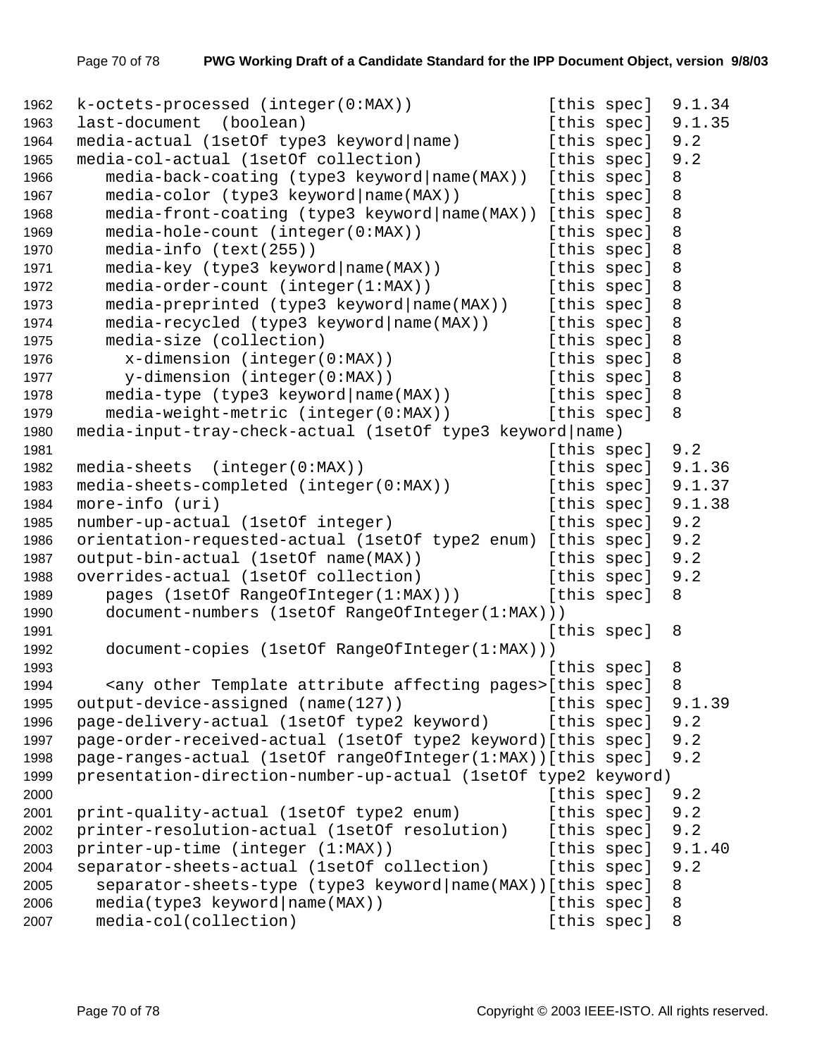```
1962 k-octets-processed (integer(0:MAX)) [this spec] 9.1.34
1963 last-document (boolean) [this spec] 9.1.35
1964 media-actual (1setOf type3 keyword|name) [this spec] 9.2 
1965 media-col-actual (1setOf collection) [this spec] 9.2
1966 media-back-coating (type3 keyword|name(MAX)) [this spec] 8 
1967 media-color (type3 keyword | name (MAX) ) [this spec] 8
1968 media-front-coating (type3 keyword|name(MAX)) [this spec] 8 
1969 media-hole-count (integer(0:MAX)) [this spec] 8 
1970 media-info (text(255)) [this spec] 8 
1971 media-key (type3 keyword | name (MAX) ) [this spec] 8
1972 media-order-count (integer(1:MAX)) [this spec] 8
1973 media-preprinted (type3 keyword|name(MAX)) [this spec] 8 
1974 media-recycled (type3 keyword|name(MAX)) [this spec] 8 
1975 media-size (collection) [this spec] 8 
1976 x-dimension (integer(0:MAX)) [this spec] 8 
1977 y-dimension (integer(0:MAX)) [this spec] 8 
1978 media-type (type3 keyword|name(MAX)) [this spec] 8 
1979 media-weight-metric (integer(0:MAX)) [this spec] 8 
1980 media-input-tray-check-actual (1setOf type3 keyword|name) 
1981 Intervention Contract Contract Contract Contract Contract Contract Contract Contract Contract Contract Contract Contract Contract Contract Contract Contract Contract Contract Contract Contract Contract Contract Contr
1982 media-sheets (integer(0:MAX)) [this spec] 9.1.36 
1983 media-sheets-completed (integer(0:MAX)) [this spec] 9.1.37 
1984 more-info (uri) and the set of the species of this species of 1.38
1985 number-up-actual (1setOf integer) [this spec] 9.2 
1986 orientation-requested-actual (1setOf type2 enum) [this spec] 9.2 
1987 output-bin-actual (1setOf name(MAX)) [this spec] 9.2 
1988 overrides-actual (1setOf collection) [this spec] 9.2
1989 pages (1setOf RangeOfInteger(1:MAX))) [this spec] 8 
1990 document-numbers (1setOf RangeOfInteger(1:MAX))) 
1991 [this spec] 8 
1992 document-copies (1setOf RangeOfInteger(1:MAX))) 
1993 International Contract Contract Contract Contract Contract Contract Contract Contract Contract Contract Contract Contract Contract Contract Contract Contract Contract Contract Contract Contract Contract Contract Cont
1994 <any other Template attribute affecting pages>[this spec] 8
1995 output-device-assigned (name(127)) [this spec] 9.1.39 
1996 page-delivery-actual (1setOf type2 keyword) [this spec] 9.2
1997 page-order-received-actual (1setOf type2 keyword)[this spec] 9.2 
1998 page-ranges-actual (1setOf rangeOfInteger(1:MAX))[this spec] 9.2 
1999 presentation-direction-number-up-actual (1setOf type2 keyword) 
2000 [this spec] 9.2 
2001 print-quality-actual (1setOf type2 enum) [this spec] 9.2 
2002 printer-resolution-actual (1setOf resolution) [this spec] 9.2 
2003 printer-up-time (integer (1:MAX)) [this spec] 9.1.40
2004 separator-sheets-actual (1setOf collection) [this spec] 9.2 
2005 separator-sheets-type (type3 keyword|name(MAX))[this spec] 8 
2006 media(type3 keyword|name(MAX)) [this spec] 8
2007 media-col(collection) [this spec] 8
```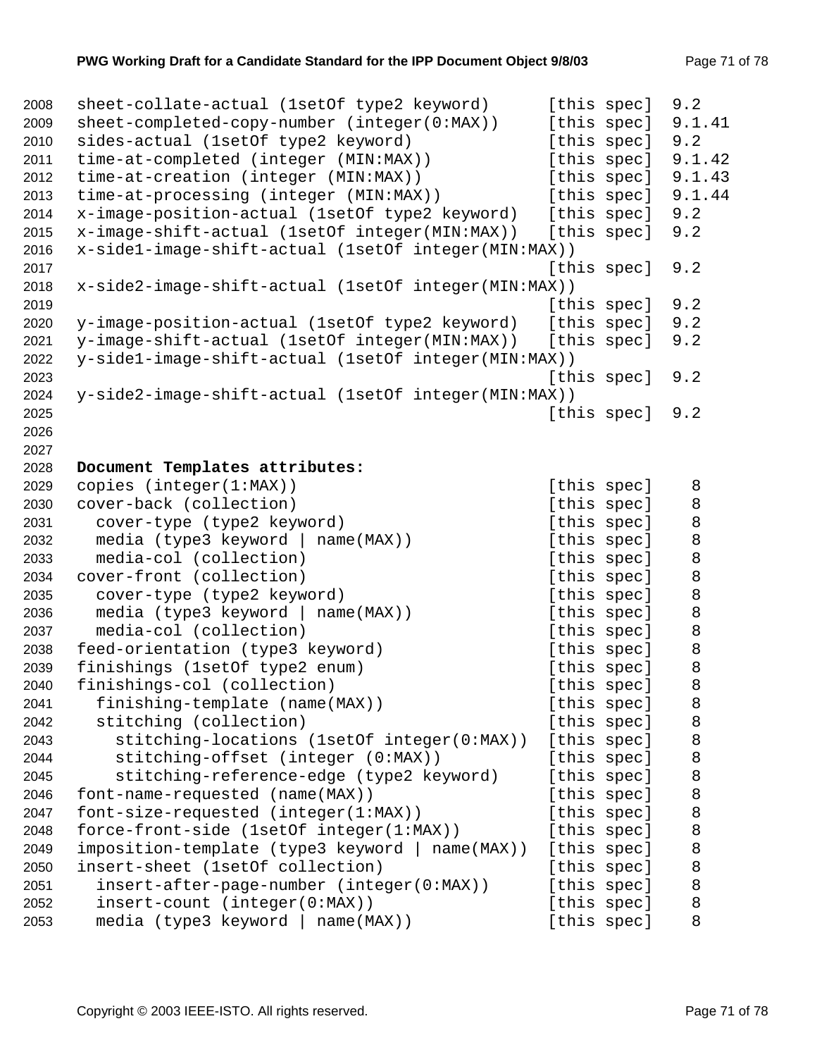```
2008 sheet-collate-actual (1setOf type2 keyword) [this spec] 9.2 
2009 sheet-completed-copy-number (integer(0:MAX)) [this spec] 9.1.41
2010 sides-actual (1setOf type2 keyword) [this spec] 9.2
2011 time-at-completed (integer (MIN:MAX)) [this spec] 9.1.42 
2012 time-at-creation (integer (MIN:MAX)) [this spec] 9.1.43 
2013 time-at-processing (integer (MIN:MAX)) [this spec] 9.1.44 
2014 x-image-position-actual (1setOf type2 keyword) [this spec] 9.2 
2015 x-image-shift-actual (1setOf integer(MIN:MAX)) [this spec] 9.2 
2016 x-side1-image-shift-actual (1setOf integer(MIN:MAX)) 
2017 [this spec] 9.2 
2018 x-side2-image-shift-actual (1setOf integer(MIN:MAX)) 
2019 [this spec] 9.2 
2020 y-image-position-actual (1setOf type2 keyword) [this spec] 9.2 
2021 y-image-shift-actual (1setOf integer(MIN:MAX)) [this spec] 9.2 
2022 y-side1-image-shift-actual (1setOf integer(MIN:MAX)) 
2023 [this spec] 9.2 
2024 y-side2-image-shift-actual (1setOf integer(MIN:MAX)) 
2025 [this spec] 9.2 
2026 
2027 
2028 Document Templates attributes: 
2029 copies (integer(1:MAX)) \begin{bmatrix} 1 & 3 \\ 3 & 4 \end{bmatrix} [this spec] 8
2030 cover-back (collection) and this spec specific specific specific specific specific specific specific spec
2031 cover-type (type2 keyword) [this spec] 8
2032 media (type3 keyword | name(MAX)) [this spec] 8
2033 media-col (collection) and this spec 3
2034 cover-front (collection) and this spec 3
2035 cover-type (type2 keyword) [this spec] 8
2036 media (type3 keyword | name(MAX)) [this spec] 8
2037 media-col (collection) and this spec 3 and 100 media-col (collection)
2038 feed-orientation (type3 keyword) [this spec] 8
2039 finishings (1setOf type2 enum) [this spec] 8
2040 finishings-col (collection) [this spec] 8 
2041 finishing-template (name(MAX)) [this spec] 8
2042 stitching (collection) and this spec 3
2043 stitching-locations (1setOf integer(0:MAX)) [this spec] 8 
2044 stitching-offset (integer (0:MAX)) [this spec] 8
2045 stitching-reference-edge (type2 keyword) [this spec] 8 
2046 font-name-requested (name(MAX)) [this spec] 8 
2047 font-size-requested (integer(1:MAX)) [this spec] 8
2048 force-front-side (1setOf integer(1:MAX)) [this spec] 8
2049 imposition-template (type3 keyword | name(MAX)) [this spec] 8 
2050 insert-sheet (1setOf collection) [this spec] 8 
2051 insert-after-page-number (integer(0:MAX)) [this spec] 8 
2052 insert-count (integer(0:MAX)) [this spec] 8
2053 media (type3 keyword | name(MAX)) [this spec] 8
```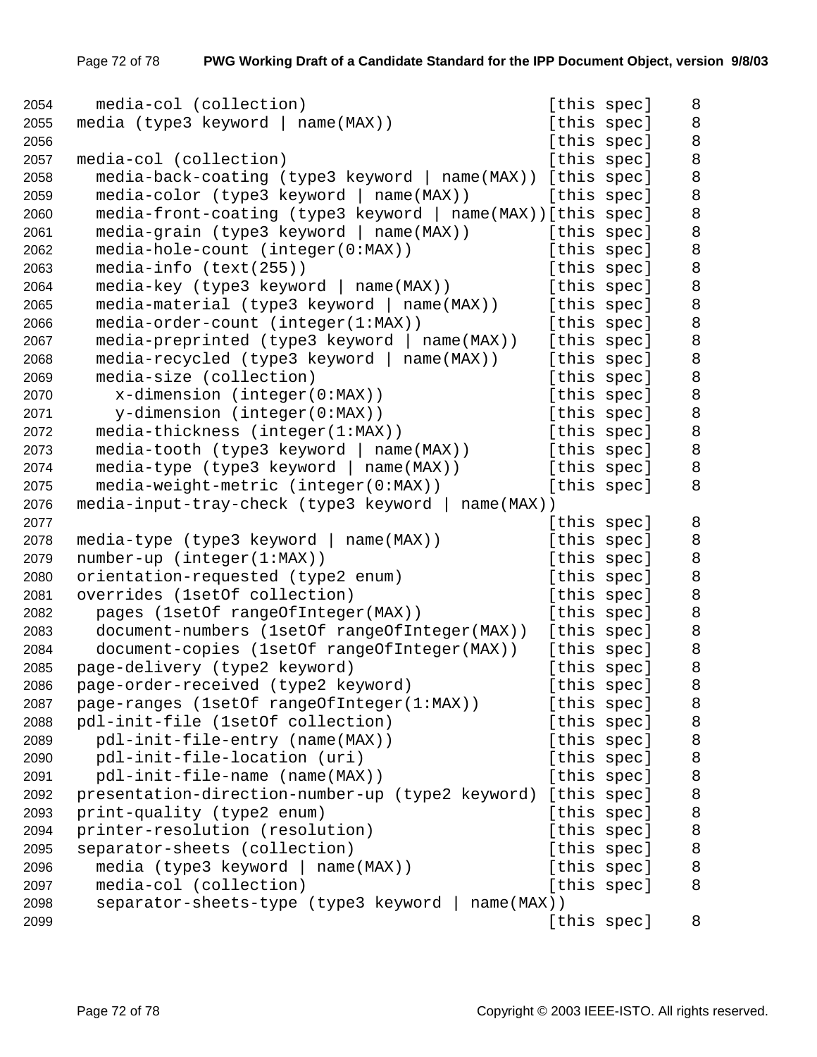| 2054 | media-col (collection)                                       | [this spec] | 8       |
|------|--------------------------------------------------------------|-------------|---------|
| 2055 | media (type3 keyword   name(MAX))                            | [this spec] | 8       |
| 2056 |                                                              | [this spec] | $\,8\,$ |
| 2057 | media-col (collection)                                       | [this spec] | 8       |
| 2058 | media-back-coating (type3 keyword   name(MAX)) [this spec]   |             | $\, 8$  |
| 2059 | $media-color (type3 keyword   name(MAX))$                    | [this spec] | 8       |
| 2060 | media-front-coating (type3 keyword   name(MAX)) [this spec]  |             | $\,8\,$ |
| 2061 | $media-grain$ (type3 keyword   name(MAX))                    | [this spec] | 8       |
| 2062 | media-hole-count (integer(0:MAX))                            | [this spec] | 8       |
| 2063 | media-info (text(255))                                       | [this spec] | $\,8\,$ |
| 2064 | media-key (type3 keyword   name(MAX))                        | [this spec] | 8       |
| 2065 | media-material (type3 keyword   name(MAX))                   | [this spec] | 8       |
| 2066 | media-order-count (integer(1:MAX))                           | [this spec] | 8       |
| 2067 | $media-preprinted (type3 keyword   name(MAX))$               | [this spec] | 8       |
| 2068 | $media-recycled$ (type3 keyword   name(MAX))                 | [this spec] | 8       |
| 2069 | media-size (collection)                                      | [this spec] | $\,8\,$ |
| 2070 | $x$ -dimension (integer( $0:MAX$ ))                          | [this spec] | $\,8\,$ |
| 2071 | y-dimension (integer(0:MAX))                                 | [this spec] | 8       |
| 2072 | media-thickness (integer(1:MAX))                             | [this spec] | 8       |
| 2073 | media-tooth (type3 keyword   name(MAX))                      | [this spec] | $\,8\,$ |
| 2074 | $media-type (type3 keyword   name(MAX))$                     | [this spec] | 8       |
| 2075 | media-weight-metric (integer(0:MAX))                         | [this spec] | 8       |
| 2076 | media-input-tray-check (type3 keyword   name(MAX))           |             |         |
| 2077 |                                                              | [this spec] | 8       |
| 2078 | media-type (type3 keyword   name(MAX))                       | [this spec] | 8       |
| 2079 | number-up (integer(1:MAX))                                   | [this spec] | 8       |
| 2080 | orientation-requested (type2 enum)                           | [this spec] | 8       |
| 2081 | overrides (1setOf collection)                                | [this spec] | 8       |
| 2082 | pages (1setOf rangeOfInteger(MAX))                           | [this spec] | $\,8\,$ |
| 2083 | document-numbers (1setOf rangeOfInteger(MAX))                | [this spec] | 8       |
| 2084 | document-copies (1setOf rangeOfInteger(MAX))                 | [this spec] | 8       |
| 2085 | page-delivery (type2 keyword)                                | [this spec] | $\,8\,$ |
| 2086 | page-order-received (type2 keyword)                          | [this spec] | 8       |
| 2087 | page-ranges (1setOf rangeOfInteger(1:MAX))                   | [this spec] | 8       |
| 2088 | pdl-init-file (1setOf collection)                            | [this spec] | 8       |
| 2089 | pdl-init-file-entry (name(MAX))                              | [this spec] | 8       |
| 2090 | pdl-init-file-location (uri)                                 | [this spec] | 8       |
| 2091 | pdl-init-file-name (name(MAX))                               | [this spec] | 8       |
| 2092 | presentation-direction-number-up (type2 keyword) [this spec] |             | 8       |
| 2093 | print-quality (type2 enum)                                   | [this spec] | 8       |
| 2094 | printer-resolution (resolution)                              | [this spec] | 8       |
| 2095 | separator-sheets (collection)                                | [this spec] | 8       |
| 2096 | media (type3 keyword  <br>$name(MAX)$ )                      | [this spec] | 8       |
| 2097 | media-col (collection)                                       | [this spec] | 8       |
| 2098 | separator-sheets-type (type3 keyword   name(MAX))            |             |         |
| 2099 |                                                              | [this spec] | 8       |
|      |                                                              |             |         |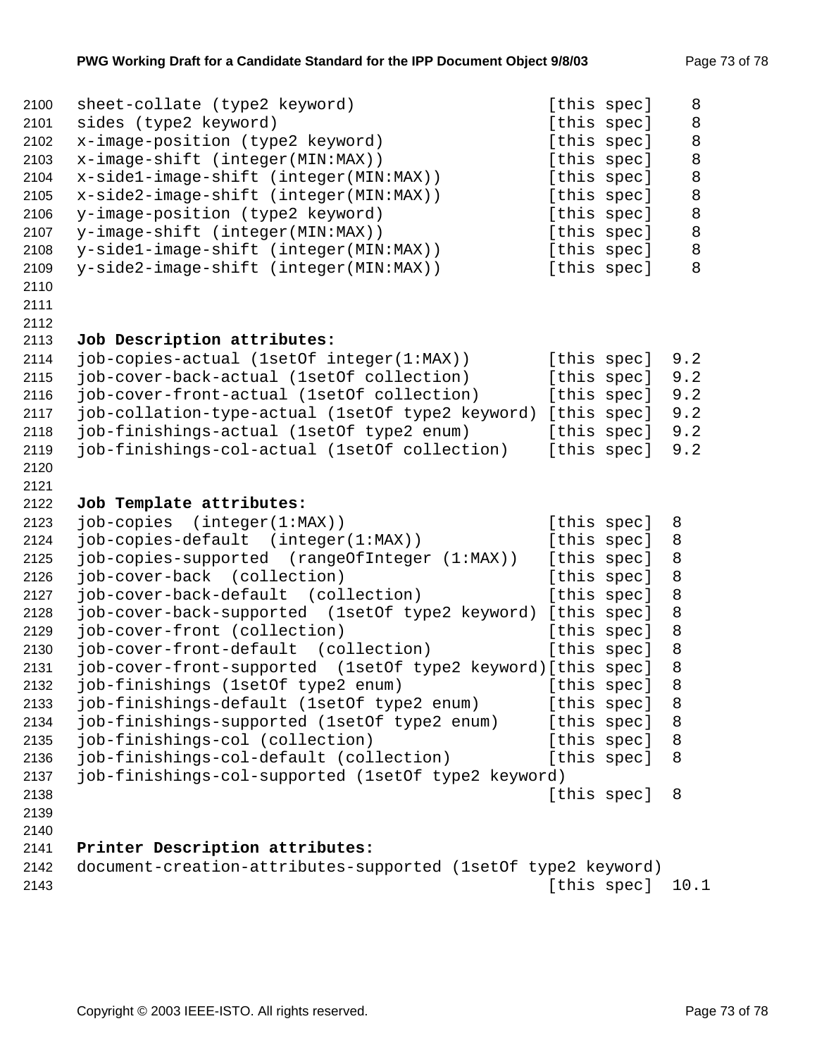| 2100 | sheet-collate (type2 keyword)                                 |             | [this spec] | 8    |
|------|---------------------------------------------------------------|-------------|-------------|------|
| 2101 | sides (type2 keyword)                                         |             | [this spec] | 8    |
| 2102 | x-image-position (type2 keyword)                              |             | [this spec] | 8    |
| 2103 | x-image-shift (integer(MIN:MAX))                              |             | [this spec] | 8    |
| 2104 | x-sidel-image-shift (integer(MIN:MAX))                        |             | [this spec] | 8    |
| 2105 | x-side2-image-shift (integer(MIN:MAX))                        |             | [this spec] | 8    |
| 2106 | y-image-position (type2 keyword)                              |             | [this spec] | 8    |
| 2107 | y-image-shift (integer(MIN:MAX))                              |             | [this spec] | 8    |
| 2108 | y-side1-image-shift (integer(MIN:MAX))                        |             | [this spec] | 8    |
| 2109 | y-side2-image-shift (integer(MIN:MAX))                        |             | [this spec] | 8    |
| 2110 |                                                               |             |             |      |
| 2111 |                                                               |             |             |      |
| 2112 |                                                               |             |             |      |
| 2113 | Job Description attributes:                                   |             |             |      |
| 2114 | job-copies-actual (1setOf integer(1:MAX))                     |             | [this spec] | 9.2  |
| 2115 | job-cover-back-actual (1setOf collection)                     |             | [this spec] | 9.2  |
| 2116 | job-cover-front-actual (1setOf collection)                    |             | [this spec] | 9.2  |
| 2117 | job-collation-type-actual (1setOf type2 keyword) [this spec]  |             |             | 9.2  |
| 2118 | job-finishings-actual (1setOf type2 enum)                     |             | [this spec] | 9.2  |
| 2119 | job-finishings-col-actual (1setOf collection)                 |             | [this spec] | 9.2  |
| 2120 |                                                               |             |             |      |
| 2121 |                                                               |             |             |      |
| 2122 | Job Template attributes:                                      |             |             |      |
| 2123 | job-copies (integer(1:MAX))                                   |             | [this spec] | 8    |
| 2124 | job-copies-default (integer(1:MAX))                           |             | [this spec] | 8    |
| 2125 | job-copies-supported (rangeOfInteger (1:MAX))                 |             | [this spec] | 8    |
| 2126 | job-cover-back (collection)                                   |             | [this spec] | 8    |
| 2127 | job-cover-back-default (collection)                           |             | [this spec] | 8    |
| 2128 | job-cover-back-supported (1setOf type2 keyword) [this spec]   |             |             | 8    |
| 2129 | job-cover-front (collection)                                  |             | [this spec] | 8    |
| 2130 | job-cover-front-default (collection)                          |             | [this spec] | 8    |
| 2131 | job-cover-front-supported (1setOf type2 keyword) [this spec]  |             |             | 8    |
| 2132 | job-finishings (1setOf type2 enum)                            |             | [this spec] | 8    |
| 2133 | job-finishings-default (1setOf type2 enum)                    | [this spec] |             | 8    |
| 2134 | job-finishings-supported (1setOf type2 enum)                  |             | [this spec] | 8    |
| 2135 | job-finishings-col (collection)                               |             | [this spec] | 8    |
| 2136 | job-finishings-col-default (collection)                       |             | [this spec] | 8    |
| 2137 | job-finishings-col-supported (1setOf type2 keyword)           |             |             |      |
| 2138 |                                                               |             | [this spec] | 8    |
| 2139 |                                                               |             |             |      |
| 2140 |                                                               |             |             |      |
| 2141 | Printer Description attributes:                               |             |             |      |
| 2142 | document-creation-attributes-supported (1setOf type2 keyword) |             |             |      |
| 2143 |                                                               |             | [this spec] | 10.1 |
|      |                                                               |             |             |      |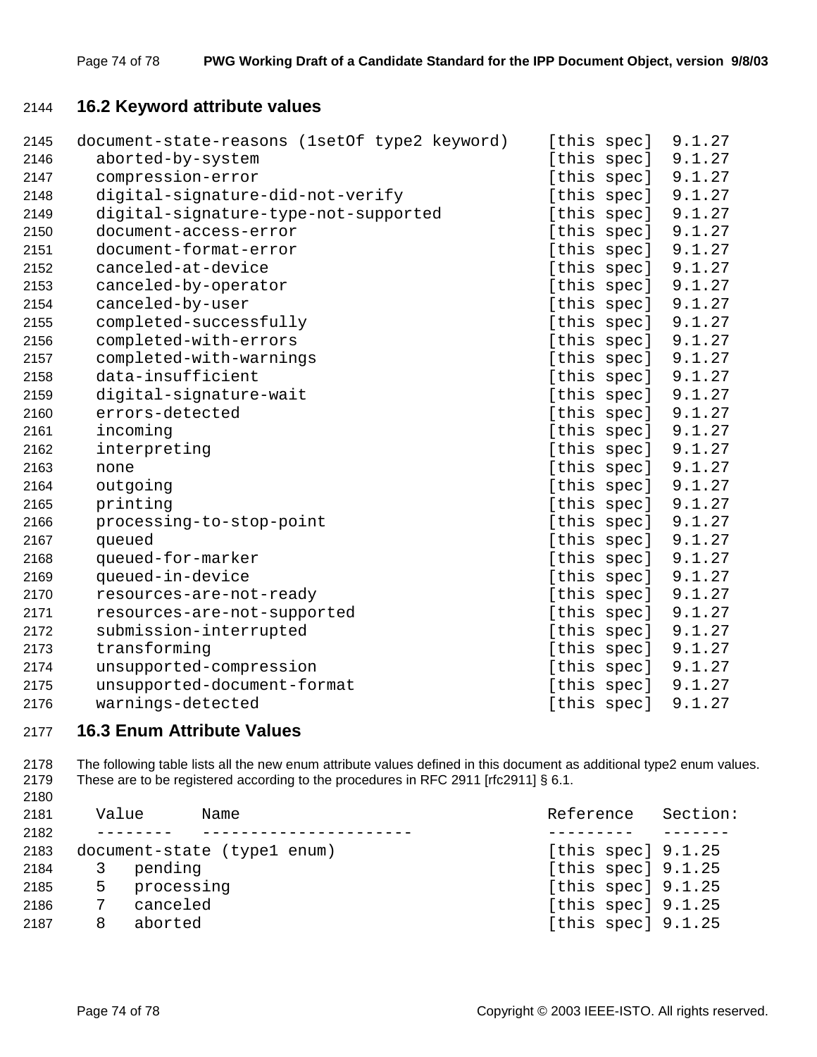# **16.2 Keyword attribute values**

| 2145 | document-state-reasons (1setOf type2 keyword) | [this spec] | 9.1.27 |
|------|-----------------------------------------------|-------------|--------|
| 2146 | aborted-by-system                             | [this spec] | 9.1.27 |
| 2147 | compression-error                             | [this spec] | 9.1.27 |
| 2148 | digital-signature-did-not-verify              | [this spec] | 9.1.27 |
| 2149 | digital-signature-type-not-supported          | [this spec] | 9.1.27 |
| 2150 | document-access-error                         | [this spec] | 9.1.27 |
| 2151 | document-format-error                         | [this spec] | 9.1.27 |
| 2152 | canceled-at-device                            | [this spec] | 9.1.27 |
| 2153 | canceled-by-operator                          | [this spec] | 9.1.27 |
| 2154 | canceled-by-user                              | [this spec] | 9.1.27 |
| 2155 | completed-successfully                        | [this spec] | 9.1.27 |
| 2156 | completed-with-errors                         | [this spec] | 9.1.27 |
| 2157 | completed-with-warnings                       | [this spec] | 9.1.27 |
| 2158 | data-insufficient                             | [this spec] | 9.1.27 |
| 2159 | digital-signature-wait                        | [this spec] | 9.1.27 |
| 2160 | errors-detected                               | [this spec] | 9.1.27 |
| 2161 | incoming                                      | [this spec] | 9.1.27 |
| 2162 | interpreting                                  | [this spec] | 9.1.27 |
| 2163 | none                                          | [this spec] | 9.1.27 |
| 2164 | outgoing                                      | [this spec] | 9.1.27 |
| 2165 | printing                                      | [this spec] | 9.1.27 |
| 2166 | processing-to-stop-point                      | [this spec] | 9.1.27 |
| 2167 | queued                                        | [this spec] | 9.1.27 |
| 2168 | queued-for-marker                             | [this spec] | 9.1.27 |
| 2169 | queued-in-device                              | [this spec] | 9.1.27 |
| 2170 | resources-are-not-ready                       | [this spec] | 9.1.27 |
| 2171 | resources-are-not-supported                   | [this spec] | 9.1.27 |
| 2172 | submission-interrupted                        | [this spec] | 9.1.27 |
| 2173 | transforming                                  | [this spec] | 9.1.27 |
| 2174 | unsupported-compression                       | [this spec] | 9.1.27 |
| 2175 | unsupported-document-format                   | [this spec] | 9.1.27 |
| 2176 | warnings-detected                             | [this spec] | 9.1.27 |

#### **16.3 Enum Attribute Values**

2178 The following table lists all the new enum attribute values defined in this document as additional type2 enum values. 2179 These are to be registered according to the procedures in RFC 2911 [rfc2911] § 6.1.

| 2181<br>2182 | Value | Name                        | Reference            | Section: |
|--------------|-------|-----------------------------|----------------------|----------|
| 2183         |       | document-state (type1 enum) | [this spec] $9.1.25$ |          |
| 2184         | 3     | pending                     | [this spec] $9.1.25$ |          |
| 2185         | 5.    | processing                  | [this spec] $9.1.25$ |          |
| 2186         |       | canceled                    | [this spec] $9.1.25$ |          |
| 2187         | 8     | aborted                     | [this spec] $9.1.25$ |          |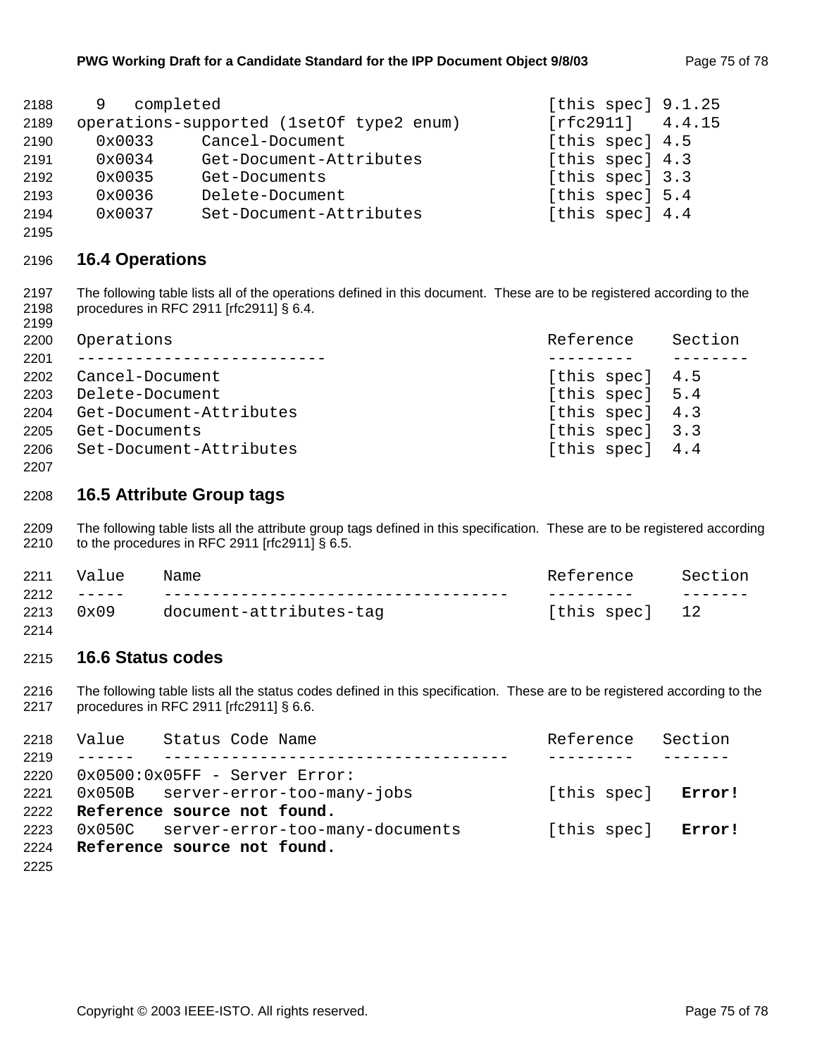| 2188 | completed<br>- 9 |                                          | [this spec] $9.1.25$ |
|------|------------------|------------------------------------------|----------------------|
| 2189 |                  | operations-supported (1setOf type2 enum) | $[rfc2911]$ 4.4.15   |
| 2190 | $0 \times 0033$  | Cancel-Document                          | [this spec] 4.5      |
| 2191 | 0x0034           | Get-Document-Attributes                  | [this spec] 4.3      |
| 2192 | 0x0035           | Get-Documents                            | [this spec] 3.3      |
| 2193 | 0x0036           | Delete-Document                          | [this spec] 5.4      |
| 2194 | 0x0037           | Set-Document-Attributes                  | [this spec] 4.4      |

#### **16.4 Operations**

2197 The following table lists all of the operations defined in this document. These are to be registered according to the 2198 procedures in RFC 2911 [rfc2911] § 6.4. 

| 2200 | Operations              | Reference       | Section |
|------|-------------------------|-----------------|---------|
| 2201 |                         |                 |         |
| 2202 | Cancel-Document         | [this spec] 4.5 |         |
| 2203 | Delete-Document         | [this spec] 5.4 |         |
| 2204 | Get-Document-Attributes | [this spec] 4.3 |         |
| 2205 | Get-Documents           | [this spec] 3.3 |         |
| 2206 | Set-Document-Attributes | [this spec] 4.4 |         |
|      |                         |                 |         |

#### **16.5 Attribute Group tags**

2209 The following table lists all the attribute group tags defined in this specification. These are to be registered according 2210 to the procedures in RFC 2911 [rfc2911] § 6.5.

| 2211 | Value | Name                    | Reference      | Section |
|------|-------|-------------------------|----------------|---------|
|      |       |                         |                |         |
| 2213 | 0x09  | document-attributes-tag | [this spec] 12 |         |
| 2214 |       |                         |                |         |

#### **16.6 Status codes**

2216 The following table lists all the status codes defined in this specification. These are to be registered according to the 2217 procedures in RFC 2911 [rfc2911] § 6.6.

| 2218 | Value Status Code Name                 | Reference Section  |  |
|------|----------------------------------------|--------------------|--|
| 2219 | __________________________________     |                    |  |
| 2220 | $0x0500:0x05$ FF - Server Error:       |                    |  |
| 2221 | 0x050B server-error-too-many-jobs      | [this spec] Error! |  |
|      | 2222 Reference source not found.       |                    |  |
| 2223 | 0x050C server-error-too-many-documents | [this spec] Error! |  |
|      | 2224 Reference source not found.       |                    |  |
| 2225 |                                        |                    |  |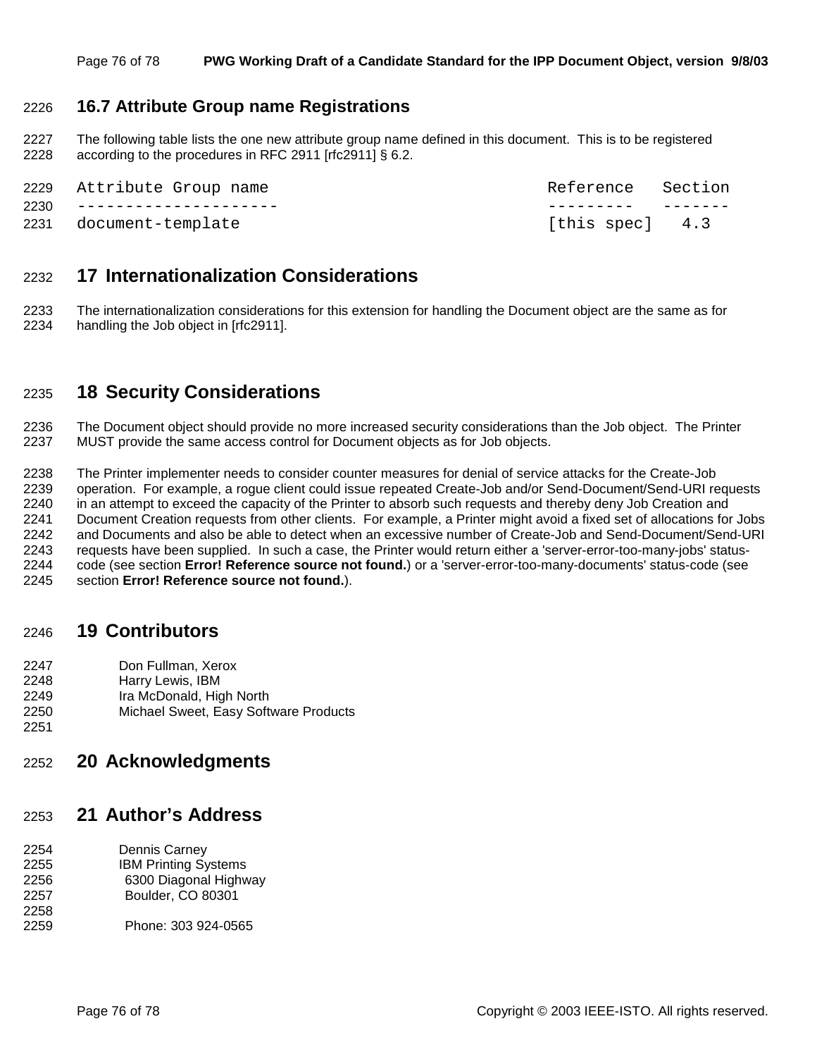#### 2226 **16.7 Attribute Group name Registrations**

2227 The following table lists the one new attribute group name defined in this document. This is to be registered 2228 according to the procedures in RFC 2911 [rfc2911] § 6.2.

| 2229 Attribute Group name | Reference Section |  |
|---------------------------|-------------------|--|
| 2230 -------------------  |                   |  |
| 2231 document-template    | [this spec] 4.3   |  |

### 2232 **17 Internationalization Considerations**

2233 The internationalization considerations for this extension for handling the Document object are the same as for 2234 handling the Job object in [rfc2911].

# 2235 **18 Security Considerations**

2236 The Document object should provide no more increased security considerations than the Job object. The Printer 2237 MUST provide the same access control for Document objects as for Job objects.

2238 The Printer implementer needs to consider counter measures for denial of service attacks for the Create-Job 2239 operation. For example, a rogue client could issue repeated Create-Job and/or Send-Document/Send-URI requests 2240 in an attempt to exceed the capacity of the Printer to absorb such requests and thereby deny Job Creation and 2241 Document Creation requests from other clients. For example, a Printer might avoid a fixed set of allocations for Jobs 2242 and Documents and also be able to detect when an excessive number of Create-Job and Send-Document/Send-URI 2243 requests have been supplied. In such a case, the Printer would return either a 'server-error-too-many-jobs' status-2244 code (see section **Error! Reference source not found.**) or a 'server-error-too-many-documents' status-code (see 2245 section **Error! Reference source not found.**).

#### 2246 **19 Contributors**

- 2247 Don Fullman, Xerox
- 2248 Harry Lewis, IBM
- 2249 Ira McDonald, High North
- 2250 Michael Sweet, Easy Software Products
- 2251

# 2252 **20 Acknowledgments**

#### 2253 **21 Author's Address**

- 2254 Dennis Carney 2255 IBM Printing Systems 2256 6300 Diagonal Highway 2257 Boulder, CO 80301 2258
- 2259 Phone: 303 924-0565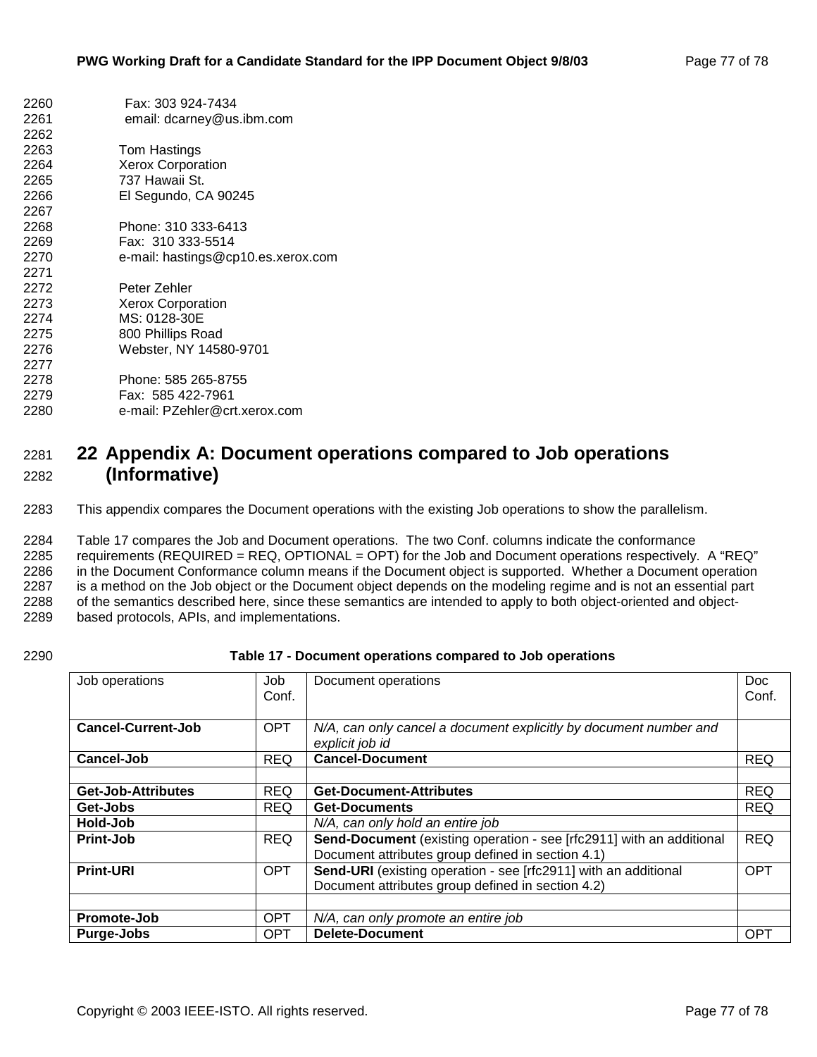| 2260 | Fax: 303 924-7434                  |
|------|------------------------------------|
| 2261 | email: dcarney@us.ibm.com          |
| 2262 |                                    |
| 2263 | Tom Hastings                       |
| 2264 | <b>Xerox Corporation</b>           |
| 2265 | 737 Hawaii St.                     |
| 2266 | El Segundo, CA 90245               |
| 2267 |                                    |
| 2268 | Phone: 310 333-6413                |
| 2269 | Fax: 310 333-5514                  |
| 2270 | e-mail: hastings@cp10.es.xerox.com |
| 2271 |                                    |
| 2272 | Peter Zehler                       |
| 2273 | <b>Xerox Corporation</b>           |
| 2274 | MS: 0128-30E                       |
| 2275 | 800 Phillips Road                  |
| 2276 | Webster, NY 14580-9701             |
| 2277 |                                    |
| 2278 | Phone: 585 265-8755                |
| 2279 | Fax: 585 422-7961                  |
| 2280 | e-mail: PZehler@crt.xerox.com      |
|      |                                    |

# 2281 **22 Appendix A: Document operations compared to Job operations**  2282 **(Informative)**

2283 This appendix compares the Document operations with the existing Job operations to show the parallelism.

2284 Table 17 compares the Job and Document operations. The two Conf. columns indicate the conformance 2285 requirements (REQUIRED = REQ, OPTIONAL = OPT) for the Job and Document operations respectively. A "REQ" 2286 in the Document Conformance column means if the Document object is supported. Whether a Document operation 2287 is a method on the Job object or the Document object depends on the modeling regime and is not an essential part 2288 of the semantics described here, since these semantics are intended to apply to both object-oriented and object-2289 based protocols, APIs, and implementations.

#### 2290 **Table 17 - Document operations compared to Job operations**

| Job operations            | Job<br>Conf. | Document operations                                                                  | Doc<br>Conf. |
|---------------------------|--------------|--------------------------------------------------------------------------------------|--------------|
|                           |              |                                                                                      |              |
| <b>Cancel-Current-Job</b> | <b>OPT</b>   | N/A, can only cancel a document explicitly by document number and<br>explicit job id |              |
| <b>Cancel-Job</b>         | <b>REQ</b>   | <b>Cancel-Document</b>                                                               | <b>REQ</b>   |
|                           |              |                                                                                      |              |
| <b>Get-Job-Attributes</b> | <b>REQ</b>   | <b>Get-Document-Attributes</b>                                                       | <b>REQ</b>   |
| Get-Jobs                  | <b>REQ</b>   | <b>Get-Documents</b>                                                                 | <b>REQ</b>   |
| Hold-Job                  |              | N/A, can only hold an entire job                                                     |              |
| Print-Job                 | <b>REQ</b>   | Send-Document (existing operation - see [rfc2911] with an additional                 | <b>REQ</b>   |
|                           |              | Document attributes group defined in section 4.1)                                    |              |
| <b>Print-URI</b>          | <b>OPT</b>   | Send-URI (existing operation - see [rfc2911] with an additional                      | <b>OPT</b>   |
|                           |              | Document attributes group defined in section 4.2)                                    |              |
|                           |              |                                                                                      |              |
| Promote-Job               | <b>OPT</b>   | N/A, can only promote an entire job                                                  |              |
| Purge-Jobs                | <b>OPT</b>   | <b>Delete-Document</b>                                                               | <b>OPT</b>   |